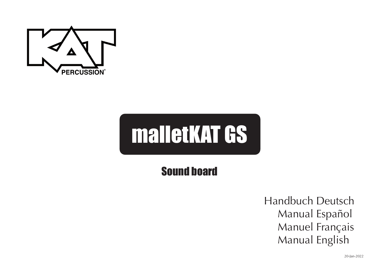

# malletKAT GS

# Sound board

Handbuch Deutsch Manual Español Manuel Français Manual English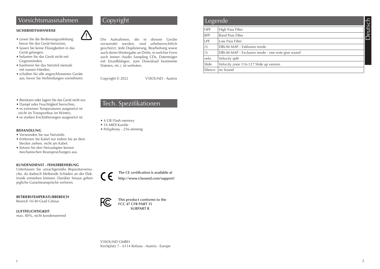## Vorsichtsmassnahmen Copyright

#### **SICHERHEITSHINWEISE**

- Lesen Sie die Bedienungsanleitung bevor Sie das Gerät benutzen,
- lassen Sie keine Flüssigkeiten in das Gerät gelangen,
- belasten Sie das Gerät nicht mit Gegenständen,
- hantieren Sie das Netzteil niemals mit nassen Händen,
- schalten Sie alle angeschlossenen Geräte aus, bevor Sie Verbindungen vornehmen.

#### • Benützen oder lagern Sie das Gerät nicht wo:

- Dampf oder Feuchtigkeit herrschen,
- es extremen Temperaturen ausgesetzt ist (nicht im Transportbus im Winter),
- es starken Erschütterungen ausgesetzt ist.

#### **BEHANDLUNG**

- Verwenden Sie nur Netzteile.
- Entfernen Sie Kabel nur indem Sie an dem Stecker ziehen, nicht am Kabel.
- Setzen Sie den Netzadapter keinen mechanischen Beanspruchungen aus.

#### **KUNDENDIENST - FEHLERBEHEBUNG**

Unterlassen Sie unsachgemäße Reparaturversuche, da dadurch bleibende Schäden an der Elektronik entstehen können. Darüber hinaus gehen jegliche Garantieansprüche verloren.

**BETRIEBSTEMPERATURBEREICH**

Bereich 10-40 Grad Celsius

#### **LUFTFEUCHTIGKEIT** max. 80%, nicht kondensierend

#### ! Die Aufnahmen, die in diesem Geräte verwendet werden, sind urheberrechtlich geschützt. Jede Duplizierung, Bearbeitung sowie auch deren Weitergabe an Dritte, in welcher Form auch immer (Audio Sampling CDs, Datenträger mit Einzelklängen, zum Download bestimmte Dateien, etc.), ist verboten.

Copyright © 2022 V3SOUND - Austria

## Tech. Spezifikationen

- 4 GB Flash memory
- 16 MIDI Kanäle
- Polyphony 256-stimmig

 **The CE certification is available at http://www.v3sound.com/support/**



**This product conforms to the FCC 47 CFR PART 15 SUBPART B**

#### V3SOUND GMBH Kirchplatz 7 - 6114 Kolsass - Austria - Europe

| Legende <sup>1</sup> |                                                 |
|----------------------|-------------------------------------------------|
| <b>HPF</b>           | High Pass Filter                                |
| <b>BPF</b>           | <b>Band Pass Filter</b>                         |
| LPF.                 | Low Pass Filter                                 |
| (1)                  | DRUM MAP - Exklusive mode                       |
| (1)                  | DRUM MAP - Exclusive mode - one note give sound |
| velo.                | Velocity split                                  |
| Slide                | Velocity zone 116-127 Slide up version          |
| Silence              | no Sound                                        |

 $\frac{1}{2}$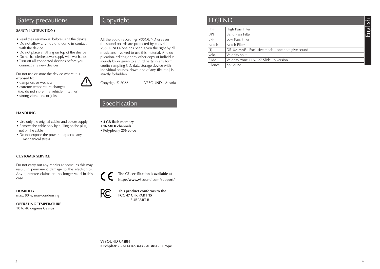## **Safety precautions Copyright**

#### **SAFETY INSTRUCTIONS**

- Read the user manual before using the device
- Do not allow any liquid to come in contact with the device
- Do not place anything on top of the device
- Do not handle the power supply with wet hands
- Turn off all connected devices before you connect any new devices

Do not use or store the device where it is exposed to:  $\bigtriangleup$ 

- dampness or wetness
- extreme temperature changes
- (i.e. do not store in a vehicle in winter)
- strong vibrations or jolts

#### **HANDLING**

- Use only the original cables and power supply
- Remove the cable only by pulling on the plug, not on the cable
- Do not expose the power adapter to any mechanical stress

#### **CUSTOMER SERVICE**

Do not carry out any repairs at home, as this may result in permanent damage to the electronics. Any guarantee claims are no longer valid in this case.

**HUMIDITY** max. 80%, non-condensing

**OPERATING TEMPERATURE**  10 to 40 degrees Celsius

All the audio recordings V3SOUND uses on the sound boards are protected by copyright. V3SOUND alone has been given the right by all musicians involved to use this material. Any duplication, editing or any other copy of individual sounds by or given to a third party in any form (audio sampling CD, data storage device with individual sounds, download of any file, etc.) is strictly forbidden.

Copyright © 2022 V3SOUND - Austria

## Specification

- **4 GB flash memory**
- **16 MIDI channels**
- **Polyphony 256 voice**







#### **HPF** High Pass Filter<br> **BPF** Band Pass Filter Band Pass Filter LPF Low Pass Filter Notch Notch Filter (1) DRUM MAP - Exclusive mode - one note give sound velo. Velocity split Slide Velocity zone 116-127 Slide up version Silence | no Sound **LEGEND** English

**V3SOUND GMBH Kirchplatz 7 - 6114 Kolsass - Austria - Europe**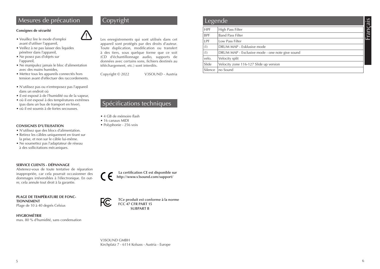## Mesures de précaution Copyright

#### **Consignes de sécurité**

- Veuillez lire le mode d'emploi avant d'utiliser l'appareil,
- Veillez à ne pas laisser des liquides pénétrer dans l'appareil,
- Ne posez pas d'objets sur l'appareil,
- Ne manipulez jamais le bloc d'alimentation avec des mains humides,
- Mettez tous les appareils connectés hors tension avant d'effectuer des raccordements.
- N'utilisez pas ou n'entreposez pas l'appareil dans un endroit où
- il est exposé à de l'humidité ou de la vapeur,
- où il est exposé à des températures extrêmes (pas dans un bus de transport en hiver),
- où il est soumis à de fortes secousses.

#### **CONSIGNES D'UTILISATION**

- N'utilisez que des blocs d'alimentation.
- Retirez les câbles uniquement en tirant sur la prise, et non sur le câble lui-même.
- Ne soumettez pas l'adaptateur de réseau à des sollicitations mécaniques.

#### **SERVICE CLIENTS - DÉPANNAGE**

Abstenez-vous de toute tentative de réparation inappropriée, car cela pourrait occasionner des dommages irréversibles à l'électronique. En outre, cela annule tout droit à la garantie.

#### **PLAGE DE TEMPÉRATURE DE FONC-TIONNEMENT**

Plage de 10 à 40 degrés Celsius

**HYGROMÉTRIE** max. 80 % d'humidité, sans condensation



Copyright © 2022 V3SOUND - Austria

#### Spécifications techniques

- 4 GB de mémoire flash
- 16 canaux MIDI
- Polyphonie 256 voix

 **La certification CE est disponible sur http://www.v3sound.com/support/**



**TCe produit est conforme à la norme FCC 47 CFR PART 15 SUBPART B**

V3SOUND GMBH Kirchplatz 7 - 6114 Kolsass - Austria - Europe

| Legende    |                                                 | $\overline{S}$<br>$\sigma$ |
|------------|-------------------------------------------------|----------------------------|
| <b>HPF</b> | High Pass Filter                                | Ù.                         |
| <b>BPF</b> | <b>Band Pass Filter</b>                         | $\mathbb{E}$               |
| <b>LPF</b> | Low Pass Filter                                 |                            |
| (1)        | DRUM MAP - Exklusive mode                       |                            |
| (1)        | DRUM MAP - Exclusive mode - one note give sound |                            |
| velo.      | Velocity split                                  |                            |
| Slide      | Velocity zone 116-127 Slide up version          |                            |
| Silence    | no Sound                                        |                            |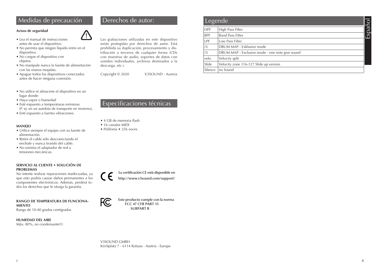## Medidas de precaución Derechos de autor:

#### **Avisos de seguridad**



- No permita que ningún líquido entre en el dispositivo.
- No cargue el dispositivo con objetos.
- No manipule nunca la fuente de alimentación con las manos mojadas.
- Apague todos los dispositivos conectados antes de hacer ninguna conexión.
- No utilice ni almacene el dispositivo en un lugar donde:
- Haya vapor o humedad
- Esté expuesto a temperaturas extremas (P. ej. en un autobús de transporte en invierno),
- Esté expuesto a fuertes vibraciones.

#### **MANEJO**

- Utilice siempre el equipo con su fuente de alimentación.
- Retire el cable sólo desconectando el enchufe y nunca tirando del cable.
- No someta el adaptador de red a tensiones mecánicas.

#### **SERVICIO AL CLIENTE • SOLUCIÓN DE PROBLEMAS**

No intente realizar reparaciones inadecuadas, ya que esto podría causar daños permanentes a los componentes electrónicos. Además, perderá todos los derechos que le otorga la garantía.

#### **RANGO DE TEMPERATURA DE FUNCIONA-MIENTO**

Rango de 10-40 grados centígrados

**HUMEDAD DEL AIRE** Máx. 80%, no condensante13



**11** Las grabaciones utilizadas en este dispositivo están protegidas por derechos de autor. Está prohibida su duplicación, procesamiento y distribución a terceros de cualquier forma (CDs con muestras de audio, soportes de datos con sonidos individuales, archivos destinados a la descarga, etc.).

Copyright © 2020 V3SOUND - Austria

## Especificaciones técnicas

- 4 GB de memoria flash
- 16 canales MIDI
- Polifonía 256 voces





**Este producto cumple con la norma FCC 47 CFR PART 15 SUBPART B**

V3SOUND GMBH Kirchplatz 7 - 6114 Kolsass - Austria - Europe

| Legende    |                                                 | ΪO   |
|------------|-------------------------------------------------|------|
| <b>HPF</b> | High Pass Filter                                |      |
| <b>BPF</b> | <b>Band Pass Filter</b>                         | Espa |
| LPF        | Low Pass Filter                                 |      |
| (1)        | DRUM MAP - Exklusive mode                       |      |
| (1)        | DRUM MAP - Exclusive mode - one note give sound |      |
| velo.      | Velocity split                                  |      |
| Slide      | Velocity zone 116-127 Slide up version          |      |
| Silence    | no Sound                                        |      |

 $7<sup>7</sup>$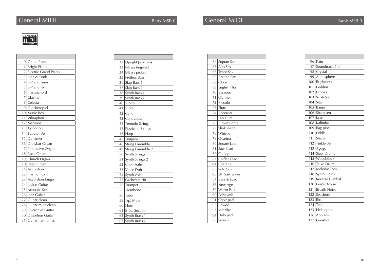

| $\overline{0}$  | Grand Piano            |
|-----------------|------------------------|
| 1               | <b>Bright Piano</b>    |
| $\overline{2}$  | Electric Grand Piano   |
| $\overline{3}$  | Honky Tonk             |
| $\overline{4}$  | E-Piano Tines          |
| 5               | E-Piano FM             |
| 6               | Harpsichord            |
| 7               | Clavinet               |
| 8               | Celesta                |
| 9               | Glockenspiel           |
| 10 <sup>1</sup> | Music Box              |
| 11              | Vibraphon              |
| 12              | Marimba                |
| 13              | Xylophon               |
| 14              | <b>Tubular Bell</b>    |
| 15              | Dulcimer               |
| 16              | Drawbar Organ          |
| 17              | Percussive Organ       |
| 18              | Rock Organ             |
| 19              | Church Organ           |
| 20              | Reed Organ             |
| 21              | Accordion              |
| 22              | Harmonica              |
| 23              | <b>Accordion Tango</b> |
| 24              | Nylon Guitar           |
| 25              | Acoustic Steel         |
| 26              | Jazz Guitar            |
| 27              | Guitar clean           |
| 28              | Guitar mute clean      |
| 29              | Overdrive Guitar       |
| 30              | Distortion Guitar      |
| 31              | Guitar harmonics       |

| 32 | Upright Jazz Bass    |
|----|----------------------|
| 33 | E-Bass fingered      |
|    | 34 E-Bass picked     |
|    | 35 Fretless Bass     |
|    | 36 Slap Bass 1       |
|    | 37 Slap Bass 2       |
| 38 | Synth Bass 1         |
|    | 39 Synth Bass 2      |
|    | 40 Violin            |
| 41 | Viola                |
|    | 42 Cello             |
|    | 43 Contrabass        |
|    | 44 Tremolo Strings   |
|    | 45 Pizzicato Strings |
|    | $46$ Harp            |
|    | 47 Timpani           |
| 48 | String Ensemble 1    |
|    | 49 String Ensemble 2 |
| 50 | Synth Strings 1      |
| 51 | Synth Strings 2      |
|    | 52 Choir Aahs        |
|    | 53 Voice Dohs        |
|    | 54 Synth Voice       |
|    | 55 Orchestra Hit     |
|    | 56 Trumpet           |
| 57 | Trombone             |
|    | 58 Tuba              |
| 59 | Trp. Mute            |
|    | $60$ Horn            |
| 61 | <b>Brass Section</b> |
|    | 62 Synth Brass 1     |
| 63 | Synth Brass 2        |

| 64 | Sopran Sax      |
|----|-----------------|
| 65 | Alto Sax        |
|    | 66 Tenor Sax    |
|    | 67 Bariton Sax  |
|    | 68 Oboe         |
|    | 69 English Horn |
|    | 70 Bassoon      |
| 71 | Clarinet        |
|    | 72 Piccolo      |
|    | 73 Flute        |
|    | 74 Recorder     |
|    | 75 Pan Flute    |
|    | 76 Blown Bottle |
| 77 | Shakuhachi      |
|    | 78 Whistle      |
|    | 79 Ocarina      |
|    | 80 Square Lead  |
| 81 | Saw Lead        |
|    | 82 Calliope     |
| 83 | Chiffer Lead    |
|    | 84 Charang      |
| 85 | Solo Vox        |
|    | 86 5th Saw wave |
|    | 87 Bass & Lead  |
|    | 88 New Age      |
| 89 | Warm Pad        |
|    | 90 Polysynth    |
| 91 | Choir pad       |
| 92 | Bowed           |
| 93 | Metallic        |
|    | 94 Halo pad     |
| 95 | Sweep           |

| 96 Rain<br>97 Soundtrack 5th<br>98 Crystal<br>99 Atmosphere |
|-------------------------------------------------------------|
|                                                             |
|                                                             |
|                                                             |
|                                                             |
| <b>Brightness</b><br>100                                    |
| Goblins                                                     |
| 102 Echoes                                                  |
| 103 Sci-fi Star                                             |
| $104$ Sitar                                                 |
| $105$ Banjo                                                 |
| 106 Shamisen                                                |
| $107$ Koto                                                  |
| 108 Kalimba                                                 |
| 109 Bag pipe                                                |
| $110$ Fiddle                                                |
| <b>Shanai</b>                                               |
| 112 Tinkle Bell                                             |
| 113 Agogo                                                   |
| 114 Steel Drums                                             |
| 115 Woodblock                                               |
| 116 Taiko Drum                                              |
| 117 Melodic Tom                                             |
| 118<br>Synth Drum                                           |
| 119 Reverse Cymbal                                          |
| 120 Guitar Noise                                            |
| Breath Noise                                                |
| Seashore                                                    |
| $123$ Bird                                                  |
| 124 Telephon                                                |
| $\overline{125}$<br>Helicopter                              |
| $\overline{126}$ Applaus                                    |
| 127 Gunshot                                                 |
|                                                             |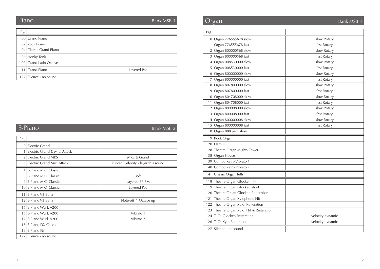# Piano

Bank MSB 1

| Prg. |                        |             |
|------|------------------------|-------------|
|      | 00 Grand Piano         |             |
|      | 02 Rock Piano          |             |
|      | 04 Classic Grand Piano |             |
|      | 06 Honky Tonk          |             |
|      | 07 Grand Latin Octave  |             |
|      | 11 Grand Piano         | Layered Pad |
|      | 127 Silence - no sound |             |

|               | $E-Piano$                    | Bank MSB 2                         |
|---------------|------------------------------|------------------------------------|
| Prg.          |                              |                                    |
| $\Omega$      | <b>Electric Grand</b>        |                                    |
|               | Electric Grand & Mic. Attack |                                    |
|               | 2 Electric Grand MKS         | MKS & Grand                        |
| $\mathcal{E}$ | Electric Grand Mic. Attack   | curved velocity - layer this sound |
|               | 4 E-Piano MK1 Classic        |                                    |
|               | 5 E-Piano MK1 Classic        | soft                               |
| 9             | E-Piano MK1 Classic          | Layered EP-FM                      |
|               | 10 E-Piano MK1 Classic       | Layered Pad                        |
| 11            | E-Piano V3 Bella             |                                    |
|               | 12 E-Piano V3 Bella          | Note-off 1 Octave up               |
|               | 15 E-Piano Wurl, A200        |                                    |
|               | 16 E-Piano Wurl. A200        | Vibrato 1                          |
| 17            | E-Piano Wurl. A200           | Vibrato 2                          |
|               | 18 E-Piano DX Classic        |                                    |
|               | $19$ E-Piano FM              |                                    |
|               | 127 Silence - no sound       |                                    |

# **Organ** Bank MSB 3

| Prg.         |                                           |                  |
|--------------|-------------------------------------------|------------------|
|              | 0 Organ 776555678 slow                    | slow Rotary      |
| $\mathbf{1}$ | Organ 776555678 fast                      | fast Rotary      |
| 2            | Organ 800000568 slow                      | slow Rotary      |
| 3            | Organ 800000568 fast                      | fast Rotary      |
| 4            | Organ 008530000 slow                      | slow Rotary      |
| 5            | Organ 008530000 fast                      | fast Rotary      |
| 6            | Organ 800000000 slow                      | slow Rotary      |
| 7            | Organ 800000000 fast                      | fast Rotary      |
| 8            | Organ 807800000 slow                      | slow Rotary      |
|              | 9 Organ 807800000 fast                    | fast Rotary      |
|              | 10 Organ 804708000 slow                   | slow Rotary      |
|              | 11 Organ 804708000 fast                   | fast Rotary      |
|              | 12 Organ 800008000 slow                   | slow Rotary      |
|              | 13 Organ 800008000 fast                   | fast Rotary      |
|              | 14 Organ 800000008 slow                   | slow Rotary      |
|              | 15 Organ 800000008 fast                   | fast Rotary      |
|              | 18 Organ 888 perc slow                    |                  |
|              | 19 Rock Organ                             |                  |
|              | 20 Ham Full                               |                  |
|              | 28 Theatre Organ Mighty Tower             |                  |
|              | 38 Organ House                            |                  |
|              | 39 Combo Retro Vibrato 1                  |                  |
|              | 40 Combo Retro Vibrato 2                  |                  |
|              | 41   Classic Organ Tutti 1                |                  |
|              | 118 Theatre Organ Glocken Hit             |                  |
|              | 119 Theatre Organ Glocken short           |                  |
|              | 120 Theatre Organ Glocken Reiteration     |                  |
|              | 121 Theatre Organ Xylophone Hit           |                  |
|              | 122 Theatre Organ Xylo. Reiteration       |                  |
|              | 123 Theatre Organ Xylo. Hit & Reiteration |                  |
|              | 124 T. O. Glocken Reiteration             | velocity dynamic |
|              | 126 T.O. Xylo Reiteration                 | velocity dynamic |
|              | 127 Silence - no sound                    |                  |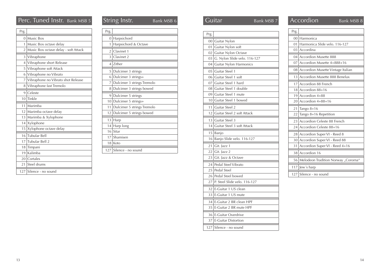# Perc. Tuned Instr. Bank MSB 5 String Instr. Bank MSB 6 Guit

| Prg.            |                                      |
|-----------------|--------------------------------------|
| $\Omega$        | Music Box                            |
| 1               | Music Box octave delay               |
| $\overline{2}$  | Music Box octave delay - soft Attack |
| 3               | Vibraphone                           |
| 4               | Vibraphone short Release             |
| 5               | Vibraphone soft Attack               |
| 6               | Vibraphone no Vibrato                |
| 7               | Vibraphone no Vibrato shot Release   |
| 8               | Vibraphone fast Tremolo              |
| 9               | Celeste                              |
| 10 <sup>1</sup> | Tinkle                               |
| 11              | Marimba                              |
|                 | 12 Marimba octave delay              |
| 13 <sup>1</sup> | Marimba & Xylophone                  |
| 14              | Xylophone                            |
| 15              | Xylophone octave delay               |
| 16              | Tubular Bell                         |
| 17              | Tubular Bell 2                       |
| 18              | Timpani                              |
| 19 <sup>1</sup> | Kalimba                              |
|                 | 20   Cortales                        |
| 21              | Steel drums                          |
| 127             | Silence - no sound                   |
|                 |                                      |

| Prg.            |                            |
|-----------------|----------------------------|
| $\overline{0}$  | Harpsichord                |
| 1               | Harpsichord & Octave       |
| $\overline{2}$  | Clavinet 1                 |
| 3               | Clavinet 2                 |
| $\overline{4}$  | Zither                     |
| 5               | Dulcimer 3 strings         |
| 6               | Dulcimer 3 strings+        |
| 7               | Dulcimer 3 strings Tremolo |
| 8               | Dulcimer 3 strings bowed   |
| 9               | Dulcimer 5 strings         |
| 10 <sup>1</sup> | Dulcimer 5 strings+        |
|                 |                            |
| 11              | Dulcimer 5 strings Tremolo |
| 12              | Dulcimer 5 strings bowed   |
| 13              | Harp                       |
| 14              | Harp long                  |
| 16              | Sitar                      |
| 17              | Shamisen                   |
| 18              | Koto                       |

|      | Quitar<br>Bank MSB 7         |  |
|------|------------------------------|--|
|      |                              |  |
| Prg. |                              |  |
|      | 00 Guitar Nylon              |  |
| 01   | Guitar Nylon soft            |  |
| 02   | Guitar Nylon Octave          |  |
| 03   | G. Nylon Slide velo. 116-127 |  |
| 04   | Guitar Nylon Harmonics       |  |
|      | 05 Guitar Steel 1            |  |
|      | 06 Guitar Steel 1 soft       |  |
|      | 07 Guitar Steel 1 hard       |  |
|      | 08 Guitar Steel 1 double     |  |
|      | 09 Guitar Steel 1 mute       |  |
|      | 10 Guitar Steel 1 bowed      |  |
| 11   | Guitar Steel 2               |  |
| 12   | Guitar Steel 2 soft Attack   |  |
|      | 13 Guitar Steel 3            |  |
| 14   | Guitar Steel 3 soft Attack   |  |
| 15   | Banjo                        |  |
| 16   | Banjo Slide velo. 116-127    |  |
| 21   | Git. Jazz 1                  |  |
| 22   | Git. Jazz 2                  |  |
| 23   | Git. Jazz & Octave           |  |
|      | 24 Pedal Steel Vibrato       |  |
| 25   | Pedal Steel                  |  |
| 26   | Pedal Steel bowed            |  |
| 27   | P. Steel Slide velo. 116-127 |  |
|      | 32 E-Guitar 1 US clean       |  |
| 33   | E-Guitar 1 US mute           |  |
| 34   | E-Guitar 2 BR clean HPF      |  |
| 35   | E-Guitar 2 BR mute HPF       |  |
|      | 36 E-Guitar Overdrive        |  |
|      | 37 E-Guitar Distortion       |  |
|      | 127 Silence - no sound       |  |
|      |                              |  |

|                | <b>Accordion</b>                    | Bank MSB 8 |  |
|----------------|-------------------------------------|------------|--|
| Prg.           |                                     |            |  |
| 0 <sub>0</sub> | Harmonica                           |            |  |
| 01             | Harmonica Slide velo. 116-127       |            |  |
| 03             | Accordina                           |            |  |
|                | 04 Accordion Musette 888            |            |  |
| 07             | Accordion Musette 4+888+16          |            |  |
| 08             | Accordion Musette Vintage Italian   |            |  |
| 13             | Accordion Musette 888 Benelux       |            |  |
| 17             | Accordion 88 French                 |            |  |
|                | $18$ Accordion $88+16$              |            |  |
| 19             | Accordion 4+88                      |            |  |
|                | $20$ Accordion 4+88+16              |            |  |
| 21             | Tango $8+16$                        |            |  |
| 22             | Tango 8+16 Repetition               |            |  |
| 23             | Accordion Celeste 88 French         |            |  |
| 24             | Accordion Celeste 88+16             |            |  |
| 28             | Accordion Super VI - Reed 8         |            |  |
| 30             | Accordion Super VI - Reed 88        |            |  |
| 31             | Accordion Super VI - Reed 4+16      |            |  |
| 38             | Accordion 16                        |            |  |
| 56             | Melodeon Tradition Norway "Cororna" |            |  |
|                | $117$ Jew's harp                    |            |  |
|                | 127 Silence - no sound              |            |  |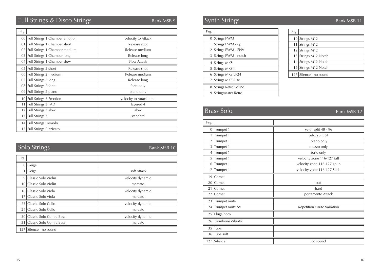# Full Strings & Disco Strings Bank MSB 9 Bank MSB 9 Synth Strings Bank MSB 11

| Prg.   |                                    |                         |
|--------|------------------------------------|-------------------------|
| $00\,$ | Full Strings 1 Chamber Emotion     | velocity to Attack      |
| 01     | Full Strings 1 Chamber short       | Release shot            |
|        | 02   Full Strings 1 Chamber medium | Release medium          |
|        | 03 Full Strings 1 Chamber long     | Release long            |
|        | 04 Full Strings 1 Chamber slow     | Slow Attack             |
|        | 05   Full Strings 2 short          | Release shot            |
|        | 06 Full Strings 2 medium           | Release medium          |
| 07     | Full Strings 2 long                | Release long            |
|        | 08 Full Strings 2 forte            | forte only              |
| 09     | Full Strings 2 piano               | piano only              |
|        | 10 Full Strings 3 Emotion          | velocity to Attack time |
| 11     | Full Strings 3 FAD                 | layered 4               |
| 12     | Full Strings 3 slow                | slow                    |
| 13     | <b>Full Strings 3</b>              | standard                |
|        | 14 Full Strings Tremolo            |                         |
|        | 15 Full Strings Pizzicato          |                         |

# **Solo Strings** Bank MSB 10

| Geige                                 |                  |
|---------------------------------------|------------------|
| Geige                                 | soft Attack      |
| Classic Solo Violin                   | velocity dynamic |
| 10 Classic Solo Violin                | marcato          |
| Classic Solo Viola<br>16 <sup>1</sup> | velocity dynamic |
| Classic Solo Viola<br>17 <sup>1</sup> | marcato          |
| Classic Solo Cello                    | velocity dynamic |
| Classic Solo Cello<br>24              | marcato          |
| Classic Solo Contra Bass<br>30 l      | velocity dynamic |
| Classic Solo Contra Bass<br>31        | marcato          |
| Silence - no sound                    |                  |
|                                       |                  |

| Prg. |                         |
|------|-------------------------|
|      | 0 Strings PWM           |
| 1    | Strings PWM - up        |
|      | 2 Strings PWM - ENV     |
| 3    | Strings PWM - notch     |
| 4    | <b>Strings MKS</b>      |
| 5    | Strings MKS II          |
| 6    | Strings MKS LP24        |
| 7    | <b>Strings MKS Rise</b> |
| 8    | Strings Retro Solino    |
| 9    | Stringmaster Retro      |

| Prg. |                        |
|------|------------------------|
|      | 10 Strings M12         |
| 11   | Strings M12            |
|      | 12 Strings M12         |
|      | 13 Strings M12 Notch   |
|      | 14 Strings M12 Notch   |
|      | 15 Strings M12 Notch   |
|      | 127 Silence - no sound |

# **Brass Solo** Bank MSB 12

| Prg.            |                  |                             |
|-----------------|------------------|-----------------------------|
| 0               | Trumpet 1        | velo. split 48 - 96         |
|                 | Trumpet 1        | velo. split 64              |
| $\overline{2}$  | Trumpet 1        | piano only                  |
| 3               | Trumpet 1        | mezzo only                  |
| 4               | Trumpet 1        | forte only                  |
| 5               | Trumpet 1        | velocity zone 116-127 fall  |
| 6               | Trumpet 1        | velocity zone 116-127 goup  |
| 7               | Trumpet 1        | velocity zone 116-127 Slide |
| 19 <sup>1</sup> | Cornet           |                             |
| 20 <sup>1</sup> | Cornet           | soft                        |
| 21              | Cornet           | hard                        |
| 22              | Cornet           | portamento Attack           |
| 23              | Trumpet mute     |                             |
| 24              | Trumpet mute AV  | Repetition / Auto Variation |
| 25              | Flugelhorn       |                             |
| 26              | Trombone Vibrato |                             |
| 35              | Tuba             |                             |
| 36              | Tuba soft        |                             |
| 127             | Silence          | no sound                    |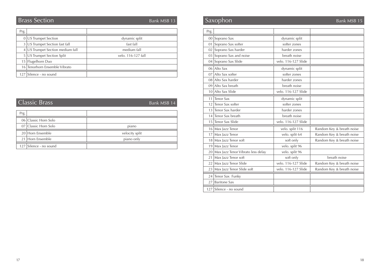# **Brass Section** Bank MSB 13

| Prg. |                                  |                    |
|------|----------------------------------|--------------------|
|      | 0 US Trumpet Section             | dynamic split      |
|      | 3   US Trumpet Section fast fall | fast fall          |
|      | 4 US Trumpet Section medium fall | medium fall        |
|      | 5   US Trumpet Section Split     | velo. 116-127 fall |
|      | 15 Flugelhorn Duo                |                    |
|      | 16 Tenorhorn Ensemble Vibrato    |                    |
|      | 127 Silence - no sound           |                    |

| <b>Classic Brass</b> |                      | Bank MSB 14    |
|----------------------|----------------------|----------------|
| Prg.                 |                      |                |
|                      |                      |                |
|                      | 06 Classic Horn Solo |                |
|                      | 07 Classic Horn Solo | piano          |
|                      | 20 Horn Ensemble     | velocity split |
| 21                   | Horn Ensemble        | piano only     |
| 127                  | Silence - no sound   |                |

| Saxophon        |                                      |                     | Bank MSB 15               |
|-----------------|--------------------------------------|---------------------|---------------------------|
| Prg.            |                                      |                     |                           |
|                 | 00 Soprano Sax                       | dynamic split       |                           |
| 01 <sup>1</sup> | Soprano Sax softer                   | softer zones        |                           |
|                 | 02 Soprano Sax harder                | harder zones        |                           |
|                 | 03 Soprano Sax and noise             | breath noise        |                           |
|                 | 04 Soprano Sax Slide                 | velo. 116-127 Slide |                           |
|                 | $06$ Alto Sax                        | dynamic split       |                           |
|                 | 07 Alto Sax softer                   | softer zones        |                           |
|                 | 08 Alto Sax harder                   | harder zones        |                           |
|                 | 09 Alto Sax breath                   | breath noise        |                           |
|                 | 10 Alto Sax Slide                    | velo. 116-127 Slide |                           |
| 11              | <b>Tenor Sax</b>                     | dynamic split       |                           |
| 12              | Tenor Sax softer                     | softer zones        |                           |
| 13 <sup>1</sup> | Tenor Sax harder                     | harder zones        |                           |
| 14              | Tenor Sax breath                     | breath noise        |                           |
| 151             | Tenor Sax Slide                      | velo. 116-127 Slide |                           |
|                 | 16 Max Jazz Tenor                    | velo. split 116     | Random Key & breath noise |
|                 | 17 Max Jazz Tenor                    | velo. split 64      | Random Key & breath noise |
|                 | 18 Max Jazz Tenor soft               | soft only           | Random Key & breath noise |
|                 | 19 Max Jazz Tenor                    | velo. split 96      |                           |
|                 | 20 Max Jazz Tenor Vibrato less delay | velo. split 96      |                           |
| 211             | Max Jazz Tenor soft                  | soft only           | breath noise              |
|                 | 22 Max Jazz Tenor Slide              | velo. 116-127 Slide | Random Key & breath noise |
| 231             | Max Jazz Tenor Slide soft            | velo. 116-127 Slide | Random Key & breath noise |
|                 | 24 Tenor Sax Funky                   |                     |                           |
|                 | 27 Baritone Sax                      |                     |                           |
|                 | 127 Silence - no sound               |                     |                           |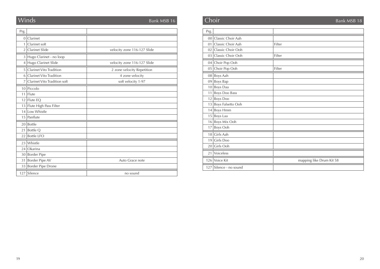| Prg.            |                              |                             |
|-----------------|------------------------------|-----------------------------|
| $\mathbf{0}$    | Clarinet                     |                             |
| 1               | Clarinet soft                |                             |
| $\overline{2}$  | <b>Clarinet Slide</b>        | velocity zone 116-127 Slide |
| 3               | Hugo Clarinet - no loop      |                             |
| $\overline{4}$  | Hugo Clarinet Slide          | velocity zone 116-127 Slide |
| 5               | Clarinet Vito Tradition      | 2 zone velocity Repetition  |
| 6               | Clarinet Vito Tradition      | 4 zone velocity             |
| 7               | Clarinet Vito Tradition soft | soft velocity 1-97          |
| 10 <sup>1</sup> | Piccolo                      |                             |
| 11              | Flute                        |                             |
| 12 <sup>1</sup> | Flute EQ                     |                             |
| 13              | Flute High Pass Filter       |                             |
| 14              | Low Whistle                  |                             |
| 15              | Panflute                     |                             |
| 20              | <b>Bottle</b>                |                             |
| 21              | Bottle Q                     |                             |
| 22              | <b>Bottle LFO</b>            |                             |
| 23              | Whistle                      |                             |
| 24              | Okarina                      |                             |
| 30              | <b>Border Pipe</b>           |                             |
| 31              | Border Pipe AV               | Auto Grace note             |
| 33              | Border Pipe Drone            |                             |
| 127             | Silence                      | no sound                    |

#### Winds experiments are seen to the Bank MSB 16 Bank MSB 16 Bank MSB 16 Bank MSB 18 Bank MSB 18 **Choir 18** Bank MSB 18

| Prg.            |                      |                          |
|-----------------|----------------------|--------------------------|
| 00 <sup>1</sup> | Classic Choir Aah    |                          |
| 01              | Classic Choir Aah    | Filter                   |
| 02              | Classic Choir Ooh    |                          |
|                 | 03 Classic Choir Ooh | Filter                   |
|                 | 04 Choir Pop Ooh     |                          |
| 05              | Choir Pop Ooh        | Filter                   |
|                 | 08 Boys Aah          |                          |
| 09              | Boys Bap             |                          |
| 10 <sup>1</sup> | Boys Daa             |                          |
| 11              | Boys Doo Bass        |                          |
| 12              | <b>Boys Doo</b>      |                          |
| 13              | Boys Falsetto Ooh    |                          |
| 14              | <b>Boys Hmm</b>      |                          |
| 15              | Boys Laa             |                          |
| 16              | Boys Mix Ooh         |                          |
| 17              | Boys Ooh             |                          |
| 18              | Girls Aah            |                          |
| 19 <sup>1</sup> | Girls Doo            |                          |
| 20              | Girls Ooh            |                          |
| 21              | Voiceless            |                          |
|                 | 126 Voice Kit        | mapping like Drum Kit 58 |
| 127             | Silence - no sound   |                          |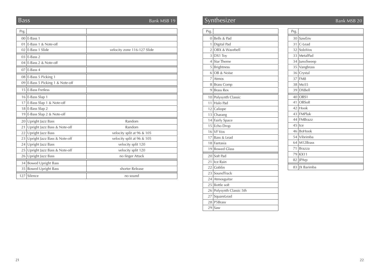# **Bass** Bank MSB 19

| Prg.            |                                  |                             |
|-----------------|----------------------------------|-----------------------------|
|                 | $00$ E-Bass 1                    |                             |
|                 | 01 E-Bass 1 & Note-off           |                             |
|                 | $02$ E-Bass 1 Slide              | velocity zone 116-127 Slide |
|                 | $03$ E-Bass 2                    |                             |
|                 | 04 E-Bass 2 & Note-off           |                             |
| 07 <sup>1</sup> | E-Bass 4                         |                             |
|                 | 08 E-Bass 5 Picking 1            |                             |
|                 | 09 E-Bass 5 Picking 1 & Note-off |                             |
| 15 <sup>1</sup> | <b>E-Bass Fretless</b>           |                             |
|                 | $16$   E-Bass Slap 1             |                             |
| 17 <sup>1</sup> | E-Bass Slap 1 & Note-off         |                             |
|                 | $18$ E-Bass Slap 2               |                             |
|                 | 19 E-Bass Slap 2 & Note-off      |                             |
| 20              | Upright Jazz Bass                | Random                      |
| 21              | Upright Jazz Bass & Note-off     | Random                      |
| 22              | Upright Jazz Bass                | velocity split at 96 & 105  |
| 23              | Upright Jazz Bass & Note-off     | velocity split at 96 & 105  |
| 24              | Upright Jazz Bass                | velocity split 120          |
| 25              | Upright Jazz Bass & Note-off     | velocity split 120          |
| 26              | Upright Jazz Bass                | no finger Attack            |
|                 | 34 Bowed Upright Bass            |                             |
|                 | 35 Bowed Upright Bass            | shorter Release             |
| 127             | Silence                          | no sound                    |

# Synthesizer Bank MSB 20

| Prg.           |                       |
|----------------|-----------------------|
| 0              | Bells & Pad           |
| 1              | Digital Pad           |
| $\overline{2}$ | OBX & Wavebell        |
| 3              | DX1 Toy               |
| 4              | <b>Star Theme</b>     |
| 5              | Brightness            |
| 6              | OB & Noise            |
| 7              | Atmos                 |
| 8              | <b>Brass Comp</b>     |
| 9              | <b>Brass Rex</b>      |
|                | 10 Polysynth Classic  |
| 11             | Halo Pad              |
|                | $12$ Caliope          |
| 13             | Charang               |
|                | 14 Fairly Space       |
| 15             | Echo Drop             |
| 16             | VF Vox                |
|                | 17 Bass & Lead        |
|                | 18 Fantasia           |
| 19             | <b>Bowed Glass</b>    |
|                | 20 Soft Pad           |
| 21             | Ice Rain              |
|                | 22 Goblin             |
|                | 23 SoundTrack         |
|                | 24 Atmosguitar        |
| 25             | <b>Bottle</b> soft    |
| 26             | Polysynth Classic 5th |
|                | 27 SquareLead         |
|                | 28 P5Brass            |
| 29             | Saw                   |

| Prg.            |                |
|-----------------|----------------|
| 30              | SawEnv         |
| 31              | C-Lead         |
| 32              | SoloVox        |
|                 | 33   Metal Pad |
| 34              | JunoSweep      |
| 35              | Vangbrass      |
| 36 <sup>1</sup> | Crystal        |
|                 | $37$ FM8       |
| 38              | Mo55           |
| 39              | <b>DXBell</b>  |
|                 | 40 OBS1        |
| 41              | OBSoft         |
| 42              | Hook           |
|                 | 43 FMPluk      |
|                 | 44 FMBrazz     |
| 45              | Ice            |
| 46              | BoHook         |
|                 | 54 Vibrimba    |
| 64              | M12Brass       |
| 71              | <b>Brazza</b>  |
|                 | 79 KX11        |
| 82              | JPArp          |
| 83              | IX Barimba     |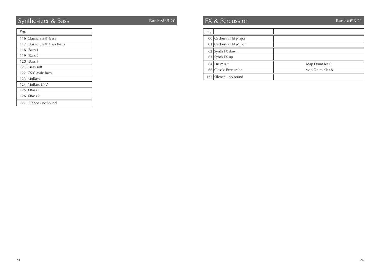# Synthesizer & Bass Bank MSB 20

| Prg. |                             |
|------|-----------------------------|
|      | 116 Classic Synth Bass      |
|      | 117 Classic Synth Bass Rezo |
|      | $118$ JBass 1               |
|      | $119$   IBass 2             |
|      | $120$   IBass 3             |
| 121  | <b>IBass soft</b>           |
|      | 122 CS Classic Bass         |
|      | 123 MoBass                  |
|      | 124 MoBass FNV              |
|      | $125$   XBass 1             |
|      | $126$   XBass 2             |
|      | 127 Silence - no sound      |

# FX & Percussion Bank MSB 21

| Prg. |                        |                 |
|------|------------------------|-----------------|
|      | 00 Orchestra Hit Major |                 |
|      | 01 Orchestra Hit Minor |                 |
|      | 62 Synth FX down       |                 |
|      | $63$ Synth FX up       |                 |
|      | 64 Drum Kit            | Map Drum Kit 0  |
|      | 66 Classic Percussion  | Map Drum Kit 48 |
|      | 127 Silence - no sound |                 |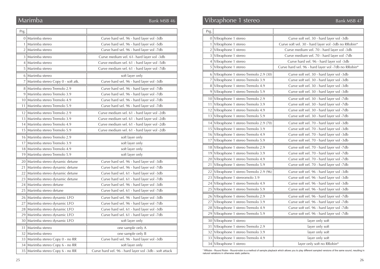## Marimba

-

| Prg. |                                       |                                                        |
|------|---------------------------------------|--------------------------------------------------------|
|      | 0   Marimba stereo                    | Curve hard vel. 96 - hard layer vol -3db               |
|      | 1   Marimba stereo                    | Curve hard vel. 96 - hard layer vol -5db               |
|      | 2   Marimba stereo                    | Curve hard vel. 96 - hard layer vol -7db               |
|      | 3   Marimba stereo                    | Curve medium vel. 61- hard layer vol -3db              |
|      | 4   Marimba stereo                    | Curve medium vel. 61 - hard layer vol -5db             |
|      | 5   Marimba stereo                    | Curve medium vel. 61 - hard layer vol -7db             |
|      | 6   Marimba stereo                    | soft layer only                                        |
|      | 7   Marimba stereo Copy 0 - soft atk. | Curve hard vel. 96 - hard layer vol -3db               |
|      | 8 Marimba stereo Tremolo 2.9          | Curve hard vel. 96 - hard layer vol -7db               |
|      | 9   Marimba stereo Tremolo 3.9        | Curve hard vel. 96 - hard layer vol -7db               |
|      | 10   Marimba stereo Tremolo 4.9       | Curve hard vel. 96 - hard layer vol -7db               |
|      | 11 Marimba stereo Tremolo 5.9         | Curve hard vel. 96 - hard layer vol -7db               |
|      | 12 Marimba stereo Tremolo 2.9         | Curve medium vel. 61 - hard layer vol -2db             |
|      | 13   Marimba stereo Tremolo 3.9       | Curve medium vel. 61 - hard layer vol -2db             |
|      | 14 Marimba stereo Tremolo 4.9         | Curve medium vel. 61 - hard layer vol -2db             |
|      | 15 Marimba stereo Tremolo 5.9         | Curve medium vel. 61 - hard layer vol -2db             |
|      | 16 Marimba stereo Tremolo 2.9         | soft layer only                                        |
|      | 17   Marimba stereo Tremolo 3.9       | soft layer only                                        |
|      | 18 Marimba stereo Tremolo 4.9         | soft layer only                                        |
|      | 19   Marimba stereo Tremolo 5.9       | soft layer only                                        |
|      | 20   Marimba stereo dynamic detune    | Curve hard vel. 96 - hard layer vol -3db               |
|      | 21   Marimba stereo dynamic detune    | Curve hard vel. 96 - hard layer vol -7db               |
|      | 22   Marimba stereo dynamic detune    | Curve hard vel. 61 - hard layer vol -3db               |
|      | 23 Marimba stereo dynamic detune      | Curve hard vel. 61 - hard layer vol -7db               |
|      | 24   Marimba stereo detune            | Curve hard vel. 96 - hard layer vol -3db               |
|      | 25   Marimba stereo detune            | Curve hard vel. 61 - hard layer vol -7db               |
|      | 26   Marimba stereo dynamic LFO       | Curve hard vel. 96 - hard layer vol -3db               |
|      | 27   Marimba stereo dynamic LFO       | Curve hard vel. 96 - hard layer vol -7db               |
|      | 28   Marimba stereo dynamic LFO       | Curve hard vel. 61 - hard layer vol -3db               |
|      | 29   Marimba stereo dynamic LFO       | Curve hard vel. 61 - hard layer vol -7db               |
|      | 30 Marimba stereo dynamic LFO         | soft layer only                                        |
|      | 31   Marimba stereo                   | one sample only A                                      |
|      | 32   Marimba stereo                   | one sample only B                                      |
|      | 33   Marimba stereo Copy 0 - no RR    | Curve hard vel. 96 - hard layer vol -3db               |
|      | 34   Marimba stereo Copy 6 - no RR    | soft layer only                                        |
|      | 35   Marimba stereo Copy 6 - no RR    | Curve hard vel. 96 - hard layer vol -3db - soft attack |

| Marimba            |                                     | Bank MSB 46                                |
|--------------------|-------------------------------------|--------------------------------------------|
| Prg.               |                                     |                                            |
| $0$ Marimba stereo |                                     | Curve hard vel. 96 - hard layer vol -3db   |
| Marimba stereo     |                                     | Curve hard vel. 96 - hard layer vol -5db   |
| $2$ Marimba stereo |                                     | Curve hard vel. 96 - hard layer vol -7db   |
| 3 Marimba stereo   |                                     | Curve medium vel. 61- hard layer vol -3db  |
| 4 Marimba stereo   |                                     | Curve medium vel. 61 - hard layer vol -5db |
| 5 Marimba stereo   |                                     | Curve medium vel. 61 - hard layer vol -7db |
| 6 Marimba stereo   |                                     | soft layer only                            |
|                    | 7 Marimba stereo Copy 0 - soft atk. | Curve hard vel. 96 - hard layer vol -3db   |
|                    | 8 Marimba stereo Tremolo 2.9        | Curve hard vel. 96 - hard layer vol -7db   |
|                    | 9 Marimba stereo Tremolo 3.9        | Curve hard vel. 96 - hard layer vol -7db   |
|                    | 10 Marimba stereo Tremolo 4.9       | Curve hard vel. 96 - hard layer vol -7db   |
|                    | 11 Marimba stereo Tremolo 5.9       | Curve hard vel. 96 - hard layer vol -7db   |
|                    | 12 Marimba stereo Tremolo 2.9       | Curve medium vel. 61 - hard layer vol -2db |
|                    | 13 Marimba stereo Tremolo 3.9       | Curve medium vel. 61 - hard layer vol -2db |
|                    | 14 Marimba stereo Tremolo 4.9       | Curve medium vel. 61 - hard layer vol -2db |
|                    | 15 Marimba stereo Tremolo 5.9       | Curve medium vel. 61 - hard layer vol -2db |
|                    |                                     |                                            |
|                    | 16 Marimba stereo Tremolo 2.9       | soft layer only                            |
|                    | 17 Marimba stereo Tremolo 3.9       | soft layer only                            |
|                    | 18 Marimba stereo Tremolo 4.9       | soft layer only                            |

| $\mathbf{F}$ $\mathbf{F}$ v identity in state of the individual $\mathbf{F}$ . | Curve sont ver. $70 -$ Hard Tayer vor -Jub |
|--------------------------------------------------------------------------------|--------------------------------------------|
| 15 Vibraphone 1 stereo Tremolo 3.9                                             | Curve soft vel. 70 - hard layer vol -3db   |
| 16 Vibraphone 1 stereo Tremolo 4.9                                             | Curve soft vel. 70 - hard layer vol -3db   |
| 17 Vibraphone 1 stereo Tremolo 5.9                                             | Curve soft vel. 70 - hard layer vol -3db   |
| 18 Vibraphone 1 stereo Tremolo 2.9                                             | Curve soft vel. 70 - hard layer vol -7db   |
| 19 Vibraphone 1 stereo Tremolo 3.9                                             | Curve soft vel. 70 - hard layer vol -7db   |
| 20 Vibraphone 1 stereo Tremolo 4.9                                             | Curve soft vel. 70 - hard layer vol -7db   |
| 21 Vibraphone 1 stereo Tremolo 5.9                                             | Curve soft vel. 70 - hard layer vol -7db   |
| 22 Vibraphone 1 stereo Tremolo 2.9 (96)                                        | Curve soft vel. 96 - hard layer vol -3db   |
| 23 Vibraphone 1 stereomolo 3.9                                                 | Curve soft vel. 96 - hard layer vol -3db   |
| 24 Vibraphone 1 stereo Tremolo 4.9                                             | Curve soft vel. 96 - hard layer vol -3db   |
| 25 Vibraphone 1 stereo Tremolo 5.9                                             | Curve soft vel. 96 - hard layer vol -3db   |
| 26 Vibraphone 1 stereo Tremolo 2.9                                             | Curve soft vel. 96 - hard layer vol -7db   |
| 27 Vibraphone 1 stereo Tremolo 3.9                                             | Curve soft vel. 96 - hard layer vol -7db   |
| 28 Vibraphone 1 stereo Tremolo 4.9                                             | Curve soft vel. 96 - hard layer vol -7db   |
| 29 Vibraphone 1 stereo Tremolo 5.9                                             | Curve soft vel. 96 - hard layer vol -7db   |
| 30 Vibraphone 1 stereo                                                         | layer only soft                            |
| 31 Vibraphone 1 stereo Tremolo 2.9                                             | layer only soft                            |
| 32 Vibraphone 1 stereo Tremolo 3.9                                             | layer only soft                            |
| 33 Vibraphone 1 stereo Tremolo 4.9                                             | layer only soft                            |
| 34 Vibraphone 1 stereo                                                         | layer only soft no RRobin*                 |
|                                                                                |                                            |

\* RRobin - Round Robin - Round-robin is a method of sample playback which allows you to play different sampled versions of the same sound, resulting in natural variations in otherwise static patterns.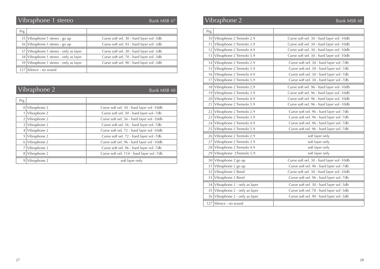# Vibraphone 1 stereo Bank MSB 47 Vibraphone 2 Bank MSB 48

Bank MSB 47

| Prg. |                                        |                                          |
|------|----------------------------------------|------------------------------------------|
|      | 35 Vibraphone 1 stereo - go up         | Curve soft vel. 30 - hard layer vol -3db |
|      | 36 Vibraphone 1 stereo - go up         | Curve soft vel. 93 - hard layer vol -3db |
|      | 37 Vibraphone 1 stereo - only as layer | Curve soft vel. 30 - hard layer vol -3db |
|      | 38 Vibraphone 1 stereo - only as layer | Curve soft vel. 70 - hard layer vol -3db |
|      | 39 Vibraphone 1 stereo - only as layer | Curve soft vel. 90 - hard layer vol -3db |
|      | 127 Silence - no sound                 |                                          |

|                | Vibraphone 2   | Bank MSB 48                               |
|----------------|----------------|-------------------------------------------|
| Prg.           |                |                                           |
| $\overline{0}$ | Vibraphone 2   | Curve soft vel. 30 - hard layer vol -10db |
|                | Vibraphone 2   | Curve soft vel. 30 - hard layer vol -7db  |
| 2 <sup>1</sup> | Vibraphone 2   | Curve soft vel. 56 - hard layer vol -10db |
| $\frac{3}{2}$  | Vibraphone 2   | Curve soft vel. 56 - hard layer vol -7db  |
| 4 <sup>1</sup> | Vibraphone 2   | Curve soft vel. 72 - hard layer vol -10db |
| 51             | Vibraphone 2   | Curve soft vel. 72 - hard layer vol -7db  |
| 61             | Vibraphone 2   | Curve soft vel. 96 - hard layer vol -10db |
|                | Vibraphone 2   | Curve soft vel. 96 - hard layer vol -7db  |
|                | 8 Vibraphone 2 | Curve soft vel. 114 - hard layer vol -7db |
| 9              | Vibraphone 2   | soft layer only                           |

|      | <u>Vibra</u> phone 1 stereo            | Bank MSB 47                               |      | Vibraphone 2                      | Bank MSB 48                               |
|------|----------------------------------------|-------------------------------------------|------|-----------------------------------|-------------------------------------------|
| Prg. |                                        |                                           | Prg. |                                   |                                           |
|      | 35 Vibraphone 1 stereo - go up         | Curve soft vel. 30 - hard layer vol -3db  |      | 10 Vibraphone 2 Tremolo 2.9       | Curve soft vel. 30 - hard layer vol -10db |
|      | 36 Vibraphone 1 stereo - go up         | Curve soft vel. 93 - hard layer vol -3db  |      | 11 Vibraphone 2 Tremolo 3.9       | Curve soft vel. 30 - hard layer vol -10db |
|      | 37 Vibraphone 1 stereo - only as layer | Curve soft vel. 30 - hard layer vol -3db  |      | 12 Vibraphone 2 Tremolo 4.9       | Curve soft vel. 30 - hard layer vol -10db |
|      | 38 Vibraphone 1 stereo - only as layer | Curve soft vel. 70 - hard layer vol -3db  |      | 13 Vibraphone 2 Tremolo 5.9       | Curve soft vel. 30 - hard layer vol -10db |
|      | 39 Vibraphone 1 stereo - only as layer | Curve soft vel. 90 - hard layer vol -3db  |      | 14 Vibraphone 2 Tremolo 2.9       | Curve soft vel. 30 - hard layer vol -7db  |
|      | 127 Silence - no sound                 |                                           |      | 15 Vibraphone 2 Tremolo 3.9       | Curve soft vel. 30 - hard layer vol -7db  |
|      |                                        |                                           |      | 16 Vibraphone 2 Tremolo 4.9       | Curve soft vel. 30 - hard layer vol -7db  |
|      |                                        |                                           |      | 17 Vibraphone 2 Tremolo 5.9       | Curve soft vel. 30 - hard layer vol -7db  |
|      | Vibraphone 2                           |                                           |      | 18 Vibraphone 2 Tremolo 2.9       | Curve soft vel. 96 - hard layer vol -10db |
|      |                                        | Bank MSB 48                               |      | 19 Vibraphone 2 Tremolo 3.9       | Curve soft vel. 96 - hard layer vol -10db |
| Prg. |                                        |                                           |      | 20 Vibraphone 2 Tremolo 4.9       | Curve soft vel. 96 - hard layer vol -10db |
|      | 0 Vibraphone 2                         | Curve soft vel. 30 - hard layer vol -10db |      | 21 Vibraphone 2 Tremolo 5.9       | Curve soft vel. 96 - hard layer vol -10db |
|      | $1$ Vibraphone 2                       | Curve soft vel. 30 - hard layer vol -7db  |      | 22 Vibraphone 2 Tremolo 2.9       | Curve soft vel. 96 - hard layer vol -7db  |
|      | $2$ Vibraphone 2                       | Curve soft vel. 56 - hard layer vol -10db |      | 23 Vibraphone 2 Tremolo 3.9       | Curve soft vel. 96 - hard layer vol -7db  |
|      | $3$ Vibraphone 2                       | Curve soft vel. 56 - hard layer vol -7db  |      | 24 Vibraphone 2 Tremolo 4.9       | Curve soft vel. 96 - hard layer vol -7db  |
|      | $4$ Vibraphone 2                       | Curve soft vel. 72 - hard layer vol -10db |      | 25 Vibraphone 2 Tremolo 5.9       | Curve soft vel. 96 - hard layer vol -7db  |
|      | $5$ Vibraphone 2                       | Curve soft vel. 72 - hard layer vol -7db  |      | 26 Vibraphone 2 Tremolo 2.9       | soft layer only                           |
|      | $6$ Vibraphone 2                       | Curve soft vel. 96 - hard layer vol -10db |      | 27 Vibraphone 2 Tremolo 3.9       | soft layer only                           |
|      | $7$ Vibraphone 2                       | Curve soft vel. 96 - hard layer vol -7db  |      | 28 Vibraphone 2 Tremolo 4.9       | soft layer only                           |
|      | 8 Vibraphone 2                         | Curve soft vel. 114 - hard layer vol -7db |      | 29 Vibraphone 2Tremolo 5.9        | soft layer only                           |
|      | $9$ Vibraphone 2                       | soft layer only                           |      | 30 Vibraphone 2 go up             | Curve soft vel. 30 - hard layer vol -10db |
|      |                                        |                                           |      | 31 Vibraphone 2 go up             | Curve soft vel. 96 - hard layer vol -7db  |
|      |                                        |                                           |      | 32 Vibraphone 2 Bend              | Curve soft vel. 30 - hard layer vol -10db |
|      |                                        |                                           |      | 33 Vibraphone 2 Bend              | Curve soft vel. 96 - hard layer vol -7db  |
|      |                                        |                                           |      | $34$ Vibraphone 2 - only as layer | Curve soft vel. 30 - hard layer vol -3db  |
|      |                                        |                                           |      | 35 Vibraphone $2$ - only as layer | Curve soft vel. 70 - hard layer vol -3db  |
|      |                                        |                                           |      | $36$ Vibraphone 2 - only as layer | Curve soft vel. 90 - hard layer vol -3db  |
|      |                                        |                                           |      | 127 Silence - no sound            |                                           |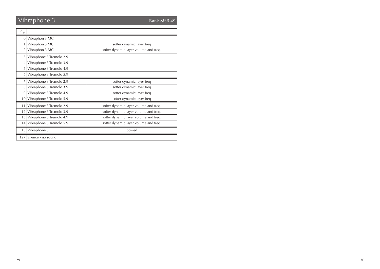# Vibraphone 3

Bank MSB 47

| Prg.            |                          |                                       |
|-----------------|--------------------------|---------------------------------------|
| $\overline{0}$  | Vibraphon 3 MC           |                                       |
| 1               | Vibraphon 3 MC           | softer dynamic layer freq             |
| 2               | Vibraphon 3 MC           | softer dynamic layer volume and freq. |
| 3               | Vibraphone 3 Tremolo 2.9 |                                       |
| $\overline{4}$  | Vibraphone 3 Tremolo 3.9 |                                       |
| 5               | Vibraphone 3 Tremolo 4.9 |                                       |
| 6               | Vibraphone 3 Tremolo 5.9 |                                       |
| 7               | Vibraphone 3 Tremolo 2.9 | softer dynamic layer freq             |
| 8               | Vibraphone 3 Tremolo 3.9 | softer dynamic layer freq             |
| 9               | Vibraphone 3 Tremolo 4.9 | softer dynamic layer freq             |
| 10 <sup>1</sup> | Vibraphone 3 Tremolo 5.9 | softer dynamic layer freq             |
| 11              | Vibraphone 3 Tremolo 2.9 | softer dynamic layer volume and freq. |
| 12              | Vibraphone 3 Tremolo 3.9 | softer dynamic layer volume and freq. |
| 13              | Vibraphone 3 Tremolo 4.9 | softer dynamic layer volume and freq. |
| 14              | Vibraphone 3 Tremolo 5.9 | softer dynamic layer volume and freq. |
| 15              | Vibraphone 3             | bowed                                 |
| 127             | Silence - no sound       |                                       |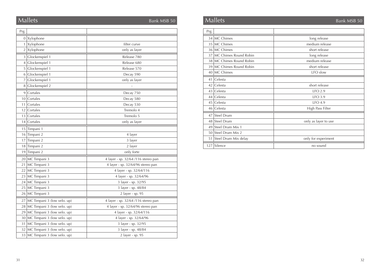## Mallets **Bank MSB 50** Mallets Bank MSB 50 Mallets Bank MSB 50 Bank MSB 50

| Prg. |                             |                                     |  |
|------|-----------------------------|-------------------------------------|--|
|      | $0$ Xylophone               |                                     |  |
| 1    | Xylophone                   | filter curve                        |  |
| 2    | Xylophone                   | only as layer                       |  |
| 3    | Glockenspiel 1              | Release 780                         |  |
| 4    | Glockenspiel 1              | Release 680                         |  |
| 5    | Glockenspiel 1              | Release 570                         |  |
| 6    | Glockenspiel 1              | Decay 590                           |  |
| 7    | Glockenspiel 1              | only as layer                       |  |
| 8    | Glockenspiel 2              |                                     |  |
| 9    | Cortales                    | Decay 750                           |  |
| 10   | Cortales                    | Decay 580                           |  |
| 11   | Cortales                    | Decay 530                           |  |
| 12   | Cortales                    | Tremolo 4                           |  |
| 13   | Cortales                    | Tremolo 5                           |  |
| 14   | Cortales                    | only as layer                       |  |
| 15   | Timpani 1                   |                                     |  |
| 16   | Timpani 2                   | 4 layer                             |  |
| 17   | Timpani 2                   | 3 layer                             |  |
| 18   | Timpani 2                   | 2 layer                             |  |
| 19   | Timpani 2                   | only forte                          |  |
| 20   | MC Timpani 3                | 4 layer - sp. 32/64 /116 stereo pan |  |
| 21   | MC Timpani 3                | 4 layer - sp. 32/64/96 stereo pan   |  |
| 22   | MC Timpani 3                | 4 layer - sp. 32/64/116             |  |
| 23   | MC Timpani 3                | 4 layer - sp. 32/64/96              |  |
| 24   | MC Timpani 3                | 3 layer - sp. 32/95                 |  |
| 25   | MC Timpani 3                | 3 layer - sp. 48/84                 |  |
| 26   | MC Timpani 3                | 2 layer - sp. 95                    |  |
| 27   | MC Timpani 3 (low velo. up) | 4 layer - sp. 32/64 /116 stereo pan |  |
| 28   | MC Timpani 3 (low velo. up) | 4 layer - sp. 32/64/96 stereo pan   |  |
| 29   | MC Timpani 3 (low velo. up) | 4 layer - sp. 32/64/116             |  |
| 30   | MC Timpani 3 (low velo. up) | 4 layer - sp. 32/64/96              |  |
| 31   | MC Timpani 3 (low velo. up) | 3 layer - sp. 32/95                 |  |
| 32   | MC Timpani 3 (low velo. up) | 3 layer - sp. 48/84                 |  |
| 33   | MC Timpani 3 (low velo. up) | 2 layer - sp. 95                    |  |

| Prg. |                          |                      |  |
|------|--------------------------|----------------------|--|
| 34   | MC Chimes                | long release         |  |
| 35   | MC Chimes                | medium release       |  |
| 36   | MC Chimes                | short release        |  |
| 37   | MC Chimes Round Robin    | long release         |  |
|      | 38 MC Chimes Round Robin | medium release       |  |
|      | 39 MC Chimes Round Robin | short release        |  |
| 40   | MC Chimes                | LFO slow             |  |
| 41   | Celesta                  |                      |  |
| 42   | Celesta                  | short release        |  |
| 43   | Celesta                  | $LFO$ 2.9            |  |
| 44   | Celesta                  | LFO 3.9              |  |
| 45   | Celesta                  | LFO 4.9              |  |
| 46   | Celesta                  | High Pass Filter     |  |
| 47   | Steel Drum               |                      |  |
| 48   | <b>Steel Drum</b>        | only as layer to use |  |
| 49   | Steel Drum Mix 1         |                      |  |
| 50   | Steel Drum Mix 2         |                      |  |
| 51   | Steel Drum Mix delay     | only for experiment  |  |
| 127  | Silence                  | no sound             |  |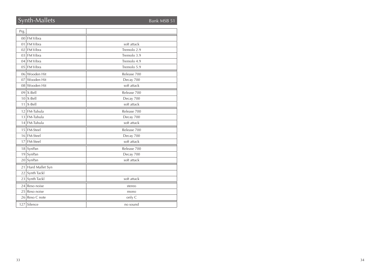## Synth-Mallets Bank MSB 51

| Prg.            |                 |             |
|-----------------|-----------------|-------------|
|                 | 00 FM Vibra     |             |
| 01              | <b>FM Vibra</b> | soft attack |
| 02              | <b>FM Vibra</b> | Tremolo 2.9 |
|                 | 03 FM Vibra     | Tremolo 3.9 |
|                 | 04 FM Vibra     | Tremolo 4.9 |
|                 | 05 FM Vibra     | Tremolo 5.9 |
|                 | 06 Wooden Hit   | Release 700 |
| 07              | Wooden Hit      | Decay 700   |
|                 | 08 Wooden Hit   | soft attack |
|                 | $09$ X-Bell     | Release 700 |
|                 | $10$ X-Bell     | Decay 700   |
| 11              | X-Bell          | soft attack |
| 12              | FM-Tubula       | Release 700 |
| 13              | FM-Tubula       | Decay 700   |
| 14              | FM-Tubula       | soft attack |
| 15 <sup>1</sup> | <b>FM-Steel</b> | Release 700 |
|                 | 16 FM-Steel     | Decay 700   |
| 17              | FM-Steel        | soft attack |
|                 | 18 SynPan       | Release 700 |
| 19              | SynPan          | Decay 700   |
|                 | 20 SynPan       | soft attack |
| 21              | Hard Mallet Syn |             |
| 22              | Synth Tackl     |             |
| 23              | Synth Tackl     | soft attack |
| 241             | Reso noise      | stereo      |
| 25              | Reso noise      | mono        |
|                 | 26 Reso C note  | only C      |
|                 | 127 Silence     | no sound    |
|                 |                 |             |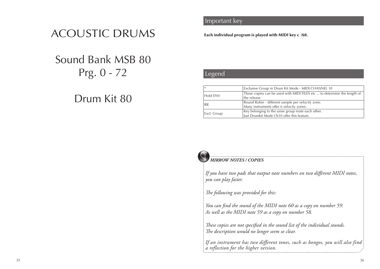# ACOUSTIC DRUMS

# Sound Bank MSB 80 Prg. 0 - 72

# Drum Kit 80

## **Important key** and solo solo solo solo solo

Each individual program is played with MIDI key c /60.

## **Legend List Solo Sounds**

| Exclusive Group in Drum Kit Mode - MIDI CHANNEL 10<br>$\ast$ |                                                                          |  |
|--------------------------------------------------------------|--------------------------------------------------------------------------|--|
| Hold ENV                                                     | These copies can be used with MIDI FILES etc  to determine the length of |  |
|                                                              | the release                                                              |  |
| <b>RR</b>                                                    | Round Robin - different sample per velocity zone.                        |  |
|                                                              | Many instruments offer 6 velocity zones.                                 |  |
| Excl. Group                                                  | Key belonging to the same group mute each other.                         |  |
|                                                              | Just Drumkit Mode Ch10 offer this feature.                               |  |



#### *MIRROW NOTES / COPIES*

*If you have two pads that output note numbers on two different MIDI notes, you can play faster.*

*The following was provided for this:*

*You can find the sound of the MIDI note 60 as a copy on number 59. As well as the MIDI note 59 as a copy on number 58.*

*These copies are not specified in the sound list of the individual sounds. The description would no longer seem so clear.*

*If an instrument has two different tones, such as bongos, you will also find a reflection for the higher version.*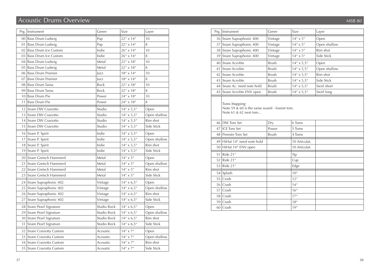# Acoustic Drums Overview MSB 80

| Prg. | Instrument                  | Genre              | Size                | Layer        |
|------|-----------------------------|--------------------|---------------------|--------------|
|      | 00 Bass Drum Ludwig         | Pop                | $22'' \times 14''$  | 10           |
| 01   | Bass Drum Ludwig            | Pop                | $22''$ x $14''$     | 8            |
| 02   | <b>Bass Drum Ice Custom</b> | Indie              | 26" x 14"           | 10           |
| 03   | <b>Bass Drum Ice Custom</b> | Indie              | $26'' \times 14''$  | 8            |
| 04   | Bass Drum Ludwig            | Metal              | 22" x 18"           | 10           |
| 05   | <b>Bass Drum Ludwig</b>     | Metal              | 22" x 18"           | 8            |
| 06   | <b>Bass Drum Premier</b>    | <b>Jazz</b>        | $18''\times14''$    | 10           |
| 07   | <b>Bass Drum Premier</b>    | lazz               | $18'' \times 14''$  | 8            |
| 08   | <b>Bass Drum Tama</b>       | Rock               | 22" x 18"           | 10           |
| 09   | <b>Bass Drum Tama</b>       | Rock               | $22'' \times 18''$  | 8            |
| 10   | <b>Bass Drum Pie</b>        | Power              | $24'' \times 18''$  | 10           |
| 11   | <b>Bass Drum Pie</b>        | Power              | $24'' \times 18''$  | 8            |
| 12   | Snare DW Craviotto          | Studio             | $14'' \times 5.5''$ | Open         |
| 13   | Snare DW Craviotto          | Studio             | $14'' \times 5.5''$ | Open shallow |
| 14   | Snare DW Craviotto          | Studio             | $14'' \times 5,5''$ | Rim shot     |
| 15   | Snare DW Craviotto          | Studio             | $14'' \times 5.5''$ | Side Stick   |
| 16   | Snare P. Spirit             | Indie              | $14'' \times 5.5''$ | Open         |
| 17   | Snare P. Spirit             | Indie              | $14'' \times 5.5''$ | Open shallow |
| 18   | Snare P. Spirit             | Indie              | $14'' \times 5,5''$ | Rim shot     |
| 19   | Snare P. Spirit             | Indie              | $14'' \times 5.5''$ | Side Stick   |
| 20   | Snare Gretsch Hammerd       | Metal              | $14'' \times 5''$   | Open         |
| 21   | Snare Gretsch Hammerd       | Metal              | $14'' \times 5''$   | Open shallow |
| 22   | Snare Gretsch Hammerd       | Metal              | $14'' \times 5''$   | Rim shot     |
| 23   | Snare Gretsch Hammerd       | Metal              | $14'' \times 5''$   | Side Stick   |
| 24   | Snare Supraphonic 402       | Vintage            | $14'' \times 6.5''$ | Open         |
| 25   | Snare Supraphonic 402       | Vintage            | $14'' \times 6,5''$ | Open shallow |
| 26   | Snare Supraphonic 402       | Vintage            | $14'' \times 6,5''$ | Rim shot     |
| 27   | Snare Supraphonic 402       | Vintage            | $14'' \times 6.5''$ | Side Stick   |
| 28   | Snare Pearl Signature       | <b>Studio Rock</b> | $14'' \times 6.5''$ | Open         |
| 29   | Snare Pearl Signature       | <b>Studio Rock</b> | $14'' \times 6.5''$ | Open shallow |
| 30   | Snare Pearl Signature       | Studio Rock        | $14'' \times 6.5''$ | Rim shot     |
| 31   | Snare Pearl Signature       | Studio Rock        | $14'' \times 6.5''$ | Side Stick   |
| 32   | Snare Craviotta Custom      | Acoustic           | $14'' \times 7''$   | Open         |
| 33   | Snare Craviotta Custom      | Acoustic           | $14'' \times 7''$   | Open shallow |
|      | 34 Snare Craviotta Custom   | Acoustic           | $14'' \times 7''$   | Rim shot     |
|      | 35   Snare Craviotta Custom | Acoustic           | $14'' \times 7''$   | Side Stick   |

|    | Prg.   Instrument                                                                      | Genre        | Size                | Layer        |
|----|----------------------------------------------------------------------------------------|--------------|---------------------|--------------|
|    | 36 Snare Supraphonic 400                                                               | Vintage      | $14'' \times 5''$   | Open         |
|    | 37 Snare Supraphonic 400                                                               | Vintage      | $14'' \times 5''$   | Open shallow |
|    | 38 Snare Supraphonic 400                                                               | Vintage      | $14'' \times 5''$   | Rim shot     |
|    | 39 Snare Supraphonic 400                                                               | Vintage      | $14'' \times 5''$   | Side Stick   |
|    | 40 Snare Acrolite                                                                      | <b>Brush</b> | $14'' \times 5.5''$ | Open         |
|    | 41 Snare Acrolite                                                                      | <b>Brush</b> | $14'' \times 5.5''$ | Open shallow |
|    | 42 Snare Acrolite                                                                      | <b>Brush</b> | $14'' \times 5.5''$ | Rim shot     |
|    | 43 Snare Acrolite                                                                      | <b>Brush</b> | $14'' \times 5.5''$ | Side Stick   |
|    | 44 Snare Ac. need note hold                                                            | <b>Brush</b> | $14'' \times 5.5''$ | Swirl short  |
|    | 45 Snare Acrolite ENV open                                                             | <b>Brush</b> | $14'' \times 5.5''$ | Swirl long   |
|    | Toms Mapping:<br>Note 59 & 60 is the same sound - lowest tom.<br>Note 61 & 62 next tom |              |                     |              |
|    | 46 DW Tom Set                                                                          | Dry          | 6 Toms              |              |
|    | 47 ICE Tom Set                                                                         | Power        | 5 Toms              |              |
|    | 48 Premier Tom Set                                                                     | Brush        | 4 Toms              |              |
|    | 49 HiHat 14" need note hold                                                            |              | 10 Articulat.       |              |
|    | 50 HiHat 14" ENV open                                                                  |              | 10 Articulat.       |              |
|    | 51 Ride 21"                                                                            |              | Tip                 |              |
| 52 | Ride 21"                                                                               |              | Cup                 |              |
| 53 | Ride 21"                                                                               |              | Edge                |              |
|    | 54 Splash                                                                              |              | 10''                |              |
|    | 55 Crash                                                                               |              | 12''                |              |
|    | 56 Crash                                                                               |              | 14''                |              |
|    | 57 Crash                                                                               |              | 16''                |              |
|    | 58 Crash                                                                               |              | 17''                |              |
|    | 59 Crash                                                                               |              | 18''                |              |
|    | 60 Crash                                                                               |              | 19''                |              |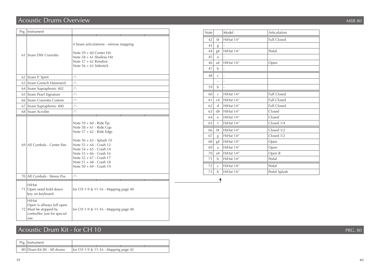# Acoustic Drums Overview

|      | Prg.   Instrument                                                                                    |                                                                                                                                                                                                                                                                                  | Not                                                                                      |
|------|------------------------------------------------------------------------------------------------------|----------------------------------------------------------------------------------------------------------------------------------------------------------------------------------------------------------------------------------------------------------------------------------|------------------------------------------------------------------------------------------|
|      | 61 Snare DW Craviotto                                                                                | 4 Snare articulations - mirrow mapping<br>Note $59 + 60$ Center Hit<br>Note $58 + 61$ Shallow Hit<br>Note $57 + 62$ Rimshot<br>Note $56 + 63$ Sidestick                                                                                                                          | $\overline{4}$<br>4 <sup>1</sup><br>44<br>4!<br>4(<br>$\overline{4}$                     |
|      | 62 Snare P. Spirit                                                                                   | $\mu$ <sub>-</sub>                                                                                                                                                                                                                                                               | 4 <sub>i</sub>                                                                           |
| 63   | Snare Gretsch Hammerd                                                                                | $\mu$ <sub>-</sub>                                                                                                                                                                                                                                                               |                                                                                          |
|      | 64 Snare Supraphonic 402                                                                             | $\mu$ <sub>-</sub>                                                                                                                                                                                                                                                               | 59                                                                                       |
|      | 65 Snare Pearl Signature                                                                             | $\mu$ <sub>-</sub>                                                                                                                                                                                                                                                               | 60                                                                                       |
|      | 66 Snare Craviotta Custom                                                                            | $\mu$ <sub>-</sub>                                                                                                                                                                                                                                                               | 6                                                                                        |
| 67 l | Snare Supraphonic 400                                                                                | $-$ <sup><math>\mu</math></sup> –                                                                                                                                                                                                                                                | 62                                                                                       |
|      | 68 Snare Acrolite                                                                                    | $\mu$ <sub>-</sub>                                                                                                                                                                                                                                                               | 6 <sup>2</sup>                                                                           |
|      | 69 All Cymbals - Center Pan                                                                          | Note $59 + 60$ - Ride Tip<br>Note $58 + 61$ - Ride Cup<br>Note 57 + 62 - Ride Edge<br>Note 56 + 63 - Splash 10<br>Note 55 + 64 - Crash 12<br>Note 54 + 65 - Crash 14<br>Note 53 + 66 - Crash 16<br>Note 52 + 67 - Crash 17<br>Note 51 + 68 - Crash 18<br>Note 50 + 69 - Crash 19 | 64<br>6 <sup>1</sup><br>6<br>6.<br>68<br>69<br>70<br>$7^{\circ}$<br>71<br>7 <sup>2</sup> |
|      | 70 All Cymbals - Stereo Pos.                                                                         | $\mu$ <sub>-</sub>                                                                                                                                                                                                                                                               |                                                                                          |
|      | HiHat<br>71 Open need hold down<br>key on keyboard.                                                  | for CH 1-9 & 11-16 - Mapping page 40                                                                                                                                                                                                                                             |                                                                                          |
|      | HiHat<br>Open is allways full open.<br>72 Must be stopped by<br>controller. Just for special<br>use. | for CH 1-9 & 11-16 - Mapping page 40                                                                                                                                                                                                                                             |                                                                                          |

# Acoustic Drum Kit - for CH 10

| Prg.   Instrument          |                                      |  |  |
|----------------------------|--------------------------------------|--|--|
| 80 Drum Kit 80 - All drums | for CH 1-9 & 11-16 - Mapping page 42 |  |  |

| 42 | f#             | HiHat 14" | <b>Full Closed</b> |
|----|----------------|-----------|--------------------|
| 43 | g              |           |                    |
| 44 | g#             | HiHat 14" | Pedal              |
| 45 | a              |           |                    |
| 46 | a#             | HiHat 14" | Open               |
| 47 | b              |           |                    |
| 48 | $\overline{C}$ | ÷,        |                    |
|    | $\sim$         | ÷         |                    |
| 59 | b              | ÷,        |                    |
| 60 | $\overline{C}$ | HiHat 14" | <b>Full Closed</b> |
| 61 | C#             | HiHat 14" | <b>Full Closed</b> |
| 62 | $\mathsf{d}$   | HiHat 14" | <b>Full Closed</b> |
| 63 | d#             | HiHat 14" | Closed             |
| 64 | e              | HiHat 14" | Closed             |
| 65 | f              | HiHat 14" | Closed 1/4         |
| 66 | f#             | HiHat 14" | Closed 1/2         |
| 67 | g              | HiHat 14" | Closed 1/2         |
| 68 | g#             | HiHat 14" | Open               |
| 69 | a              | HiHat 14" | Open               |
| 70 | a#             | HiHat 14" | Open B             |
| 71 | $\mathbf b$    | HiHat 14" | Pedal              |
| 72 | $\overline{C}$ | HiHat 14" | Pedal              |
| 73 | b              | HiHat 14" | Pedal Splash       |
|    |                |           |                    |

Model **Articulation** 

PRG. 80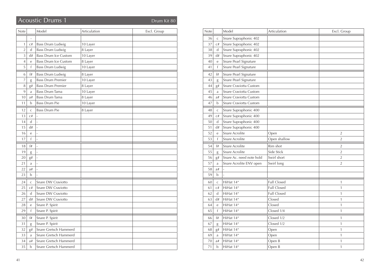# **Acoustic Drums 1** Drum Kit 80

| Note           |                | Model                       | Articulation | Excl. Group |
|----------------|----------------|-----------------------------|--------------|-------------|
|                | $\overline{a}$ |                             |              |             |
| 1              | C#             | Bass Drum Ludwig            | 10 Layer     |             |
| $\overline{2}$ | d              | <b>Bass Drum Ludwig</b>     | 8 Layer      |             |
| 3              | d#             | <b>Bass Drum Ice Custom</b> | 10 Layer     |             |
| $\overline{4}$ | e              | <b>Bass Drum Ice Custom</b> | 8 Layer      |             |
| 5              | f              | <b>Bass Drum Ludwig</b>     | 10 Layer     |             |
| 6              | f#             | <b>Bass Drum Ludwig</b>     | 8 Layer      |             |
| 7              | g              | <b>Bass Drum Premier</b>    | 10 Layer     |             |
| 8              | g#             | <b>Bass Drum Premier</b>    | 8 Layer      |             |
| 9              | a              | Bass Drum Tama              | 10 Layer     |             |
| 10             | a#             | Bass Drum Tama              | 8 Layer      |             |
| 11             | b              | <b>Bass Drum Pie</b>        | 10 Layer     |             |
| 12             | $\mathsf{C}$   | <b>Bass Drum Pie</b>        | 8 Layer      |             |
| 13             | C#             | $\overline{a}$              |              |             |
| 14             | $\mathsf{d}$   | $\frac{1}{2}$               |              |             |
| 15             | d#             | $\frac{1}{2}$               |              |             |
| 16             | e              | $\frac{1}{2}$               |              |             |
| 17             | $\mathsf{f}$   | $\frac{1}{2}$               |              |             |
| 18             | f#             | ÷,                          |              |             |
| 19             | g              | $\overline{a}$              |              |             |
| 20             | g#             |                             |              |             |
| 21             | a              | ÷,                          |              |             |
| 22             | a#             | $\overline{a}$              |              |             |
| 23             | b              | L                           |              |             |
| 24             | $\mathsf{C}$   | Snare DW Craviotto          |              |             |
| 25             | C#             | Snare DW Craviotto          |              |             |
| 26             | $\mathsf{d}$   | Snare DW Craviotto          |              |             |
| 27             | d#             | Snare DW Craviotto          |              |             |
| 28             | $\rm e$        | Snare P. Spirit             |              |             |
| 29             | f              | Snare P. Spirit             |              |             |
| 30             | f#             | Snare P. Spirit             |              |             |
| 31             | g              | Snare P. Spirit             |              |             |
| 32             | g#             | Snare Gretsch Hammerd       |              |             |
| 33             | a              | Snare Gretsch Hammerd       |              |             |
| 34             | a#             | Snare Gretsch Hammerd       |              |             |
| 35             | $\mathbf b$    | Snare Gretsch Hammerd       |              |             |

| Note |              | Model                    | Articulation       | Excl. Group    |
|------|--------------|--------------------------|--------------------|----------------|
| 36   | $\mathsf{C}$ | Snare Supraphonic 402    |                    |                |
| 37   | C#           | Snare Supraphonic 402    |                    |                |
| 38   | d            | Snare Supraphonic 402    |                    |                |
| 39   | d#           | Snare Supraphonic 402    |                    |                |
| 40   | e            | Snare Pearl Signature    |                    |                |
| 41   | f            | Snare Pearl Signature    |                    |                |
| 42   | f#           | Snare Pearl Signature    |                    |                |
| 43   | g            | Snare Pearl Signature    |                    |                |
| 44   | g#           | Snare Craviotta Custom   |                    |                |
| 45   | a            | Snare Craviotta Custom   |                    |                |
| 46   | a#           | Snare Craviotta Custom   |                    |                |
| 47   | b            | Snare Craviotta Custom   |                    |                |
| 48   | $\mathsf C$  | Snare Supraphonic 400    |                    |                |
| 49   | C#           | Snare Supraphonic 400    |                    |                |
| 50   | d            | Snare Supraphonic 400    |                    |                |
| 51   | d#           | Snare Supraphonic 400    |                    |                |
| 52   | e            | Snare Acrolite           | Open               | $\overline{2}$ |
| 53   | f            | Snare Acrolite           | Open shallow       | $\overline{2}$ |
| 54   | f#           | Snare Acrolite           | Rim shot           | $\overline{2}$ |
| 55   | g            | Snare Acrolite           | Side Stick         | $\overline{2}$ |
| 56   | g#           | Snare Ac. need note hold | Swirl short        | $\overline{2}$ |
| 57   | a            | Snare Acrolite ENV open  | Swirl long         | $\overline{2}$ |
| 58   | a#           |                          |                    |                |
| 59   | b            |                          |                    |                |
| 60   | $\mathsf{C}$ | HiHat 14"                | <b>Full Closed</b> | 1              |
| 61   | C#           | HiHat 14"                | <b>Full Closed</b> | $\mathbf{1}$   |
| 62   | $\mathsf{d}$ | HiHat 14"                | <b>Full Closed</b> | 1              |
| 63   | d#           | HiHat 14"                | Closed             | $\mathbf{1}$   |
| 64   | $\mathbf{e}$ | HiHat 14"                | Closed             | $\mathbf{1}$   |
| 65   | f            | HiHat 14"                | Closed 1/4         | $\mathbf{1}$   |
| 66   | f#           | HiHat 14"                | Closed 1/2         | 1              |
| 67   | g            | HiHat 14"                | Closed 1/2         | 1              |
| 68   | g#           | HiHat 14"                | Open               | $\mathbf{1}$   |
| 69   | a            | HiHat 14"                | Open               | 1              |
| 70   | a#           | HiHat 14"                | Open B             | $\mathbf{1}$   |
| 71   | b            | HiHat 14"                | Open B             | 1              |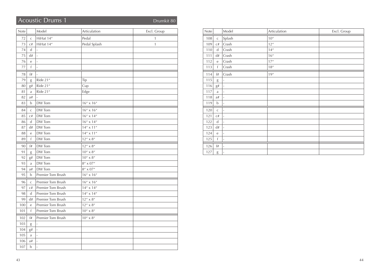# Acoustic Drums 1 Drumkit 80

| Note |              | Model             | Articulation                                | Excl. Group  |
|------|--------------|-------------------|---------------------------------------------|--------------|
| 72   | $\mathsf C$  | HiHat 14"         | Pedal                                       | 1            |
| 73   | C#           | HiHat 14"         | Pedal Splash                                | $\mathbf{1}$ |
| 74   | d            |                   |                                             |              |
| 75   | d#           | $\frac{1}{2}$     |                                             |              |
| 76   | e            |                   |                                             |              |
| 77   | $\mathsf{f}$ |                   |                                             |              |
| 78   | f#           |                   |                                             |              |
| 79   | g            | Ride 21"          | Tip                                         |              |
| 80   | g#           | Ride 21"          | Cup                                         |              |
| 81   | a            | Ride 21"          | Edge                                        |              |
| 82   | a#           |                   |                                             |              |
| 83   | $\mathbf b$  | DW Tom            | $16'' \times 16''$                          |              |
| 84   | $\mathsf C$  | DW Tom            | $16'' \times 16''$                          |              |
| 85   | C#           | DW Tom            | $16'' \times 14''$                          |              |
| 86   | $\mathbf d$  | DW Tom            | $16'' \times 14''$                          |              |
| 87   | d#           | DW Tom            | $14'' \times 11''$                          |              |
| 88   | e            | DW Tom            | $14'' \times 11''$                          |              |
| 89   | $\mathsf{f}$ | DW Tom            | $12'' \times 8''$                           |              |
| 90   | f#           | DW Tom            | $12'' \times 8''$                           |              |
| 91   | g            | DW Tom            | $10''\times8''$                             |              |
| 92   | g#           | DW Tom            | $10^{\prime\prime} \times 8^{\prime\prime}$ |              |
| 93   | a            | DW Tom            | $8''\times07''$                             |              |
| 94   | a#           | DW Tom            | $8''\times07''$                             |              |
| 95   | b            | Premier Tom Brush | $16'' \times 16''$                          |              |
| 96   | $\mathsf{C}$ | Premier Tom Brush | $16'' \times 16''$                          |              |
| 97   | C#           | Premier Tom Brush | $14'' \times 14''$                          |              |
| 98   | $\mathbf d$  | Premier Tom Brush | $14'' \times 14''$                          |              |
| 99   | d#           | Premier Tom Brush | $12'' \times 8''$                           |              |
| 100  | e            | Premier Tom Brush | $12'' \times 8''$                           |              |
| 101  | f            | Premier Tom Brush | $10^{\prime\prime} \times 8^{\prime\prime}$ |              |
| 102  | f#           | Premier Tom Brush | $10''\times8''$                             |              |
| 103  | g            |                   |                                             |              |
| 104  | g#           |                   |                                             |              |
| 105  | a            |                   |                                             |              |
| 106  | a#           |                   |                                             |              |
| 107  | $\mathbf b$  | $\overline{a}$    |                                             |              |

| Note |                  | Model                    | Articulation | Excl. Group |
|------|------------------|--------------------------|--------------|-------------|
| 108  | $\mathsf C$      | Splash                   | $10''$       |             |
| 109  | $\mathrm{C}\,\#$ | Crash                    | 12''         |             |
| 110  | $\mathbf d$      | Crash                    | $14''$       |             |
| 111  | d#               | Crash                    | $16''$       |             |
| 112  | e                | Crash                    | $17''$       |             |
| 113  | f                | Crash                    | $18''$       |             |
| 114  | $^{\rm f\#}$     | Crash                    | 19''         |             |
| 115  | g                | $\overline{\phantom{a}}$ |              |             |
| 116  | g#               | $\overline{\phantom{a}}$ |              |             |
| 117  | a                | $\overline{\phantom{a}}$ |              |             |
| 118  | a#               | $\overline{\phantom{a}}$ |              |             |
| 119  | $\mathbf b$      | $\overline{\phantom{a}}$ |              |             |
| 120  | $\mathsf C$      | $\overline{\phantom{a}}$ |              |             |
| 121  | C#               | $\overline{\phantom{a}}$ |              |             |
| 122  | $\mathsf{d}$     | $\overline{\phantom{a}}$ |              |             |
| 123  | $\mathrm{d}\#$   | $\overline{\phantom{a}}$ |              |             |
| 124  | $\mathbf e$      | $\overline{\phantom{a}}$ |              |             |
| 125  | f                | $\overline{\phantom{a}}$ |              |             |
| 126  | f#               | $\overline{\phantom{a}}$ |              |             |
| 127  | g                | $\overline{\phantom{a}}$ |              |             |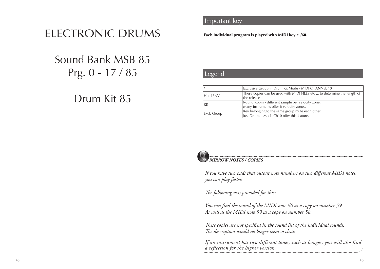# ELECTRONIC DRUMS

# Sound Bank MSB 85 Prg. 0 - 17 / 85

# Drum Kit 85

## **Important key** and solo solo solo solo solo

Each individual program is played with MIDI key c /60.

## **Legend List Solo Sounds**

| Exclusive Group in Drum Kit Mode - MIDI CHANNEL 10<br>$^{\ast}$ |                                                                                                |
|-----------------------------------------------------------------|------------------------------------------------------------------------------------------------|
| Hold ENV                                                        | These copies can be used with MIDI FILES etc  to determine the length of<br>the release        |
| <b>RR</b>                                                       | Round Robin - different sample per velocity zone.<br>Many instruments offer 6 velocity zones.  |
| Excl. Group                                                     | Key belonging to the same group mute each other.<br>Just Drumkit Mode Ch10 offer this feature. |

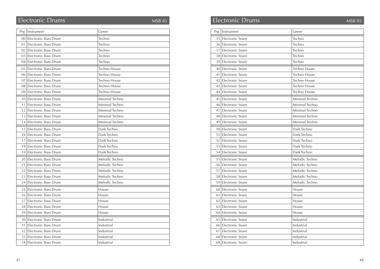# Electronic Drums MSB 85

|                 | Prg.   Instrument       | Genre               |
|-----------------|-------------------------|---------------------|
|                 | 00 Electronic Bass Drum | Techno              |
| 01              | Electronic Bass Drum    | Techno              |
| 02 <sub>1</sub> | Electronic Bass Drum    | Techno              |
|                 | 03 Electronic Bass Drum | Techno              |
|                 | 04 Electronic Bass Drum | Techno              |
| 05              | Electronic Bass Drum    | Techno House        |
| 061             | Electronic Bass Drum    | Techno House        |
| 07              | Electronic Bass Drum    | <b>Techno House</b> |
|                 | 08 Electronic Bass Drum | <b>Techno House</b> |
| 091             | Electronic Bass Drum    | Techno House        |
|                 | 10 Electronic Bass Drum | Minimal Techno      |
| 11              | Electronic Bass Drum    | Minimal Techno      |
| 12              | Electronic Bass Drum    | Minimal Techno      |
|                 | 13 Electronic Bass Drum | Minimal Techno      |
| 14              | Electronic Bass Drum    | Minimal Techno      |
| 15              | Electronic Bass Drum    | Dark Techno         |
| 16              | Electronic Bass Drum    | Dark Techno         |
| 17              | Electronic Bass Drum    | Dark Techno         |
| 18              | Electronic Bass Drum    | Dark Techno         |
| 19              | Electronic Bass Drum    | Dark Techno         |
|                 | 20 Electronic Bass Drum | Melodic Techno      |
| 21              | Electronic Bass Drum    | Melodic Techno      |
| 22 <sub>1</sub> | Electronic Bass Drum    | Melodic Techno      |
|                 | 23 Electronic Bass Drum | Melodic Techno      |
| 241             | Electronic Bass Drum    | Melodic Techno      |
| 25              | Electronic Bass Drum    | House               |
| 26              | Electronic Bass Drum    | House               |
| 27              | Electronic Bass Drum    | House               |
| 28              | Electronic Bass Drum    | House               |
| 29              | Electronic Bass Drum    | House               |
|                 | 30 Electronic Bass Drum | Industrial          |
| 31              | Electronic Bass Drum    | Industrial          |
| 32              | Electronic Bass Drum    | Industrial          |
|                 | 33 Electronic Bass Drum | Industrial          |
|                 | 34 Electronic Bass Drum | Industrial          |

# Electronic Drums MSB 85

|                 | Prg.   Instrument       | Genre          |
|-----------------|-------------------------|----------------|
|                 | 35 Electronic Snare     | Techno         |
|                 | 36 Electronic Snare     | Techno         |
| 37 <sup>1</sup> | <b>Electronic Snare</b> | Techno         |
|                 | 38 Electronic Snare     | Techno         |
|                 | 39 Electronic Snare     | Techno         |
| 40              | Electronic Snare        | Techno House   |
| 41              | Electronic Snare        | Techno House   |
|                 | 42 Electronic Snare     | Techno House   |
|                 | 43 Electronic Snare     | Techno House   |
|                 | 44 Electronic Snare     | Techno House   |
|                 | 45 Electronic Snare     | Minimal Techno |
| 46              | Electronic Snare        | Minimal Techno |
| 47              | Electronic Snare        | Minimal Techno |
|                 | 48 Electronic Snare     | Minimal Techno |
| 49              | Electronic Snare        | Minimal Techno |
|                 | 50 Electronic Snare     | Dark Techno    |
| 51              | Electronic Snare        | Dark Techno    |
|                 | 52 Electronic Snare     | Dark Techno    |
|                 | 53 Electronic Snare     | Dark Techno    |
|                 | 54 Electronic Snare     | Dark Techno    |
|                 | 55 Electronic Snare     | Melodic Techno |
|                 | 56 Electronic Snare     | Melodic Techno |
| 57              | Electronic Snare        | Melodic Techno |
|                 | 58 Electronic Snare     | Melodic Techno |
| 59              | Electronic Snare        | Melodic Techno |
| 60 l            | Electronic Snare        | House          |
| 61              | Electronic Snare        | House          |
| 62              | Electronic Snare        | House          |
| 63              | Electronic Snare        | House          |
| 64              | Electronic Snare        | House          |
|                 | 65 Electronic Snare     | Industrial     |
|                 | 66 Electronic Snare     | Industrial     |
| 67              | Electronic Snare        | Industrial     |
| 68              | Electronic Snare        | Industrial     |
| 69              | <b>Electronic Snare</b> | Industrial     |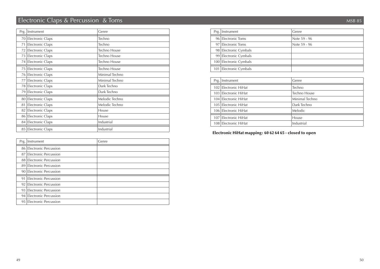# Electronic Claps & Percussion & Toms MSB 85

| Prg. | Instrument              | Genre               |
|------|-------------------------|---------------------|
|      | 70 Electronic Claps     | Techno              |
| 71   | Electronic Claps        | Techno              |
| 72   | Electronic Claps        | <b>Techno House</b> |
| 73   | Electronic Claps        | <b>Techno House</b> |
| 74 I | Electronic Claps        | <b>Techno House</b> |
| 75   | Electronic Claps        | <b>Techno House</b> |
| 761  | <b>Electronic Claps</b> | Minimal Techno      |
| 77   | Electronic Claps        | Minimal Techno      |
| 781  | <b>Electronic Claps</b> | Dark Techno         |
| 79   | <b>Electronic Claps</b> | Dark Techno         |
| 80   | <b>Electronic Claps</b> | Melodic Techno      |
| 81   | Electronic Claps        | Melodic Techno      |
| 82   | Electronic Claps        | House               |
| 86   | Electronic Claps        | House               |
|      | 84 Electronic Claps     | Industrial          |
| 85   | Electronic Claps        | Industrial          |

| Prg. | Instrument                   | Genre |
|------|------------------------------|-------|
|      | 86 Electronic Percussion     |       |
| 87   | Electronic Percussion        |       |
|      | 88 Electronic Percussion     |       |
|      | 89 Electronic Percussion     |       |
|      | 90 Electronic Percussion     |       |
| 91   | Electronic Percussion        |       |
| 92   | Electronic Percussion        |       |
| 93   | Electronic Percussion        |       |
| 94   | Electronic Percussion        |       |
| 95   | <b>Electronic Percussion</b> |       |

| Prg.   Instrument      | Genre        |
|------------------------|--------------|
| 96 Electronic Toms     | Note 59 - 96 |
| 97 Electronic Toms     | Note 59 - 96 |
| 98 Electronic Cymbals  |              |
| 99 Electronic Cymbals  |              |
| 100 Electronic Cymbals |              |
| 101 Electronic Cymbals |              |

| Prg.   Instrument    | Genre          |
|----------------------|----------------|
| 102 Electronic HiHat | Techno         |
| 103 Electronic HiHat | Techno House   |
| 104 Electronic HiHat | Minimal Techno |
| 105 Electronic HiHat | Dark Techno    |
| 106 Electronic HiHat | Melodic.       |
| 107 Electronic HiHat | House          |
| 108 Electronic HiHat | Industrial     |

Electronic HiHat mapping: 60 62 64 65 - closed to open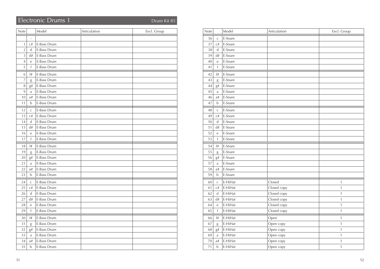# Electronic Drums 1 Drum Kit 85

| Note           |                   | Model       | Articulation | Excl. Group |
|----------------|-------------------|-------------|--------------|-------------|
|                | $\qquad \qquad -$ |             |              |             |
| $\mathbf{1}$   | C#                | E-Bass Drum |              |             |
| $\overline{2}$ | $\mathbf d$       | E-Bass Drum |              |             |
| $\overline{3}$ | d#                | E-Bass Drum |              |             |
| $\sqrt{4}$     | $\mathbf{e}$      | E-Bass Drum |              |             |
| 5              | $\mathsf{f}$      | E-Bass Drum |              |             |
| 6              | f#                | E-Bass Drum |              |             |
| $\overline{7}$ | g                 | E-Bass Drum |              |             |
| 8              | g#                | E-Bass Drum |              |             |
| 9              | a                 | E-Bass Drum |              |             |
| 10             | a#                | E-Bass Drum |              |             |
| 11             | b                 | E-Bass Drum |              |             |
| 12             | $\mathsf{C}$      | E-Bass Drum |              |             |
| 13             | C#                | E-Bass Drum |              |             |
| 14             | $\mathbf d$       | E-Bass Drum |              |             |
| 15             | d#                | E-Bass Drum |              |             |
| 16             | e                 | E-Bass Drum |              |             |
| 17             | $\mathsf{f}$      | E-Bass Drum |              |             |
| 18             | f#                | E-Bass Drum |              |             |
| 19             | g                 | E-Bass Drum |              |             |
| 20             | g#                | E-Bass Drum |              |             |
| 21             | a                 | E-Bass Drum |              |             |
| 22             | a#                | E-Bass Drum |              |             |
| 23             | $\mathbf b$       | E-Bass Drum |              |             |
| 24             | $\mathsf{C}$      | E-Bass Drum |              |             |
| 25             | C#                | E-Bass Drum |              |             |
| 26             | $\mathbf d$       | E-Bass Drum |              |             |
| 27             | d#                | E-Bass Drum |              |             |
| 28             | e                 | E-Bass Drum |              |             |
| 29             | f                 | E-Bass Drum |              |             |
| 30             | f#                | E-Bass Drum |              |             |
| 31             | g                 | E-Bass Drum |              |             |
| 32             | g#                | E-Bass Drum |              |             |
| 33             | a                 | E-Bass Drum |              |             |
| 34             | a#                | E-Bass Drum |              |             |
| 35             | $\mathbf b$       | E-Bass Drum |              |             |

| Note |                  | Model   | Articulation | Excl. Group  |
|------|------------------|---------|--------------|--------------|
| 36   | $\mathsf C$      | E-Snare |              |              |
| 37   | C#               | E-Snare |              |              |
| 38   | d                | E-Snare |              |              |
| 39   | d#               | E-Snare |              |              |
| 40   | e                | E-Snare |              |              |
| 41   | f                | E-Snare |              |              |
| 42   | f#               | E-Snare |              |              |
| 43   | g                | E-Snare |              |              |
| 44   | g#               | E-Snare |              |              |
| 45   | a                | E-Snare |              |              |
| 46   | a#               | E-Snare |              |              |
| 47   | b                | E-Snare |              |              |
| 48   | $\mathsf C$      | E-Snare |              |              |
| 49   | C#               | E-Snare |              |              |
| 50   | d                | E-Snare |              |              |
| 51   | d#               | E-Snare |              |              |
| 52   | e                | E-Snare |              |              |
| 53   | f                | E-Snare |              |              |
| 54   | $\mathfrak{f}\#$ | E-Snare |              |              |
| 55   | g                | E-Snare |              |              |
| 56   | g#               | E-Snare |              |              |
| 57   | a                | E-Snare |              |              |
| 58   | a#               | E-Snare |              |              |
| 59   | b                | E-Snare |              |              |
| 60   | $\mathsf C$      | E-HiHat | Closed       | $\mathbf{1}$ |
| 61   | C#               | E-HiHat | Closed copy  | $\mathbf{1}$ |
| 62   | $\mathsf{d}$     | E-HiHat | Closed copy  | $\mathbf{1}$ |
| 63   | d#               | E-HiHat | Closed copy  | $\mathbf{1}$ |
| 64   | e                | E-HiHat | Closed copy  | $\mathbf{1}$ |
| 65   | $\mathsf f$      | E-HiHat | Closed copy  | $\mathbf{1}$ |
| 66   | f#               | E-HiHat | Open         | $\mathbf{1}$ |
| 67   | g                | E-HiHat | Open copy    | $\mathbf{1}$ |
| 68   | g#               | E-HiHat | Open copy    | $\mathbf{1}$ |
| 69   | a                | E-HiHat | Open copy    | $\mathbf{1}$ |
| 70   | a#               | E-HiHat | Open copy    | $\mathbf{1}$ |
| 71   | $\mathbf b$      | E-HiHat | Open copy    | 1            |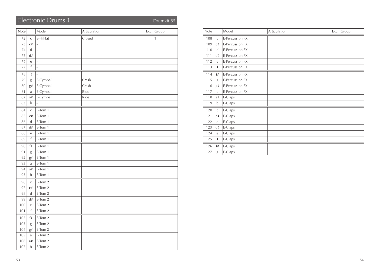# Electronic Drums 1 Drumkit 85

| Note   |                             | Model          | Articulation | Excl. Group  |
|--------|-----------------------------|----------------|--------------|--------------|
| 72     | $\mathsf C$                 | E-HiHat        | Closed       | $\mathbf{1}$ |
| 73     | C#                          | $\overline{a}$ |              |              |
| 74     | ${\rm d}$                   | $\frac{1}{2}$  |              |              |
| 75     | $\mathrm{d}\#$              | $\frac{1}{2}$  |              |              |
| 76     | $\rm e$                     | $\frac{1}{2}$  |              |              |
| 77     | $\mathsf f$                 | $\overline{a}$ |              |              |
| $78\,$ | f#                          |                |              |              |
| 79     | g                           | E-Cymbal       | Crash        |              |
| 80     | g#                          | E-Cymbal       | Crash        |              |
| 81     | $\mathbf{a}$                | E-Cymbal       | Ride         |              |
| 82     | a#                          | E-Cymbal       | Ride         |              |
| 83     | $\mathbf b$                 |                |              |              |
| 84     | $\mathsf C$                 | E-Tom 1        |              |              |
| 85     | $\mathrm{C}^{\#}$           | E-Tom 1        |              |              |
| 86     | d                           | E-Tom 1        |              |              |
| 87     | $\mathrm{d}\#$              | E-Tom 1        |              |              |
| 88     | $\rm e$                     | E-Tom 1        |              |              |
| 89     | $\mathsf f$                 | E-Tom 1        |              |              |
| 90     | $^{\rm f\#}$                | E-Tom 1        |              |              |
| 91     | g                           | E-Tom 1        |              |              |
| 92     | g#                          | E-Tom 1        |              |              |
| 93     | $\mathbf{a}$                | E-Tom 1        |              |              |
| 94     | a#                          | E-Tom 1        |              |              |
| 95     | b                           | E-Tom 1        |              |              |
| 96     | $\mathsf C$                 | E-Tom 2        |              |              |
| 97     | C#                          | E-Tom 2        |              |              |
| 98     | $\operatorname{\mathsf{d}}$ | E-Tom 2        |              |              |
| 99     | $\mathrm{d}\#$              | E-Tom 2        |              |              |
| 100    | $\rm e$                     | E-Tom 2        |              |              |
| 101    | $\mathsf f$                 | E-Tom 2        |              |              |
| 102    | f#                          | E-Tom 2        |              |              |
| 103    | g                           | E-Tom 2        |              |              |
| 104    | g#                          | E-Tom 2        |              |              |
| 105    | a                           | E-Tom 2        |              |              |
| 106    | a#                          | E-Tom 2        |              |              |
| 107    | $\mathbf b$                 | E-Tom 2        |              |              |

| Note |                  | Model           | Articulation | Excl. Group |
|------|------------------|-----------------|--------------|-------------|
| 108  | $\mathsf{C}$     | E-Percussion FX |              |             |
| 109  | C#               | E-Percussion FX |              |             |
| 110  | d                | E-Percussion FX |              |             |
| 111  | d#               | E-Percussion FX |              |             |
| 112  | e                | E-Percussion FX |              |             |
| 113  | $\mathsf{f}$     | E-Percussion FX |              |             |
| 114  | f#               | E-Percussion FX |              |             |
| 115  | g                | E-Percussion FX |              |             |
| 116  | $g\#$            | E-Percussion FX |              |             |
| 117  | a                | E-Percussion FX |              |             |
| 118  | a#               | E-Claps         |              |             |
| 119  | b                | E-Claps         |              |             |
| 120  | $\mathsf{C}$     | E-Claps         |              |             |
| 121  | $\mathrm{C}\,\#$ | E-Claps         |              |             |
| 122  | $\mathsf{d}$     | E-Claps         |              |             |
| 123  | d#               | E-Claps         |              |             |
| 124  | e                | E-Claps         |              |             |
| 125  | f                | E-Claps         |              |             |
| 126  | f#               | E-Claps         |              |             |
| 127  | g                | E-Claps         |              |             |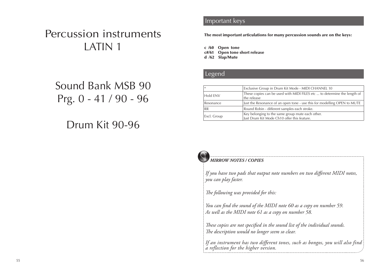# Percussion instruments LATIN 1

# Sound Bank MSB 90 Prg. 0 - 41 / 90 - 96

# Drum Kit 90-96

## **Important keys** Solo Society Solo Solo Society

The most important articulations for many percussion sounds are on the keys:

c /60 Open tone c#/61 Open tone short release d /62 Slap/Mute

## **Legend List Solo Solo Solo** Solo Solo Solo Solo

| $\ast$      | Exclusive Group in Drum Kit Mode - MIDI CHANNEL 10                                              |  |  |  |
|-------------|-------------------------------------------------------------------------------------------------|--|--|--|
| Hold ENV    | These copies can be used with MIDI FILES etc  to determine the length of<br>the release         |  |  |  |
| Resonance   | Just the Resonance of an open tone - use this for modelling OPEN to MUTE                        |  |  |  |
| <b>RR</b>   | Round Robin - different samples each stroke.                                                    |  |  |  |
| Excl. Group | Key belonging to the same group mute each other.<br>Just Drum Kit Mode Ch10 offer this feature. |  |  |  |



#### *MIRROW NOTES / COPIES*

*If you have two pads that output note numbers on two different MIDI notes, you can play faster.*

*The following was provided for this:*

*You can find the sound of the MIDI note 60 as a copy on number 59. As well as the MIDI note 61 as a copy on number 58.*

*These copies are not specified in the sound list of the individual sounds. The description would no longer seem so clear.*

*If an instrument has two different tones, such as bongos, you will also find a reflection for the higher version.*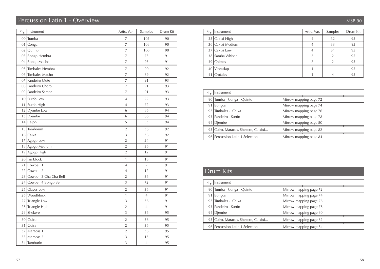# Percussion Latin 1 - Overview MSB 90

| Prg.            | Instrument             | Artic. Var.    | Samples        | Drum Kit |
|-----------------|------------------------|----------------|----------------|----------|
| $00\,$          | Tumba                  | 7              | 102            | 90       |
| 01              | Conga                  | $\overline{7}$ | 108            | 90       |
| 02              | Quinto                 | $\overline{7}$ | 100            | 90       |
| 03              | Bongo Hembra           | 7              | 75             | 91       |
| 04              | Bongo Macho            | $\overline{7}$ | 93             | 91       |
|                 | 05 Timbales Hembra     | 7              | 90             | 92       |
|                 | 06 Timbales Macho      | $\overline{7}$ | 89             | 92       |
| 07              | Pandeiro Mute          | 7              | 91             | 93       |
|                 | 08 Pandeiro Choro      | 7              | 91             | 93       |
| 09              | Pandeiro Samba         | 7              | 91             | 93       |
|                 | 10 Surdo Low           | $\overline{4}$ | 72             | 93       |
|                 | 11 Surdo High          | $\overline{4}$ | 72             | 93       |
| 12              | Djembe Low             | 6              | 86             | 94       |
|                 | $13$ Djembe            | 6              | 86             | 94       |
| 14              | Cajon                  | 5              | 53             | 94       |
| 15              | Tamborim               | $\overline{2}$ | 36             | 92       |
| 16              | Caixa                  | 3              | 36             | 92       |
| 17              | Agogo Low              | $\overline{2}$ | 24             | 91       |
| 18              | Agogo Medium           | $\overline{2}$ | 36             | 91       |
| 19              | Agogo High             | $\overline{2}$ | 12             | 91       |
|                 | 20 Jamblock            | $\mathbf{1}$   | 18             | 91       |
| 21              | Cowbell 1              | $\overline{4}$ | 7              | 91       |
| 22              | Cowbell 2              | $\overline{4}$ | 12             | 91       |
| 23              | Cowbell 3 Cha Cha Bell | $\overline{2}$ | 36             | 91       |
| 24              | Cowbell 4 Bongo Bell   | 3              | 72             | 91       |
| 25              | Claves Low             | $\overline{2}$ | 36             | 91       |
|                 | 26 Woodblock           | 1              | $\overline{4}$ | 91       |
| 27              | Triangle Low           | 3              | 36             | 91       |
|                 | 28 Triangle High       | $\overline{2}$ | $\overline{4}$ | 91       |
| 29              | Shekere                | 3              | 36             | 95       |
| 30 <sup>1</sup> | Guiro                  | $\overline{2}$ | 36             | 95       |
| 31              | Guira                  | $\overline{2}$ | 36             | 95       |
| 32              | Maracas 1              | $\overline{2}$ | 36             | 95       |
| 33              | Maracas 2              | 3              | 13             | 95       |
|                 | 34 Tamburin            | 3              | $\overline{4}$ | 95       |

|    | Prg.   Instrument | Artic. Var. | Samples | Drum Kit |
|----|-------------------|-------------|---------|----------|
|    | 35 Caxixi High    | 4           | 32      | 95       |
|    | 36 Caxixi Medium  | 4           | 33      | 95       |
|    | 37 Caxixi Low     | 4           | 31      | 95       |
|    | 38 Samba Whistle  |             | 2       | 95       |
|    | 39 Chimes         | 2           |         | 95       |
| 40 | Vibraslap         |             |         | 95       |
| 41 | Crotales          |             |         | 95       |

| Prg.   Instrument                   |                        |
|-------------------------------------|------------------------|
| 90 Tumba - Conga - Quinto           | Mirrow mapping page 72 |
| 91 Bongos                           | Mirrow mapping page 74 |
| 92 Timbales - Caixa                 | Mirrow mapping page 76 |
| 93 Pandeiro - Surdo                 | Mirrow mapping page 78 |
| 94 Diembe                           | Mirrow mapping page 80 |
| 95 Cuiro, Maracas, Shekere, Caixixi | Mirrow mapping page 82 |
| 96 Percussion Latin 1 Selection     | Mirrow mapping page 84 |

# Drum Kits

| Prg.   Instrument                   |                        |
|-------------------------------------|------------------------|
| 90 Tumba - Conga - Quinto           | Mirrow mapping page 72 |
| 91 Bongos                           | Mirrow mapping page 74 |
| 92 Timbales - Caixa                 | Mirrow mapping page 76 |
| 93 Pandeiro - Surdo                 | Mirrow mapping page 78 |
| 94 Djembe                           | Mirrow mapping page 80 |
| 95 Cuiro, Maracas, Shekere, Caixixi | Mirrow mapping page 82 |
| 96 Percussion Latin 1 Selection     | Mirrow mapping page 84 |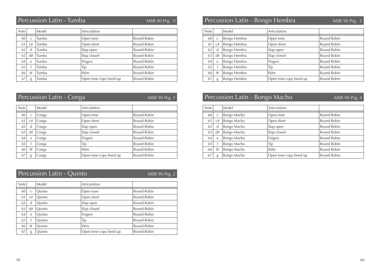| <b>Note</b> |              | Model | Articulation           |             |
|-------------|--------------|-------|------------------------|-------------|
| 60          | $\mathsf{C}$ | Tumba | Open tone              | Round Robin |
| 61          | C#           | Tumba | Open short             | Round Robin |
| 62          | d            | Tumba | Slap open              | Round Robin |
| 63          | d#           | Tumba | Slap closed            | Round Robin |
| 64          | $\mathsf{e}$ | Tumba | Fingers                | Round Robin |
| 65          |              | Tumba | Tip                    | Round Robin |
| 66          | f#           | Tumba | Palm                   | Round Robin |
| 67          | g            | Tumba | Open tone copy bend up | Round Robin |

|      | Percussion Latin - Conga<br>MSB 90 Prg. 1 |                                                                                         |                        |             | Percussion Latin - Bongo Macho |      |    |             | MSB90Prg.4             |             |
|------|-------------------------------------------|-----------------------------------------------------------------------------------------|------------------------|-------------|--------------------------------|------|----|-------------|------------------------|-------------|
| Note |                                           | Model                                                                                   | Articulation           |             | Note                           |      |    | Model       | Articulation           |             |
| 60   |                                           | Conga                                                                                   | Open tone              | Round Robin |                                | 60 l |    | Bongo Macho | Open tone              | Round Robin |
| 61   | C#                                        | Conga                                                                                   | Open short             | Round Robin |                                | 61   | C# | Bongo Macho | Open short             | Round Robin |
| 62   |                                           | Conga                                                                                   | Slap open              | Round Robin |                                | 62   |    | Bongo Macho | Slap open              | Round Robin |
| 63   | d#                                        | Conga                                                                                   | Slap closed            | Round Robin |                                | 63   | d# | Bongo Macho | Slap closed            | Round Robin |
| 64 l | e                                         | Conga                                                                                   | Fingers                | Round Robin |                                | 64   |    | Bongo Macho | Fingers                | Round Robin |
| 65   |                                           | Conga                                                                                   | Tip                    | Round Robin |                                | 65   |    | Bongo Macho | Tip                    | Round Robin |
| 66   | f#                                        | Conga                                                                                   | Palm                   | Round Robin |                                | 66   | f# | Bongo Macho | Palm                   | Round Robin |
| 67   |                                           | $\begin{array}{c c} \hline \end{array}$ g $\begin{array}{c c} \hline \end{array}$ Conga | Open tone copy bend up | Round Robin |                                | 67   |    | Bongo Macho | Open tone copy bend up | Round Robin |

# Percussion Latin - Quinto

MSB 90 Prg. 2

| <b>Note</b> |              | Model  | Articulation           |             |
|-------------|--------------|--------|------------------------|-------------|
| 60          | $\mathsf{C}$ | Ouinto | Open tone              | Round Robin |
| 61          | C#           | Ouinto | Open short             | Round Robin |
| 62          | d            | Ouinto | Slap open              | Round Robin |
| 63          | d#           | Quinto | Slap closed            | Round Robin |
| 64          | e            | Ouinto | Fingers                | Round Robin |
| 65          |              | Ouinto | Tip                    | Round Robin |
| 66          | f#           | Ouinto | Palm                   | Round Robin |
| 67          | g            | Ouinto | Open tone copy bend up | Round Robin |

#### MSB 90 Prg. 0 MSB 90 Prg. 3 Percussion Latin - Tumba Percussion Latin - Bongo Hembra

| Note |              | Model        | Articulation           |             |
|------|--------------|--------------|------------------------|-------------|
| 60   | $\mathsf{C}$ | Bongo Hembra | Open tone              | Round Robin |
| 61   | C#           | Bongo Hembra | Open short             | Round Robin |
| 62   | d            | Bongo Hembra | Slap open              | Round Robin |
| 63   | d#           | Bongo Hembra | Slap closed            | Round Robin |
| 64   | $\mathbf{e}$ | Bongo Hembra | Fingers                | Round Robin |
| 65   |              | Bongo Hembra | Tip                    | Round Robin |
| 66   | f#           | Bongo Hembra | Palm                   | Round Robin |
| 67   | g            | Bongo Hembra | Open tone copy bend up | Round Robin |

|              | Model       | Articulation           |             |
|--------------|-------------|------------------------|-------------|
| $\mathsf{C}$ | Bongo Macho | Open tone              | Round Robin |
| C#           | Bongo Macho | Open short             | Round Robin |
| d            | Bongo Macho | Slap open              | Round Robin |
| d#           | Bongo Macho | Slap closed            | Round Robin |
| e            | Bongo Macho | Fingers                | Round Robin |
|              | Bongo Macho | Tip                    | Round Robin |
| f#           | Bongo Macho | Palm                   | Round Robin |
| g            | Bongo Macho | Open tone copy bend up | Round Robin |
|              |             |                        |             |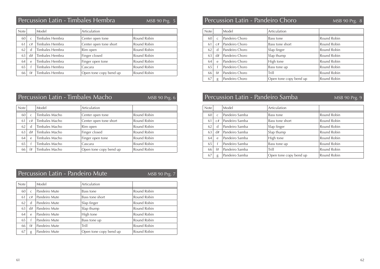# Percussion Latin - Timbales Hembra

| <b>Note</b> |              | Model           | Articulation           |             |
|-------------|--------------|-----------------|------------------------|-------------|
| 60          | $\mathsf{C}$ | Timbales Hembra | Center open tone       | Round Robin |
| 61          | C#           | Timbales Hembra | Center open tone short | Round Robin |
| 62          | d            | Timbales Hembra | Rim open               | Round Robin |
| 63          | d#           | Timbales Hembra | Finger closed          | Round Robin |
| 64          | $\epsilon$   | Timbales Hembra | Finger open tone       | Round Robin |
| 65          |              | Timbales Hembra | Cascara                | Round Robin |
| 66          | f#           | Timbales Hembra | Open tone copy bend up | Round Robin |

| Percussion Latin - Timbales Macho |    |                |                        | MSB 90 Prg. 6 | Percussion Latin - Pandeir <u>o Samba</u> ' |    |                |                        | MSB 90 Prg. 9 |
|-----------------------------------|----|----------------|------------------------|---------------|---------------------------------------------|----|----------------|------------------------|---------------|
| Note                              |    | Model          | Articulation           |               | <b>Note</b>                                 |    | Model          | Articulation           |               |
| 60                                |    | Timbales Macho | Center open tone       | Round Robin   | 60                                          |    | Pandeiro Samba | <b>Bass tone</b>       | Round Robin   |
| 61                                | г# | Timbales Macho | Center open tone short | Round Robin   | -61                                         | r# | Pandeiro Samba | <b>Bass tone short</b> | Round Robin   |
| 62                                |    | Timbales Macho | Rim open               | Round Robin   | 62                                          |    | Pandeiro Samba | Slap finger            | Round Robin   |
| 63                                |    | Timbales Macho | Finger closed          | Round Robin   | 63                                          | d# | Pandeiro Samba | Slap thump             | Round Robin   |
| 64                                |    | Timbales Macho | Finger open tone       | Round Robin   | 64                                          |    | Pandeiro Samba | High tone              | Round Robin   |
| 65                                |    | Timbales Macho | Cascara                | Round Robin   | 65                                          |    | Pandeiro Samba | Bass tone up           | Round Robin   |
| 66                                |    | Timbales Macho | Open tone copy bend up | Round Robin   | 66                                          | f# | Pandeiro Samba | Trill                  | Round Robin   |
|                                   |    |                |                        |               |                                             |    |                |                        |               |

|             | Percussion Latin - Pandeiro Mute<br>MSB 90 Prg. 7 |               |                        |             |  |  |  |  |
|-------------|---------------------------------------------------|---------------|------------------------|-------------|--|--|--|--|
| <b>Note</b> |                                                   | Model         | Articulation           |             |  |  |  |  |
| 60          | $\mathsf{C}$                                      | Pandeiro Mute | Bass tone              | Round Robin |  |  |  |  |
| 61          | C#                                                | Pandeiro Mute | Bass tone short        | Round Robin |  |  |  |  |
| 62          | d                                                 | Pandeiro Mute | Slap finger            | Round Robin |  |  |  |  |
| 63          | d#                                                | Pandeiro Mute | Slap thump             | Round Robin |  |  |  |  |
| 64          | $\epsilon$                                        | Pandeiro Mute | High tone              | Round Robin |  |  |  |  |
| 65          |                                                   | Pandeiro Mute | Bass tone up           | Round Robin |  |  |  |  |
| 66          | f#                                                | Pandeiro Mute | Trill                  | Round Robin |  |  |  |  |
| 67          | g                                                 | Pandeiro Mute | Open tone copy bend up | Round Robin |  |  |  |  |

# MSB 90 Prg. 5 Percussion Latin - Pandeiro Choro MSB 90 Prg. 8

| Note |              | Model          | Articulation           |             |
|------|--------------|----------------|------------------------|-------------|
| 60   | $\mathsf{C}$ | Pandeiro Choro | Bass tone              | Round Robin |
| 61   | C#           | Pandeiro Choro | Bass tone short        | Round Robin |
| 62   | d            | Pandeiro Choro | Slap finger            | Round Robin |
| 63   | d#           | Pandeiro Choro | Slap thump             | Round Robin |
| 64   | $\mathsf{e}$ | Pandeiro Choro | High tone              | Round Robin |
| 65   |              | Pandeiro Choro | Bass tone up           | Round Robin |
| 66   | f#           | Pandeiro Choro | Trill                  | Round Robin |
| 67   | g            | Pandeiro Choro | Open tone copy bend up | Round Robin |

|  |  |  | MSB 90 Prg. 9 |  |
|--|--|--|---------------|--|
|  |  |  |               |  |

| Note |               | Model          | Articulation           |             |
|------|---------------|----------------|------------------------|-------------|
| 60   | $\mathcal{C}$ | Pandeiro Samba | Bass tone              | Round Robin |
| 61   | C#            | Pandeiro Samba | Bass tone short        | Round Robin |
| 62   | d             | Pandeiro Samba | Slap finger            | Round Robin |
| 63   | d#            | Pandeiro Samba | Slap thump             | Round Robin |
| 64   | $\mathsf{e}$  | Pandeiro Samba | High tone              | Round Robin |
| 65   |               | Pandeiro Samba | Bass tone up           | Round Robin |
| 66   | f#            | Pandeiro Samba | Trill                  | Round Robin |
| 67   | g             | Pandeiro Samba | Open tone copy bend up | Round Robin |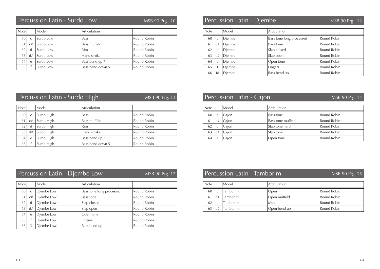# Percussion Latin - Surdo Low

| MSB 90 Prg. |  |
|-------------|--|
|             |  |
|             |  |

| Note |              | Model     | Articulation     |             |
|------|--------------|-----------|------------------|-------------|
| 60   | C            | Surdo Low | <b>Bass</b>      | Round Robin |
| 61   | C#           | Surdo Low | Bass muffeld     | Round Robin |
| 62   | d            | Surdo Low | Rim              | Round Robin |
| 63   | d#           | Surdo Low | Hand stroke      | Round Robin |
| 64   | $\mathsf{e}$ | Surdo Low | Bass bend up 7   | Round Robin |
| 65   |              | Surdo Low | Bass bend down 5 | Round Robin |

| Note |              | Model  | Articulation             |             |
|------|--------------|--------|--------------------------|-------------|
| 60   | $\mathsf{C}$ | Diembe | Bass tone long processed | Round Robin |
| 61   | C#           | Diembe | Bass tone                | Round Robin |
| 62   | d            | Diembe | Slap closed              | Round Robin |
| 63   | d#           | Diembe | Slap open                | Round Robin |
| 64   | e            | Diembe | Open tone                | Round Robin |
| 65   |              | Diembe | Fingers                  | Round Robin |
| 66   | f#           | Diembe | Bass bend up             | Round Robin |

|      |              | Percussion Latin - Surdo High |                  | MSB 90 Prg. 11 |             |    | Percussion Latin - Cajon |  |
|------|--------------|-------------------------------|------------------|----------------|-------------|----|--------------------------|--|
| Note |              | Model                         | Articulation     |                | <b>Note</b> |    | Model                    |  |
| 60   | $\mathsf{C}$ | Surdo High                    | <b>Bass</b>      | Round Robin    | 60          |    | Cajon                    |  |
| 61   | C#           | Surdo High                    | Bass muffeld     | Round Robin    | 61          | C# | Cajon                    |  |
| 62   | d            | Surdo High                    | <b>Rim</b>       | Round Robin    | 62          | d  | Cajon                    |  |
| 63   | d#           | Surdo High                    | Hand stroke      | Round Robin    | 63          | d# | Cajon                    |  |
| 64   | e            | Surdo High                    | Bass bend up 7   | Round Robin    | 64          | e  | Cajon                    |  |
| 65   |              | Surdo High                    | Bass bend down 5 | Round Robin    |             |    |                          |  |

| MSB 90 Prg. 11 |             |            | Percussion Latin - Cajon | MSB 90 Prg. 14    |             |
|----------------|-------------|------------|--------------------------|-------------------|-------------|
|                | <b>Note</b> |            | Model                    | Articulation      |             |
| Robin          | 60          |            | Cajon                    | Bass tone         | Round Robin |
| Robin          | 61          | C#         | Cajon                    | Bass tone muffeld | Round Robin |
| Robin          | 62          | d          | Cajon                    | Slap tone hard    | Round Robin |
| Robin          | 63          | d#         | Cajon                    | Slap tone         | Round Robin |
| Robin          | 64          | $\epsilon$ | Cajon                    | Open tone         | Round Robin |

| Percussion Latin - Djembe Low |    |                 | MSB 90 Prg. 12           | Percussion Latin - Tamborim |               |              |          | MSB 90 Prg. 15 |             |
|-------------------------------|----|-----------------|--------------------------|-----------------------------|---------------|--------------|----------|----------------|-------------|
| <b>Note</b>                   |    | Model           | Articulation             |                             | Note          |              | Model    | Articulation   |             |
| 60 l                          |    | Diembe Low      | Bass tone long processed | Round Robin                 | 60            |              | Tamborim | Open           | Round Robin |
| 61 l                          |    | Diembe Low      | Bass tone                | Round Robin                 | <sup>61</sup> | C#           | Tamborim | Open muffeld   | Round Robin |
| 62                            |    | Diembe Low      | Slap closed              | Round Robin                 | 62            | <sub>d</sub> | Tamborim | Mute           | Round Robin |
| 63                            | d# | Djembe Low      | Slap open                | Round Robin                 | 63            | d#           | Tamborim | Open bend up   | Round Robin |
| <sup>64</sup>                 | e. | Diembe Low      | Open tone                | Round Robin                 |               |              |          |                |             |
| 65                            |    | Diembe Low      | Fingers                  | Round Robin                 |               |              |          |                |             |
| 66                            |    | $f#$ Diembe Low | Bass bend up             | Round Robin                 |               |              |          |                |             |

| <b>Note</b> |    | Model           | Articulation |             |
|-------------|----|-----------------|--------------|-------------|
| 60          | C  | <b>Tamborim</b> | Open         | Round Robin |
| 61          | C# | <b>Tamborim</b> | Open muffeld | Round Robin |
| 62          | d  | <b>Tamborim</b> | Mute         | Round Robin |
| 63          | d# | <b>Tamborim</b> | Open bend up | Round Robin |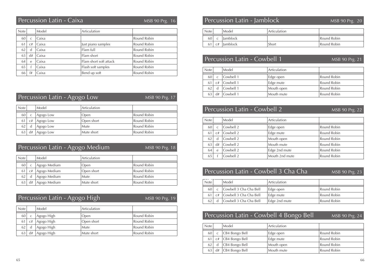| <b>Note</b> |              | Model | Articulation           |             |
|-------------|--------------|-------|------------------------|-------------|
| 60          | $\mathsf{C}$ | Caixa |                        | Round Robin |
| 61          | C#           | Caixa | Just piano samples     | Round Robin |
| 62          | d            | Caixa | Flam full              | Round Robin |
| 63          | d#           | Caixa | Flam short             | Round Robin |
| 64          | e            | Caixa | Flam short soft attack | Round Robin |
| 65          |              | Caixa | Flash soft samples     | Round Robin |
| 66          | f#           | Caixa | Bend up soft           | Round Robin |

|                                      | Percussion Latin - Agogo Low<br>MSB 90 Prg. 17 |           |            |             |  |
|--------------------------------------|------------------------------------------------|-----------|------------|-------------|--|
| Model<br>Articulation<br><b>Note</b> |                                                |           |            |             |  |
| 60                                   | Ċ                                              | Agogo Low | Open       | Round Robin |  |
| 61                                   | C#                                             | Agogo Low | Open short | Round Robin |  |
| 62                                   | d                                              | Agogo Low | Mute       | Round Robin |  |
| 63                                   | d#                                             | Agogo Low | Mute short | Round Robin |  |

# Percussion Latin - Agogo Medium

MSB 90 Prg. 18

| <b>Note</b> |    | Model        | Articulation |             |
|-------------|----|--------------|--------------|-------------|
| 60          |    | Agogo Medium | Open         | Round Robin |
| 61          | C# | Agogo Medium | Open short   | Round Robin |
| 62          | d  | Agogo Medium | <b>Mute</b>  | Round Robin |
| 63          | d# | Agogo Medium | Mute short   | Round Robin |
|             |    |              |              |             |

|             | Percussion Latin - Agogo High<br>MSB 90 Prg. 19 |            |              |             |  |
|-------------|-------------------------------------------------|------------|--------------|-------------|--|
| <b>Note</b> |                                                 | Model      | Articulation |             |  |
| 60          | $\mathsf{C}$                                    | Agogo High | Open         | Round Robin |  |
| 61          | C#                                              | Agogo High | Open short   | Round Robin |  |
| 62          | d                                               | Agogo High | Mute         | Round Robin |  |
|             | d#                                              | Agogo High | Mute short   | Round Robin |  |

#### MSB 90 Prg. 16 MSB 90 Prg. 20 Percussion Latin - Caixa Percussion Latin - Jamblock

MSB 90 Prg. 21

| Note |    | Model    | Articulation |             |
|------|----|----------|--------------|-------------|
| 60   |    | lamblock |              | Round Robin |
| 61   | C# | Jamblock | Short        | Round Robin |

## Percussion Latin - Cowbell 1

| <b>Note</b> |              | Model     | Articulation |             |
|-------------|--------------|-----------|--------------|-------------|
| 60          | $\mathsf{C}$ | Cowbell 1 | Edge open    | Round Robin |
|             | C#           | Cowbell 1 | Edge mute    | Round Robin |
|             |              | Cowbell 1 | Mouth open   | Round Robin |
|             | d#           | Cowbell 1 | Mouth mute   | Round Robin |

## Percussion Latin - Cowbell 2

MSB 90 Prg. 22

| <b>Note</b> |              | Model     | Articulation   |             |
|-------------|--------------|-----------|----------------|-------------|
| 60          | C            | Cowbell 2 | Edge open      | Round Robin |
| 61          | C#           | Cowbell 2 | Edge mute      | Round Robin |
| 62          | d            | Cowbell 2 | Mouth open     | Round Robin |
| 63          | d#           | Cowbell 2 | Mouth mute     | Round Robin |
| 64          | $\mathsf{e}$ | Cowbell 2 | Edge 2nd mute  | Round Robin |
| 65          |              | Cowbell 2 | Mouth 2nd mute | Round Robin |

#### ------<br>Note Model Articulation MSB 90 Prg. 23 Percussion Latin - Cowbell 3 Cha Cha

| <b>NOTE</b> | Model -                          | Articulation  |             |
|-------------|----------------------------------|---------------|-------------|
| 60          | Cowbell 3 Cha Cha Bell           | Edge open     | Round Robin |
|             | 61   c#   Cowbell 3 Cha Cha Bell | Edge mute     | Round Robin |
|             | Cowbell 3 Cha Cha Bell           | Edge 2nd mute | Round Robin |

# Percussion Latin - Cowbell 4 Bongo Bell

| Note |    | Model          | Articulation |             |
|------|----|----------------|--------------|-------------|
| 60   |    | CB4 Bongo Bell | ⊩Edge open   | Round Robin |
| 61   | C# | CB4 Bongo Bell | Edge mute    | Round Robin |
| 62   |    | CB4 Bongo Bell | Mouth open   | Round Robin |
| 63   | d# | CB4 Bongo Bell | Mouth mute   | Round Robin |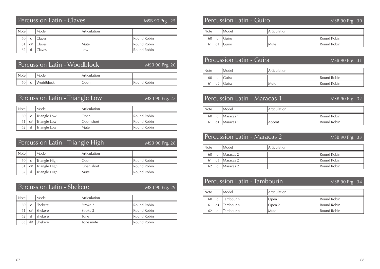# Percussion Latin - Claves

| <b>Note</b> |    | Model         | Articulation |             |
|-------------|----|---------------|--------------|-------------|
| 60          | C  | Claves        |              | Round Robin |
| 61 I        | C# | <b>Claves</b> | Mute         | Round Robin |
|             |    | Claves        | Low          | Round Robin |

|             | Percussion Latin - Woodblock |           |              | MSB 90 Prg. 26 |
|-------------|------------------------------|-----------|--------------|----------------|
| <b>Note</b> |                              | Model     | Articulation |                |
| 60 l        |                              | Woddblock | Open         | Round Robin    |

|             | Percussion Latin - Triangle Low<br>MSB 90 Prg. 27 |              |              |             |  |  |
|-------------|---------------------------------------------------|--------------|--------------|-------------|--|--|
| <b>Note</b> |                                                   | Model        | Articulation |             |  |  |
| 60          | C                                                 | Triangle Low | Open         | Round Robin |  |  |
| 61          | C#                                                | Triangle Low | Open short   | Round Robin |  |  |
| 62          | d                                                 | Triangle Low | Mute         | Round Robin |  |  |

| Percussion Latin - Triangle High<br>MSB 90 Prg. 28 |    |               |              |             |
|----------------------------------------------------|----|---------------|--------------|-------------|
| <b>Note</b>                                        |    | Model         | Articulation |             |
| 60                                                 | C  | Triangle High | Open         | Round Robin |
| 61                                                 | C# | Triangle High | Open short   | Round Robin |
| 62                                                 |    | Triangle High | Mute         | Round Robin |

# Percussion Latin - Shekere

MSB 90 Prg. 29

| <b>Note</b> |    | Model   | Articulation |             |
|-------------|----|---------|--------------|-------------|
| 60          |    | Shekere | Stroke 2     | Round Robin |
|             | C# | Shekere | Stroke 2     | Round Robin |
|             | d  | Shekere | Tone         | Round Robin |
|             | d# | Shekere | Tone mute    | Round Robin |

# MSB 90 Prg. 25 Percussion Latin - Guiro MSB 90 Prg. 30

| Note <sub>i</sub> |    | Model | Articulation |             |
|-------------------|----|-------|--------------|-------------|
| 60                |    | Guiro |              | Round Robin |
| 61                | C# | Guiro | Mute         | Round Robin |

| Percussion Latin - Guira |  |       |              | MSB 90 Prg. 31 |
|--------------------------|--|-------|--------------|----------------|
| <b>Note</b>              |  | Model | Articulation |                |
| 60                       |  | Guira |              | Round Robin    |
|                          |  | Guira | Mute         | Round Robin    |

|      | Percussion Latin - Maracas 1 |           |              | MSB 90 Prg. 32 |
|------|------------------------------|-----------|--------------|----------------|
| Note |                              | Model     | Articulation |                |
| 60   |                              | Maracas 1 |              | Round Robin    |
|      |                              | Maracas 1 | Accent       | Round Robin    |

|             |    | Percussion Latin - Maracas 2 | MSB 90 Prg. 33 |             |
|-------------|----|------------------------------|----------------|-------------|
| <b>Note</b> |    | Model                        | Articulation   |             |
| 60          | C  | Maracas 2                    |                | Round Robin |
|             | C# | Maracas 2                    |                | Round Robin |
| 62          |    | Maracas 2                    |                | Round Robin |

## Percussion Latin - Tambourin

MSB 90 Prg. 34

| Note |    | Model            | Articulation |             |
|------|----|------------------|--------------|-------------|
| 60   | r  | Tambourin        | Open 1       | Round Robin |
| 61   | C# | Tambourin        | Open 2       | Round Robin |
| 62   |    | <b>Tambourin</b> | Mute         | Round Robin |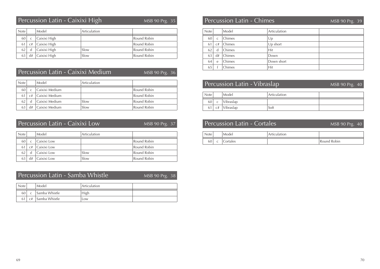# Percussion Latin - Caixixi High

MSB 90 Prg. 35

| <b>Note</b>     |              | Model        | Articulation |             |
|-----------------|--------------|--------------|--------------|-------------|
| 60              | $\mathsf{C}$ | Caixixi High |              | Round Robin |
| 61 <sup> </sup> | C#           | Caixixi High |              | Round Robin |
| 62              | d            | Caixixi High | Slow         | Round Robin |
|                 | d#           | Caixixi High | Slow         | Round Robin |

# Percussion Latin - Caixixi Medium

MSB 90 Prg. 36

| <b>Note</b> |              | Model          | Articulation |             |
|-------------|--------------|----------------|--------------|-------------|
| 60          | $\mathsf{C}$ | Caixixi Medium |              | Round Robin |
|             | C#           | Caixixi Medium |              | Round Robin |
|             |              | Caixixi Medium | Slow         | Round Robin |
|             |              | Caixixi Medium | Slow         | Round Robin |

|             | Percussion Latin - Caixixi Low<br>MSB 90 Prg. 37 |             |              |             |  |
|-------------|--------------------------------------------------|-------------|--------------|-------------|--|
| <b>Note</b> |                                                  | Model       | Articulation |             |  |
| 60          | $\mathsf{C}$                                     | Caixixi Low |              | Round Robin |  |
| 61          | C#                                               | Caixixi Low |              | Round Robin |  |
| 62          | d                                                | Caixixi Low | Slow         | Round Robin |  |
|             | d#                                               | Caixixi Low | Slow         | Round Robin |  |

Percussion Latin - Samba Whistle

MSB 90 Prg. 38

| <b>Note</b> |    | Model         | Articulation |  |
|-------------|----|---------------|--------------|--|
| 60 l        |    | Samba Whistle | High         |  |
|             | C# | Samba Whistle | Low          |  |

# Percussion Latin - Chimes

MSB 90 Prg. 39

| Note |              | Model  | Articulation |  |
|------|--------------|--------|--------------|--|
| 60   | $\mathsf{C}$ | Chimes | Up           |  |
| 61   | C#           | Chimes | $Up$ short   |  |
| 62   | d            | Chimes | Hit          |  |
| 63   | d#           | Chimes | Down         |  |
| 64   | $\mathsf{e}$ | Chimes | Down short   |  |
| 65   |              | Chimes | Hit          |  |

# Percussion Latin - Vibraslap

MSB 90 Prg. 40

| Note |   | Model             | Articulation |  |
|------|---|-------------------|--------------|--|
| 60   | C | Vibraslap         |              |  |
|      |   | 61 $c#$ Vibraslap | Soft         |  |

# Percussion Latin - Cortales

| vote     | Modei    | Articulation |                |
|----------|----------|--------------|----------------|
| 60'<br>◡ | Cortales |              | Robin<br>Round |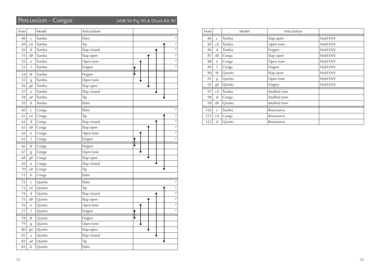## Percussion - Congas MSB 90 Prg 90 & Drum Kit 90

| Note |              | Model  | Articulation |        |
|------|--------------|--------|--------------|--------|
| 48   | $\mathsf{C}$ | Tumba  | Palm         | $\ast$ |
| 49   | C#           | Tumba  | Tip          | $\ast$ |
| 50   | d            | Tumba  | Slap closed  | $\ast$ |
| 51   | d#           | Tumba  | Slap open    | $\ast$ |
| 52   | e            | Tumba  | Open tone    | $\ast$ |
| 53   | $\mathsf{f}$ | Tumba  | Fingers      | $\ast$ |
| 54   | f#           | Tumba  | Fingers      |        |
| 55   | g            | Tumba  | Open tone    |        |
| 56   | g#           | Tumba  | Slap open    |        |
| 57   | a            | Tumba  | Slap closed  |        |
| 58   | a#           | Tumba  | Tip          |        |
| 59   | b            | Tumba  | Palm         |        |
| 60   | $\mathsf{C}$ | Conga  | Palm         | *      |
| 61   | C#           | Conga  | Tip          | $\ast$ |
| 62   | d            | Conga  | Slap closed  | $\ast$ |
| 63   | d#           | Conga  | Slap open    | *      |
| 64   | e            | Conga  | Open tone    | $\ast$ |
| 65   | f            | Conga  | Fingers      | $\ast$ |
| 66   | $^{\rm f\#}$ | Conga  | Fingers      |        |
| 67   | g            | Conga  | Open tone    |        |
| 68   | g#           | Conga  | Slap open    |        |
| 69   | a            | Conga  | Slap closed  |        |
| 70   | a#           | Conga  | Tip          |        |
| 71   | $\mathbf b$  | Conga  | Palm         |        |
| 72   | $\mathsf C$  | Quinto | Palm         | ∗      |
| 73   | C#           | Quinto | Tip          | $\ast$ |
| 74   | d            | Quinto | Slap closed  | $\ast$ |
| 75   | d#           | Quinto | Slap open    | $\ast$ |
| 76   | e            | Quinto | Open tone    | $\ast$ |
| 77   | $\mathsf f$  | Quinto | Fingers      | $\ast$ |
| 78   | f#           | Quinto | Fingers      | ţ      |
| 79   | g            | Quinto | Open tone    |        |
| 80   | g#           | Quinto | Slap open    |        |
| 81   | a            | Quinto | Slap closed  |        |
| 82   | a#           | Quinto | Tip          |        |
| 83   | $\mathbf b$  | Quinto | Palm         |        |

| Note |              | Model  | Articulation |          |
|------|--------------|--------|--------------|----------|
| 84   | $\mathsf{C}$ | Tumba  | Slap open    | Hold ENV |
| 85   | C#           | Tumba  | Open tone    | Hold ENV |
| 86   | d            | Tumba  | Fingers      | Hold ENV |
| 87   | d#           | Conga  | Slap open    | Hold ENV |
| 88   | e            | Conga  | Open tone    | Hold ENV |
| 89   | f            | Conga  | Fingers      | Hold ENV |
| 90   | f#           | Quinto | Slap open    | Hold ENV |
| 91   | g            | Quinto | Open tone    | Hold ENV |
| 92   | g#           | Quinto | Fingers      | Hold ENV |
| 97   | C#           | Tumba  | Muffled tone |          |
| 98   | d            | Conga  | Muffled tone |          |
| 99   | d#           | Quinto | Muffled tone |          |
| 120  | $\mathsf{C}$ | Tumba  | Resonance    |          |
| 121  | C#           | Conga  | Resonance    |          |
| 122  | d            | Quinto | Resonance    |          |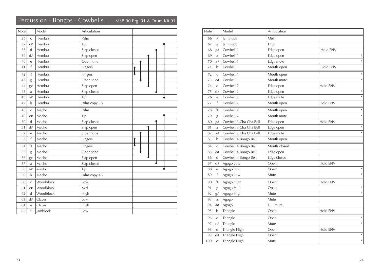## Percussion - Bongos - Cowbells.. MSB 90 Prg. 91 & Drum Kit 91

| ells |  |  | MSB 90 Prg. 91 & Drum Kit |  |
|------|--|--|---------------------------|--|
|      |  |  |                           |  |

| Note |              | Model     | Articulation |  |  |  |
|------|--------------|-----------|--------------|--|--|--|
| 36   | $\mathsf{C}$ | Hembra    | Palm         |  |  |  |
| 37   | C#           | Hembra    | Tip          |  |  |  |
| 38   | $\mathbf d$  | Hembra    | Slap closed  |  |  |  |
| 39   | d#           | Hembra    | Slap open    |  |  |  |
| 40   | e            | Hembra    | Open tone    |  |  |  |
| 41   | $\mathsf f$  | Hembra    | Fingers      |  |  |  |
| 42   | f#           | Hembra    | Fingers      |  |  |  |
| 43   | g            | Hembra    | Open tone    |  |  |  |
| 44   | g#           | Hembra    | Slap open    |  |  |  |
| 45   | a            | Hembra    | Slap closed  |  |  |  |
| 46   | a#           | Hembra    | Tip          |  |  |  |
| 47   | $\mathbf b$  | Hembra    | Palm copy 36 |  |  |  |
| 48   | $\mathsf{C}$ | Macho     | Palm         |  |  |  |
| 49   | C#           | Macho     | Tip          |  |  |  |
| 50   | $\mathbf d$  | Macho     | Slap closed  |  |  |  |
| 51   | d#           | Macho     | Slap open    |  |  |  |
| 52   | e            | Macho     | Open tone    |  |  |  |
| 53   | f            | Macho     | Fingers      |  |  |  |
| 54   | f#           | Macho     | Fingers      |  |  |  |
| 55   | g            | Macho     | Open tone    |  |  |  |
| 56   | g#           | Macho     | Slap open    |  |  |  |
| 57   | a            | Macho     | Slap closed  |  |  |  |
| 58   | a#           | Macho     | Tip          |  |  |  |
| 59   | $\mathbf b$  | Macho     | Palm copy 48 |  |  |  |
| 60   | $\mathsf{C}$ | Woodblock | Low          |  |  |  |
| 61   | C#           | Woodblock | Mid          |  |  |  |
| 62   | $\mathbf d$  | Woodblock | High         |  |  |  |
| 63   | d#           | Claves    | Low          |  |  |  |
| 64   | e            | Claves    | High         |  |  |  |
| 65   | $\mathsf f$  | Jamblock  | Low          |  |  |  |

| Note |              | Model                  | Articulation |          |
|------|--------------|------------------------|--------------|----------|
| 66   | f#           | Jamblock               | Mid          |          |
| 67   | g            | Jamblock               | High         |          |
| 68   | g#           | Cowbell 1              | Edge open    | Hold ENV |
| 69   | a            | Cowbell 1              | Edge open    | $\ast$   |
| 70   | a#           | Cowbell 1              | Edge mute    | $\ast$   |
| 71   | b            | Cowbell 1              | Mouth open   | Hold ENV |
| 72   | $\mathsf{C}$ | Cowbell 1              | Mouth open   | $\ast$   |
| 73   | C#           | Cowbell 1              | Mouth mute   | $\ast$   |
| 74   | d            | Cowbell 2              | Edge open    | Hold ENV |
| 75   | d#           | Cowbell 2              | Edge open    | $\ast$   |
| 76   | e            | Cowbell 2              | Edge mute    | $\ast$   |
| 77   | f            | Cowbell 2              | Mouth open   | Hold ENV |
| 78   | f#           | Cowbell 2              | Mouth open   | *        |
| 79   | g            | Cowbell 2              | Mouth mute   | $\ast$   |
| 80   | g#           | Cowbell 3 Cha Cha Bell | Edge open    | Hold ENV |
| 81   | a            | Cowbell 3 Cha Cha Bell | Edge open    | $\ast$   |
| 82   | a#           | Cowbell 3 Cha Cha Bell | Edge mute    | $\ast$   |
| 83   | b            | Cowbell 4 Bongo Bell   | Mouth open   |          |
| 84   | $\mathsf{C}$ | Cowbell 4 Bongo Bell   | Mouth closed |          |
| 85   | C#           | Cowbell 4 Bongo Bell   | Edge open    |          |
| 86   | d            | Cowbell 4 Bongo Bell   | Edge closed  |          |
| 87   | d#           | Agogo Low              | Open         | Hold ENV |
| 88   | e            | Agogo Low              | Open         | $\ast$   |
| 89   | f            | Agogo Low              | Mute         | $\ast$   |
| 90   | f#           | Agogo High             | Open         | Hold ENV |
| 91   | g            | Agogo High             | Open         | $\ast$   |
| 92   | g#           | Agogo High             | Mute         | $\ast$   |
| 93   | a            | Agogo                  | Mute         |          |
| 94   | a#           | Agogo                  | Full mute    |          |
| 95   | b            | Triangle               | Open         | Hold ENV |
| 96   | $\mathsf C$  | Triangle               | Open         | $\ast$   |
| 97   | C#           | Triangle               | Mute         | $\ast$   |
| 98   | $\mathbf d$  | Triangle High          | Open         | Hold ENV |
| 99   | d#           | Triangle High          | Open         | $\ast$   |
| 100  | e            | Triangle High          | Mute         | $\ast$   |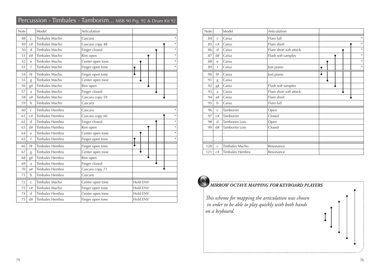| Percussion - Timbales - Tamborim MSB 90 Prg. 92 & Drum Kit 92 |  |  |  |  |  |
|---------------------------------------------------------------|--|--|--|--|--|
|                                                               |  |  |  |  |  |
|                                                               |  |  |  |  |  |

| Note |              | Model                 | Articulation     |          |
|------|--------------|-----------------------|------------------|----------|
| 48   | C            | Timbales Macho        | Cascara          | $\ast$   |
| 49   | C#           | Timbales Macho        | Cascara copy 48  | $\ast$   |
| 50   | $\mathsf{d}$ | Timbales Macho        | Finger closed    | *        |
| 51   | d#           | Timbales Macho        | Rim open         | $\ast$   |
| 52   | e            | Timbales Macho        | Center open tone | $\ast$   |
| 53   | f            | Timbales Macho        | Finger open tone | $\ast$   |
| 54   | f#           | Timbales Macho        | Finger open tone |          |
| 55   | g            | <b>Timbales Macho</b> | Center open tone |          |
| 56   | g#           | Timbales Macho        | Rim open         |          |
| 57   | a            | Timbales Macho        | Finger closed    |          |
| 58   | a#           | Timbales Macho        | Cascara copy 59  |          |
| 59   | b            | Timbales Macho        | Cascara          |          |
| 60   | C            | Timbales Hembra       | Cascara          |          |
| 61   | C#           | Timbales Hembra       | Cascara copy 60  |          |
| 62   | d            | Timbales Hembra       | Finger closed    | $\ast$   |
| 63   | d#           | Timbales Hembra       | Rim open         | $\ast$   |
| 64   | e            | Timbales Hembra       | Center open tone | $\ast$   |
| 65   | f            | Timbales Hembra       | Finger open tone | $\ast$   |
| 66   | f#           | Timbales Hembra       | Finger open tone |          |
| 67   | g            | Timbales Hembra       | Center open tone |          |
| 68   | g#           | Timbales Hembra       | Rim open         |          |
| 69   | a            | Timbales Hembra       | Finger closed    |          |
| 70   | a#           | Timbales Hembra       | Cascara copy 71  |          |
| 71   | b            | Timbales Hembra       | Cascara          |          |
| 72   | $\mathsf{C}$ | Timbales Macho        | Center open tone | Hold ENV |
| 73   | C#           | Timbales Macho        | Finger open tone | Hold ENV |
| 74   | d            | Timbales Hembra       | Center open tone | Hold ENV |
| 75   | d#           | Timbales Hembra       | Finger open tone | Hold ENV |

| <b>Note</b> |                | Model           | Articulation            |        |
|-------------|----------------|-----------------|-------------------------|--------|
| 84          | $\mathsf{C}$   | Caixa           | Flam full               | $\ast$ |
| 85          | C#             | Caixa           | Flam short              | $\ast$ |
| 86          | d              | Caixa           | Flam short soft attack  | $\ast$ |
| 87          | d#             | Caixa           | Flash soft samples      | $\ast$ |
| 88          | e              | Caixa           |                         | $\ast$ |
| 89          | f              | Caixa           | Just piano              | $\ast$ |
| 90          | f#             | Caixa           | Just piano              |        |
| 91          | g              | Caixa           |                         |        |
| 92          | $\mathrm{g}\#$ | Caixa           | Flash soft samples      |        |
| 93          | a              | Caixa           | Flam short soft attack. |        |
| 94          | a#             | Caixa           | Flam short              |        |
| 95          | $\mathbf b$    | Caixa           | Flam full               |        |
| 96          | $\mathsf{C}$   | Tamborim        | Open                    |        |
| 97          | C#             | Tamborim        | Closed                  |        |
| 98          | $\mathsf{d}$   | Tamborim Low    | Open                    |        |
| 99          | d#             | Tamborim Low    | Closed                  |        |
|             |                |                 |                         |        |
|             |                |                 |                         |        |
| 120         | $\mathsf{C}$   | Timbales Macho  | Resonance               |        |
| 121         | C#             | Timbales Hembra | Resonance               |        |



#### *MIRROW OCTAVE MAPPING FOR KEYBOARD PLAYERS*

*This scheme for mapping the articulation was chosen in order to be able to play quickly with both hands on a keyboard.*

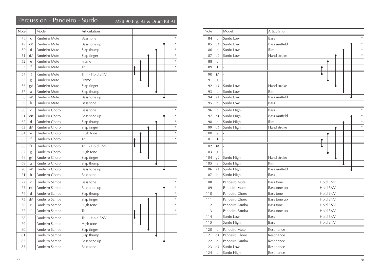## Percussion - Pandeiro - Surdo MSB 90 Prg. 93 & Drum Kit 93

| Note |                | Model          | Articulation     |        |
|------|----------------|----------------|------------------|--------|
| 48   | $\overline{C}$ | Pandeiro Mute  | <b>Bass tone</b> |        |
| 49   | C#             | Pandeiro Mute  | Bass tone up     |        |
| 50   | $\mathsf{d}$   | Pandeiro Mute  | Slap thump       |        |
| 51   | d#             | Pandeiro Mute  | Slap finger      |        |
| 52   | e              | Pandeiro Mute  | Frame            |        |
| 53   | f              | Pandeiro Mute  | Trill            | $\ast$ |
| 54   | f#             | Pandeiro Mute  | Trill - Hold ENV |        |
| 55   | g              | Pandeiro Mute  | Frame            |        |
| 56   | g#             | Pandeiro Mute  | Slap finger      |        |
| 57   | a              | Pandeiro Mute  | Slap thump       |        |
| 58   | a#             | Pandeiro Mute  | Bass tone up     |        |
| 59   | b              | Pandeiro Mute  | <b>Bass tone</b> |        |
| 60   | $\mathsf{C}$   | Pandeiro Choro | Bass tone        |        |
| 61   | C#             | Pandeiro Choro | Bass tone up     |        |
| 62   | d              | Pandeiro Choro | Slap thump       |        |
| 63   | d#             | Pandeiro Choro | Slap finger      |        |
| 64   | e              | Pandeiro Choro | High tone        |        |
| 65   | f              | Pandeiro Choro | Trill            |        |
| 66   | f#             | Pandeiro Choro | Trill - Hold ENV |        |
| 67   | g              | Pandeiro Choro | High tone        |        |
| 68   | g#             | Pandeiro Choro | Slap finger      |        |
| 69   | a              | Pandeiro Choro | Slap thump       |        |
| 70   | a#             | Pandeiro Choro | Bass tone up     |        |
| 71   | $\mathbf b$    | Pandeiro Choro | <b>Bass tone</b> |        |
| 72   | $\mathsf{C}$   | Pandeiro Samba | <b>Bass tone</b> |        |
| 73   | C#             | Pandeiro Samba | Bass tone up     |        |
| 74   | d              | Pandeiro Samba | Slap thump       |        |
| 75   | d#             | Pandeiro Samba | Slap finger      |        |
| 76   | e              | Pandeiro Samba | High tone        |        |
| 77   | f              | Pandeiro Samba | Trill            |        |
| 78   |                | Pandeiro Samba | Trill - Hold ENV |        |
| 79   |                | Pandeiro Samba | High tone        |        |
| 80   |                | Pandeiro Samba | Slap finger      |        |
| 81   |                | Pandeiro Samba | Slap thump       |        |
| 82   |                | Pandeiro Samba | Bass tone up     |        |
| 83   |                | Pandeiro Samba | <b>Bass tone</b> |        |

| Note |              | Model          | Articulation        |          |
|------|--------------|----------------|---------------------|----------|
| 84   | C            | Surdo Low      | <b>Bass</b>         |          |
| 85   | C#           | Surdo Low      | <b>Bass muffeld</b> | $\ast$   |
| 86   | d            | Surdo Low      | Rim                 | $\ast$   |
| 87   | d#           | Surdo Low      | Hand stroke         |          |
| 88   | e            |                |                     |          |
| 89   | $\mathsf{f}$ | $\overline{a}$ |                     |          |
| 90   | f#           | $\overline{a}$ |                     |          |
| 91   | g            | L              |                     |          |
| 92   | g#           | Surdo Low      | Hand stroke         |          |
| 93   | a            | Surdo Low      | Rim                 |          |
| 94   | a#           | Surdo Low      | <b>Bass muffeld</b> |          |
| 95   | b            | Surdo Low      | <b>Bass</b>         |          |
| 96   | $\mathsf C$  | Surdo High     | <b>Bass</b>         |          |
| 97   | C#           | Surdo High     | <b>Bass muffeld</b> |          |
| 98   | d            | Surdo High     | Rim                 | $\ast$   |
| 99   | d#           | Surdo High     | Hand stroke         | $\ast$   |
| 100  | e            |                |                     |          |
| 101  | $\mathsf{f}$ | $\overline{a}$ |                     |          |
| 102  | f#           | $\overline{a}$ |                     |          |
| 103  | g            |                |                     |          |
| 104  | g#           | Surdo High     | Hand stroke         |          |
| 105  | a            | Surdo High     | Rim                 |          |
| 106  | a#           | Surdo High     | <b>Bass muffeld</b> |          |
| 107  | $\mathbf b$  | Surdo High     | Bass                |          |
| 108  |              | Pandeiro Mute  | <b>Bass tone</b>    | Hold ENV |
| 109  |              | Pandeiro Mute  | Bass tone up        | Hold ENV |
| 110  |              | Pandeiro Choro | <b>Bass tone</b>    | Hold ENV |
| 111  |              | Pandeiro Choro | Bass tone up        | Hold ENV |
| 112  |              | Pandeiro Samba | Bass tone           | Hold ENV |
| 113  |              | Pandeiro Samba | Bass tone up        | Hold ENV |
| 114  |              | Surdo Low      | <b>Bass</b>         | Hold ENV |
| 115  |              | Surdo High     | <b>Bass</b>         | Hold ENV |
| 120  | $\mathsf{C}$ | Pandeiro Mute  | Resonance           |          |
| 121  | C#           | Pandeiro Choro | Resonance           |          |
| 122  | d            | Pandeiro Samba | Resonance           |          |
| 123  | d#           | Surdo Low      | Resonance           |          |
| 124  | e            | Surdo High     | Resonance           |          |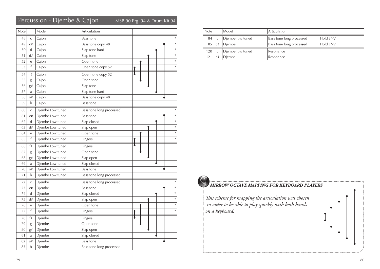## Percussion - Djembe & Cajon MSB 90 Prg. 94 & Drum Kit 94

| Note |                | Model            | Articulation             |        |
|------|----------------|------------------|--------------------------|--------|
| 48   | C              | Cajon            | Bass tone                |        |
| 49   | C#             | Cajon            | Bass tone copy 48        |        |
| 50   | d              | Cajon            | Slap tone hard           | *      |
| 51   | d#             | Cajon            | Slap tone                | ×      |
| 52   | e              | Cajon            | Open tone                | $\ast$ |
| 53   | f              | Cajon            | Open tone copy 52        | $\ast$ |
| 54   | f#             | Cajon            | Open tone copy 52        |        |
| 55   | g              | Cajon            | Open tone                |        |
| 56   | g#             | Cajon            | Slap tone                |        |
| 57   | a              | Cajon            | Slap tone hard           |        |
| 58   | a#             | Cajon            | Bass tone copy 48        |        |
| 59   | b              | Cajon            | Bass tone                |        |
| 60   | $\mathsf C$    | Djembe Low tuned | Bass tone long processed |        |
| 61   | C#             | Djembe Low tuned | Bass tone                | $\ast$ |
| 62   | d              | Djembe Low tuned | Slap closed              | $\ast$ |
| 63   | d#             | Djembe Low tuned | Slap open                | $\ast$ |
| 64   | е              | Djembe Low tuned | Open tone                | $\ast$ |
| 65   | f              | Djembe Low tuned | Fingers                  | $\ast$ |
|      |                |                  |                          |        |
| 66   | f#             | Djembe Low tuned | Fingers                  |        |
| 67   | g              | Djembe Low tuned | Open tone                |        |
| 68   | g#             | Djembe Low tuned | Slap open                |        |
| 69   | $\mathfrak{a}$ | Djembe Low tuned | Slap closed              |        |
| 70   | a#             | Djembe Low tuned | Bass tone                |        |
| 71   | b              | Djembe Low tuned | Bass tone long processed |        |
| 72   | $\mathsf C$    | Djembe           | Bass tone long processed |        |
| 73   | C#             | Djembe           | Bass tone                | $\ast$ |
| 74   | d              | Djembe           | Slap closed              | $\ast$ |
| 75   | d#             | Djembe           | Slap open                | $\ast$ |
| 76   | e              | Djembe           | Open tone                | $\ast$ |
| 77   | $\mathsf f$    | Djembe           | Fingers                  | $\ast$ |
| 78   | f#             | Djembe           | Fingers                  |        |
| 79   | g              | Djembe           | Open tone                |        |
| 80   | g#             | Djembe           | Slap open                |        |
| 81   | a              | Djembe           | Slap closed              |        |
| 82   | a#             | Djembe           | Bass tone                |        |

| <b>Note</b> |    | Model            | Articulation             |          |
|-------------|----|------------------|--------------------------|----------|
| 84          |    | Diembe low tuned | Bass tone long processed | Hold ENV |
| 85          | C# | Diembe           | Bass tone long processed | Hold FNV |
| 120         |    | Diembe low tuned | Resonance                |          |
|             | C# | Diembe           | Resonance                |          |

#### *MIRROW OCTAVE MAPPING FOR KEYBOARD PLAYERS*

*This scheme for mapping the articulation was chosen in order to be able to play quickly with both hands on a keyboard.*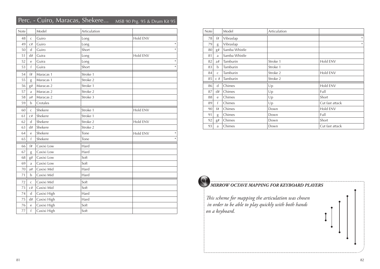#### Perc. - Cuiro, Maracas, Shekere... MSB 90 Prg. 95 & Drum Kit 95

| Note |                  | Model       | Articulation |                    |
|------|------------------|-------------|--------------|--------------------|
| 48   | $\mathsf C$      | Guiro       | Long         | Hold ENV           |
| 49   | C#               | Guiro       | Long         | $\ast$             |
| 50   | $\mathsf{d}$     | Guiro       | Short        | $\ast$             |
| 51   | d#               | Guira       | Long         | Hold ENV           |
| 52   | e                | Guira       | Long         | $\ast$             |
| 53   | f                | Guira       | Short        | $\ast$             |
| 54   | f#               | Maracas 1   | Stroke 1     |                    |
| 55   | g                | Maracas 1   | Stroke 2     |                    |
| 56   | g#               | Maracas 2   | Stroke 1     |                    |
| 57   | a                | Maracas 2   | Stroke 2     |                    |
| 58   | a#               | Maracas 2   | Stroke 3     |                    |
| 59   | b                | Crotales    |              |                    |
| 60   | $\mathsf C$      | Shekere     | Stroke 1     | Hold ENV           |
| 61   | C#               | Shekere     | Stroke 1     |                    |
| 62   | $\mathsf{d}$     | Shekere     | Stroke 2     | Hold ENV           |
| 63   | d#               | Shekere     | Stroke 2     |                    |
| 64   | e                | Shekere     | Tone         | Hold ENV<br>$\ast$ |
| 65   | f                | Shekere     | Tone         | $\ast$             |
| 66   | f#               | Caxixi Low  | Hard         |                    |
| 67   | g                | Caxixi Low  | Hard         |                    |
| 68   | g#               | Caxixi Low  | Soft         |                    |
| 69   | a                | Caxixi Low  | Soft         |                    |
| 70   | a#               | Caxixi Mid  | Hard         |                    |
| 71   | $\mathbf b$      | Caxixi Mid  | Hard         |                    |
| 72   | $\mathsf C$      | Caxixi Mid  | Soft         |                    |
| 73   | $\mathrm{C}\,\#$ | Caxixi Mid  | Soft         |                    |
| 74   | $\mathsf{d}$     | Caxixi High | Hard         |                    |
| 75   | d#               | Caxixi High | Hard         |                    |
| 76   | $\rm e$          | Caxixi High | Soft         |                    |
| 77   | $\mathsf{f}$     | Caxixi High | Soft         |                    |

| <b>Note</b> |              | Model         | Articulation |                 |
|-------------|--------------|---------------|--------------|-----------------|
| 78          | f#           | Vibraslap     |              | $\ast$          |
| 79          | g            | Vibraslap     |              | $\ast$          |
| 80          | g#           | Samba Whistle |              |                 |
| 81          | a            | Samba Whistle |              |                 |
| 82          | a#           | Tamburin      | Stroke 1     | Hold ENV        |
| 83          | b            | Tamburin      | Stroke 1     |                 |
| 84          | $\mathsf{C}$ | Tamburin      | Stroke 2     | Hold ENV        |
| 85          | $C \#$       | Tamburin      | Stroke 2     |                 |
| 86          | d            | Chimes        | Up           | Hold ENV        |
| 87          | d#           | Chimes        | Up           | Full            |
| 88          | e            | Chimes        | Up           | Short           |
| 89          | $\mathsf{f}$ | Chimes        | Up           | Cut fast attack |
| 90          | f#           | Chimes        | Down         | Hold ENV        |
| 91          | g            | Chimes        | Down         | Full            |
| 92          | g#           | Chimes        | Down         | Short           |
| 93          | a            | Chimes        | Down         | Cut fast attack |



#### *MIRROW OCTAVE MAPPING FOR KEYBOARD PLAYERS*

*This scheme for mapping the articulation was chosen in order to be able to play quickly with both hands on a keyboard.*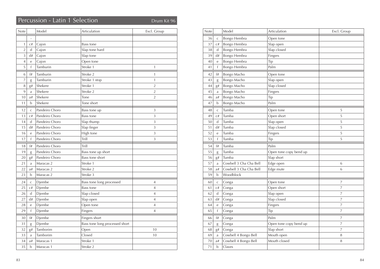## Percussion - Latin 1 Selection Drum Kit 96

| Note           |              | Model          | Articulation                   | Excl. Group    |
|----------------|--------------|----------------|--------------------------------|----------------|
|                |              |                |                                |                |
| 1              | C#           | Cajon          | Bass tone                      |                |
| $\overline{2}$ | d            | Cajon          | Slap tone hard                 |                |
| $\overline{3}$ | d#           | Cajon          | Slap tone                      |                |
| $\overline{4}$ | $\rm e$      | Cajon          | Open tone                      |                |
| 5              | f            | Tamburin       | Stroke 1                       | $\mathbf{1}$   |
| 6              | f#           | Tamburin       | Stroke 2                       | $\mathbf{1}$   |
| $\overline{7}$ | g            | Tamburin       | Stroke 1 stop                  | $\mathbf{1}$   |
| 8              | g#           | Shekere        | Stroke 1                       | $\overline{2}$ |
| $\overline{9}$ | a            | Shekere        | Stroke 2                       | $\overline{2}$ |
| 10             | a#           | Shekere        | Tone                           | $\overline{2}$ |
| 11             | $\mathbf b$  | Shekere        | Tone short                     |                |
| 12             | $\mathsf C$  | Pandeiro Choro | Bass tone up                   | 3              |
| 13             | C#           | Pandeiro Choro | Bass tone                      | 3              |
| 14             | d            | Pandeiro Choro | Slap thump                     | 3              |
| 15             | d#           | Pandeiro Choro | Slap finger                    | 3              |
| 16             | e            | Pandeiro Choro | High tone                      | 3              |
| 17             | f            | Pandeiro Choro | Trill                          | 3              |
| 18             | f#           | Pandeiro Choro | Trill                          |                |
| 19             | g            | Pandeiro Choro | Bass tone up short             |                |
| 20             | g#           | Pandeiro Choro | Bass tone short                |                |
| 21             | a            | Maracas 2      | Stroke 1                       |                |
| 22             | a#           | Maracas 2      | Stroke 2                       |                |
| 23             | b            | Maracas 2      | Stroke 3                       |                |
| 24             | $\mathsf C$  | Djembe         | Bass tone long processed       | 4              |
| 25             | C#           | Djembe         | <b>Bass tone</b>               | $\overline{4}$ |
| 26             | $\mathsf{d}$ | Djembe         | Slap closed                    | $\overline{4}$ |
| 27             | d#           | Djembe         | Slap open                      | $\overline{4}$ |
| 28             | $\rm e$      | Djembe         | Open tone                      | $\overline{4}$ |
| 29             | f            | Djembe         | Fingers                        | $\overline{4}$ |
| 30             | f#           | Djembe         | Fingers short                  |                |
| 31             | g            | Djembe         | Bass tone long processed short |                |
| 32             | g#           | Tamborim       | Open                           | 10             |
| 33             | $\mathbf{a}$ | Tamborim       | Closed                         | 10             |
| 34             | a#           | Maracas 1      | Stroke 1                       |                |
| 35             | b            | Maracas 1      | Stroke 2                       |                |

| Note |              | Model                  | Articulation           | Excl. Group    |
|------|--------------|------------------------|------------------------|----------------|
| 36   | $\mathsf C$  | Bongo Hembra           | Open tone              |                |
| 37   | C#           | Bongo Hembra           | Slap open              |                |
| 38   | d            | Bongo Hembra           | Slap closed            |                |
| 39   | d#           | Bongo Hembra           | Fingers                |                |
| 40   | e            | Bongo Hembra           | Tip                    |                |
| 41   | f            | Bongo Hembra           | Palm                   |                |
| 42   | f#           | Bongo Macho            | Open tone              |                |
| 43   | g            | Bongo Macho            | Slap open              |                |
| 44   | g#           | Bongo Macho            | Slap closed            |                |
| 45   | a            | Bongo Macho            | Fingers                |                |
| 46   | a#           | Bongo Macho            | Tip                    |                |
| 47   | b            | Bongo Macho            | Palm                   |                |
| 48   | $\mathsf{C}$ | Tumba                  | Open tone              | 5              |
| 49   | C#           | Tumba                  | Open short             | 5              |
| 50   | d            | Tumba                  | Slap open              | 5              |
| 51   | d#           | Tumba                  | Slap closed            | 5              |
| 52   | e            | Tumba                  | Fingers                | 5              |
| 53   | f            | Tumba                  | Tip                    | 5              |
| 54   | f#           | Tumba                  | Palm                   |                |
| 55   | g            | Tumba                  | Open tone copy bend up |                |
| 56   | g#           | Tumba                  | Slap short             |                |
| 57   | a            | Cowbell 3 Cha Cha Bell | Edge open              | 6              |
| 58   | a#           | Cowbell 3 Cha Cha Bell | Edge mute              | 6              |
| 59   | b            | Woodblock              |                        |                |
| 60   | $\mathsf{C}$ | Conga                  | Open tone              | 7              |
| 61   | C#           | Conga                  | Open short             | 7              |
| 62   | d            | Conga                  | Slap open              | 7              |
| 63   | d#           | Conga                  | Slap closed            | 7              |
| 64   | е            | Conga                  | Fingers                | 7              |
| 65   | $\mathsf f$  | Conga                  | Tip                    | 7              |
| 66   | f#           | Conga                  | Palm                   | 7              |
| 67   | g            | Conga                  | Open tone copy bend up | $\overline{7}$ |
| 68   | g#           | Conga                  | Slap short             | $\overline{7}$ |
| 69   | a            | Cowbell 4 Bongo Bell   | Mouth open             | 8              |
| 70   | a#           | Cowbell 4 Bongo Bell   | Mouth closed           | 8              |
| 71   | b            | Claves                 |                        |                |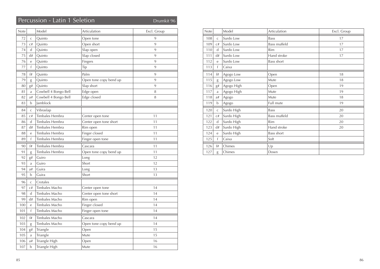## Percussion - Latin 1 Seletion Drumkit 96

| Note |                | Model                | Articulation           | Excl. Group |
|------|----------------|----------------------|------------------------|-------------|
| 72   | $\overline{C}$ | Quinto               | Open tone              | 9           |
| 73   | C#             | Quinto               | Open short             | 9           |
| 74   | d              | Quinto               | Slap open              | 9           |
| 75   | d#             | Quinto               | Slap closed            | 9           |
| 76   | $\rm e$        | Quinto               | Fingers                | 9           |
| 77   | f              | Quinto               | Tip                    | 9           |
| 78   | f#             | Quinto               | Palm                   | 9           |
| 79   | g              | Quinto               | Open tone copy bend up | 9           |
| 80   | ${\bf g} \#$   | Quinto               | Slap short             | 9           |
| 81   | a              | Cowbell 4 Bongo Bell | Edge open              | 8           |
| 82   | a#             | Cowbell 4 Bongo Bell | Edge closed            | 8           |
| 83   | b              | Jamblock             |                        |             |
| 84   | $\mathsf C$    | Vibraslap            |                        |             |
| 85   | C#             | Timbales Hembra      | Center open tone       | 11          |
| 86   | $\mathsf{d}$   | Timbales Hembra      | Center open tone short | 11          |
| 87   | d#             | Timbales Hembra      | Rim open               | 11          |
| 88   | e              | Timbales Hembra      | Finger closed          | 11          |
| 89   | f              | Timbales Hembra      | Finger open tone       | 11          |
| 90   | f#             | Timbales Hembra      | Cascara                | 11          |
| 91   | g              | Timbales Hembra      | Open tone copy bend up | 11          |
| 92   | g#             | Guiro                | Long                   | 12          |
| 93   | a              | Guiro                | Short                  | 12          |
| 94   | a#             | Guira                | Long                   | 13          |
| 95   | b              | Guira                | Short                  | 13          |
| 96   | $\mathsf C$    | Crotales             |                        |             |
| 97   | C#             | Timbales Macho       | Center open tone       | 14          |
| 98   | d              | Timbales Macho       | Center open tone short | 14          |
| 99   | d#             | Timbales Macho       | Rim open               | 14          |
| 100  | e              | Timbales Macho       | Finger closed          | 14          |
| 101  | f              | Timbales Macho       | Finger open tone       | 14          |
| 102  | f#             | Timbales Macho       | Cascara                | 14          |
| 103  | g              | Timbales Macho       | Open tone copy bend up | 14          |
| 104  | g#             | Triangle             | Open                   | 15          |
| 105  | a              | Triangle             | Mute                   | 15          |
| 106  | a#             | Triangle High        | Open                   | 16          |
| 107  | b              | Triangle High        | Mute                   | 16          |

| Note |              | Model      | Articulation        | Excl. Group |
|------|--------------|------------|---------------------|-------------|
| 108  | $\mathsf{C}$ | Surdo Low  | <b>Bass</b>         | 17          |
| 109  | C#           | Surdo Low  | <b>Bass muffeld</b> | 17          |
| 110  | $\mathbf d$  | Surdo Low  | Rim                 | 17          |
| 111  | d#           | Surdo Low  | Hand stroke         | 17          |
| 112  | e            | Surdo Low  | Bass short          |             |
| 113  | $\mathsf{f}$ | Caixa      |                     |             |
| 114  | f#           | Agogo Low  | Open                | 18          |
| 115  | g            | Agogo Low  | Mute                | 18          |
| 116  | g#           | Agogo High | Open                | 19          |
| 117  | a            | Agogo High | Mute                | 19          |
| 118  | a#           | Agogo      | Mute                | 18          |
| 119  | b            | Agogo      | Full mute           | 19          |
| 120  | $\mathsf C$  | Surdo High | <b>Bass</b>         | 20          |
| 121  | C#           | Surdo High | <b>Bass muffeld</b> | 20          |
| 122  | d            | Surdo High | Rim                 | 20          |
| 123  | d#           | Surdo High | Hand stroke         | 20          |
| 124  | e            | Surdo High | <b>Bass short</b>   |             |
| 125  | $\mathsf{f}$ | Caixa      | Soft                |             |
| 126  | f#           | Chimes     | Up                  |             |
| 127  | g            | Chimes     | Down                |             |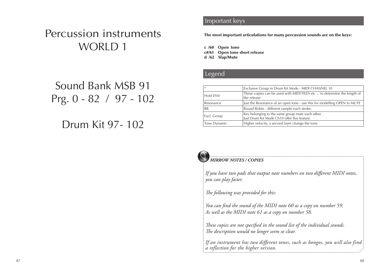# Percussion instruments WORLD 1

Sound Bank MSB 91 Prg. 0 - 82 / 97 - 102

## Drum Kit 97- 102

#### **Important keys** Solo Society Solo solo solo solo

The most important articulations for many percussion sounds are on the keys:

c /60 Open tone c#/61 Open tone short release d /62 Slap/Mute

#### **Legend List Solo Sounds**

| $\ast$          | Exclusive Group in Drum Kit Mode - MIDI CHANNEL 10                                              |
|-----------------|-------------------------------------------------------------------------------------------------|
| <b>Hold ENV</b> | These copies can be used with MIDI FILES etc  to determine the length of<br>the release         |
| Resonance       | Just the Resonance of an open tone - use this for modelling OPEN to MUTE                        |
| <b>RR</b>       | Round Robin - different sample each stroke.                                                     |
| Excl. Group     | Key belonging to the same group mute each other.<br>Just Drum Kit Mode Ch10 offer this feature. |
| Tone Dynamic    | Higher velocity, a second layer change the tone.                                                |



#### *MIRROW NOTES / COPIES*

*If you have two pads that output note numbers on two different MIDI notes, you can play faster.*

*The following was provided for this:*

*You can find the sound of the MIDI note 60 as a copy on number 59. As well as the MIDI note 61 as a copy on number 58.*

*These copies are not specified in the sound list of the individual sounds. The description would no longer seem so clear.*

*If an instrument has two different tones, such as bongos, you will also find a reflection for the higher version.*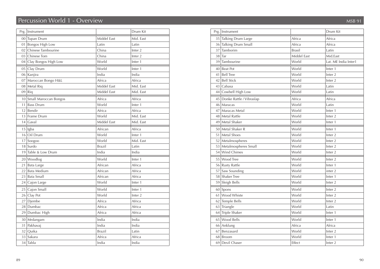## Percussion World 1 - Overview MSB 91

|    | Prg.   Instrument        |               | Drum Kit           |
|----|--------------------------|---------------|--------------------|
|    | 00 Tupan Drum            | Middel East   | Mid. East          |
|    | 01 Bongos High Low       | Latin         | Latin              |
|    | 02 Chinese Tambourine    | China         | Inter <sub>2</sub> |
|    | 03 Chinese Tom           | China         | Inter <sub>2</sub> |
|    | 04 Clay Bongos High Low  | World         | Inter 1            |
|    | 05 Clay Drum             | World         | Inter 1            |
|    | 06 Kanjira               | India         | India              |
|    | 07 Maroccan Bongo H&L    | Africa        | Africa             |
|    | 08 Metal Riq             | Middel East   | Mid. East          |
|    | $09$ Riq                 | Middel East   | Mid. East          |
|    | 10 Small Maroccan Bongos | Africa        | Africa             |
| 11 | <b>Bass Drum</b>         | World         | Inter 1            |
|    | $12$ Bendir              | Africa        | Africa             |
|    | 13 Frame Drum            | World         | Mid. East          |
|    | 14 Gaval                 | Middel East   | Mid. East          |
|    | $15$ Igba                | African       | Africa             |
|    | $16$ Oil Drum            | World         | Inter 1            |
|    | $17$ Soogoo              | World         | Mid. East          |
|    | $18$ Surdo               | <b>Brazil</b> | Latin              |
|    | 19 Table & Low Drum      | India         | India              |
|    | 20 Woodlog               | World         | Inter 1            |
|    | 21 Bata Large            | African       | Africa             |
|    | 22 Bata Medium           | African       | Africa             |
|    | 23 Bata Small            | African       | Africa             |
|    | 24 Cajon Large           | World         | Inter 1            |
|    | 25 Cajon Small           | World         | Inter 1            |
|    | 26 Clay Pot              | World         | Inter <sub>2</sub> |
| 27 | Djembe                   | Africa        | Africa             |
|    | 28 Dumbac                | Africa        | Africa             |
|    | 29 Dumbac High           | Africa        | Africa             |
|    | 30 Mrdangam              | India         | India              |
|    | 31 Pakhavaj              | India         | India              |
|    | 32 Quika                 | <b>Brazil</b> | Latin              |
|    | 33 Sakara                | Africa        | Africa             |
|    | 34 Tabla                 | India         | India              |

|    | Prg.   Instrument           |               | Drum Kit             |
|----|-----------------------------|---------------|----------------------|
|    | 35 Talking Drum Large       | Africa        | Africa               |
|    | 36 Talking Drum Small       | Africa        | Africa               |
| 37 | Tamborim                    | <b>Brasil</b> | Latin                |
|    | $38$ Tar                    | Middel East   | Mid.East             |
|    | 39 Tambourine               | World         | Lat. ME India Inter1 |
|    | 40 Beat Pot                 | World         | Inter 1              |
| 41 | <b>Bell Tree</b>            | World         | Inter <sub>2</sub>   |
|    | 42   Bell Stick             | World         | Inter <sub>2</sub>   |
|    | 43 Cabasa                   | World         | Latin                |
|    | 44 Cowbell High Low         | World         | Latin                |
|    | 45 Donke Rattle / Vibraslap | Africa        | Africa               |
|    | 46   Maracas                | World         | Latin                |
|    | 47 Maracas Metal            | World         | Inter 1              |
|    | 48 Metal Rattle             | World         | Inter <sub>2</sub>   |
|    | 49 Metal Shaker             | World         | Inter <sub>1</sub>   |
|    | 50 Metal Shaker R           | World         | Inter 1              |
|    | 51   Metal Shoes            | World         | Inter <sub>2</sub>   |
|    | 52 Metalmospheres           | World         | Inter <sub>2</sub>   |
|    | 53   Metalmospheres Small   | World         | Inter <sub>2</sub>   |
|    | 54 Wind Chimes              | World         | Inter <sub>2</sub>   |
|    | 55 Wood Tree                | World         | Inter <sub>2</sub>   |
|    | 56 Rusty Rattle             | World         | Inter 1              |
|    | 57 Saw Sounding             | World         | inter <sub>2</sub>   |
|    | 58 Shaker Tree              | World         | Inter 1              |
|    | 59 Sleigh Bells             | World         | Inter <sub>2</sub>   |
|    | 60 Spons                    | World         | Inter <sub>2</sub>   |
|    | 61 Wood Whiste              | World         | Inter <sub>2</sub>   |
|    | 62 Temple Bells             | World         | Inter <sub>2</sub>   |
|    | $63$ Triangle               | World         | Latin                |
|    | 64 Triple Shaker            | World         | Inter 1              |
|    | 65 Wood Bells               | World         | Inter 1              |
|    | 66 Anklung                  | Africa        | Africa               |
| 67 | Benzasard                   | World         | Inter <sub>2</sub>   |
|    | 68 Broom                    | World         | Inter 1              |
|    | 69 Devil Chaser             | Effect        | Inter <sub>2</sub>   |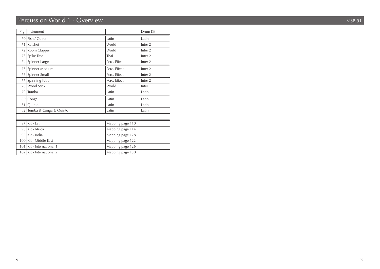## Percussion World 1 - Overview MSB 91

| Prg. | Instrument                  |                  | Drum Kit           |  |
|------|-----------------------------|------------------|--------------------|--|
| 70   | Fish / Guiro                | Latin            | Latin              |  |
| 71   | Ratchet                     | World            | Inter <sub>2</sub> |  |
| 72   | Room Clapper                | World            | Inter <sub>2</sub> |  |
| 73   | Spike Tree                  | Thai             | Inter <sub>2</sub> |  |
|      | 74 Spinner Large            | Perc. Effect     | Inter <sub>2</sub> |  |
|      | 75 Spinner Medium           | Perc. Effect     | Inter <sub>2</sub> |  |
|      | 76 Spinner Small            | Perc. Effect     | Inter <sub>2</sub> |  |
| 77   | Spinning Tube               | Perc. Effect     | Inter <sub>2</sub> |  |
|      | 78 Wood Stick               | World            | Inter 1            |  |
| 79   | Tumba                       | Latin            | Latin              |  |
| 80   | Conga                       | Latin            | Latin              |  |
| 81   | Quinto                      | Latin            | Latin              |  |
| 82   | Tumba & Conga & Quinto      | Latin            | Latin              |  |
|      |                             |                  |                    |  |
| 97   | Kit - Latin                 | Mapping page 110 |                    |  |
|      | 98 Kit - Africa             | Mapping page 114 |                    |  |
| 99   | Kit - India                 | Mapping page 128 |                    |  |
|      | 100 Kit - Middle East       | Mapping page 122 |                    |  |
| 101  | Kit - International 1       | Mapping page 126 |                    |  |
|      | 102   Kit - International 2 | Mapping page 130 |                    |  |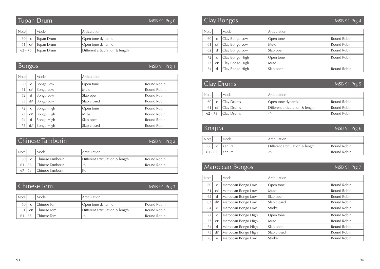## Tupan Drum

MSB 91 Prg 0

| <b>Note</b> |    | Model      | 'Articulation                   |  |
|-------------|----|------------|---------------------------------|--|
|             |    |            |                                 |  |
| 60          |    | Tupan Drum | Open tone dynamic               |  |
|             | C# | Tupan Drum | Open tone dynamic               |  |
| $62 - 76$   |    | Tupan Drum | Different articulation & length |  |

## Bongos

MSB 91 Prg 1

| <b>Note</b> |              | Model      | Articulation |             |
|-------------|--------------|------------|--------------|-------------|
| 60          | $\mathsf{C}$ | Bongo Low  | Open tone    | Round Robin |
| 61          | C#           | Bongo Low  | <b>Mute</b>  | Round Robin |
| 62          | d            | Bongo Low  | Slap open    | Round Robin |
| 63          | d#           | Bongo Low  | Slap closed  | Round Robin |
| 72          | $\mathsf{C}$ | Bongo High | Open tone    | Round Robin |
| 73          | C#           | Bongo High | <b>Mute</b>  | Round Robin |
| 74          | d            | Bongo High | Slap open    | Round Robin |
| 75          | d#           | Bongo High | Slap closed  | Round Robin |

| Chinese Tamborin |  | $MSB$ 9 |  |
|------------------|--|---------|--|
|                  |  |         |  |

| MSB 91 Prg 2 |  |  |
|--------------|--|--|
|              |  |  |

| <b>Note</b> | Model                      | <sup>'</sup> Articulation       |             |
|-------------|----------------------------|---------------------------------|-------------|
| 60          | Chinese Tamborin           | Different articulation & length | Round Robin |
|             | 61 - 66 Chinese Tamborin   | $^{\prime\prime}$               | Round Robin |
|             | 67 - 68   Chinese Tamborin | Roll                            |             |

| Chinese Tom |  |  |  | MSB 91 Prg 3 |  |  |  |
|-------------|--|--|--|--------------|--|--|--|
|             |  |  |  |              |  |  |  |
|             |  |  |  |              |  |  |  |

| <b>Note</b> |      | Model                 | Articulation                    |             |
|-------------|------|-----------------------|---------------------------------|-------------|
| 60          |      | Chinese Tom           | Open tone dynamic               | Round Robin |
|             | - C# | Chinese Tom           | Different articulation & length | Round Robin |
|             |      | $61 - 68$ Chinese Tom | $\overline{\phantom{a}}$        | Round Robin |

## Clay Bongos MSB 91 Prg 4

| <b>Note</b>     |    | Model           | Articulation |             |
|-----------------|----|-----------------|--------------|-------------|
| 60              |    | Clay Bongo Low  | Open tone    | Round Robin |
| 61              | C# | Clay Bongo Low  | Mute         | Round Robin |
| 62              | d  | Clay Bongo Low  | Slap open    | Round Robin |
| 72 <sup>1</sup> |    | Clay Bongo High | Open tone    | Round Robin |
| 73              | C# | Clay Bongo High | Mute         |             |
| 74              | d  | Clay Bongo High | Slap open    | Round Robin |

## Clay Drums

MSB 91 Prg 5

| <b>Note</b> |    | Model      | 'Articulation                   |             |
|-------------|----|------------|---------------------------------|-------------|
| 60 l        |    | Clay Drums | Open tone dynamic               | Round Robin |
| 61          | C# | Clay Drums | Different articulation & length | Round Robin |
| $62 - 73$   |    | Clay Drums | $^{\prime\prime}$               | Round Robin |

## Knajira

#### MSB 91 Prg 6

| <b>Note</b> |           | Model     | Articulation                    |             |
|-------------|-----------|-----------|---------------------------------|-------------|
| 60          |           | ' Kaniira | Different articulation & length | Round Robin |
|             | $61 - 67$ | Kaniira   | $^{\prime\prime}$<br>۰.         | Round Robin |

## Maroccan Bongos MSB 91 Prg 7

| <b>Note</b> |              | Model               | Articulation |             |
|-------------|--------------|---------------------|--------------|-------------|
| 60          | $\mathsf{C}$ | Maroccan Bongo Low  | Open tone    | Round Robin |
| 61          | C#           | Maroccan Bongo Low  | Mute         | Round Robin |
| 62          | d            | Maroccan Bongo Low  | Slap open    | Round Robin |
| 63          | d#           | Maroccan Bongo Low  | Slap closed  | Round Robin |
| 64          | e            | Maroccan Bongo Low  | Stroke       | Round Robin |
| 72          | $\mathsf{C}$ | Maroccan Bongo High | Open tone    | Round Robin |
| 73          | C#           | Maroccan Bongo High | <b>Mute</b>  | Round Robin |
| 74          | d            | Maroccan Bongo High | Slap open    | Round Robin |
| 75          | d#           | Maroccan Bongo High | Slap closed  | Round Robin |
| 76          | e            | Maroccan Bongo Low  | Stroke       | Round Robin |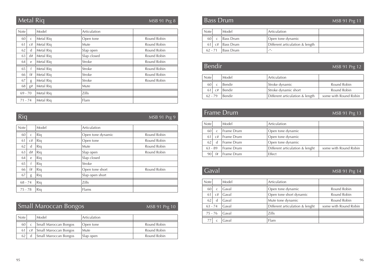## Metal Riq

MSB 91 Prg 8

| <b>Note</b> |              | Model     | Articulation |             |
|-------------|--------------|-----------|--------------|-------------|
| 60          | $\mathsf{C}$ | Metal Rig | Open tone    | Round Robin |
| 61          | C#           | Metal Rig | Mute         | Round Robin |
| 62          | d            | Metal Rig | Slap open    | Round Robin |
| 63          | d#           | Metal Rig | Slap closed  | Round Robin |
| 64          | e            | Metal Rig | Stroke       | Round Robin |
| 65          | f            | Metal Rig | Stroke       | Round Robin |
| 66          | f#           | Metal Rig | Stroke       | Round Robin |
| 67          | g            | Metal Rig | Stroke       | Round Robin |
| 68          | g#           | Metal Rig | Mute         |             |
| $69 - 70$   |              | Metal Rig | Zills        |             |
| $71 - 74$   |              | Metal Rig | Flam         |             |

Riq

#### MSB 91 Prg 9

| <b>Note</b> |              | Model | Articulation      |             |
|-------------|--------------|-------|-------------------|-------------|
| 60          | $\mathsf{C}$ | Riq   | Open tone dynamic | Round Robin |
| 61          | C#           | Riq   | Open tone         | Round Robin |
| 62          | d            | Riq   | Mute              | Round Robin |
| 63          | d#           | Riq   | Slap open         | Round Robin |
| 64          | e            | Riq   | Slap closed       |             |
| 65          |              | Riq   | Stroke            |             |
| 66          | f#           | Riq   | Open tone short   | Round Robin |
| 67          | g            | Riq   | Slap open short   |             |
| $68 - 74$   |              | Rig   | Zills             |             |
| $75 - 78$   |              | Rig   | Flams             |             |

## Small Maroccan Bongos

#### MSB 91 Prg 10

| <b>Note</b> |                       | Model                 | Articulation |             |
|-------------|-----------------------|-----------------------|--------------|-------------|
| 60          |                       | Small Maroccan Bongos | Open tone    | Round Robin |
|             | $61 \, \text{C}^{\#}$ | Small Maroccan Bongos | Mute         | Round Robin |
| 62          |                       | Small Maroccan Bongos | Slap open    | Round Robin |

#### Bass Drum

#### MSB 91 Prg 11

| <b>Note</b> | Model          | Articulation                    |  |
|-------------|----------------|---------------------------------|--|
| 60 l        | Bass Drum      | Open tone dynamic               |  |
| 61          | c#   Bass Drum | Different articulation & length |  |
| $62 - 71$   | Bass Drum      | $^{\prime\prime}$               |  |

#### Bendir

MSB 91 Prg 12

| <b>Note</b> |    | Model  | Articulation                    |                       |
|-------------|----|--------|---------------------------------|-----------------------|
| 60          |    | Bendir | Stroke dynamic                  | Round Robin           |
|             | C# | Bendir | Stroke dynamic short            | Round Robin           |
| $62 - 79$   |    | Bendir | Different articulation & length | some with Round Robin |

## Frame Drum

#### MSB 91 Prg 13

| <b>Note</b> |    | Model             | Articulation                    |                       |
|-------------|----|-------------------|---------------------------------|-----------------------|
| 60          | C  | Frame Drum        | Open tone dynamic               |                       |
| 61          | C# | <b>Frame Drum</b> | Open tone dynamic               |                       |
| 62          | d  | Frame Drum        | Open tone dynamic               |                       |
| $63 - 89$   |    | Frame Drum        | Different articulation & lenght | some with Round Robin |
| 90          | f# | Frame Drum        | Effect                          |                       |

**Gaval** MSB 91 Prg 14

| <b>Note</b> |              | Model | Articulation                    |                       |
|-------------|--------------|-------|---------------------------------|-----------------------|
| 60          | $\mathsf{C}$ | Gaval | Open tone dynamic               | Round Robin           |
| 61          | C#           | Gaval | Open tone short dynamic         | Round Robin           |
| 62          | d            | Gaval | Mute tone dynamic               | Round Robin           |
| $63 - 74$   |              | Gaval | Different articulation & lenght | some with Round Robin |
| $75 - 76$   |              | Gaval | Zills                           |                       |
|             |              | Gaval | Flam                            |                       |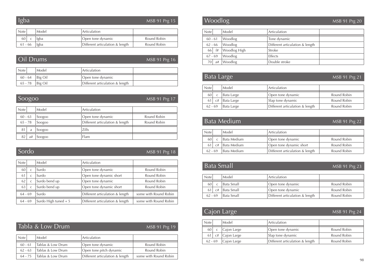#### MSB 91 Prg 15

| <b>Note</b> | Model | Articulation                    |             |
|-------------|-------|---------------------------------|-------------|
| 60          | lgba  | Open tone dynamic               | Round Robin |
| $61 - 66$   | lgba  | Different articulation & length | Round Robin |

|           | Oil Drums | MSB 91 Prg 16                   |  |
|-----------|-----------|---------------------------------|--|
| Note      | Model     | Articulation                    |  |
| $60 - 64$ | Big Oil   | Open tone dynamic               |  |
| $65 - 78$ | Big Oil   | Different articulation & length |  |

| $S0$ Soogoo |    |        |                                 | MSB 91 Prg 17 |
|-------------|----|--------|---------------------------------|---------------|
| <b>Note</b> |    | Model  | Articulation                    |               |
| $60 - 63$   |    | Soogoo | Open tone dynamic               | Round Robin   |
| $65 - 78$   |    | Soogoo | Different articulation & length | Round Robin   |
| 81          | a  | Soogoo | Zills                           |               |
| 82          | a# | Soogoo | Flam                            |               |

Sordo

#### MSB 91 Prg 18

| Note      |               | Model                 | Articulation                    |                       |
|-----------|---------------|-----------------------|---------------------------------|-----------------------|
| 60        | $\mathsf{C}$  | Surdo                 | Open tone dynamic               | Round Robin           |
| 61        | $\mathsf{C}$  | Surdo                 | Open tone dynamic short         | Round Robin           |
| 62        | $\mathsf{C}$  | Surdo bend up         | Open tone dynamic               | Round Robin           |
| 63        | $\mathcal{C}$ | Surdo bend up         | Open tone dynamic short         | Round Robin           |
| $64 - 69$ |               | Surdo                 | Different articulation & length | some with Round Robin |
| $64 - 69$ |               | Surdo High tuned $+5$ | Different articulation & length | some with Round Robin |

|  |  |  | Tabla & Low Drum |
|--|--|--|------------------|
|--|--|--|------------------|

#### MSB 91 Prg 19

| <b>Note</b> | Model             | Articulation                    |                       |
|-------------|-------------------|---------------------------------|-----------------------|
|             |                   |                                 |                       |
| $60 - 61$   | Tablas & Low Drum | Open tone dynamic               | Round Robin           |
| $62 - 63$   | Tablas & Low Drum | Open tone pitch dynamic         | Round Robin           |
| $64 - 75$   | Tablas & Low Drum | Different articulation & length | some with Round Robin |
|             |                   |                                 |                       |

## **Woodlog MSB 91 Prg 20**

| <b>Note</b> | Model        | Articulation                    |  |
|-------------|--------------|---------------------------------|--|
| $60 - 61$   | Woodlog      | Tone dynamic                    |  |
| $62 - 66$   | Woodlog      | Different articulation & length |  |
| f#<br>66    | Woodlog High | Stroke                          |  |
| 67 - 69     | Woodlog      | <b>Effects</b>                  |  |
| a#<br>70 I  | Woodlog      | Double stroke                   |  |

## Bata Large

#### MSB 91 Prg 21

| <b>Note</b>     |    | Model      | Articulation                    |             |
|-----------------|----|------------|---------------------------------|-------------|
| 60              |    | Bata Large | Open tone dynamic               | Round Robin |
| 61 <sup>1</sup> | C# | Bata Large | Slap tone dynamic               | Round Robin |
| $62 - 69$       |    | Bata Large | Different articulation & length | Round Robin |

## Bata Medium

#### MSB 91 Prg 22

| <b>Note</b> |    | Model       | Articulation                    |             |
|-------------|----|-------------|---------------------------------|-------------|
| 60          |    | Bata Medium | Open tone dynamic               | Round Robin |
|             | C# | Bata Medium | Open tone dynamic short         | Round Robin |
| $62 - 69$   |    | Bata Medium | Different articulation & length | Round Robin |

## **Bata Small** MSB 91 Prg 23

| <b>Note</b> | Model      | Articulation                    |             |
|-------------|------------|---------------------------------|-------------|
| 60          | Bata Small | Open tone dynamic               | Round Robin |
|             | Bata Small | Open tone dynamic               | Round Robin |
| $62 - 69$   | Bata Small | Different articulation & length | Round Robin |

## Cajon Large MSB 91 Prg 24

| <b>Note</b> |         | Model       | Articulation                    |             |
|-------------|---------|-------------|---------------------------------|-------------|
| 60          |         | Cajon Large | Open tone dynamic               | Round Robin |
|             | $61$ c# | Cajon Large | Slap tone dynamic               | Round Robin |
| $62 - 69$   |         | Cajon Large | Different articulation & length | Round Robin |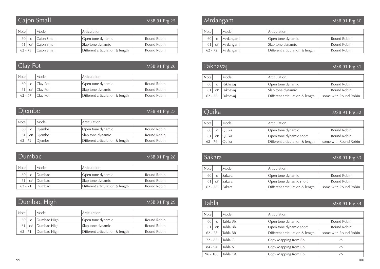## Cajon Small

MSB 91 Prg 25

| <b>Note</b> |    | Model       | Articulation                    |             |
|-------------|----|-------------|---------------------------------|-------------|
| 60          |    | Cajon Small | Open tone dynamic               | Round Robin |
|             | C# | Cajon Small | Slap tone dynamic               | Round Robin |
| $62 - 73$   |    | Cajon Small | Different articulation & length | Round Robin |

#### Note Model Articulation 60 c Clay Pot Copen tone dynamic Round Robin 61 c# Clay Pot Slap tone dynamic Round Robin 62 - 67 Clay Pot Different articulation & length Round Robin MSB 91 Prg 26 Clay Pot

|             | Djembe l |        |                                 | MSB 91 Prg 27 |
|-------------|----------|--------|---------------------------------|---------------|
|             |          |        |                                 |               |
| <b>Note</b> |          | Model  | Articulation                    |               |
| 60          |          | Diembe | Open tone dynamic               | Round Robin   |
|             | C#       | Diembe | Slap tone dynamic               | Round Robin   |
| $62 - 72$   |          | Diembe | Different articulation & length | Round Robin   |

#### Dumbac

#### MSB 91 Prg 28

| <b>Note</b> | Model         | Articulation                    |             |
|-------------|---------------|---------------------------------|-------------|
|             | Dumbac        | Open tone dynamic               | Round Robin |
|             | <i>Dumbac</i> | Slap tone dynamic               | Round Robin |
| $62 - 71$   | <b>Dumbac</b> | Different articulation & length | Round Robin |

#### Dumbac High

#### MSB 91 Prg 29

| <b>Note</b> |    | Model       | Articulation                    |             |
|-------------|----|-------------|---------------------------------|-------------|
| 60 l        |    | Dumbac High | Open tone dynamic               | Round Robin |
|             | C# | Dumbac High | Slap tone dynamic               | Round Robin |
| $62 - 71$   |    | Dumbac High | Different articulation & length | Round Robin |

#### Mrdangam

#### MSB 91 Prg 30

| <b>Note</b> |                    | Model     | Articulation                    |             |
|-------------|--------------------|-----------|---------------------------------|-------------|
| 60          |                    | Mrdangaml | Open tone dynamic               | Round Robin |
|             | $61 \, \text{c}$ # | Mrdangaml | Slap tone dynamic               | Round Robin |
| $62 - 72$   |                    | Mrdangaml | Different articulation & length | Round Robin |

#### Pakhavaj

#### MSB 91 Prg 31

| <b>Note</b> |    | Model           | Articulation                    |                       |
|-------------|----|-----------------|---------------------------------|-----------------------|
| 60          |    | Pakhavaj        | Open tone dynamic               | Round Robin           |
|             | C# | <i>Pakhavai</i> | Slap tone dynamic               | Round Robin           |
| $62 - 76$   |    | Pakhavai        | Different articulation & length | some with Round Robin |

#### Quika

#### MSB 91 Prg 32

| <b>Note</b> |    | Model   | Articulation                    |                       |
|-------------|----|---------|---------------------------------|-----------------------|
| 60          |    | ' Ouika | Open tone dynamic               | Round Robin           |
| 61 l        | C# | Ouika   | Open tone dynamic short         | Round Robin           |
| $62 - 76$   |    | Ouika   | Different articulation & length | some with Round Robin |

#### Sakara

#### MSB 91 Prg 33

| <b>Note</b> |    | Model  | Articulation                    |                       |
|-------------|----|--------|---------------------------------|-----------------------|
| 60          |    | Sakara | Open tone dynamic               | Round Robin           |
|             | C# | Sakara | Open tone dynamic short         | Round Robin           |
| $62 - 78$   |    | Sakara | Different articulation & length | some with Round Robin |

#### Tabla

#### MSB 91 Prg 34

| <b>Note</b> | Model    | Articulation                    |                            |
|-------------|----------|---------------------------------|----------------------------|
| 60<br>C     | Tabla Bb | Open tone dynamic               | Round Robin                |
| 61<br>C#    | Tabla Bb | Open tone dynamic short         | Round Robin                |
| $62 - 78$   | Tabla Bb | Different articulation & length | some with Round Robin      |
| $72 - 82$   | Tabla C  | Copy Mapping from Bb            | $\overline{\phantom{a}}''$ |
| $84 - 94$   | Tabla A  | Copy Mapping from Bb            | $ ^{\prime\prime}$ $-$     |
| $96 - 106$  | Tabla C# | Copy Mapping from Bb            | $\mu$                      |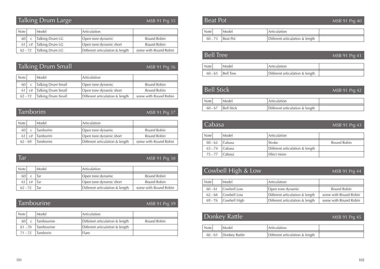## Talking Drum Large

MSB 91 Prg 35

| <b>Note</b> |           | Model                     | Articulation                    |                       |
|-------------|-----------|---------------------------|---------------------------------|-----------------------|
| 60 l        |           | Talking Drum LG           | Open tone dynamic               | Round Robin           |
|             | $61$ $c#$ | Talking Drum LG           | Open tone dynamic short         | Round Robin           |
|             |           | $62 - 72$ Talking Drum LG | Different articulation & length | some with Round Robin |

## Talking Drum Small

#### MSB 91 Prg 36

| <b>Note</b> |    | Model              | Articulation                    |                       |
|-------------|----|--------------------|---------------------------------|-----------------------|
| 60          |    | Talking Drum Small | Open tone dynamic               | Round Robin           |
| 61          | C# | Talking Drum Small | Open tone dynamic short         | Round Robin           |
| $62 - 72$   |    | Talking Drum Small | Different articulation & length | some with Round Robin |

#### Tamborim

#### MSB 91 Prg 37

| <b>Note</b> |      | Model           | Articulation                    |                       |
|-------------|------|-----------------|---------------------------------|-----------------------|
| 60          |      | <b>Tamborim</b> | Open tone dynamic               | Round Robin           |
|             | -0.# | <b>Tamborim</b> | Open tone dynamic short         | Round Robin           |
| $62 - 69$   |      | <b>Tamborim</b> | Different articulation & length | some with Round Robin |

#### Tar

#### MSB 91 Prg 38

| <b>Note</b> |    | Model | Articulation                    |                       |
|-------------|----|-------|---------------------------------|-----------------------|
|             |    | Tar   | Open tone dynamic               | Round Robin           |
|             | C# | Tar   | Open tone dynamic short         | Round Robin           |
| $62 - 72$   |    | Tar   | Different articulation & length | some with Round Robin |

#### Tambourine

#### MSB 91 Prg 39

| <b>Note</b> | Model           | Articulation                    |             |
|-------------|-----------------|---------------------------------|-------------|
| 60          | Tambourine      | Different articulation & length | Round Robin |
| $61 - 70$   | Tambourine      | Different articulation & length |             |
| $71 - 72$   | <b>Tamborin</b> | Flam                            |             |

| <b>Beat Pot</b> |  | MSB 91 Prg 40 |  |
|-----------------|--|---------------|--|
|                 |  |               |  |
|                 |  |               |  |

| Note   | Model     | Articulation                    |  |
|--------|-----------|---------------------------------|--|
| $60 -$ | 'Beat Pot | Different articulation & length |  |

| <b>Bell Tree</b><br>MSB 91 Prg 41 |           |                                 |  |  |
|-----------------------------------|-----------|---------------------------------|--|--|
| Note                              | Model     | Articulation                    |  |  |
| $60 - 65$                         | Bell Tree | Different articulation & length |  |  |

| <b>Bell Stick</b> |                   | MSB 91 Prg 42                   |  |
|-------------------|-------------------|---------------------------------|--|
| <b>Note</b>       | Model             | Articulation                    |  |
| $60 - 67$         | <b>Bell Stick</b> | Different articulation & length |  |

| Cabasa    |  |        | MSB 91 Prg 43                   |             |
|-----------|--|--------|---------------------------------|-------------|
| Note      |  | Model  | Articulation                    |             |
| $60 - 62$ |  | Cabasa | Stroke                          | Round Robin |
| $63 - 74$ |  | Cabasa | Different articulation & length |             |
| $75 - 77$ |  | Cabasa | Effect move                     |             |

## Cowbell High & Low MSB 91 Prg 44

| Note      | Model                  | Articulation                    |                       |
|-----------|------------------------|---------------------------------|-----------------------|
| $60 - 61$ | Cowbell Low            | Open tone dynamic               | Round Robin           |
| $62 - 68$ | Cowbell Low            | Different articulation & length | some with Round Robin |
|           | $69 - 76$ Cowbell High | Different articulation & length | some with Round Robin |

## Donkey Rattle MSB 91 Prg 45

| √ote      | Model         | Articulation                    |  |
|-----------|---------------|---------------------------------|--|
| $60 - 63$ | Donkey Rattle | Different articulation & length |  |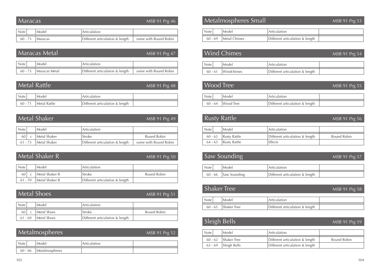#### MSB 91 Prg 46 Maracas MSB 91 Prg 53 Metalmospheres Small

| <b>Note</b> | Model          | Articulation                    |                       |
|-------------|----------------|---------------------------------|-----------------------|
| $60 - 73$   | <b>Maracas</b> | Different articulation & length | some with Round Robin |

|             | Maracas Metal | MSB 91 Prg 47                   |                       |
|-------------|---------------|---------------------------------|-----------------------|
| <b>Note</b> | Model         | Articulation                    |                       |
| $60 - 73$   | Maracas Metal | Different articulation & length | some with Round Robin |

| Metal Rattle | MSB 91 Prg 48 |
|--------------|---------------|
|              |               |

| Note <sub>1</sub> | Model               | Articulation                    |  |
|-------------------|---------------------|---------------------------------|--|
| $60 - 71$         | <b>Metal Rattle</b> | Different articulation & length |  |

| Metal Shaker |  |              | MSB 91 Prg 49                   |                       |
|--------------|--|--------------|---------------------------------|-----------------------|
|              |  |              |                                 |                       |
| <b>Note</b>  |  | Model        | Articulation                    |                       |
| 60           |  | Metal Shaker | Stroke                          | Round Robin           |
| $61 - 73$    |  | Metal Shaker | Different articulation & length | some with Round Robin |

| Metal Shaker R |  |                | MSB 91 Prg 50                   |             |
|----------------|--|----------------|---------------------------------|-------------|
|                |  |                |                                 |             |
| <b>Note</b>    |  | Model          | Articulation                    |             |
|                |  |                |                                 |             |
| 60             |  | Metal Shaker R | Stroke                          | Round Robin |
| $61 - 70$      |  | Metal Shaker R | Different articulation & length |             |

|             | <b>Metal Shoes</b><br>MSB 91 Prg 51 |             |                                 |             |  |
|-------------|-------------------------------------|-------------|---------------------------------|-------------|--|
| <b>Note</b> |                                     | Model       | Articulation                    |             |  |
| 60          |                                     | Metal Shoes | Stroke                          | Round Robin |  |
| $61 - 69$   |                                     | Metal Shoes | Different articulation & length |             |  |

|             | Metalmospheres | MSB 91 Prg 52 |  |
|-------------|----------------|---------------|--|
|             |                |               |  |
| <b>Note</b> | Model          | Articulation  |  |

| <b>Note</b> | Model        | <sup>'</sup> Articulation       |  |
|-------------|--------------|---------------------------------|--|
| $60 - 69$   | Metal Chimes | Different articulation & length |  |

|                   | Wind Chimes        | MSB 91 Prg 54                   |  |
|-------------------|--------------------|---------------------------------|--|
| Note <sup>1</sup> | Model              | Articulation                    |  |
|                   | 60 - 61 Windchimes | Different articulation & length |  |

#### Wood Tree

MSB 91 Prg 55

|         | Model     | ' Articulation                  |  |
|---------|-----------|---------------------------------|--|
| 60 - 64 | Wood Tree | Different articulation & length |  |

## Rusty Rattle

#### MSB 91 Prg 56

| <b>Note</b> | Model                    | Articulation                    |             |
|-------------|--------------------------|---------------------------------|-------------|
|             | $60 - 63$   Rusty Rattle | Different articulation & length | Round Robin |
|             | $64 - 65$ Rusty Rattle   | Effects                         |             |

## Saw Sounding

MSB 91 Prg 57

| Note    | Model        | Articulation                    |  |
|---------|--------------|---------------------------------|--|
| 60 - 66 | Saw Sounding | Different articulation & length |  |

| <b>Shaker Tree</b><br>MSB 91 Prg 58 |                       |                                 |  |  |  |
|-------------------------------------|-----------------------|---------------------------------|--|--|--|
| <b>Note</b>                         | Model                 | <sup>1</sup> Articulation       |  |  |  |
|                                     | $60 - 65$ Shaker Tree | Different articulation & length |  |  |  |

## Sleigh Bells MSB 91 Prg 59

| <b>Note</b> | Model                  | Articulation                    |             |
|-------------|------------------------|---------------------------------|-------------|
| $60 - 62$   | Shaker Tree            | Different articulation & length | Round Robin |
|             | $63 - 69$ Sleigh Bells | Different articulation & length |             |

60 - 66 Metalmospheres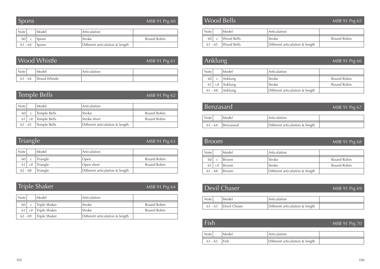| <b>Spons</b> |   |       | MSB 91 Prg 60 |             |
|--------------|---|-------|---------------|-------------|
| <b>Note</b>  |   | Model | Articulation  |             |
| 60           | C | Spons | Stroke        | Round Robin |

61 - 64 Spons Different articulation & length

| Wood Whistle<br>MSB 91 Prg 61 |                        |              |  |  |  |
|-------------------------------|------------------------|--------------|--|--|--|
| <b>Note</b>                   | Model                  | Articulation |  |  |  |
|                               | 61 - 64   Wood Whistle |              |  |  |  |

|             |                       | Temple Bells | MSB 91 Prg 62                   |             |  |  |  |
|-------------|-----------------------|--------------|---------------------------------|-------------|--|--|--|
| <b>Note</b> | Model<br>Articulation |              |                                 |             |  |  |  |
| 60          |                       | Temple Bells | Stroke                          | Round Robin |  |  |  |
|             | C#                    | Temple Bells | Stroke short                    | Round Robin |  |  |  |
| $62 - 65$   |                       | Temple Bells | Different articulation & length |             |  |  |  |

| Triangle    |    | MSB 91 Prg 63 |                                 |             |
|-------------|----|---------------|---------------------------------|-------------|
| <b>Note</b> |    | Model         | Articulation                    |             |
| 60          |    | Triangle      | Open                            | Round Robin |
|             | C# | Triangle      | Open short                      | Round Robin |
| $62 - 68$   |    | Triangle      | Different articulation & length |             |

| <b>Triple Shaker</b> |  |
|----------------------|--|
|----------------------|--|

#### MSB 91 Prg 64

| <b>Note</b> |    | Model         | Articulation                    |             |
|-------------|----|---------------|---------------------------------|-------------|
| 60          |    | Triple Shaker | Stroke                          | Round Robin |
|             | C# | Triple Shaker | Stroke                          | Round Robin |
| $62 - 69$   |    | Triple Shaker | Different articulation & length |             |

| <b>Note</b> |           | Model      | Articulation                    |             |
|-------------|-----------|------------|---------------------------------|-------------|
| 60          |           | Wood Bells | Stroke                          | Round Robin |
|             | $61 - 65$ | Wood Bells | Different articulation & length |             |

| Anklung     |    | MSB 91 Prg 66 |                                 |             |
|-------------|----|---------------|---------------------------------|-------------|
| <b>Note</b> |    | Model         | Articulation                    |             |
| 60          |    | Anklung       | Stroke                          | Round Robin |
| 61          | C# | Anklung       | Stroke                          | Round Robin |
| $61 - 68$   |    | Anklung       | Different articulation & length |             |

| Benzasard   |           | MSB 91 Prg 67                   |  |
|-------------|-----------|---------------------------------|--|
| <b>Note</b> | Model     | Articulation                    |  |
| $61 - 64$   | Benzasard | Different articulation & length |  |

| <b>Broom</b> |    |              | MSB 91 Prg 68                   |             |
|--------------|----|--------------|---------------------------------|-------------|
| <b>Note</b>  |    | Model        | Articulation                    |             |
| 60           | C  | <b>Broom</b> | Stroke                          | Round Robin |
| 61           | C# | <b>Broom</b> | Stroke                          | Round Robin |
| $61 - 68$    |    | <b>Broom</b> | Different articulation & length |             |

| Devil Chaser | MSB 91 Prg 69        |                                 |  |
|--------------|----------------------|---------------------------------|--|
| <b>Note</b>  | Model                | Articulation                    |  |
|              | 61 - 63 Devil Chaser | Different articulation & length |  |

| Fish             |       |                                 | MSB 91 Prg 70 |
|------------------|-------|---------------------------------|---------------|
| <b>Note</b>      | Model | Articulation                    |               |
| $61 - 65$   Fish |       | Different articulation & length |               |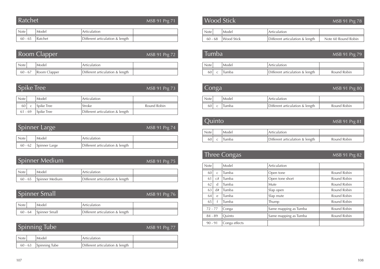| Ratchet |  | MSB 91 Prg 71 |
|---------|--|---------------|
|         |  |               |
|         |  |               |

| Note .    | Model   | Articulation                    |  |
|-----------|---------|---------------------------------|--|
| $60 - 65$ | Ratchet | Different articulation & length |  |

|             | Room Clapper           |                                 | MSB 91 Prg 72 |
|-------------|------------------------|---------------------------------|---------------|
| <b>Note</b> | Model                  | Articulation                    |               |
|             | $60 - 67$ Room Clapper | Different articulation & length |               |

|             | Spike Tree<br>MSB 91 Prg 73 |                   |                                 |             |  |  |
|-------------|-----------------------------|-------------------|---------------------------------|-------------|--|--|
|             |                             |                   |                                 |             |  |  |
| <b>Note</b> |                             | Model             | Articulation                    |             |  |  |
| 60          |                             | Spike Tree        | Stroke                          | Round Robin |  |  |
| $61 - 69$   |                             | <b>Spike Tree</b> | Different articulation & length |             |  |  |

|             | Spinner Large<br>MSB 91 Prg 74 |                       |                                 |  |  |  |
|-------------|--------------------------------|-----------------------|---------------------------------|--|--|--|
| <b>Note</b> |                                | Model                 | Articulation                    |  |  |  |
|             |                                | 60 - 62 Spinner Large | Different articulation & length |  |  |  |

## Spinner Medium

#### MSB 91 Prg 75

| Note <sub>1</sub> | Model          | Articulation                    |  |
|-------------------|----------------|---------------------------------|--|
| $60 - 65$         | Spinner Medium | Different articulation & length |  |

| Spinner Small <sup>1</sup><br>MSB 91 Prg 76 |       |                                 |  |  |  |  |
|---------------------------------------------|-------|---------------------------------|--|--|--|--|
| <b>Note</b>                                 | Model | Articulation                    |  |  |  |  |
| 60 - 64   Spinner Small                     |       | Different articulation & length |  |  |  |  |

#### MSB 91 Prg 77 Spinning Tube

| <b>Note</b> | Model         | Articulation                    |  |
|-------------|---------------|---------------------------------|--|
| $60 - 63$   | Spinning Tube | Different articulation & length |  |

#### Wood Stick

#### Note Model Articulation 60 - 68 Wood Stick Different articulation & length Note 60 Round Robin

| Tumba'      |  |       | MSB 91 Prg 79                   |             |
|-------------|--|-------|---------------------------------|-------------|
| <b>Note</b> |  | Model | Articulation                    |             |
| 60          |  | Tumba | Different articulation & length | Round Robin |

| Conga<br>MSB 91 Prg 80 |  |       |                                 |             |
|------------------------|--|-------|---------------------------------|-------------|
| <b>Note</b>            |  | Model | Articulation                    |             |
|                        |  | Tumba | Different articulation & length | Round Robin |

## Quinto

#### MSB 91 Prg 81

MSB 91 Prg 78

| Note | Model | <sup>'</sup> Articulation       |             |
|------|-------|---------------------------------|-------------|
| 60   | Tumba | Different articulation & length | Round Robin |

# Three Congas

MSB 91 Prg 82

| <b>Note</b> |              | Model         | Articulation          |             |
|-------------|--------------|---------------|-----------------------|-------------|
| 60          | $\mathsf{C}$ | Tumba         | Open tone             | Round Robin |
| 61          | C#           | Tumba         | Open tone short       | Round Robin |
| 62          | d            | Tumba         | Mute                  | Round Robin |
| 63          | d#           | Tumba         | Slap open             | Round Robin |
| 64          | $\epsilon$   | Tumba         | Slap mute             | Round Robin |
| 65          |              | Tumba         | Thump                 | Round Robin |
| $72 - 77$   |              | Conga         | Same mapping as Tumba | Round Robin |
| $84 - 89$   |              | Ouinto        | Same mapping as Tumba | Round Robin |
| $90 - 91$   |              | Conga effects |                       |             |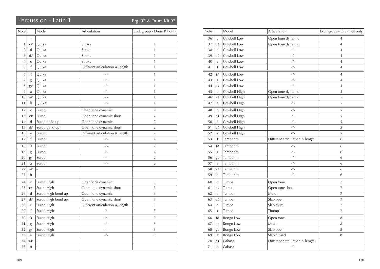## Percussion - Latin 1 Prg. 97 & Drum Kit 97

| Note           |                          | Model              | Articulation                      | Excl. group - Drum Kit only |
|----------------|--------------------------|--------------------|-----------------------------------|-----------------------------|
|                | $\overline{\phantom{a}}$ |                    |                                   |                             |
| $\mathbf{1}$   | C#                       | Quika              | Stroke                            | 1                           |
| $\overline{2}$ | $\mathbf d$              | Quika              | Stroke                            | 1                           |
| 3              | d#                       | Quika              | Stroke                            | 1                           |
| $\overline{4}$ | e                        | Quika              | Stroke                            | $\mathbf{1}$                |
| 5              | $\mathsf f$              | Quika              | Different articulation & length   | $\mathbf{1}$                |
| 6              | f#                       | Quika              | $ ^{\prime\prime}$ –              | 1                           |
| 7              | g                        | Quika              | $\mu$ <sub>-</sub>                | $\mathbf{1}$                |
| 8              | g#                       | Quika              | $\mu$ <sub>-</sub>                | 1                           |
| 9              | a                        | Quika              | $\mu$ <sub>-</sub>                | $\mathbf{1}$                |
| 10             | a#                       | Quika              | $\mu$ <sub>-</sub>                | $\mathbf{1}$                |
| 11             | b                        | Quika              | $\mu$ <sub>-</sub>                | $\mathbf{1}$                |
| 12             | $\mathsf{C}$             | Surdo              | Open tone dynamic                 | $\overline{2}$              |
| 13             | C#                       | Surdo              | Open tone dynamic short           | $\overline{2}$              |
| 14             | d                        | Surdo bend up      | Open tone dynamic                 | $\overline{2}$              |
| 15             | d#                       | Surdo bend up      | Open tone dynamic short           | $\overline{2}$              |
| 16             | e                        | Surdo              | Different articulation & length   | $\overline{2}$              |
| 17             | f                        | Surdo              | $\mu$ <sup><math>\mu</math></sup> | $\overline{2}$              |
| 18             | f#                       | Surdo              | $-$ <sup><math>\mu</math></sup> – | $\overline{2}$              |
| 19             | g                        | Surdo              | $\mu$ <sub>-</sub>                | $\overline{2}$              |
| 20             | g#                       | Surdo              | $\mu$ <sub>-</sub>                | $\overline{2}$              |
| 21             | a                        | Surdo              | $ ^{\prime\prime}$ -              | $\overline{2}$              |
| 22             | a#                       |                    |                                   |                             |
| 23             | $\mathbf b$              | $\overline{a}$     |                                   |                             |
| 24             | $\mathsf{C}$             | Surdo High         | Open tone dynamic                 | 3                           |
| 25             | C#                       | Surdo High         | Open tone dynamic short           | 3                           |
| 26             | $\mathsf{d}$             | Surdo High bend up | Open tone dynamic                 | 3                           |
| 27             | d#                       | Surdo High bend up | Open tone dynamic short           | 3                           |
| 28             | e                        | Surdo High         | Different articulation & length   | 3                           |
| 29             | f                        | Surdo High         | $\frac{u}{u}$                     | $\overline{3}$              |
| 30             | f#                       | Surdo High         | $\overline{\phantom{a}}''$        | 3                           |
| 31             | g                        | Surdo High         | $\mu$ <sub>-</sub>                | 3                           |
| 32             | g#                       | Surdo High         | $\mu$ <sub>-</sub>                | $\overline{3}$              |
| 33             | a                        | Surdo High         | $ ^{\prime\prime}$ -              | 3                           |
| 34             | a#                       |                    |                                   |                             |
| 35             | $\mathbf b$              | $\overline{a}$     |                                   |                             |

| Note |              | Model            | Articulation                      | Excl. group - Drum Kit only |
|------|--------------|------------------|-----------------------------------|-----------------------------|
| 36   | $\mathsf{C}$ | Cowbell Low      | Open tone dynamic                 | 4                           |
| 37   | C#           | Cowbell Low      | Open tone dynamic                 | $\overline{4}$              |
| 38   | d            | Cowbell Low      | $-$ <sup><math>\mu</math></sup> – | $\overline{4}$              |
| 39   | d#           | Cowbell Low      | $\mu$                             | $\overline{4}$              |
| 40   | e            | Cowbell Low      | $-$ <sup><math>\mu</math></sup> – | $\overline{4}$              |
| 41   | f            | Cowbell Low      | $ ^{\prime\prime}$ -              | $\overline{4}$              |
| 42   | f#           | Cowbell Low      | $-$ <sup><math>\mu</math></sup> – | $\overline{4}$              |
| 43   | g            | Cowbell Low      | $-$ <sup><math>\mu</math></sup> – | $\overline{4}$              |
| 44   | g#           | Cowbell Low      | $-$ <sup><math>\mu</math></sup> – | $\overline{4}$              |
| 45   | a            | Cowbell High     | Open tone dynamic                 | 5                           |
| 46   | a#           | Cowbell High     | Open tone dynamic                 | 5                           |
| 47   | b            | Cowbell High     | $\mu$ <sup>u</sup>                | 5                           |
| 48   | $\mathsf C$  | Cowbell High     | $\mu$ <sup><math>\mu</math></sup> | 5                           |
| 49   | C#           | Cowbell High     | $\mu$ <sup><math>\mu</math></sup> | 5                           |
| 50   | $\mathsf{d}$ | Cowbell High     | $-$ <sup><math>\mu</math></sup> – | 5                           |
| 51   | d#           | Cowbell High     | $ ^{\prime\prime}$ –              | 5                           |
| 52   | e            | Cowbell High     | $\mu$ <sub>-</sub>                | 5                           |
| 53   | $\mathsf{f}$ | Tamborim         | Different articulation & length   | 6                           |
| 54   | f#           | Tamborim         | $-$ <sup><math>\mu</math></sup> – | 6                           |
| 55   | g            | Tamborim         | $\mu$ <sub>-</sub>                | 6                           |
| 56   | g#           | Tamborim         | $ ^{\prime\prime}$ –              | 6                           |
| 57   | a            | Tamborim         | $-$ <sup><math>\mu</math></sup> – | 6                           |
| 58   | a#           | Tamborim         | $-$ <sup><math>\mu</math></sup> – | 6                           |
| 59   | b            | Tamborim         | $-$ <sup><math>\mu</math></sup> – | 6                           |
| 60   | $\mathsf C$  | Tumba            | Open tone                         | 7                           |
| 61   | C#           | Tumba            | Open tone short                   | $\overline{7}$              |
| 62   | $\mathsf{d}$ | Tumba            | Mute                              | $\overline{7}$              |
| 63   | d#           | Tumba            | Slap open                         | 7                           |
| 64   | e            | Tumba            | Slap mute                         | $\overline{7}$              |
| 65   | $\mathsf{f}$ | Tumba            | Thump                             | $\overline{\phantom{a}}$    |
| 66   | f#           | Bongo Low        | Open tone                         | 8                           |
| 67   | g            | Bongo Low        | Mute                              | 8                           |
| 68   | g#           | Bongo Low        | Slap open                         | 8                           |
| 69   | a            | <b>Bongo Low</b> | Slap closed                       | 8                           |
| 70   | a#           | Cabasa           | Different articulation & length   |                             |
| 71   | $\mathbf b$  | Cabasa           | $\mu$ <sub>-</sub>                |                             |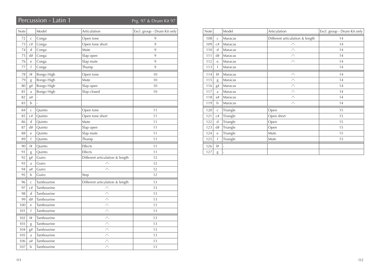## Percussion - Latin 1 Prg. 97 & Drum Kit 97

| Note |                | Model      | Articulation                      | Excl. group - Drum Kit only |
|------|----------------|------------|-----------------------------------|-----------------------------|
| 72   | $\mathsf{C}$   | Conga      | Open tone                         | 9                           |
| 73   | C#             | Conga      | Open tone short                   | 9                           |
| 74   | d              | Conga      | Mute                              | 9                           |
| 75   | d#             | Conga      | Slap open                         | 9                           |
| 76   | e              | Conga      | Slap mute                         | 9                           |
| 77   | f              | Conga      | Thump                             | 9                           |
| 78   | f#             | Bongo High | Open tone                         | 10                          |
| 79   | $\mathrm g$    | Bongo High | Mute                              | 10                          |
| 80   | g#             | Bongo High | Slap open                         | 10                          |
| 81   | a              | Bongo High | Slap closed                       | 10                          |
| 82   | a#             |            |                                   |                             |
| 83   | b              |            |                                   |                             |
| 84   | $\mathsf C$    | Quinto     | Open tone                         | 11                          |
| 85   | C#             | Quinto     | Open tone short                   | 11                          |
| 86   | ${\rm d}$      | Quinto     | Mute                              | 11                          |
| 87   | d#             | Quinto     | Slap open                         | 11                          |
| 88   | e              | Quinto     | Slap mute                         | 11                          |
| 89   | $\mathsf f$    | Quinto     | Thump                             | 11                          |
| 90   | f#             | Quinto     | Effects                           | 11                          |
| 91   | g              | Quinto     | Effects                           | 11                          |
| 92   | g#             | Guiro      | Different articulation & length   | 12                          |
| 93   | a              | Guiro      | $\mu$ <sub>-</sub>                | 12                          |
| 94   | a#             | Guiro      | $\mu$ <sub>-</sub>                | 12                          |
| 95   | b              | Guiro      | Stop                              | 12                          |
| 96   | $\mathsf{C}$   | Tambourine | Different articulation & length   | 13                          |
| 97   | C#             | Tambourine | $\mu$ <sup><math>\mu</math></sup> | 13                          |
| 98   | $\mathsf d$    | Tambourine | $\frac{u}{u}$                     | 13                          |
| 99   | d#             | Tambourine | $ ^{\prime\prime}$ -              | 13                          |
| 100  | $\overline{e}$ | Tambourine | $\mu$ <sub>-</sub>                | 13                          |
| 101  | $\mathsf f$    | Tambourine | $\mu$ <sub>-</sub>                | 13                          |
| 102  | f#             | Tambourine | $ ^{\prime\prime}$ –              | 13                          |
| 103  | g              | Tambourine | $\mu$ <sub>-</sub>                | 13                          |
| 104  | g#             | Tambourine | $\mu$ <sub>-</sub>                | 13                          |
| 105  | a              | Tambourine | $\mu$ <sub>-</sub>                | 13                          |
| 106  | a#             | Tambourine | $-$ <sup><math>\mu</math></sup> – | 13                          |
| 107  | $\mathbf b$    | Tambourine | $\mu$ <sub>-</sub>                | 13                          |

| Note |                  | Model                    | Articulation                      | Excl. group - Drum Kit only |
|------|------------------|--------------------------|-----------------------------------|-----------------------------|
| 108  | $\mathsf C$      | Maracas                  | Different articulation & length   | 14                          |
| 109  | C#               | Maracas                  | $\mu^{\prime\prime}$              | 14                          |
| 110  | d                | Maracas                  | $\mu$ <sup>u</sup>                | 14                          |
| 111  | d#               | Maracas                  | $\mu$ <sub>-</sub>                | 14                          |
| 112  | $\rm e$          | Maracas                  | $\mu$ <sup>u</sup>                | 14                          |
| 113  | f                | Maracas                  |                                   | 14                          |
| 114  | f#               | Maracas                  | $-$ <sup><math>\mu</math></sup> – | 14                          |
| 115  | g                | Maracas                  | $-$ <sup><math>\mu</math></sup> – | 14                          |
| 116  | g#               | Maracas                  | $\mu$ <sub>-</sub>                | 14                          |
| 117  | a                | Maracas                  | $\mu$ <sub>-</sub>                | 14                          |
| 118  | a#               | Maracas                  | $-$ <sup><math>H</math></sup> $-$ | 14                          |
| 119  | b                | Maracas                  | $-$ <sup><math>H</math></sup> $-$ | 14                          |
| 120  | $\mathsf C$      | Triangle                 | Open                              | 15                          |
| 121  | $\mathrm{C}\,\#$ | Triangle                 | Open short                        | 15                          |
| 122  | $\mathsf{d}$     | Triangle                 | Open                              | 15                          |
| 123  | d#               | Triangle                 | Open                              | 15                          |
| 124  | $\mathbf e$      | Triangle                 | Mute                              | 15                          |
| 125  | f                | Triangle                 | Mute                              | 15                          |
| 126  | f#               | ÷,                       |                                   |                             |
| 127  | g                | $\overline{\phantom{a}}$ |                                   |                             |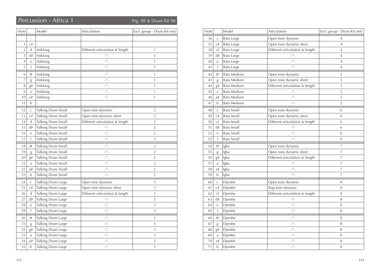## Percussion - Africa 1 Prg. 98 & Drum Kit 98

| Note           |                | Model              | Articulation                    | Excl. group - Drum Kit only |
|----------------|----------------|--------------------|---------------------------------|-----------------------------|
|                | $\overline{a}$ |                    |                                 |                             |
| 1              | C#             |                    |                                 |                             |
| $\overline{2}$ | d              | Anklung            | Different articulation & length | $\mathbf{1}$                |
| 3              | d#             | Anklung            | $\mu$ <sub>-</sub>              | $\mathbf{1}$                |
| 4              | e              | Anklung            | $ ^{\prime\prime}$ -            | $\mathbf{1}$                |
| 5              | f              | Anklung            | $\mu$ <sub>-</sub>              | $\mathbf{1}$                |
| 6              | f#             | Anklung            | $ ^{\prime\prime}$ –            | 1                           |
| 7              | g              | Anklung            | $\mu$ <sub>-</sub>              | 1                           |
| 8              | g#             | Anklung            | $ ^{\prime\prime}$ -            | $\mathbf{1}$                |
| 9              | a              | Anklung            | $\mu$ <sub>-</sub>              | $\mathbf{1}$                |
| 10             | a#             | Anklung            | $\mu$ <sub>-</sub>              | $\mathbf{1}$                |
| 11             | b              |                    |                                 |                             |
| 12             | $\mathsf{C}$   | Talking Drum Small | Open tone dynamic               | $\overline{2}$              |
| 13             | C#             | Talking Drum Small | Open tone dynamic short         | $\overline{2}$              |
| 14             | d              | Talking Drum Small | Different articulation & length | $\overline{2}$              |
| 15             | d#             | Talking Drum Small | $\mu$ <sub>-</sub>              | $\overline{2}$              |
| 16             | e              | Talking Drum Small | $\mu$ <sub>-</sub>              | 2                           |
| 17             | f              | Talking Drum Small | $\mu$ <sub>-</sub>              | $\overline{2}$              |
| 18             | f#             | Talking Drum Small | $ ^{\prime\prime}$ -            | 2                           |
| 19             | g              | Talking Drum Small | $\mu$ <sub>-</sub>              | $\overline{2}$              |
| 20             | g#             | Talking Drum Small | $ ^{\prime\prime}$ -            | $\overline{2}$              |
| 21             | a              | Talking Drum Small | $ ^{\prime\prime}$ -            | 2                           |
| 22             | a#             | Talking Drum Small | $ ^{\prime\prime}$ -            | 2                           |
| 23             | b              | Talking Drum Small | $\mu$ <sub>-</sub>              | $\overline{2}$              |
| 24             | $\mathsf{C}$   | Talking Drum Large | Open tone dynamic               | 3                           |
| 25             | C#             | Talking Drum Large | Open tone dynamic short         | 3                           |
| 26             | d              | Talking Drum Large | Different articulation & length | 3                           |
| 27             | d#             | Talking Drum Large | $ ^{\prime\prime}$ -            | 3                           |
| 28             | e              | Talking Drum Large | $\mu$ <sub>-</sub>              | 3                           |
| 29             | f              | Talking Drum Large | $ ^{\prime\prime}$ -            | 3                           |
| 30             | f#             | Talking Drum Large | $ ^{\prime\prime}$ -            | 3                           |
| 31             | g              | Talking Drum Large | $\mu$ <sub>-</sub>              | 3                           |
| 32             | g#             | Talking Drum Large | $\mu$                           | 3                           |
| 33             | a              | Talking Drum Large | $\mu$ <sub>-</sub>              | 3                           |
| 34             | a#             | Talking Drum Large | $ ^{\prime\prime}$ -            | 3                           |
| 35             | b              | Talking Drum Large | $ ^{\prime\prime}$ –            | 3                           |

| Note |              | Model              | Articulation                               | Excl. group - Drum Kit only |
|------|--------------|--------------------|--------------------------------------------|-----------------------------|
| 36   | $\mathsf{C}$ | Bata Large         | Open tone dynamic                          | 4                           |
| 37   | C#           | Bata Large         | Open tone dynamic short                    | $\overline{4}$              |
| 38   | $\mathbf d$  | Bata Large         | Different articulation & length            | $\overline{4}$              |
| 39   | d#           | Bata Large         | $ ^{\prime\prime}$ –                       | $\overline{4}$              |
| 40   | e            | Bata Large         | $\mu$ <sub>-</sub>                         | $\overline{4}$              |
| 41   | f            | <b>Bata Large</b>  | $\mu$ <sub>-</sub>                         | $\overline{4}$              |
| 42   | f#           | Bata Medium        | Open tone dynamic                          | 5                           |
| 43   | g            | Bata Medium        | Open tone dynamic short                    | 5                           |
| 44   | g#           | <b>Bata Medium</b> | Different articulation & length            | 5                           |
| 45   | a            | Bata Medium        | $-$ <sup><math>\prime\prime</math></sup> – | 5                           |
| 46   | a#           | Bata Medium        | $\mu$ <sub>-</sub>                         | 5                           |
| 47   | $\mathbf b$  | Bata Medium        | $\mu$ <sub>-</sub>                         | 5                           |
| 48   | $\mathsf C$  | <b>Bata Small</b>  | Open tone dynamic                          | 6                           |
| 49   | C#           | <b>Bata Small</b>  | Open tone dynamic short                    | 6                           |
| 50   | d            | <b>Bata Small</b>  | Different articulation & length            | 6                           |
| 51   | d#           | <b>Bata Small</b>  | $ ^{\prime\prime}$ –                       | 6                           |
| 52   | e            | <b>Bata Small</b>  | $-$ <sup><math>\mu</math></sup> –          | 6                           |
| 53   | f            | <b>Bata Small</b>  | $\mu$ <sub>-</sub>                         | 6                           |
| 54   | f#           | Igba               | Open tone dynamic                          | 7                           |
| 55   | g            | Igba               | Open tone dynamic short                    | 7                           |
| 56   | g#           | Igba               | Different articulation & length            | 7                           |
| 57   | $\rm{a}$     | Igba               | $\mu$ <sub>-</sub>                         | 7                           |
| 58   | a#           | Igba               | $\mu$ <sub>-</sub>                         | 7                           |
| 59   | b            | Igba               | $\mu$ <sub>-</sub>                         | $\overline{7}$              |
| 60   | $\mathsf C$  | Djembe             | Open tone dynamic                          | 8                           |
| 61   | C#           | Djembe             | Slap tone dynamic                          | 8                           |
| 62   | d            | Djembe             | Different articulation & length            | 8                           |
| 63   | d#           | Djembe             | $\mu$ <sub>-</sub>                         | 8                           |
| 64   | $\mathbf{e}$ | Djembe             | $\mu$ <sub>-</sub>                         | 8                           |
| 65   | f            | Djembe             | $\mu$ <sub>-</sub>                         | 8                           |
| 66   | f#           | Djembe             | $-$ <sup><math>\mu</math></sup> –          | 8                           |
| 67   | g            | Djembe             | $\mu$ <sub>-</sub>                         | 8                           |
| 68   | g#           | Djembe             | $\mu$ <sub>-</sub>                         | 8                           |
| 69   | $\mathbf{a}$ | Djembe             | $\mu$ <sub>-</sub>                         | 8                           |
| 70   | a#           | Djembe             | $ ^{\prime\prime}$ –                       | 8                           |
| 71   | b            | Djembe             | $\mu$ <sup>u</sup>                         | 8                           |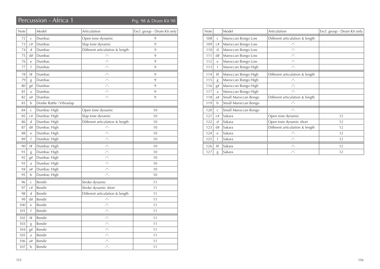## Percussion - Africa 1 Prg. 98 & Drum Kit 98

| Note |                | Model                    | Articulation                      | Excl. group - Drum Kit only |
|------|----------------|--------------------------|-----------------------------------|-----------------------------|
| 72   | $\mathsf{C}$   | Dumbac                   | Open tone dynamic                 | 9                           |
| 73   | C#             | Dumbac                   | Slap tone dynamic                 | 9                           |
| 74   | d              | Dumbac                   | Different articulation & length   | 9                           |
| 75   | d#             | Dumbac                   | $\mu$ <sub>-</sub>                | 9                           |
| 76   | e              | Dumbac                   | $\mu$                             | 9                           |
| 77   | f              | Dumbac                   | $\mu$ <sub>-</sub>                | 9                           |
| 78   | f#             | Dumbac                   | $-$ <sup><math>\mu</math></sup> – | 9                           |
| 79   | g              | Dumbac                   | $\mu$ <sub>-</sub>                | 9                           |
| 80   | g#             | Dumbac                   | $\mu$ <sub>-</sub>                | 9                           |
| 81   | a              | Dumbac                   | $\mu$ <sub>-</sub>                | 9                           |
| 82   | a#             | Dumbac                   | $\mu$ <sup>u</sup>                | 9                           |
| 83   | b              | Donke Rattle / Vibraslap |                                   |                             |
| 84   | $\mathsf{C}$   | Dumbac High              | Open tone dynamic                 | 10                          |
| 85   | C#             | Dumbac High              | Slap tone dynamic                 | 10                          |
| 86   | d              | Dumbac High              | Different articulation & length   | 10                          |
| 87   | d#             | Dumbac High              | $\mu$ <sub>-</sub>                | 10                          |
| 88   | $\overline{e}$ | Dumbac High              | $\mu$ <sub>-</sub>                | 10                          |
| 89   | $\mathsf{f}$   | Dumbac High              | $\mu$ <sub>-</sub>                | 10                          |
| 90   | f#             | Dumbac High              | $\frac{u}{u}$                     | 10                          |
| 91   | g              | Dumbac High              | $\mu$ <sub>-</sub>                | 10                          |
| 92   | g#             | Dumbac High              | $\mu$ <sub>-</sub>                | 10                          |
| 93   | a              | Dumbac High              | $\mu$ <sub>-</sub>                | 10                          |
| 94   | a#             | Dumbac High              | $\mu$ <sub>-</sub>                | 10                          |
| 95   | b              | Dumbac High              | $\mu$ <sub>-</sub>                | 10                          |
| 96   | $\mathsf C$    | Bendir                   | Stroke dynamic                    | 11                          |
| 97   | C#             | Bendir                   | Stroke dynamic short              | 11                          |
| 98   | $\mathbf d$    | Bendir                   | Different articulation & length   | 11                          |
| 99   | d#             | Bendir                   | $\mu$ <sub>-</sub>                | 11                          |
| 100  | e              | Bendir                   | $\mu$                             | 11                          |
| 101  | f              | Bendir                   | $\overline{\phantom{a}}''$        | 11                          |
| 102  | f#             | Bendir                   | $\mu$ <sub>-</sub>                | 11                          |
| 103  | g              | Bendir                   | $\mu$ <sub>-</sub>                | 11                          |
| 104  | g#             | Bendir                   | $\mu$ <sub>-</sub>                | 11                          |
| 105  | a              | Bendir                   | $ ^{\prime\prime}$ -              | 11                          |
| 106  | a#             | Bendir                   | $\mu$                             | 11                          |
| 107  | $\mathbf b$    | Bendir                   | $\mu$                             | 11                          |

| <b>Note</b> |              | Model                | Articulation                      | Excl. group - Drum Kit only |
|-------------|--------------|----------------------|-----------------------------------|-----------------------------|
| 108         | $\mathsf{C}$ | Maroccan Bongo Low   | Different articulation & length   |                             |
| 109         | C#           | Maroccan Bongo Low   | $\mu^{\prime\prime}$              |                             |
| 110         | $\mathsf{d}$ | Maroccan Bongo Low   | $\mu$                             |                             |
| 111         | d#           | Maroccan Bongo Low   | $\mu$                             |                             |
| 112         | e            | Maroccan Bongo Low   | $\mu$ <sub>-</sub>                |                             |
| 113         | f            | Maroccan Bongo High  | $\mu$ <sub>-</sub>                |                             |
| 114         | f#           | Maroccan Bongo High  | Different articulation & length   |                             |
| 115         | g            | Maroccan Bongo High  | $\mu$ <sub>-</sub>                |                             |
| 116         | g#           | Maroccan Bongo High  | $\mu$                             |                             |
| 117         | a            | Maroccan Bongo High  | $\mu$                             |                             |
| 118         | a#           | Small Maroccan Bongo | Different articulation & length   |                             |
| 119         | b            | Small Maroccan Bongo | $\mu^{\prime\prime}$              |                             |
| 120         | $\mathsf{C}$ | Small Maroccan Bongo | $\mu$                             |                             |
| 121         | C#           | Sakara               | Open tone dynamic                 | 12                          |
| 122         | d            | Sakara               | Open tone dynamic short           | 12                          |
| 123         | d#           | Sakara               | Different articulation & length   | 12                          |
| 124         | e            | Sakara               | $\mu^{\prime\prime}$              | 12                          |
| 125         | f            | Sakara               | $\mu$ <sub>-</sub>                | 12                          |
| 126         | f#           | Sakara               | $\mu$ <sup><math>\mu</math></sup> | 12                          |
| 127         | g            | Sakara               | $\mu$ <sub>-</sub>                | 12                          |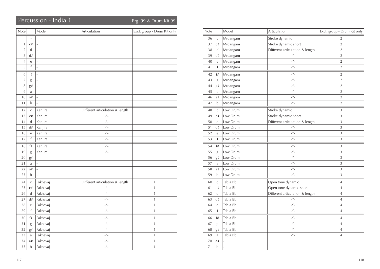## Percussion - India 1 Percussion - India 1

| Note           |                          | Model                    | Articulation                      | Excl. group - Drum Kit only |
|----------------|--------------------------|--------------------------|-----------------------------------|-----------------------------|
|                | $\overline{\phantom{a}}$ |                          |                                   |                             |
| $\mathbf{1}$   | C#                       | $\overline{\phantom{a}}$ |                                   |                             |
| $\overline{2}$ | d                        | $\overline{a}$           |                                   |                             |
| $\overline{3}$ | d#                       | $\overline{a}$           |                                   |                             |
| $\overline{4}$ | e                        | $\overline{a}$           |                                   |                             |
| 5              | f                        | $\overline{a}$           |                                   |                             |
| 6              | f#                       | $\overline{a}$           |                                   |                             |
| 7              | $\mathrm g$              | L,                       |                                   |                             |
| 8              | g#                       | L,                       |                                   |                             |
| 9              | a                        | $\overline{a}$           |                                   |                             |
| 10             | a#                       | $\overline{a}$           |                                   |                             |
| 11             | b                        | ÷,                       |                                   |                             |
| 12             | $\mathsf C$              | Kanjira                  | Different articulation & length   |                             |
| 13             | C#                       | Kanjira                  | $\mu$ <sub>-</sub>                |                             |
| 14             | d                        | Kanjira                  | $\mu$ <sub>-</sub>                |                             |
| 15             | d#                       | Kanjira                  | $\mu$ <sub>-</sub>                |                             |
| 16             | е                        | Kanjira                  | $\mu$                             |                             |
| 17             | $\mathsf f$              | Kanjira                  | $\mu$ <sup><math>\mu</math></sup> |                             |
| 18             | f#                       | Kanjira                  | $ ^{\prime\prime}$ –              |                             |
| 19             | g                        | Kanjira                  | $\mu$ <sub>-</sub>                |                             |
| 20             | g#                       |                          |                                   |                             |
| 21             | a                        | ÷,                       |                                   |                             |
| 22             | a#                       | $\overline{a}$           |                                   |                             |
| 23             | b                        | $\overline{a}$           |                                   |                             |
| 24             | $\mathsf C$              | Pakhavaj                 | Different articulation & length   | $\mathbf 1$                 |
| 25             | C#                       | Pakhavaj                 | $\mu$ <sub>-</sub>                | $\mathbf{1}$                |
| 26             | d                        | Pakhavaj                 | $\mu$ <sub>-</sub>                | $\mathbf{1}$                |
| 27             | d#                       | Pakhavaj                 | $\mu$ <sub>-</sub>                | $\mathbf{1}$                |
| 28             | е                        | Pakhavaj                 | $-$ <sup><math>\mu</math></sup> – | $\mathbf{1}$                |
| 29             | $\mathsf f$              | Pakhavaj                 | $\mu$ <sub>-</sub>                | $\mathbf{1}$                |
| 30             | f#                       | Pakhavaj                 | $\mu$ <sub>-</sub>                | 1                           |
| 31             | g                        | Pakhavaj                 | $\mu$ <sub>-</sub>                | 1                           |
| 32             | g#                       | Pakhavaj                 | $\mu$ <sub>-</sub>                | $\mathbf{1}$                |
| 33             | a                        | Pakhavaj                 | $\mu$ <sub>-</sub>                | 1                           |
| 34             | a#                       | Pakhavaj                 | $\mu$ <sub>-</sub>                | 1                           |
| 35             | b                        | Pakhavaj                 | $\mu$ <sub>-</sub>                | $\overline{1}$              |

| Note |              | Model          | Articulation                    | Excl. group - Drum Kit only |
|------|--------------|----------------|---------------------------------|-----------------------------|
| 36   | $\mathsf{C}$ | Mrdangam       | Stroke dynamic                  | 2                           |
| 37   | C#           | Mrdangam       | Stroke dynamic short            | $\overline{2}$              |
| 38   | d            | Mrdangam       | Different articulation & length | $\overline{2}$              |
| 39   | d#           | Mrdangam       | $\overline{\phantom{a}}''$      | $\overline{2}$              |
| 40   | e            | Mrdangam       | $\mu$ <sub>-</sub>              | $\overline{2}$              |
| 41   | f            | Mrdangam       | $\mu$                           | $\overline{2}$              |
| 42   | f#           | Mrdangam       | $\mu$ <sub>-</sub>              | $\overline{2}$              |
| 43   | $\mathrm g$  | Mrdangam       | $\mu$                           | $\overline{2}$              |
| 44   | g#           | Mrdangam       | $\mu$                           | $\overline{2}$              |
| 45   | a            | Mrdangam       | $ ^{\prime\prime}$ -            | $\overline{2}$              |
| 46   | a#           | Mrdangam       | $\mu$                           | $\overline{2}$              |
| 47   | b            | Mrdangam       | $\mu$ <sub>-</sub>              | $\overline{2}$              |
| 48   | $\mathsf C$  | Low Drum       | Stroke dynamic                  | 3                           |
| 49   | C#           | Low Drum       | Stroke dynamic short            | $\overline{3}$              |
| 50   | d            | Low Drum       | Different articulation & length | 3                           |
| 51   | d#           | Low Drum       | $\mu$ <sub>-</sub>              | 3                           |
| 52   | e            | Low Drum       | $\mu$ <sub>-</sub>              | 3                           |
| 53   | f            | Low Drum       | $\mu$ <sub>-</sub>              | 3                           |
| 54   | f#           | Low Drum       | $ ^{\prime\prime}$ -            | 3                           |
| 55   | g            | Low Drum       | $ ^{\prime\prime}$ -            | 3                           |
| 56   | g#           | Low Drum       | $ ^{\prime\prime}$ -            | 3                           |
| 57   | a            | Low Drum       | $\mu$ <sub>-</sub>              | 3                           |
| 58   | a#           | Low Drum       | $ ^{\prime\prime}$ -            | 3                           |
| 59   | b            | Low Drum       | $\mu$ <sub>-</sub>              | 3                           |
| 60   | $\mathsf C$  | Tabla Bb       | Open tone dynamic               | 4                           |
| 61   | C#           | Tabla Bb       | Open tone dynamic short         | 4                           |
| 62   | $\mathbf d$  | Tabla Bb       | Different articulation & length | $\overline{4}$              |
| 63   | d#           | Tabla Bb       | $\mu$ <sub>-</sub>              | $\overline{4}$              |
| 64   | $\mathbf e$  | Tabla Bb       | $\mu$ <sub>-</sub>              | $\overline{4}$              |
| 65   | f            | Tabla Bb       | $\mu$ <sub>-</sub>              | $\overline{4}$              |
| 66   | f#           | Tabla Bb       | $\mu$ <sub>-</sub>              | 4                           |
| 67   | g            | Tabla Bb       | $\mu$ <sub>-</sub>              | $\overline{4}$              |
| 68   | g#           | Tabla Bb       | $ ^{\prime\prime}$ -            | $\sqrt{4}$                  |
| 69   | a            | Tabla Bb       | $ ^{\prime\prime}$ -            | $\overline{4}$              |
| 70   | a#           |                |                                 |                             |
| 71   | $\mathbf b$  | $\overline{a}$ |                                 |                             |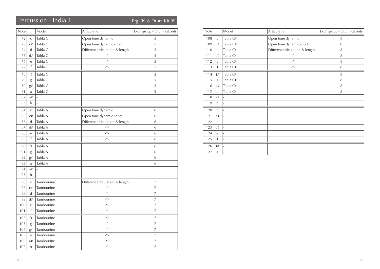## Percussion - India 1 Percussion - India 1

| Note   |              | Model          | Articulation                    | Excl. group - Drum Kit only |
|--------|--------------|----------------|---------------------------------|-----------------------------|
| $72\,$ | $\mathsf{C}$ | Tabla C        | Open tone dynamic               | 5                           |
| 73     | C#           | Tabla C        | Open tone dynamic short         | 5                           |
| 74     | d            | Tabla C        | Different articulation & length | 5                           |
| 75     | d#           | Tabla C        | $\mu$ <sub>-</sub>              | 5                           |
| 76     | $\rm e$      | Tabla C        | $\mu$ <sub>-</sub>              | 5                           |
| 77     | f            | Tabla C        | $\mu$                           | 5                           |
| 78     | f#           | Tabla C        |                                 | 5                           |
| 79     | g            | Tabla C        |                                 | 5                           |
| 80     | g#           | Tabla C        |                                 | 5                           |
| 81     | a            | Tabla C        |                                 | 5                           |
| 82     | a#           | $\overline{a}$ |                                 |                             |
| 83     | $\mathbf b$  | $\overline{a}$ |                                 |                             |
| 84     | $\mathsf C$  | Tabla A        | Open tone dynamic               | 6                           |
| 85     | C#           | Tabla A        | Open tone dynamic short         | 6                           |
| 86     | d            | Tabla A        | Different articulation & length | 6                           |
| 87     | d#           | Tabla A        | $\mu$ <sub>-</sub>              | 6                           |
| 88     | $\mathbf e$  | Tabla A        | $\mu$ <sub>-</sub>              | 6                           |
| 89     | $\mathsf{f}$ | Tabla A        | $\mu$ <sub>-</sub>              | 6                           |
| 90     | f#           | Tabla A        |                                 | 6                           |
| 91     | g            | Tabla A        |                                 | 6                           |
| 92     | g#           | Tabla A        |                                 | 6                           |
| 93     | a            | Tabla A        |                                 | 6                           |
| 94     | a#           |                |                                 |                             |
| 95     | $\mathbf b$  |                |                                 |                             |
| 96     | $\mathsf{C}$ | Tambourine     | Different articulation & length | 7                           |
| 97     | C#           | Tambourine     | $\mu$ <sub>-</sub>              | $\overline{7}$              |
| 98     | d            | Tambourine     | $\mu$ <sub>-</sub>              | 7                           |
| 99     | d#           | Tambourine     | $\frac{u}{u}$                   | 7                           |
| 100    | e            | Tambourine     | $\mu$ <sub>-</sub>              | 7                           |
| 101    | f            | Tambourine     | $\mu$                           | 7                           |
| 102    | f#           | Tambourine     | $\mu$ <sub>-</sub>              | 7                           |
| 103    | g            | Tambourine     | $\mu$ <sub>-</sub>              | 7                           |
| 104    | g#           | Tambourine     | $\mu$ <sub>-</sub>              | $\overline{7}$              |
| 105    | a            | Tambourine     | $ ^{\prime\prime}$ -            | 7                           |
| 106    | a#           | Tambourine     | $\mu$ <sub>-</sub>              | $\overline{7}$              |
| 107    | $\mathbf b$  | Tambourine     | $\mu$ <sub>-</sub>              | 7                           |

| Note |              | Model                    | Articulation                      | Excl. group - Drum Kit only |
|------|--------------|--------------------------|-----------------------------------|-----------------------------|
| 108  | $\mathsf C$  | Tabla C#                 | Open tone dynamic                 | 8                           |
| 109  | C#           | Tabla C#                 | Open tone dynamic short           | 8                           |
| 110  | $\mathbf d$  | Tabla C#                 | Different articulation & length   | 8                           |
| 111  | d#           | Tabla C#                 | $-$ <sup><math>H</math></sup> $-$ | 8                           |
| 112  | $\rm e$      | Tabla C#                 | $\mu$ <sup>u</sup>                | 8                           |
| 113  | $\mathsf{f}$ | Tabla C#                 | $\mu$                             | 8                           |
| 114  | f#           | Tabla C#                 |                                   | 8                           |
| 115  | g            | Tabla C#                 |                                   | 8                           |
| 116  | g#           | Tabla C#                 |                                   | 8                           |
| 117  | a            | Tabla C#                 |                                   | 8                           |
| 118  | a#           | L,                       |                                   |                             |
| 119  | $\mathbf b$  | ä,                       |                                   |                             |
| 120  | $\mathsf{C}$ | $\overline{a}$           |                                   |                             |
| 121  | C#           | $\overline{a}$           |                                   |                             |
| 122  | $\mathbf d$  | L.                       |                                   |                             |
| 123  | d#           | L.                       |                                   |                             |
| 124  | $\mathsf{e}$ | $\overline{\phantom{a}}$ |                                   |                             |
| 125  | $\mathsf{f}$ | $\overline{\phantom{0}}$ |                                   |                             |
| 126  | f#           | $\overline{\phantom{a}}$ |                                   |                             |
| 127  | g            | ٠                        |                                   |                             |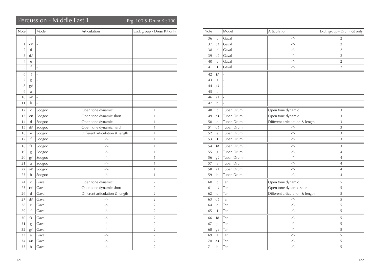## Percussion - Middle East 1 Prg. 100 & Drum Kit 100

| Note           |                | Model                    | Articulation                      | Excl. group - Drum Kit only |
|----------------|----------------|--------------------------|-----------------------------------|-----------------------------|
|                | $\overline{a}$ |                          |                                   |                             |
| $\mathbf{1}$   | C#             | $\overline{a}$           |                                   |                             |
| $\overline{2}$ | $\mathsf{d}$   | $\overline{\phantom{a}}$ |                                   |                             |
| $\overline{3}$ | d#             | $\overline{a}$           |                                   |                             |
| $\overline{4}$ | e              | $\overline{a}$           |                                   |                             |
| 5              | $\mathbf{f}$   | $\overline{a}$           |                                   |                             |
| 6              | f#             | L,                       |                                   |                             |
| $\overline{7}$ | g              | ÷,                       |                                   |                             |
| 8              | g#             | L,                       |                                   |                             |
| 9              | a              | $\overline{a}$           |                                   |                             |
| 10             | a#             | L                        |                                   |                             |
| 11             | b              | L                        |                                   |                             |
| 12             | $\mathsf C$    | Soogoo                   | Open tone dynamic                 | 1                           |
| 13             | C#             | Soogoo                   | Open tone dynamic short           | $\mathbf{1}$                |
| 14             | $\mathbf d$    | Soogoo                   | Open tone dynamic                 | $\mathbf{1}$                |
| 15             | d#             | Soogoo                   | Open tone dynamic hard            | 1                           |
| 16             | е              | Soogoo                   | Different articulation & length   | $\mathbf{1}$                |
| 17             | f              | Soogoo                   | $\mu$ <sup><math>\mu</math></sup> | $\mathbf{1}$                |
| 18             | f#             | Soogoo                   | $\mu$ <sub>-</sub>                | $\mathbf{1}$                |
| 19             | g              | Soogoo                   | $\mu$ <sub>-</sub>                | $\mathbf{1}$                |
| 20             | g#             | Soogoo                   | $\mu$ <sub>-</sub>                | $\mathbf{1}$                |
| 21             | a              | Soogoo                   | $\mu$ <sub>-</sub>                | $\mathbf{1}$                |
| 22             | a#             | Soogoo                   | $-$ <sup><math>\mu</math></sup> – | $\mathbf{1}$                |
| 23             | b              | Soogoo                   | $\mu$ <sub>-</sub>                | $\mathbf{1}$                |
| 24             | $\mathsf{C}$   | Gaval                    | Open tone dynamic                 | $\overline{2}$              |
| 25             | C#             | Gaval                    | Open tone dynamic short           | $\overline{2}$              |
| 26             | $\mathbf d$    | Gaval                    | Different articulation & length   | $\overline{2}$              |
| 27             | d#             | Gaval                    | $\mu$ <sub>-</sub>                | $\overline{2}$              |
| 28             | е              | Gaval                    | $\mu$ <sub>-</sub>                | $\overline{2}$              |
| 29             | f              | Gaval                    | $\mu$ <sub>-</sub>                | $\sqrt{2}$                  |
| 30             | f#             | Gaval                    | $\mu$ <sub>-</sub>                | $\overline{2}$              |
| 31             | g              | Gaval                    | $\mu$ <sub>-</sub>                | $\overline{2}$              |
| 32             | g#             | Gaval                    | $\frac{u}{u}$                     | $\sqrt{2}$                  |
| 33             | a              | Gaval                    | $\mu$ <sub>-</sub>                | $\overline{2}$              |
| 34             | a#             | Gaval                    | $\mu$ <sub>-</sub>                | $\overline{2}$              |
| 35             | b              | Gaval                    | $\mu$ <sub>-</sub>                | $\overline{2}$              |

| Note |                | Model                    | Articulation                      | Excl. group - Drum Kit only |
|------|----------------|--------------------------|-----------------------------------|-----------------------------|
| 36   | $\mathsf{C}$   | Gaval                    | $\mu$ <sub>-</sub>                | 2                           |
| 37   | C#             | Gaval                    | $\mu$ <sub>-</sub>                | $\sqrt{2}$                  |
| 38   | $\mathbf d$    | Gaval                    | $\mu$ <sub>-</sub>                | $\overline{2}$              |
| 39   | d#             | Gaval                    | $\mu$ <sub>-</sub>                | $\overline{2}$              |
| 40   | $\rm e$        | Gaval                    | $\mu$ <sub>-</sub>                | $\overline{2}$              |
| 41   | f              | Gaval                    | $\mu$ <sub>-</sub>                | $\overline{2}$              |
| 42   | f#             | $\overline{a}$           |                                   |                             |
| 43   | $\mathrm g$    | L,                       |                                   |                             |
| 44   | g#             | $\overline{\phantom{a}}$ |                                   |                             |
| 45   | a              | L                        |                                   |                             |
| 46   | a#             | L,                       |                                   |                             |
| 47   | b              | L                        |                                   |                             |
| 48   | $\mathsf C$    | Tupan Drum               | Open tone dynamic                 | 3                           |
| 49   | C#             | Tupan Drum               | Open tone dynamic                 | 3                           |
| 50   | d              | Tupan Drum               | Different articulation & length   | $\overline{3}$              |
| 51   | d#             | Tupan Drum               | $-$ <sup><math>\mu</math></sup> – | $\overline{3}$              |
| 52   | e              | Tupan Drum               | $\mu$ <sub>-</sub>                | $\overline{3}$              |
| 53   | f              | Tupan Drum               | $\mu$ <sub>-</sub>                | 3                           |
| 54   | f#             | Tupan Drum               | $\mu$ <sub>-</sub>                | $\overline{3}$              |
| 55   | $\mathrm g$    | Tupan Drum               | $ ^{\prime\prime}$ -              | $\overline{4}$              |
| 56   | g#             | Tupan Drum               | $ ^{\prime\prime}$ -              | $\overline{4}$              |
| 57   | a              | Tupan Drum               | $ ^{\prime\prime}$ -              | $\overline{4}$              |
| 58   | $\mathrm{a}\#$ | Tupan Drum               | $\mu$ <sub>-</sub>                | $\overline{4}$              |
| 59   | b              | Tupan Drum               | $ ^{\prime\prime}$ -              | $\overline{4}$              |
| 60   | $\mathsf C$    | Tar                      | Open tone dynamic                 | 5                           |
| 61   | C#             | Tar                      | Open tone dynamic short           | 5                           |
| 62   | $\mathsf{d}$   | Tar                      | Different articulation & length   | 5                           |
| 63   | d#             | Tar                      | $\mu$ <sub>-</sub>                | 5                           |
| 64   | $\mathbf e$    | Tar                      | $ ^{\prime\prime}$ -              | 5                           |
| 65   | f              | Tar                      | $ ^{\prime\prime}$ –              | 5                           |
| 66   | f#             | Tar                      | $ ^{\prime\prime}$ -              | 5                           |
| 67   | g              | Tar                      | $\mu$ <sub>-</sub>                | 5                           |
| 68   | g#             | Tar                      | $\mu$ <sub>-</sub>                | 5                           |
| 69   | $\mathbf{a}$   | Tar                      | $\mu$ <sub>-</sub>                | 5                           |
| 70   | a#             | Tar                      | $ ^{\prime\prime}$ –              | 5                           |
| 71   | b              | Tar                      | $\mu$ <sub>-</sub>                | $\mathsf S$                 |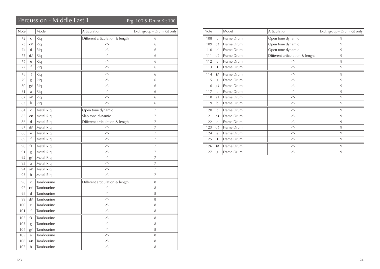## Percussion - Middle East 1 Prg. 100 & Drum Kit 100

| Note |                | Model      | Articulation                      | Excl. group - Drum Kit only |
|------|----------------|------------|-----------------------------------|-----------------------------|
| 72   | $\mathsf{C}$   | Riq        | Different articulation & length   | 6                           |
| 73   | C#             | Riq        | $\mathbb{L}^H\mathbb{L}$          | 6                           |
| 74   | $\mathsf{d}$   | Riq        | $\mu$ <sup><math>\mu</math></sup> | 6                           |
| 75   | d#             | Riq        | $\mu$ <sub>-</sub>                | 6                           |
| 76   | $\mathbf e$    | Riq        | $\mu$ <sub>-</sub>                | 6                           |
| 77   | f              | Riq        | $\mu$ <sub>-</sub>                | 6                           |
| 78   | f#             | Riq        | $\mu$ <sub>-</sub>                | 6                           |
| 79   | g              | Riq        | $\mu$ <sub>-</sub>                | 6                           |
| 80   | g#             | Riq        | $\mu$ <sub>-</sub>                | 6                           |
| 81   | a              | Riq        | $\mu$ <sup><math>\mu</math></sup> | 6                           |
| 82   | a#             | Riq        | $\mu$ <sup><math>\mu</math></sup> | 6                           |
| 83   | b              | Riq        | $\mu$ <sub>-</sub>                | 6                           |
| 84   | $\mathsf{C}$   | Metal Riq  | Open tone dynamic                 | 7                           |
| 85   | C#             | Metal Riq  | Slap tone dynamic                 | 7                           |
| 86   | d              | Metal Riq  | Different articulation & length   | $\overline{7}$              |
| 87   | d#             | Metal Riq  | $\mu$ <sub>-</sub>                | 7                           |
| 88   | $\overline{e}$ | Metal Riq  | $\mu$ <sub>-</sub>                | 7                           |
| 89   | f              | Metal Riq  | $\mu$ <sub>-</sub>                | 7                           |
| 90   | f#             | Metal Riq  | $\mu$ <sub>-</sub>                | 7                           |
| 91   | g              | Metal Riq  | $\mu$ <sub>-</sub>                | 7                           |
| 92   | g#             | Metal Riq  | $ ^{\prime\prime}$ -              | $\overline{7}$              |
| 93   | a              | Metal Riq  | $\mu$ <sub>-</sub>                | $\overline{7}$              |
| 94   | a#             | Metal Riq  | $\mu$ <sub>-</sub>                | 7                           |
| 95   | b              | Metal Riq  | $\mu$ <sub>-</sub>                | 7                           |
| 96   | $\mathsf{C}$   | Tambourine | Different articulation & length   | 8                           |
| 97   | C#             | Tambourine | $\mu$ <sub>-</sub>                | 8                           |
| 98   | d              | Tambourine | $\mu$ <sub>-</sub>                | 8                           |
| 99   | d#             | Tambourine | $\mu$ <sub>-</sub>                | 8                           |
| 100  | $\overline{e}$ | Tambourine | $\mu$ <sub>-</sub>                | 8                           |
| 101  | f              | Tambourine | $\mu$ <sub>-</sub>                | 8                           |
| 102  | f#             | Tambourine | $-$ <sup><math>\mu</math></sup> – | 8                           |
| 103  | g              | Tambourine | $\mu$ <sub>-</sub>                | 8                           |
| 104  | $\mathrm{g}\#$ | Tambourine | $-$ <sup><math>\mu</math></sup> – | 8                           |
| 105  | a              | Tambourine | $ ^{\prime\prime}$ –              | 8                           |
| 106  | $\mathrm{a}\#$ | Tambourine | $\mu$ <sub>-</sub>                | 8                           |
| 107  | b              | Tambourine | $-$ <sup><math>\mu</math></sup> – | 8                           |

| Note |              | Model      | Articulation                      | Excl. group - Drum Kit only |
|------|--------------|------------|-----------------------------------|-----------------------------|
| 108  | $\mathsf{C}$ | Frame Drum | Open tone dynamic                 | 9                           |
| 109  | C#           | Frame Drum | Open tone dynamic                 | 9                           |
| 110  | d            | Frame Drum | Open tone dynamic                 | 9                           |
| 111  | d#           | Frame Drum | Different articulation & lenght   | 9                           |
| 112  | e            | Frame Drum | $-$ <sup><math>H</math></sup> $-$ | 9                           |
| 113  | f            | Frame Drum | $\mu$ <sub>-</sub>                | 9                           |
| 114  | f#           | Frame Drum | $\mu$ <sub>-</sub>                | 9                           |
| 115  | g            | Frame Drum | $\mu$ <sub>-</sub>                | 9                           |
| 116  | $g\#$        | Frame Drum | $\mu$ <sub>-</sub>                | 9                           |
| 117  | a            | Frame Drum | $\mu$ <sub>-</sub>                | 9                           |
| 118  | a#           | Frame Drum | $\mu$ <sup>u</sup>                | 9                           |
| 119  | b            | Frame Drum | $\mu$ <sub>-</sub>                | 9                           |
| 120  | $\mathsf{C}$ | Frame Drum | $\mu$                             | 9                           |
| 121  | C#           | Frame Drum | $\mu$ <sub>-</sub>                | 9                           |
| 122  | $\mathsf{d}$ | Frame Drum | $\mu$                             | 9                           |
| 123  | d#           | Frame Drum | $-$ <sup><math>\mu</math></sup> – | 9                           |
| 124  | e            | Frame Drum | $\mu$ <sup>u</sup>                | 9                           |
| 125  | f            | Frame Drum | $-$ <sup><math>\mu</math></sup> – | 9                           |
| 126  | f#           | Frame Drum | $-$ <sup><math>\mu</math></sup> – | 9                           |
| 127  | g            | Frame Drum | $\mu$ <sub>-</sub>                | 9                           |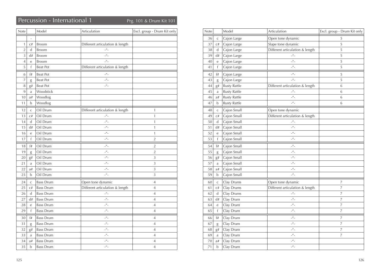## Percussion - International 1 Prg. 101 & Drum Kit 101

| <b>Note</b>    |              | Model            | Articulation                      | Excl. group - Drum Kit only |
|----------------|--------------|------------------|-----------------------------------|-----------------------------|
|                | L,           |                  |                                   |                             |
| 1              | C#           | <b>Broom</b>     | Different articulation & length   |                             |
| $\overline{2}$ | d            | Broom            | $\mu$ <sub>-</sub>                |                             |
| $\overline{3}$ | d#           | <b>Broom</b>     | $\mu$ <sub>-</sub>                |                             |
| 4              | e            | Broom            | $\mu$ <sub>-</sub>                |                             |
| 5              | f            | <b>Beat Pot</b>  | Different articulation & length   |                             |
| 6              | f#           | <b>Beat Pot</b>  | $ ^{\prime\prime}$ –              |                             |
| $\overline{7}$ | g            | <b>Beat Pot</b>  | $\mu$ <sub>-</sub>                |                             |
| 8              | g#           | <b>Beat Pot</b>  | $\mu$ <sub>-</sub>                |                             |
| 9              | a            | Woodstick        |                                   |                             |
| 10             | a#           | Woodlog          |                                   |                             |
| 11             | b            | Woodlog          |                                   |                             |
| 12             | $\mathsf{C}$ | Oil Drum         | Different articulation & length   | $\mathbf{1}$                |
| 13             | C#           | Oil Drum         | $\mu$ <sub>-</sub>                | $\mathbf{1}$                |
| 14             | d            | Oil Drum         | $\mu$ <sub>-</sub>                | $\mathbf{1}$                |
| 15             | d#           | Oil Drum         | $\mu$ <sub>-</sub>                | $\mathbf{1}$                |
| 16             | e            | Oil Drum         | $\mu$ <sub>-</sub>                | $\mathbf{1}$                |
| 17             | f            | Oil Drum         | $\mu$ <sub>-</sub>                | $\overline{2}$              |
| 18             | f#           | Oil Drum         | $\mu$ <sub>-</sub>                | $\overline{2}$              |
| 19             | g            | Oil Drum         | $-$ <sup><math>\mu</math></sup> – | $\overline{2}$              |
| 20             | g#           | Oil Drum         | $-$ <sup><math>\mu</math></sup> – | 3                           |
| 21             | a            | Oil Drum         | $-$ <sup><math>\mu</math></sup> – | 3                           |
| 22             | a#           | Oil Drum         | $-$ <sup><math>\mu</math></sup> – | 3                           |
| 23             | $\mathbf b$  | Oil Drum         | $\mu$ <sup><math>\mu</math></sup> | 3                           |
| 24             | $\mathsf{C}$ | <b>Bass Drum</b> | Open tone dynamic                 | $\overline{4}$              |
| 25             | C#           | <b>Bass Drum</b> | Different articulation & length   | $\overline{4}$              |
| 26             | d            | <b>Bass Drum</b> | $-$ <sup><math>\mu</math></sup> – | $\overline{4}$              |
| 27             | d#           | <b>Bass Drum</b> | $\mu$ <sub>-</sub>                | $\overline{4}$              |
| 28             | e            | <b>Bass Drum</b> | $\mu$ <sub>-</sub>                | $\overline{4}$              |
| 29             | f            | <b>Bass Drum</b> | $\mu$ <sub>-</sub>                | $\overline{4}$              |
| 30             | f#           | <b>Bass Drum</b> | $\mu$ <sub>-</sub>                | $\overline{4}$              |
| 31             | g            | <b>Bass Drum</b> | $\mu$ <sub>-</sub>                | $\overline{4}$              |
| 32             | g#           | <b>Bass Drum</b> | $\mu$                             | $\overline{4}$              |
| 33             | a            | <b>Bass Drum</b> | $\mu$ <sub>-</sub>                | 4                           |
| 34             | a#           | <b>Bass Drum</b> | $\frac{u}{u}$                     | $\overline{4}$              |
| 35             | $\mathbf b$  | <b>Bass Drum</b> | $ ^{\prime\prime}$ -              | $\overline{4}$              |

| Note |                  | Model               | Articulation                      | Excl. group - Drum Kit only |
|------|------------------|---------------------|-----------------------------------|-----------------------------|
| 36   | $\mathsf C$      | Cajon Large         | Open tone dynamic                 | 5                           |
| 37   | $\mathrm{C}\,\#$ | Cajon Large         | Slape tone dynamic                | 5                           |
| 38   | d                | Cajon Large         | Different articulation & length   | 5                           |
| 39   | d#               | Cajon Large         | $ ^{\prime\prime}$ –              | 5                           |
| 40   | $\rm e$          | Cajon Large         | $\mu$ <sub>-</sub>                | 5                           |
| 41   | f                | Cajon Large         | $\mu$ <sub>-</sub>                | 5                           |
| 42   | f#               | Cajon Large         | $-$ <sup><math>H</math></sup> $-$ | 5                           |
| 43   | $\mathrm g$      | Cajon Large         | $\mu$ <sub>-</sub>                | 5                           |
| 44   | g#               | <b>Rusty Rattle</b> | Different articulation & length   | 6                           |
| 45   | a                | <b>Rusty Rattle</b> | $ ^{\prime\prime}$ $-$            | 6                           |
| 46   | a#               | <b>Rusty Rattle</b> | $-$ <sup><math>\mu</math></sup> – | 6                           |
| 47   | b                | <b>Rusty Rattle</b> | $\mu$ <sub>-</sub>                | 6                           |
| 48   | $\mathsf C$      | Cajon Small         | Open tone dynamic                 |                             |
| 49   | C#               | Cajon Small         | Different articulation & length   |                             |
| 50   | d                | Cajon Small         | $\mathcal{L}''$ .                 |                             |
| 51   | d#               | Cajon Small         | $\mu$ <sup><math>\mu</math></sup> |                             |
| 52   | e                | Cajon Small         | $\mu$ <sup><math>\mu</math></sup> |                             |
| 53   | f                | Cajon Small         | $\mu$ <sub>-</sub>                |                             |
| 54   | f#               | Cajon Small         | $-$ <sup><math>H</math></sup> –   |                             |
| 55   | g                | Cajon Small         | $\mu$ <sub>-</sub>                |                             |
| 56   | g#               | Cajon Small         | $\mu$ <sub>-</sub>                |                             |
| 57   | a                | Cajon Small         | $-$ <sup><math>\mu</math></sup> – |                             |
| 58   | a#               | Cajon Small         | $-$ <sup><math>H</math></sup> –   |                             |
| 59   | b                | Cajon Small         | $\mu$ <sup><math>\mu</math></sup> |                             |
| 60   | $\mathsf C$      | Clay Drums          | Open tone dynamic                 | 7                           |
| 61   | C#               | Clay Drums          | Different articulation & length   | $\overline{7}$              |
| 62   | d                | Clay Drums          | $ ^{\prime\prime}$ $-$            | $\overline{7}$              |
| 63   | d#               | Clay Drum           | $\mu$ <sub>-</sub>                | 7                           |
| 64   | e                | Clay Drum           | $-$ <sup><math>H</math></sup> –   | 7                           |
| 65   | f                | Clay Drum           | $-$ <sup><math>H</math></sup> –   | 7                           |
| 66   | f#               | Clay Drum           | $\mu$ <sub>-</sub>                | 7                           |
| 67   | g                | Clay Drum           | $\mu$ <sub>-</sub>                | $\overline{7}$              |
| 68   | g#               | Clay Drum           | $-$ <sup><math>H</math></sup> $-$ | 7                           |
| 69   | a                | Clay Drum           | $-$ <sup><math>H</math></sup> $-$ | 7                           |
| 70   | a#               | Clay Drum           | $ ^{\prime\prime}$ –              |                             |
| 71   | b                | Clay Drum           | $-$ <sup><math>H</math></sup> $-$ |                             |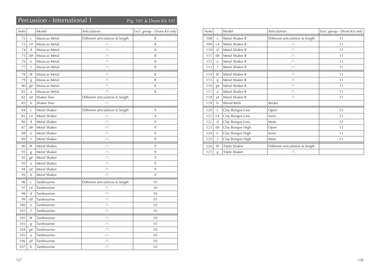## Percussion - International 1 Prg. 101 & Drum Kit 101

| Note |                | Model              | Articulation                      | Excl. group - Drum Kit only |
|------|----------------|--------------------|-----------------------------------|-----------------------------|
| 72   | $\mathsf{C}$   | Maracas Metal      | Different articulation & length   | 8                           |
| 73   | C#             | Maracas Metal      | $\mu$ <sub>-</sub>                | 8                           |
| 74   | d              | Maracas Metal      | $\mu$ <sub>-</sub>                | 8                           |
| 75   | d#             | Maracas Metal      | $ ^{\prime\prime}$ -              | 8                           |
| 76   | e              | Maracas Metal      | $-$ <sup><math>\mu</math></sup> – | 8                           |
| 77   | $\mathsf{f}$   | Maracas Metal      | $\mu$                             | 8                           |
| 78   | f#             | Maracas Metal      | $\mu$ <sup><math>\mu</math></sup> | 8                           |
| 79   | g              | Maracas Metal      | $\mu$ <sub>-</sub>                | 8                           |
| 80   | g#             | Maracas Metal      | $\mu$ <sup>u</sup>                | 8                           |
| 81   | a              | Maracas Metal      | $\mu$ <sub>-</sub>                | 8                           |
| 82   | a#             | <b>Shaker Tree</b> | Different articulation & length   |                             |
| 83   | b              | <b>Shaker Tree</b> | $\mu$ <sub>-</sub>                |                             |
| 84   | $\mathsf{C}$   | Metal Shaker       | Different articulation & length   | 9                           |
| 85   | C#             | Metal Shaker       | $\mathcal{L}''$ .                 | 9                           |
| 86   | $\mathsf{d}$   | Metal Shaker       | $\mu$ <sub>-</sub>                | 9                           |
| 87   | d#             | Metal Shaker       | $\mu$ <sub>-</sub>                | 9                           |
| 88   | e              | Metal Shaker       | $\mu$                             | 9                           |
| 89   | $\mathsf{f}$   | Metal Shaker       | $\mu$ <sub>-</sub>                | 9                           |
| 90   | f#             | Metal Shaker       | $\mu$                             | 9                           |
| 91   | g              | Metal Shaker       | $-$ <sup><math>\mu</math></sup> – | 9                           |
| 92   | g#             | Metal Shaker       | $-$ <sup><math>\mu</math></sup> – | 9                           |
| 93   | a              | Metal Shaker       | $\mu$ <sub>-</sub>                | 9                           |
| 94   | a#             | Metal Shaker       | $-$ <sup><math>\mu</math></sup> – | 9                           |
| 95   | b              | Metal Shaker       | $\mu$ <sub>-</sub>                | 9                           |
| 96   | $\overline{C}$ | Tambourine         | Different articulation & length   | 10                          |
| 97   | C#             | Tambourine         | $ \mu$                            | 10                          |
| 98   | d              | Tambourine         | $\mu$ <sub>-</sub>                | 10                          |
| 99   | d#             | Tambourine         | $\mu$ <sub>-</sub>                | 10                          |
| 100  | e              | Tambourine         | $\overline{\phantom{a}}''$        | 10                          |
| 101  | f              | Tambourine         | $-$ <sup><math>\mu</math></sup> – | 10                          |
| 102  | f#             | Tambourine         | $ ^{\prime\prime}$ -              | 10                          |
| 103  | g              | Tambourine         | $ ^{\prime\prime}$ -              | 10                          |
| 104  | g#             | Tambourine         | $\mu$ <sub>-</sub>                | 10                          |
| 105  | a              | Tambourine         | $ ^{\prime\prime}$ –              | 10                          |
| 106  | a#             | Tambourine         | $\mu$                             | 10                          |
| 107  | $\mathbf b$    | Tambourine         | $\mu$ <sub>-</sub>                | 10                          |

| <b>Note</b> |              | Model            | Articulation                    | Excl. group - Drum Kit only |
|-------------|--------------|------------------|---------------------------------|-----------------------------|
| 108         | $\mathsf{C}$ | Metal Shaker R   | Different articulation & length | 11                          |
| 109         | C#           | Metal Shaker R   | $\mu$ <sub>-</sub>              | 11                          |
| 110         | d            | Metal Shaker R   | $\mu$ <sub>-</sub>              | 11                          |
| 111         | d#           | Metal Shaker R   | $\mu$                           | 11                          |
| 112         | e            | Metal Shaker R   | $\mu$ <sub>-</sub>              | 11                          |
| 113         | f            | Metal Shaker R   | $\mu$ <sub>-</sub>              | 11                          |
| 114         | f#           | Metal Shaker R   | $\mu$ <sub>-</sub>              | 11                          |
| 115         | g            | Metal Shaker R   | $\mu$ <sub>-</sub>              | 11                          |
| 116         | g#           | Metal Shaker R   | $\mu$ <sub>-</sub>              | 11                          |
| 117         | a            | Metal Shaker R   | $\mu$ <sub>-</sub>              | 11                          |
| 118         | a#           | Metal Shaker R   | $\mu$ <sub>-</sub>              | 11                          |
| 119         | b            | Wood Bells       | Stroke                          |                             |
| 120         | $\mathsf{C}$ | Clay Bongos Low  | Open                            | 12                          |
| 121         | C#           | Clay Bongos Low  | Semi                            | 12                          |
| 122         | d            | Clay Bongos Low  | Mute                            | 12                          |
| 123         | d#           | Clay Bongos High | Open                            | 13                          |
| 124         | e            | Clay Bongos High | Semi                            | 13                          |
| 125         | f            | Clay Bongos High | Mute                            | 13                          |
| 126         | f#           | Triple Shaker    | Different articulation & length |                             |
| 127         | g            | Triple Shaker    | $ ^{\prime\prime}$ -            |                             |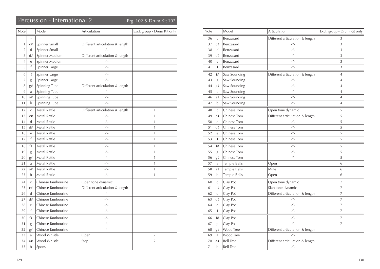## Percussion - International 2 Prg. 102 & Drum Kit 102

| Note           |              | Model              | Articulation                      | Excl. group - Drum Kit only |
|----------------|--------------|--------------------|-----------------------------------|-----------------------------|
|                |              |                    |                                   |                             |
| $\mathbf{1}$   | C#           | Spinner Small      | Different articulation & length   |                             |
| $\overline{2}$ | d            | Spinner Small      |                                   |                             |
| 3              | d#           | Spinner Medium     | Different articulation & length   |                             |
| 4              | e            | Spinner Medium     | $ \mu$                            |                             |
| 5              | f            | Spinner Large      | $\mu$                             |                             |
| 6              | f#           | Spinner Large      | $-$ <sup><math>\mu</math></sup> – |                             |
| 7              | g            | Spinner Large      | $\mu$ <sub>-</sub>                |                             |
| 8              | g#           | Spinning Tube      | Different articulation & length   |                             |
| 9              | a            | Spinning Tube      | $ ^{\prime\prime}$ –              |                             |
| 10             | a#           | Spinning Tube      | $\mu$                             |                             |
| 11             | b            | Spinning Tube      | $\mu$ <sub>-</sub>                |                             |
| 12             | $\mathsf{C}$ | Metal Rattle       | Different articulation & length   | $\mathbf{1}$                |
| 13             | C#           | Metal Rattle       | $ ^{\prime\prime}$ –              | $\mathbf{1}$                |
| 14             | d            | Metal Rattle       | $\mu$                             | $\mathbf{1}$                |
| 15             | d#           | Metal Rattle       | $\mu$ <sub>-</sub>                | 1                           |
| 16             | e            | Metal Rattle       | $\mu$                             | 1                           |
| 17             | f            | Metal Rattle       | $\mu$ <sub>-</sub>                | 1                           |
| 18             | f#           | Metal Rattle       | $-$ <sup><math>\mu</math></sup> – | 1                           |
| 19             | g            | Metal Rattle       | $-$ <sup><math>\mu</math></sup> – | $\mathbf{1}$                |
| 20             | g#           | Metal Rattle       | $-$ <sup><math>\mu</math></sup> – | 1                           |
| 21             | a            | Metal Rattle       | $ ^{\prime\prime}$ -              | $\mathbf{1}$                |
| 22             | a#           | Metal Rattle       | $\mu$ <sub>-</sub>                | 1                           |
| 23             | b            | Metal Rattle       | $\mu$ <sub>-</sub>                | 1                           |
| 24             | $\mathsf C$  | Chinese Tambourine | Open tone dynamic                 |                             |
| 25             | C#           | Chinese Tambourine | Different articulation & length   |                             |
| 26             | d            | Chinese Tambourine | $\mu$                             |                             |
| 27             | d#           | Chinese Tambourine | $\mu$ <sub>-</sub>                |                             |
| 28             | e            | Chinese Tambourine | $-$ <sup><math>\mu</math></sup> – |                             |
| 29             | $\mathsf f$  | Chinese Tambourine | $\mu$ <sub>-</sub>                |                             |
| 30             | f#           | Chinese Tambourine | $ ^{\prime\prime}$ –              |                             |
| 31             | g            | Chinese Tambourine | $-$ <sup><math>\mu</math></sup> – |                             |
| 32             | g#           | Chinese Tambourine | $-$ <sup><math>\mu</math></sup> – |                             |
| 33             | a            | Wood Whistle       | Open                              | 2                           |
| 34             | a#           | Wood Whistle       | Stop                              | $\overline{2}$              |
| 35             | b            | Spons              |                                   |                             |

| Note |              | Model            | Articulation                    | Excl. group - Drum Kit only |
|------|--------------|------------------|---------------------------------|-----------------------------|
| 36   | $\mathsf{C}$ | Benzasard        | Different articulation & length | 3                           |
| 37   | C#           | Benzasard        | $ ^{\prime\prime}$ –            | 3                           |
| 38   | d            | Benzasard        | $\mu$ <sub>-</sub>              | 3                           |
| 39   | d#           | Benzasard        | $\mu$ <sub>-</sub>              | 3                           |
| 40   | e            | Benzasard        | $\mu$ <sub>-</sub>              | 3                           |
| 41   | f            | Benzasard        | $\mu$                           | 3                           |
| 42   | f#           | Saw Sounding     | Different articulation & length | $\overline{4}$              |
| 43   | g            | Saw Sounding     | $\mu$ <sub>-</sub>              | $\overline{4}$              |
| 44   | g#           | Saw Sounding     | $\mu$                           | $\overline{4}$              |
| 45   | a            | Saw Sounding     | $\mu$                           | $\overline{4}$              |
| 46   | a#           | Saw Sounding     | $ ^{\prime\prime}$ -            | $\overline{4}$              |
| 47   | b            | Saw Sounding     | $\mu$ <sub>-</sub>              | $\overline{4}$              |
| 48   | $\mathsf{C}$ | Chinese Tom      | Open tone dynamic               | 5                           |
| 49   | C#           | Chinese Tom      | Different articulation & length | 5                           |
| 50   | d            | Chinese Tom      | $\mu$ <sub>-</sub>              | 5                           |
| 51   | d#           | Chinese Tom      | $\mu$                           | 5                           |
| 52   | е            | Chinese Tom      | $\mu$                           | 5                           |
| 53   | f            | Chinese Tom      | $\mu$                           | 5                           |
| 54   | f#           | Chinese Tom      | $ ^{\prime\prime}$ -            | 5                           |
| 55   | g            | Chinese Tom      | $\mu$ <sub>-</sub>              | 5                           |
| 56   | g#           | Chinese Tom      | $ ^{\prime\prime}$ –            | 5                           |
| 57   | a            | Temple Bells     | Open                            | 6                           |
| 58   | a#           | Temple Bells     | Mute                            | 6                           |
| 59   | b            | Temple Bells     | Open                            | 6                           |
| 60   | $\mathsf{C}$ | Clay Pot         | Open tone dynamic               | 7                           |
| 61   | C#           | Clay Pot         | Slap tone dynamic               | 7                           |
| 62   | d            | Clay Pot         | Different articulation & length | 7                           |
| 63   | d#           | Clay Pot         | $\mu$ <sub>-</sub>              | 7                           |
| 64   | e            | Clay Pot         | $ ^{\prime\prime}$ -            | 7                           |
| 65   | f            | Clay Pot         | $ ^{\prime\prime}$ -            | 7                           |
| 66   | f#           | Clay Pot         | $ ^{\prime\prime}$ –            | 7                           |
| 67   | g            | Clay Pot         | $\mu$                           | 7                           |
| 68   | g#           | Wood Tree        | Different articulation & length |                             |
| 69   | a            | Wood Tree        | $\mu$ <sub>-</sub>              |                             |
| 70   | a#           | <b>Bell Tree</b> | Different articulation & length |                             |
| 71   | b            | <b>Bell Tree</b> | $\mu$ <sub>-</sub>              |                             |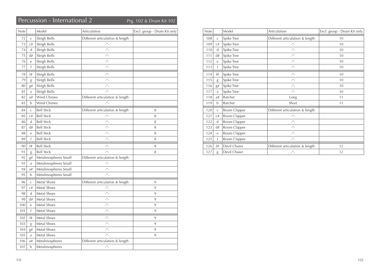## Percussion - International 2 Prg. 102 & Drum Kit 102

| Note |              | Model                | Articulation                      | Excl. group - Drum Kit only |
|------|--------------|----------------------|-----------------------------------|-----------------------------|
| 72   | C            | Sleigh Bells         | Different articulation & length   |                             |
| 73   | C#           | Sleigh Bells         | $\mu$ <sub>-</sub>                |                             |
| 74   | $\mathbf d$  | Sleigh Bells         | $\mu$ <sub>-</sub>                |                             |
| 75   | d#           | Sleigh Bells         | $\mu$ <sub>-</sub>                |                             |
| 76   | e            | Sleigh Bells         | $\mu$ <sub>-</sub>                |                             |
| 77   | f            | Sleigh Bells         | $\mu$ <sub>-</sub>                |                             |
| 78   | f#           | Sleigh Bells         | $ ^{\prime\prime}$ –              |                             |
| 79   | g            | Sleigh Bells         | $\mu$ <sub>-</sub>                |                             |
| 80   | g#           | Sleigh Bells         | $\mu$ <sub>-</sub>                |                             |
| 81   | a            | Sleigh Bells         | $ ^{\prime\prime}$ -              |                             |
| 82   | a#           | Wind Chimes          | Different articulation & length   |                             |
| 83   | b            | <b>Wind Chimes</b>   | $\mu$ <sub>-</sub>                |                             |
| 84   | $\mathsf{C}$ | <b>Bell Stick</b>    | Different articulation & length   | 8                           |
| 85   | C#           | <b>Bell Stick</b>    | $\mu$ <sub>-</sub>                | 8                           |
| 86   | d            | <b>Bell Stick</b>    | $-$ <sup><math>\mu</math></sup> – | 8                           |
| 87   | d#           | <b>Bell Stick</b>    | $\mu$ <sub>-</sub>                | 8                           |
| 88   | e            | <b>Bell Stick</b>    | $\mu$ <sub>-</sub>                | 8                           |
| 89   | f            | <b>Bell Stick</b>    | $\mu$                             | 8                           |
| 90   | f#           | <b>Bell Stick</b>    | $\mu$ <sub>-</sub>                | 8                           |
| 91   | g            | <b>Bell Stick</b>    | $\mu$                             | 8                           |
| 92   | g#           | Metalmospheres Small | Different articulation & length   |                             |
| 93   | a            | Metalmospheres Small | $\mu$ <sub>-</sub>                |                             |
| 94   | a#           | Metalmospheres Small | $-$ <sup><math>\mu</math></sup> – |                             |
| 95   | b            | Metalmospheres Small | $\mu$ <sub>-</sub>                |                             |
| 96   | $\mathsf{C}$ | Metal Shoes          | Different articulation & length   | 9                           |
| 97   | C#           | Metal Shoes          | $\mu$                             | 9                           |
| 98   | d            | Metal Shoes          | $\overline{\phantom{a}}''$        | 9                           |
| 99   | d#           | Metal Shoes          | $\overline{\phantom{a}}''$        | 9                           |
| 100  | e            | Metal Shoes          | $\mu$                             | 9                           |
| 101  | f            | Metal Shoes          | $\mu$ <sub>-</sub>                | 9                           |
| 102  | f#           | Metal Shoes          | $\mu$                             | 9                           |
| 103  | g            | Metal Shoes          | $\overline{\phantom{a}}''$        | 9                           |
| 104  | ${\bf g} \#$ | Metal Shoes          | $ ^{\prime\prime}$ –              | 9                           |
| 105  | a            | Metal Shoes          | $-$ <sup><math>\mu</math></sup> – | 9                           |
| 106  | a#           | Metalmospheres       | Different articulation & length   |                             |
| 107  | b            | Metalmospheres       | $-$ <sup><math>\mu</math></sup> – |                             |

| <b>Note</b> |                | Model        | Articulation                      | Excl. group - Drum Kit only |
|-------------|----------------|--------------|-----------------------------------|-----------------------------|
| 108         | $\mathsf{C}$   | Spike Tree   | Different articulation & length   | 10                          |
| 109         | C#             | Spike Tree   | $\mu$ <sub>-</sub>                | 10                          |
| 110         | d              | Spike Tree   | $\mu$ <sub>-</sub>                | 10                          |
| 111         | d#             | Spike Tree   | $\mu$ <sub>-</sub>                | 10                          |
| 112         | e              | Spike Tree   | $\mu$ <sub>-</sub>                | 10                          |
| 113         | f              | Spike Tree   | $\mu$                             | 10                          |
| 114         | f#             | Spike Tree   | $\mu$                             | 10                          |
| 115         | g              | Spike Tree   | $\mu$                             | 10                          |
| 116         | g#             | Spike Tree   | $\mu$ <sub>-</sub>                | 10                          |
| 117         | a              | Spike Tree   | $-$ <sup><math>H</math></sup> $-$ | 10                          |
| 118         | a#             | Ratchet      | Long                              | 11                          |
| 119         | b              | Ratchet      | Short                             | 11                          |
| 120         | $\overline{C}$ | Room Clapper | Different articulation & length   |                             |
| 121         | C#             | Room Clapper | $\mu$                             |                             |
| 122         | d              | Room Clapper | $\mu$                             |                             |
| 123         | d#             | Room Clapper | $\mu$                             |                             |
| 124         | e              | Room Clapper | $\mu$                             |                             |
| 125         | f              | Room Clapper | $\mu$ <sub>-</sub>                |                             |
| 126         | f#             | Devil Chaser | Different articulation & length   | 12                          |
| 127         | g              | Devil Chaser | $\mu$ <sub>-</sub>                | 12                          |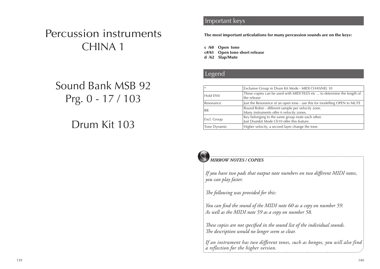# Percussion instruments CHINA 1

# Sound Bank MSB 92 Prg. 0 - 17 / 103

# Drum Kit 103

#### **Important keys** Solo Society Solo solo solo solo

The most important articulations for many percussion sounds are on the keys:

c /60 Open tone c#/61 Open tone short release d /62 Slap/Mute

#### **Legend List Solo Sounds**

| Exclusive Group in Drum Kit Mode - MIDI CHANNEL 10<br>$\ast$                                               |                                                                                                |  |
|------------------------------------------------------------------------------------------------------------|------------------------------------------------------------------------------------------------|--|
| Hold ENV                                                                                                   | These copies can be used with MIDI FILES etc  to determine the length of<br>the release        |  |
| Just the Resonance of an open tone - use this for modelling OPEN to MUTE<br>Resonance                      |                                                                                                |  |
| Round Robin - different sample per velocity zone.<br><b>RR</b><br>Many instruments offer 6 velocity zones. |                                                                                                |  |
| Excl. Group                                                                                                | Key belonging to the same group mute each other.<br>Just Drumkit Mode Ch10 offer this feature. |  |
| Higher velocity, a second layer change the tone.<br>Tone Dynamic                                           |                                                                                                |  |



#### *MIRROW NOTES / COPIES*

*If you have two pads that output note numbers on two different MIDI notes, you can play faster.*

*The following was provided for this:*

*You can find the sound of the MIDI note 60 as a copy on number 59. As well as the MIDI note 59 as a copy on number 58.*

*These copies are not specified in the sound list of the individual sounds. The description would no longer seem so clear.*

*If an instrument has two different tones, such as bongos, you will also find a reflection for the higher version.*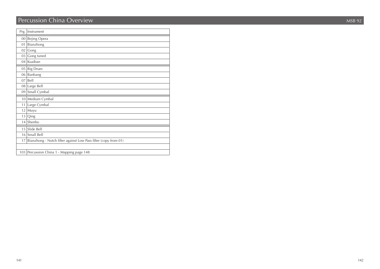## Percussion China Overview MSB 92

| Prg. | Instrument                                                      |
|------|-----------------------------------------------------------------|
|      | 00 Bejing Opera                                                 |
| 01   | Bianzhong                                                       |
| 02   | Gong                                                            |
| 03   | Gong tuned                                                      |
| 04   | Kuaiban                                                         |
| 05   | <b>Big Drum</b>                                                 |
| 06   | Banbang                                                         |
| 07   | Bell                                                            |
|      | 08 Large Bell                                                   |
| 09   | Small Cymbal                                                    |
| 10   | Medium Cymbal                                                   |
| 11   | Large Cymbal                                                    |
| 12   | Muyu                                                            |
| 13   | Qing                                                            |
| 14   | Shenbo                                                          |
| 15   | Slide Bell                                                      |
| 16   | Small Bell                                                      |
| 17   | Bianzhong - Notch filter against Low Pass filter (copy from 01) |
|      |                                                                 |
|      | 103 Percussion China 1 - Mapping page 148                       |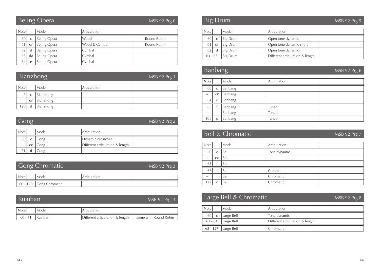## Bejing Opera

MSB 92 Prg 0

| <b>Note</b> |    | Model        | Articulation  |             |
|-------------|----|--------------|---------------|-------------|
| 60          |    | Bejing Opera | Wood          | Round Robin |
|             | C# | Bejing Opera | Wood & Cymbal | Round Robin |
| 62          |    | Bejing Opera | Cymbal        |             |
| 63          | d# | Bejing Opera | Cymbal        |             |
| 64          | e  | Bejing Opera | Cymbal        |             |

Bianzhong

MSB 92 Prg 1

| <b>Note</b>      |   | Model          | Articulation |  |
|------------------|---|----------------|--------------|--|
| ⇁                | C | Bianzhong      |              |  |
| $\sim$           |   | $c#$ Bianzhong |              |  |
| 120 <sup>1</sup> | d | Bianzhong      |              |  |

|                       | Gong |       | MSB 92 Prg 2                    |  |
|-----------------------|------|-------|---------------------------------|--|
| <b>Note</b>           |      | Model | Articulation                    |  |
| 60                    |      | Gong  | Dynamic crossover               |  |
| $\tilde{\phantom{a}}$ | C#   | Gong  | Different articulation & length |  |
|                       |      | Gong  | $\overline{\phantom{a}}''$      |  |

| <b>Gong Chromatic</b><br>MSB 92 Prg 3 |                         |              |  |  |  |
|---------------------------------------|-------------------------|--------------|--|--|--|
| <b>Note</b>                           | Model                   | Articulation |  |  |  |
|                                       | 60 - 120 Gong Chromatic |              |  |  |  |

#### **Kuaiban** MSB 92 Prg 4

| Note      | Model   | Articulation                    |                       |
|-----------|---------|---------------------------------|-----------------------|
| $60 - 71$ | Kuaiban | Different articulation & length | some with Round Robin |

## Big Drum

MSB 92 Prg 5

| <b>Note</b> |    | Model    | Articulation                    |  |
|-------------|----|----------|---------------------------------|--|
| 60 l        |    | Big Drum | Open tone dynamic               |  |
| 61          | C# | Big Drum | Open tone dynamic short         |  |
| 62          |    | Big Drum | Open tone dynamic               |  |
| $63 - 65$   |    | Big Drum | Different articulation & length |  |

## Banbang

MSB 92 Prg 6

| Note                      |    | Model   | Articulation |  |
|---------------------------|----|---------|--------------|--|
| 60                        | C  | Banbang |              |  |
| $\tilde{}$                | C# | Banbang |              |  |
| 64                        | e  | Banbang |              |  |
| 65                        |    | Banbang | Tuned        |  |
| $\widetilde{\phantom{m}}$ |    | Banbang | Tuned        |  |
| 108                       |    | Banbang | Tuned        |  |

#### Bell & Chromatic

MSB 92 Prg 7

| <b>Note</b>               |    | Model | Articulation |  |
|---------------------------|----|-------|--------------|--|
| 60                        | Ċ  | Bell  | Tone dynamic |  |
| $\widetilde{\phantom{m}}$ | C# | Bell  |              |  |
| 65                        |    | Bell  |              |  |
| 66                        |    | Bell  | Chromatic    |  |
|                           |    |       |              |  |
| $\widetilde{\phantom{m}}$ |    | Bell  | Chromatic    |  |
| 127                       | C  | Bell  | Chromatic    |  |

## Large Bell & Chromatic MSB 92 Prg 8

| <b>Note</b> |              | Model                 | Articulation                    |  |
|-------------|--------------|-----------------------|---------------------------------|--|
| 60          | $\mathsf{C}$ | Large Bell            | Tone dynamic                    |  |
|             |              | $61 - 64$ Large Bell  | Different articulation & length |  |
|             |              | $65 - 127$ Large Bell | Chromatic                       |  |

143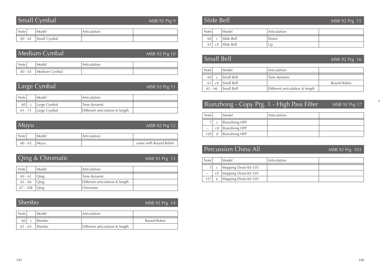## Small Cymbal

MSB 92 Prg 9

| <b>AOTE</b> |                          | ulation |  |
|-------------|--------------------------|---------|--|
| $60 - 62$   | الحطت<br>Suidil Cyfriddi |         |  |

| Medium Cymbal<br>$MSB$ 92 $Prg$ 10 |                         |              |  |  |
|------------------------------------|-------------------------|--------------|--|--|
| <b>Note</b>                        | Model                   | Articulation |  |  |
|                                    | 60 - 65   Medium Cymbal |              |  |  |

## Large Cymbal

MSB 92 Prg 11

| <b>Note</b> | Model        | Articulation                    |  |
|-------------|--------------|---------------------------------|--|
| 60 l        | Large Cymbal | Tone dynamic                    |  |
| 61 - 71     | Large Cymbal | Different articulation & length |  |

| Muyu      |       | MSB 92 Prg 12 |                       |
|-----------|-------|---------------|-----------------------|
| Note      | Model | Articulation  |                       |
| $60 - 63$ | Muvu  |               | some with Round Robin |

## Qing & Chromatic

#### MSB 92 Prg 13

| <b>Note</b>     | Model          | Articulation                    |  |
|-----------------|----------------|---------------------------------|--|
| $60 - 61$       | Oing           | Tone dynamic                    |  |
|                 | $62 - 66$ Oing | Different articulation & length |  |
| $67 - 108$ Oing |                | Chromatic                       |  |

#### Shenbo

#### MSB 92 Prg 14

| <b>Note</b> | Model         | Articulation                    |             |
|-------------|---------------|---------------------------------|-------------|
| 60          | ' Shenbo      |                                 | Round Robin |
| $61 - 63$   | <b>Shenbo</b> | Different articulation & length |             |

## Slide Bell

#### MSB 92 Prg 15

| <b>Note</b> |    | Model      | Articulation |  |
|-------------|----|------------|--------------|--|
| 60          |    | Slide Bell | Down         |  |
| 61          | C# | Slide Bell | Up           |  |

|             | <b>Small Bell</b> |            |                                 | MSB 92 Prg 16 |
|-------------|-------------------|------------|---------------------------------|---------------|
| <b>Note</b> |                   | Model      | Articulation                    |               |
| 60          | $\mathsf{C}$      | Small Bell | Tone dynamic                    |               |
| 61          | C#                | Small Bell |                                 | Round Robin   |
| $62 - 66$   |                   | Small Bell | Different articulation & length |               |

## Bianzhong - Copy Prg. 1 - High Pass Filter MSB 92 Prg 17

| Note   |    | Model         | Articulation |  |
|--------|----|---------------|--------------|--|
|        | C  | Bianzhong HPF |              |  |
| $\sim$ | C# | Bianzhong HPF |              |  |
| 120    | d  | Bianzhong HPF |              |  |

## Percussion China All

MSB 92 Prg 103

x

| <b>Note</b> |            | Model                       | <sup>1</sup> Articulation |  |
|-------------|------------|-----------------------------|---------------------------|--|
| 3           | $\sqrt{ }$ | Mapping Drum Kit 105        |                           |  |
| $\sim\,$    |            | $c#$   Mapping Drum Kit 105 |                           |  |
| 127         | e          | Mapping Drum Kit 105        |                           |  |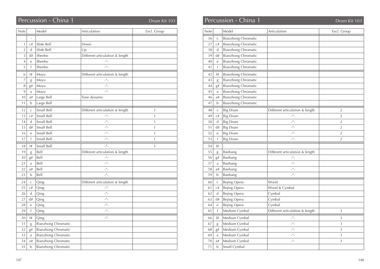| Note           |              | Model                      | Articulation                      | Excl. Group  |
|----------------|--------------|----------------------------|-----------------------------------|--------------|
|                | L,           |                            |                                   |              |
| 1              | C#           | Slide Bell                 | Down                              |              |
| $\overline{2}$ | d            | Slide Bell                 | Up                                |              |
| $\overline{3}$ | d#           | Shenbo                     | Different articulation & length   |              |
| $\overline{4}$ | $\mathbf e$  | Shenbo                     | $\mu$ <sub>-</sub>                |              |
| 5              | f            | Shenbo                     | $\mu$                             |              |
| 6              | f#           | Muyu                       | Different articulation & length   |              |
| 7              | g            | Muyu                       | $\mu$ <sub>-</sub>                |              |
| 8              | g#           | Muyu                       | $\mu$ <sub>-</sub>                |              |
| 9              | a            | Muyu                       | $\mu$ <sub>-</sub>                |              |
| 10             | a#           | Large Bell                 | Tone dynamic                      |              |
| 11             | $\mathbf b$  | Large Bell                 |                                   |              |
| 12             | $\mathsf{C}$ | Small Bell                 | Different articulation & length   | $\mathbf{1}$ |
| 13             | C#           | Small Bell                 | $\mu$ <sup><math>\mu</math></sup> | $\mathbf{1}$ |
| 14             | $\mathbf d$  | Small Bell                 | $\mu$ <sub>-</sub>                | $\mathbf{1}$ |
| 15             | d#           | Small Bell                 | $\mu$ <sub>-</sub>                | $\mathbf{1}$ |
| 16             | e            | Small Bell                 | $\mu$ <sub>-</sub>                | $\mathbf{1}$ |
| 17             | f            | Small Bell                 | $\mu$ <sub>-</sub>                | $\mathbf{1}$ |
| 18             | f#           | Small Bell                 | $\mu$                             | $\mathbf{1}$ |
| 19             | g            | Bell                       | Different articulation & length   |              |
| 20             | g#           | Bell                       | $ ^{\prime\prime}$ -              |              |
| 21             | a            | Bell                       | $\mu$ <sub>-</sub>                |              |
| 22             | a#           | Bell                       | $-$ <sup><math>\mu</math></sup> – |              |
| 23             | b            | Bell                       | $\mu$ <sub>-</sub>                |              |
| 24             | $\mathsf C$  | Qing                       | Different articulation & length   |              |
| 25             | C#           | Qing                       | $\mu$ <sub>-</sub>                |              |
| 26             | d            | Qing                       | $\mu$ <sub>-</sub>                |              |
| 27             | d#           | Qing                       | $ ^{\prime\prime}$ –              |              |
| 28             | e            | Qing                       | $\mu$ <sub>-</sub>                |              |
| 29             | f            | Qing                       | $\mu$ <sub>-</sub>                |              |
| 30             | f#           | Qing                       | $ ^{\prime\prime}$ -              |              |
| 31             | g            | <b>Bianzhong Chromatic</b> |                                   |              |
| 32             | g#           | <b>Bianzhong Chromatic</b> |                                   |              |
| 33             | a            | <b>Bianzhong Chromatic</b> |                                   |              |
| 34             | a#           | <b>Bianzhong Chromatic</b> |                                   |              |
| 35             | b            | <b>Bianzhong Chromatic</b> |                                   |              |

## Percussion - China 1 Drum Kit 103 Drum Kit 103 Percussion - China 1 Drum Kit 103 Drum Kit 103

| Note |                | Model                      | Articulation                    | Excl. Group    |
|------|----------------|----------------------------|---------------------------------|----------------|
| 36   | $\mathsf{C}$   | <b>Bianzhong Chromatic</b> |                                 |                |
| 37   | C#             | <b>Bianzhong Chromatic</b> |                                 |                |
| 38   | d              | <b>Bianzhong Chromatic</b> |                                 |                |
| 39   | d#             | <b>Bianzhong Chromatic</b> |                                 |                |
| 40   | е              | <b>Bianzhong Chromatic</b> |                                 |                |
| 41   | $\mathsf{f}$   | <b>Bianzhong Chromatic</b> |                                 |                |
| 42   | f#             | <b>Bianzhong Chromatic</b> |                                 |                |
| 43   | g              | <b>Bianzhong Chromatic</b> |                                 |                |
| 44   | g#             | <b>Bianzhong Chromatic</b> |                                 |                |
| 45   | a              | <b>Bianzhong Chromatic</b> |                                 |                |
| 46   | a#             | <b>Bianzhong Chromatic</b> |                                 |                |
| 47   | b              | <b>Bianzhong Chromatic</b> |                                 |                |
| 48   | $\mathsf{C}$   | <b>Big Drum</b>            | Different articulation & length | $\overline{2}$ |
| 49   | C#             | <b>Big Drum</b>            | $\mu$ <sub>-</sub>              | $\overline{2}$ |
| 50   | d              | <b>Big Drum</b>            | $\mu$                           | $\overline{2}$ |
| 51   | d#             | <b>Big Drum</b>            | $\mu$                           | $\overline{2}$ |
| 52   | e              | <b>Big Drum</b>            | $\mu$ <sub>-</sub>              | $\overline{2}$ |
| 53   | f              | <b>Big Drum</b>            | $\mu$ <sub>-</sub>              | $\overline{2}$ |
| 54   | f#             |                            |                                 |                |
| 55   | g              | Banbang                    | Different articulation & length |                |
| 56   | g#             | Banbang                    | $\mu$                           |                |
| 57   | a              | Banbang                    | $\mu$                           |                |
| 58   | a#             | Banbang                    | $\mu$ <sub>-</sub>              |                |
| 59   | b              | Banbang                    | $\mu$ <sub>-</sub>              |                |
| 60   | $\mathsf{C}$   | Bejing Opera               | Wood                            |                |
| 61   | C#             | Bejing Opera               | Wood & Cymbal                   |                |
| 62   | d              | Bejing Opera               | Cymbal                          |                |
| 63   | d#             | Bejing Opera               | Cymbal                          |                |
| 64   | е              | Bejing Opera               | Cymbal                          |                |
| 65   | f              | Medium Cymbal              | Different articulation & length | 3              |
| 66   | f#             | Medium Cymbal              | $\mu$ <sub>-</sub>              | 3              |
| 67   | g              | Medium Cymbal              | $\mu$ <sub>-</sub>              | 3              |
| 68   | g#             | Medium Cymbal              | $\mu$                           | 3              |
| 69   | a              | Medium Cymbal              | $\mu$ <sub>-</sub>              | 3              |
| 70   | $\mathrm{a}\#$ | Medium Cymbal              | $\mu$ <sup>u</sup>              | 3              |
| 71   | $\mathbf b$    | Small Cymbal               |                                 |                |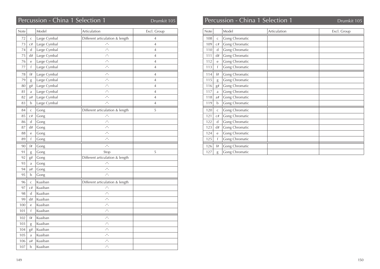| Note |              | Model        | Articulation                               | Excl. Group    |
|------|--------------|--------------|--------------------------------------------|----------------|
| 72   | C            | Large Cymbal | Different articulation & length            | 4              |
| 73   | C#           | Large Cymbal | $ ^{\prime\prime}$ –                       | $\overline{4}$ |
| 74   | d            | Large Cymbal | $ ^{\prime\prime}$ -                       | $\overline{4}$ |
| 75   | d#           | Large Cymbal | $\mu$ <sub>-</sub>                         | $\overline{4}$ |
| 76   | e            | Large Cymbal | $\mu$ <sub>-</sub>                         | $\overline{4}$ |
| 77   | $\mathsf{f}$ | Large Cymbal | $\mu$ <sub>-</sub>                         | $\overline{4}$ |
| 78   | f#           | Large Cymbal | $\mu$ <sub>-</sub>                         | $\overline{4}$ |
| 79   | g            | Large Cymbal | $\mu$ <sub>-</sub>                         | $\overline{4}$ |
| 80   | g#           | Large Cymbal | $\mu$ <sup>u</sup>                         | $\overline{4}$ |
| 81   | a            | Large Cymbal | $\mu$ <sup><math>\mu</math></sup>          | $\overline{4}$ |
| 82   | a#           | Large Cymbal | $\mu$ <sub>-</sub>                         | $\overline{4}$ |
| 83   | b            | Large Cymbal | $\mu$ <sub>-</sub>                         | $\overline{4}$ |
| 84   | $\mathsf C$  | Gong         | Different articulation & length            | 5              |
| 85   | C#           | Gong         | $\mu$                                      |                |
| 86   | $\mathsf{d}$ | Gong         | $\mu$ <sub>-</sub>                         |                |
| 87   | d#           | Gong         | $\mu$                                      |                |
| 88   | e            | Gong         | $\mu$ <sup><math>\mu</math></sup>          |                |
| 89   | f            | Gong         | $\mu$ <sub>-</sub>                         |                |
| 90   | f#           | Gong         | $\mu$ <sup><math>\mu</math></sup>          |                |
| 91   | g            | Gong         | Stop                                       | 5              |
| 92   | g#           | Gong         | Different articulation & length            |                |
| 93   | a            | Gong         | $\mu$ <sup><math>\mu</math></sup>          |                |
| 94   | a#           | Gong         | $-$ <sup><math>\mu</math></sup> –          |                |
| 95   | b            | Gong         | $\mu$ <sub>-</sub>                         |                |
| 96   | $\mathsf{C}$ | Kuaiban      | Different articulation & length            |                |
| 97   | C#           | Kuaiban      | $\mu$ <sub>-</sub>                         |                |
| 98   | $\mathsf{d}$ | Kuaiban      | $\mu$ <sub>-</sub>                         |                |
| 99   | d#           | Kuaiban      | $-$ <sup><math>\mu</math></sup> –          |                |
| 100  | e            | Kuaiban      | $\mu$ <sub>-</sub>                         |                |
| 101  | f            | Kuaiban      | $-$ <sup><math>\mu</math></sup> –          |                |
| 102  | f#           | Kuaiban      | $-$ <sup><math>\prime\prime</math></sup> – |                |
| 103  | g            | Kuaiban      | $\mu$ <sub>-</sub>                         |                |
| 104  | g#           | Kuaiban      | $-$ <sup><math>\mu</math></sup> –          |                |
| 105  | $\rm{a}$     | Kuaiban      | $-$ <sup><math>\mu</math></sup> –          |                |
| 106  | a#           | Kuaiban      | $ ^{\prime\prime}$ –                       |                |
| 107  | $\mathbf b$  | Kuaiban      | $-$ <sup><math>\mu</math></sup> –          |                |

#### Percussion - China 1 Selection 1 **Drumkit 105** Drumkit 105 **Percussion - China 1 Selection 1** Drumkit 105 Note Model Articulation Excl. Group 108 c Gong Chromatic 109 c# Gong Chromatic 110 d Gong Chromatic 111 d# Gong Chromatic 112 e Gong Chromatic 113 f Gong Chromatic 114 f# Gong Chromatic 115 g Gong Chromatic 116 g# Gong Chromatic 117 a Gong Chromatic 118 a# Gong Chromatic 119 b Gong Chromatic 120 c Gong Chromatic 121 c# Gong Chromatic 122 d Gong Chromatic 123 d# Gong Chromatic 124 e Gong Chromatic 125 f Gong Chromatic 126 f# Gong Chromatic

127 g Gong Chromatic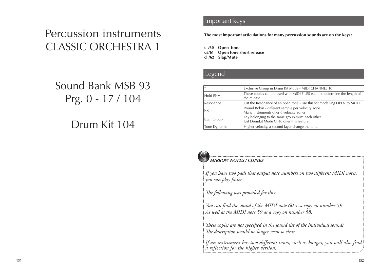# Percussion instruments CLASSIC ORCHESTRA 1

# Sound Bank MSB 93 Prg. 0 - 17 / 104

# Drum Kit 104

#### **Important keys** Solo Solo Solo Solo Solo

The most important articulations for many percussion sounds are on the keys:

c /60 Open tone c#/61 Open tone short release d /62 Slap/Mute

#### **Legend List Solo Solo Solo** Solo Solo Solo Solo

| $\ast$       | Exclusive Group in Drum Kit Mode - MIDI CHANNEL 10                                             |
|--------------|------------------------------------------------------------------------------------------------|
| Hold ENV     | These copies can be used with MIDI FILES etc  to determine the length of<br>the release        |
| Resonance    | Just the Resonance of an open tone - use this for modelling OPEN to MUTE                       |
| <b>RR</b>    | Round Robin - different sample per velocity zone.<br>Many instruments offer 6 velocity zones.  |
| Excl. Group  | Key belonging to the same group mute each other.<br>Just Drumkit Mode Ch10 offer this feature. |
| Tone Dynamic | Higher velocity, a second layer change the tone.                                               |



#### *MIRROW NOTES / COPIES*

*If you have two pads that output note numbers on two different MIDI notes, you can play faster.*

*The following was provided for this:*

*You can find the sound of the MIDI note 60 as a copy on number 59. As well as the MIDI note 59 as a copy on number 58.*

*These copies are not specified in the sound list of the individual sounds. The description would no longer seem so clear.*

*If an instrument has two different tones, such as bongos, you will also find a reflection for the higher version.*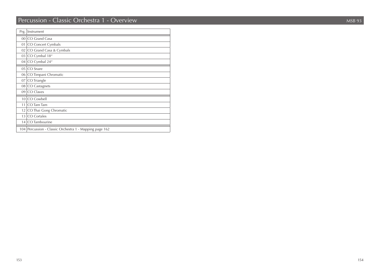## Percussion - Classic Orchestra 1 - Overview MSB 93

| Prg.            | Instrument                                              |
|-----------------|---------------------------------------------------------|
| 00 <sub>1</sub> | CO Grand Casa                                           |
| 01              | CO Concert Cymbals                                      |
| 02              | CO Grand Casa & Cymbals                                 |
| 031             | CO Cymbal 18"                                           |
| 04              | CO Cymbal 24"                                           |
| 05              | CO Snare                                                |
| 06              | CO Timpani Chromatic                                    |
| 07              | CO Triangle                                             |
| 08              | CO Castagnets                                           |
| 09              | CO Claves                                               |
| 10 <sup>1</sup> | CO Cowbell                                              |
| 11              | CO Tam Tam                                              |
| 12              | CO Thai Gong Chromatic                                  |
| 13 <sup>1</sup> | CO Cortales                                             |
| 14              | CO Tambourine                                           |
|                 | 104 Percussion - Classic Orchestra 1 - Mapping page 162 |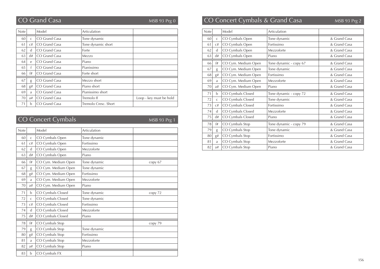MSB 93 Prg 0

| <b>Note</b> |              | Model         | Articulation         |                         |
|-------------|--------------|---------------|----------------------|-------------------------|
| 60          | $\mathsf{C}$ | CO Grand Casa | Tone dynamic         |                         |
| 61          | C#           | CO Grand Casa | Tone dynamic short   |                         |
| 62          | d            | CO Grand Casa | Forte                |                         |
| 63          | d#           | CO Grand Casa | Mezzo                |                         |
| 64          | $\mathsf{e}$ | CO Grand Casa | Piano                |                         |
| 65          | f            | CO Grand Casa | Pianissimo           |                         |
| 66          | f#           | CO Grand Casa | Forte short          |                         |
| 67          | g            | CO Grand Casa | Mezzo short          |                         |
| 68          | g#           | CO Grand Casa | Piano short          |                         |
| 69          | a            | CO Grand Casa | Pianissimo short     |                         |
| 70          | a#           | CO Grand Casa | Tremolo ff           | Loop - key must be hold |
| 71          | <sub>b</sub> | CO Grand Casa | Tremolo Cresc. Short |                         |

# CO Concert Cymbals

MSB 93 Prg 1

| <b>Note</b> |              | Model               | Articulation |         |
|-------------|--------------|---------------------|--------------|---------|
| 60          | $\mathsf{C}$ | CO Cymbals Open     | Tone dynamic |         |
| 61          | C#           | CO Cymbals Open     | Fortissimo   |         |
| 62          | d            | CO Cymbals Open     | Mezzoforte   |         |
| 63          | d#           | CO Cymbals Open     | Piano        |         |
| 66          | f#           | CO Cym. Medium Open | Tone dynamic | copy 67 |
| 67          | g            | CO Cym. Medium Open | Tone dynamic |         |
| 68          | g#           | CO Cym. Medium Open | Fortissimo   |         |
| 69          | a            | CO Cym. Medium Open | Mezzoforte   |         |
| 70          | a#           | CO Cym. Medium Open | Piano        |         |
| 71          | b            | CO Cymbals Closed   | Tone dynamic | copy 72 |
| 72          | $\mathsf{C}$ | CO Cymbals Closed   | Tone dynamic |         |
| 73          | C#           | CO Cymbals Closed   | Fortissimo   |         |
| 74          | d            | CO Cymbals Closed   | Mezzoforte   |         |
| 75          | d#           | CO Cymbals Closed   | Piano        |         |
| 78          | f#           | CO Cymbals Stop     |              | copy 79 |
| 79          | g            | CO Cymbals Stop     | Tone dynamic |         |
| 80          | g#           | CO Cymbals Stop     | Fortissimo   |         |
| 81          | a            | CO Cymbals Stop     | Mezzoforte   |         |
| 82          | a#           | CO Cymbals Stop     | Piano        |         |
| 83          | b            | CO Cymbals FX       |              |         |

#### CO Grand Casa MSB 93 Prg 2 CO Concert Cymbals & Grand Casa

| Note |              | Model               | Articulation           |              |
|------|--------------|---------------------|------------------------|--------------|
| 60   | $\mathsf{C}$ | CO Cymbals Open     | Tone dynamic           | & Grand Casa |
| 61   | C#           | CO Cymbals Open     | Fortissimo             | & Grand Casa |
| 62   | d            | CO Cymbals Open     | Mezzoforte             | & Grand Casa |
| 63   | d#           | CO Cymbals Open     | Piano                  | & Grand Casa |
| 66   | f#           | CO Cym. Medium Open | Tone dynamic - copy 67 | & Grand Casa |
| 67   | g            | CO Cym. Medium Open | Tone dynamic           | & Grand Casa |
| 68   | g#           | CO Cym. Medium Open | Fortissimo             | & Grand Casa |
| 69   | a            | CO Cym. Medium Open | Mezzoforte             | & Grand Casa |
| 70   | a#           | CO Cym. Medium Open | Piano                  | & Grand Casa |
|      |              |                     |                        |              |
| 71   | b            | CO Cymbals Closed   | Tone dynamic - copy 72 | & Grand Casa |
| 72   | $\mathsf{C}$ | CO Cymbals Closed   | Tone dynamic           | & Grand Casa |
| 73   | C#           | CO Cymbals Closed   | Fortissimo             | & Grand Casa |
| 74   | d            | CO Cymbals Closed   | Mezzoforte             | & Grand Casa |
| 75   | d#           | CO Cymbals Closed   | Piano                  | & Grand Casa |
| 78   | f#           | CO Cymbals Stop     | Tone dynamic - copy 79 | & Grand Casa |
| 79   | g            | CO Cymbals Stop     | Tone dynamic           | & Grand Casa |
| 80   | g#           | CO Cymbals Stop     | Fortissimo             | & Grand Casa |
| 81   | a            | CO Cymbals Stop     | Mezzoforte             | & Grand Casa |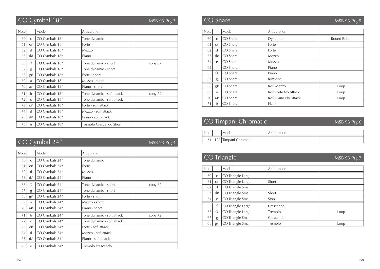# CO Cymbal 18"

MSB 93 Prg 3

| <b>Note</b> |              | Model          | Articulation               |         |
|-------------|--------------|----------------|----------------------------|---------|
| 60          | $\mathsf{C}$ | CO Cymbals 18" | Tone dynamic               |         |
| 61          | C#           | CO Cymbals 18" | Forte                      |         |
| 62          | d            | CO Cymbals 18" | Mezzo                      |         |
| 63          | d#           | CO Cymbals 18" | Piano                      |         |
| 66          | f#           | CO Cymbals 18" | Tone dynamic - short       | copy 67 |
| 67          | g            | CO Cymbals 18" | Tone dynamic - short       |         |
| 68          | g#           | CO Cymbals 18" | Forte - short              |         |
| 69          | a            | CO Cymbals 18" | Mezzo - short              |         |
| 70          | a#           | CO Cymbals 18" | Piano - short              |         |
| 71          | $\mathbf b$  | CO Cymbals 18" | Tone dynamic - soft attack | copy 72 |
| 72          | $\mathsf{C}$ | CO Cymbals 18" | Tone dynamic - soft attack |         |
| 73          | C#           | CO Cymbals 18" | Forte - soft attack        |         |
| 74          | d            | CO Cymbals 18" | Mezzo - soft attack        |         |
| 75          | d#           | CO Cymbals 18" | Piano - soft attack        |         |
| 76          | e            | CO Cymbals 18" | Tremolo Crescendo Short    |         |

# CO Cymbal 24"

#### MSB 93 Prg 4

| Note |              | Model          | Articulation               |         |
|------|--------------|----------------|----------------------------|---------|
| 60   | $\mathsf C$  | CO Cymbals 24" | Tone dynamic               |         |
| 61   | C#           | CO Cymbals 24" | Forte                      |         |
| 62   | d            | CO Cymbals 24" | Mezzo                      |         |
| 63   | d#           | CO Cymbals 24" | Piano                      |         |
| 66   | f#           | CO Cymbals 24" | Tone dynamic - short       | copy 67 |
| 67   | g            | CO Cymbals 24" | Tone dynamic - short       |         |
| 68   | g#           | CO Cymbals 24" | Forte - short              |         |
| 69   | a            | CO Cymbals 24" | Mezzo - short              |         |
| 70   | a#           | CO Cymbals 24" | Piano - short              |         |
| 71   | $\mathbf b$  | CO Cymbals 24" | Tone dynamic - soft attack | copy 72 |
| 72   | $\mathsf{C}$ | CO Cymbals 24" | Tone dynamic - soft attack |         |
| 73   | C#           | CO Cymbals 24" | Forte - soft attack        |         |
| 74   | d            | CO Cymbals 24" | Mezzo - soft attack        |         |
| 75   | d#           | CO Cymbals 24" | Piano - soft attack        |         |
| 76   | e            | CO Cymbals 24" | Tremolo crescendo          |         |

## **CO** Snare MSB 93 Prg 5

| <b>Note</b> |              | Model    | Articulation         |             |
|-------------|--------------|----------|----------------------|-------------|
| 60          | $\mathsf{C}$ | CO Snare | Dynamic              | Round Robin |
| 61          | C#           | CO Snare | Forte                |             |
| 62          | $\mathsf{d}$ | CO Snare | Forte                |             |
| 63          | d#           | CO Snare | Mezzo                |             |
| 64          | e            | CO Snare | Mezzo                |             |
| 65          | f            | CO Snare | Piano                |             |
| 66          | f#           | CO Snare | Piano                |             |
| 67          | g            | CO Snare | Rimshot              |             |
| 68          | g#           | CO Snare | Roll Mezzo           | Loop        |
| 69          | a            | CO Snare | Roll Forte No Attack | Loop        |
| 70          | a#           | CO Snare | Roll Piano No Attack | Loop        |
| 71          | b            | CO Snare | Flam                 |             |

## CO Timpani Chromatic MSB 93 Prg 6

| Note | Model                      | Articulation |  |
|------|----------------------------|--------------|--|
|      | 24 - 127 Timpani Chromatic |              |  |

# CO Triangle MSB 93 Prg 7

| <b>Note</b> |              | Model             | Articulation |      |
|-------------|--------------|-------------------|--------------|------|
| 60          | $\mathsf{C}$ | CO Triangle Large |              |      |
| 61          | C#           | CO Triangle Large | Short        |      |
| 62          | d            | CO Triangle Small |              |      |
| 63          | d#           | CO Triangle Small | Short        |      |
| 64          | e            | CO Triangle Small | Stop         |      |
| 65          |              | CO Triangle Large | Crescendo    |      |
| 66          | f#           | CO Triangle Large | Tremolo      | Loop |
| 67          | g            | CO Triangle Small | Crescendo    |      |
| 68          | g#           | CO Triangle Small | Tremolo      | Loop |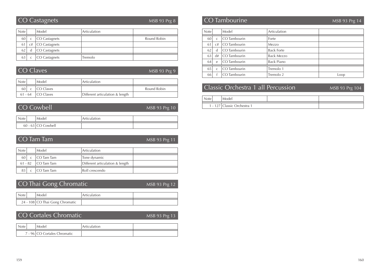#### CO Castagnets

MSB 93 Prg 8

| <b>Note</b> |    | Model         | Articulation |             |
|-------------|----|---------------|--------------|-------------|
| 60          |    | CO Castagnets |              | Round Robin |
| 61          | C# | CO Castagnets |              |             |
| 62          |    | CO Castagnets |              |             |
| 63          |    | CO Castagnets | Tremolo      |             |

|                      | CO Claves           | MSB 93 Prg 9                    |             |
|----------------------|---------------------|---------------------------------|-------------|
| <b>Note</b>          | Model               | Articulation                    |             |
| 60 l<br>$\mathsf{C}$ | CO Claves           |                                 | Round Robin |
|                      | $61 - 64$ CO Claves | Different articulation & length |             |

### CO Cowbell

MSB 93 Prg 10

| <b>Note</b> |  | Model      | Articulation |  |
|-------------|--|------------|--------------|--|
|             |  |            |              |  |
| $60 - 63$   |  | CO Cowbell |              |  |

|             | CO Tam Tam<br>MSB 93 Prg 11 |            |                                 |  |
|-------------|-----------------------------|------------|---------------------------------|--|
| <b>Note</b> |                             | Model      | Articulation                    |  |
| 60          | $\mathsf{C}$                | CO Tam Tam | Tone dynamic                    |  |
| $61 - 82$   |                             | CO Tam Tam | Different articulation & length |  |
|             |                             | CO Tam Tam | Roll crescendo                  |  |

|                                 |  | CO Thai Gong Chromatic | $MSB$ 93 Prg 12 |  |
|---------------------------------|--|------------------------|-----------------|--|
| Note                            |  | Model                  |                 |  |
| 24 - 108 CO Thai Gong Chromatic |  |                        |                 |  |

CO Cortales Chromatic

#### MSB 93 Prg 13

| Note, | Model                        | Articulation |  |
|-------|------------------------------|--------------|--|
|       | 7 - 96 CO Cortales Chromatic |              |  |

#### CO Tambourine MSB 93 Prg 14

| Note |              | Model        | Articulation      |      |
|------|--------------|--------------|-------------------|------|
| 60   | $\mathsf{C}$ | CO Tambourin | Forte             |      |
| 61   | C#           | CO Tambourin | Mezzo             |      |
| 62   | d            | CO Tambourin | <b>Back Forte</b> |      |
| 63   | d#           | CO Tambourin | <b>Back Mezzo</b> |      |
| 64   | $\epsilon$   | CO Tambourin | Back Piano        |      |
| 65   | $\mathsf{C}$ | CO Tambourin | Tremolo 1         |      |
| 66   |              | CO Tambourin | Tremolo 2         | Loop |

### Classic Orchestra 1 all Percussion

MSB 93 Prg 104

| Note | Model                       |  |
|------|-----------------------------|--|
|      | 1 - 127 Classic Orchestra 1 |  |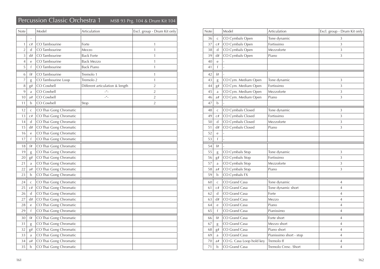### Percussion Classic Orchestra 1 MSB 93 Prg. 104 & Drum Kit 104

| Note           |                | Model                  | Articulation                    | Excl. group - Drum Kit only |
|----------------|----------------|------------------------|---------------------------------|-----------------------------|
|                |                |                        |                                 |                             |
| $\mathbf{1}$   | C#             | CO Tambourine          | Forte                           | 1                           |
| $\overline{2}$ | d              | CO Tambourine          | Mezzo                           | $\mathbf{1}$                |
| 3              | d#             | CO Tambourine          | <b>Back Forte</b>               | $\mathbf{1}$                |
| $\overline{4}$ | $\mathbf e$    | CO Tambourine          | <b>Back Mezzo</b>               | $\mathbf{1}$                |
| 5              | f              | CO Tambourine          | <b>Back Piano</b>               | $\mathbf{1}$                |
| 6              | f#             | CO Tambourine          | Tremolo 1                       | $\mathbf{1}$                |
| 7              | g              | CO Tambourine Loop     | Tremolo 2                       | 1                           |
| 8              | g#             | CO Cowbell             | Different articulation & length | $\overline{2}$              |
| 9              | a              | CO Cowbell             | $ \frac{u}{-}$                  | $\overline{2}$              |
| 10             | a#             | CO Cowbell             | $\mu$ <sub>-</sub>              | $\overline{2}$              |
| 11             | b              | CO Cowbell             | Stop                            | $\overline{2}$              |
| 12             | $\mathsf C$    | CO Thai Gong Chromatic |                                 |                             |
| 13             | C#             | CO Thai Gong Chromatic |                                 |                             |
| 14             | d              | CO Thai Gong Chromatic |                                 |                             |
| 15             | d#             | CO Thai Gong Chromatic |                                 |                             |
| 16             | $\rm e$        | CO Thai Gong Chromatic |                                 |                             |
| 17             | f              | CO Thai Gong Chromatic |                                 |                             |
| 18             | f#             | CO Thai Gong Chromatic |                                 |                             |
| 19             | g              | CO Thai Gong Chromatic |                                 |                             |
| $20\,$         | g#             | CO Thai Gong Chromatic |                                 |                             |
| 21             | $\mathfrak{a}$ | CO Thai Gong Chromatic |                                 |                             |
| 22             | a#             | CO Thai Gong Chromatic |                                 |                             |
| 23             | b              | CO Thai Gong Chromatic |                                 |                             |
| 24             | $\mathsf C$    | CO Thai Gong Chromatic |                                 |                             |
| 25             | C#             | CO Thai Gong Chromatic |                                 |                             |
| 26             | d              | CO Thai Gong Chromatic |                                 |                             |
| 27             | d#             | CO Thai Gong Chromatic |                                 |                             |
| 28             | $\rm e$        | CO Thai Gong Chromatic |                                 |                             |
| 29             | f              | CO Thai Gong Chromatic |                                 |                             |
| 30             | f#             | CO Thai Gong Chromatic |                                 |                             |
| 31             | g              | CO Thai Gong Chromatic |                                 |                             |
| 32             | g#             | CO Thai Gong Chromatic |                                 |                             |
| 33             | a              | CO Thai Gong Chromatic |                                 |                             |
| 34             | a#             | CO Thai Gong Chromatic |                                 |                             |
| 35             | b              | CO Thai Gong Chromatic |                                 |                             |

| Note |              | Model                    | Articulation            | Excl. group - Drum Kit only |
|------|--------------|--------------------------|-------------------------|-----------------------------|
| 36   | $\mathsf{C}$ | CO Cymbals Open          | Tone dynamic            | 3                           |
| 37   | C#           | CO Cymbals Open          | Fortissimo              | 3                           |
| 38   | d            | CO Cymbals Open          | Mezzoforte              | 3                           |
| 39   | d#           | CO Cymbals Open          | Piano                   | 3                           |
| 40   | e            |                          |                         |                             |
| 41   | f            | $\frac{1}{2}$            |                         |                             |
| 42   | f#           |                          |                         |                             |
| 43   | $\mathrm g$  | CO Cym. Medium Open      | Tone dynamic            | 3                           |
| 44   | g#           | CO Cym. Medium Open      | Fortissimo              | 3                           |
| 45   | a            | CO Cym. Medium Open      | Mezzoforte              | 3                           |
| 46   | a#           | CO Cym. Medium Open      | Piano                   | 3                           |
| 47   | $\mathbf b$  |                          |                         |                             |
| 48   | $\mathsf C$  | CO Cymbals Closed        | Tone dynamic            | 3                           |
| 49   | C#           | CO Cymbals Closed        | Fortissimo              | 3                           |
| 50   | $\mathsf{d}$ | CO Cymbals Closed        | Mezzoforte              | 3                           |
| 51   | d#           | CO Cymbals Closed        | Piano                   | 3                           |
| 52   | $\mathbf e$  |                          |                         |                             |
| 53   | $\mathsf{f}$ | $\overline{a}$           |                         |                             |
| 54   | f#           |                          |                         |                             |
| 55   | g            | CO Cymbals Stop          | Tone dynamic            | 3                           |
| 56   | g#           | CO Cymbals Stop          | Fortissimo              | 3                           |
| 57   | a            | CO Cymbals Stop          | Mezzoforte              | 3                           |
| 58   | a#           | CO Cymbals Stop          | Piano                   | 3                           |
| 59   | $\mathbf b$  | CO Cymbals FX            |                         |                             |
| 60   | $\mathsf{C}$ | CO Grand Casa            | Tone dynamic            | $\overline{4}$              |
| 61   | C#           | CO Grand Casa            | Tone dynamic short      | 4                           |
| 62   | $\mathbf d$  | CO Grand Casa            | Forte                   | 4                           |
| 63   | d#           | CO Grand Casa            | Mezzo                   | 4                           |
| 64   | e            | CO Grand Casa            | Piano                   | $\overline{4}$              |
| 65   | f            | CO Grand Casa            | Pianissimo              | 4                           |
| 66   | f#           | CO Grand Casa            | Forte short             | 4                           |
| 67   | g            | CO Grand Casa            | Mezzo short             | 4                           |
| 68   | g#           | CO Grand Casa            | Piano short             | 4                           |
| 69   | a            | CO Grand Casa            | Pianissimo short - stop | 4                           |
| 70   | a#           | CO G. Casa Loop hold key | Tremolo ff              | 4                           |
| 71   | b            | CO Grand Casa            | Tremolo Cresc. Short    | $\overline{4}$              |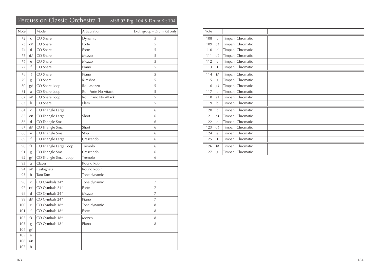# Percussion Classic Orchestra 1 MSB 93 Prg. 104 & Drum Kit 104

| Note |              | Model                  | Articulation         | Excl. group - Drum Kit only |
|------|--------------|------------------------|----------------------|-----------------------------|
| 72   | $\mathsf{C}$ | CO Snare               | Dynamic              | 5                           |
| 73   | C#           | CO Snare               | Forte                | 5                           |
| 74   | d            | CO Snare               | Forte                | 5                           |
| 75   | d#           | CO Snare               | Mezzo                | 5                           |
| 76   | e            | CO Snare               | Mezzo                | 5                           |
| 77   | f            | CO Snare               | Piano                | 5                           |
| 78   | f#           | CO Snare               | Piano                | 5                           |
| 79   | g            | CO Snare               | Rimshot              | 5                           |
| 80   | g#           | CO Snare Loop          | Roll Mezzo           | 5                           |
| 81   | a            | CO Snare Loop          | Roll Forte No Attack | 5                           |
| 82   | a#           | CO Snare Loop          | Roll Piano No Attack | 5                           |
| 83   | b            | CO Snare               | Flam                 | 5                           |
| 84   | $\mathsf C$  | CO Triangle Large      |                      | 6                           |
| 85   | C#           | CO Triangle Large      | Short                | 6                           |
| 86   | d            | CO Triangle Small      |                      | 6                           |
| 87   | d#           | CO Triangle Small      | Short                | 6                           |
| 88   | e            | CO Triangle Small      | Stop                 | 6                           |
| 89   | $\mathsf{f}$ | CO Triangle Large      | Crescendo            | 6                           |
| 90   | f#           | CO Triangle Large Loop | Tremolo              | 6                           |
| 91   | g            | CO Triangle Small      | Crescendo            | 6                           |
| 92   | g#           | CO Triangle Small Loop | Tremolo              | 6                           |
| 93   | a            | Claves                 | Round Robin          |                             |
| 94   | a#           | Castagnets             | Round Robin          |                             |
| 95   | $\mathbf b$  | Tam Tam                | Tone dynamic         |                             |
| 96   | $\mathsf{C}$ | CO Cymbals 24"         | Tone dynamic         | 7                           |
| 97   | C#           | CO Cymbals 24"         | Forte                | 7                           |
| 98   | d            | CO Cymbals 24"         | Mezzo                | 7                           |
| 99   | d#           | CO Cymbals 24"         | Piano                | 7                           |
| 100  | e            | CO Cymbals 18"         | Tone dynamic         | 8                           |
| 101  | f            | CO Cymbals 18"         | Forte                | 8                           |
| 102  | f#           | CO Cymbals 18"         | Mezzo                | 8                           |
| 103  | g            | CO Cymbals 18"         | Piano                | 8                           |
| 104  | g#           |                        |                      |                             |
| 105  | a            |                        |                      |                             |
| 106  | a#           |                        |                      |                             |
| 107  | $\mathbf b$  |                        |                      |                             |

| Note |              |                   |
|------|--------------|-------------------|
| 108  | $\mathsf{C}$ | Timpani Chromatic |
| 109  | C#           | Timpani Chromatic |
| 110  | d            | Timpani Chromatic |
| 111  | d#           | Timpani Chromatic |
| 112  | e            | Timpani Chromatic |
| 113  | $\mathsf{f}$ | Timpani Chromatic |
| 114  | f#           | Timpani Chromatic |
| 115  | g            | Timpani Chromatic |
| 116  | g#           | Timpani Chromatic |
| 117  | a            | Timpani Chromatic |
| 118  | a#           | Timpani Chromatic |
| 119  | b            | Timpani Chromatic |
| 120  | $\mathsf{C}$ | Timpani Chromatic |
| 121  | C#           | Timpani Chromatic |
| 122  | d            | Timpani Chromatic |
| 123  | d#           | Timpani Chromatic |
| 124  | e            | Timpani Chromatic |
| 125  | f            | Timpani Chromatic |
| 126  | f#           | Timpani Chromatic |
| 127  | g            | Timpani Chromatic |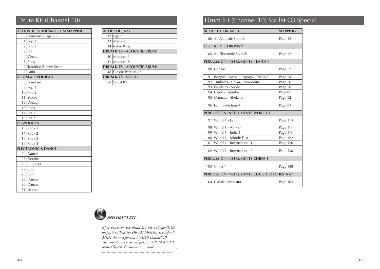|                | ACOUSTIC STANDARD - GM MAPPING |
|----------------|--------------------------------|
| 0              | Standard - Page 167            |
| 1              | Pop 1                          |
| $\overline{2}$ | Pop 2                          |
| 3              | l Hit                          |
|                | 4 Vintage                      |
| 5              | Rock                           |
| 6              | <b>Tradition Buzzer Snare</b>  |
|                | 7 Latin                        |
|                | <b>ROOM &amp; OVERHEAD</b>     |
| 8              | Standard                       |
| 9              | Pop $1$                        |
|                | $10$ Pop 2                     |
| 11             | Studio                         |
|                | $12$ Vintage                   |
| 13             | Rock                           |
|                | $14$ Hit 1                     |
|                | $15$ Hit 2                     |
|                | <b>POWER KITS</b>              |
|                | $16$ Rock 1                    |
|                | $17$ Rock 2                    |
|                | $18$ Rock 3                    |
|                | $19$ Rock 4                    |
|                | <b>ELECTRONIC &amp; DANCE</b>  |
| 24             | Dance                          |
|                | 25 Electric                    |
| 26             | 808/909                        |
| 27             | 808                            |
|                | 28 606                         |
| 29             | Dance                          |
| 30             | Dance                          |
| 31             | House                          |

|    | ACOUSTIC IAZZ              |
|----|----------------------------|
| 32 | Light                      |
|    | 33 Medium                  |
| 34 | Radio King                 |
|    | DRUM KITS - ACOUSTIC BRUSH |
|    | 40 Medium 1                |
| 41 | Medium 2                   |
|    | DRUM KITS - ACOUSTIC BRUSH |
|    | 48 Classic Percussion      |
|    | <b>DRUM KITS - VOCAL</b>   |
| 58 | Vocal Kit                  |
|    |                            |

# Drum Kit (Channel 10) Drum Kit (Channel 10) Mallet GS Special

|    | <b>ACOUSTIC DRUMS 1</b>                    | <b>MAPPING</b> |
|----|--------------------------------------------|----------------|
|    | 80 All Acoustic Sounds                     | Page 42        |
|    | <b>ELECTRONIC DRUMS 1</b>                  |                |
|    | 85 All Electronic Sounds                   | Page 52        |
|    | <b>PERCUSSION INSTRUMENTS - LATIN 1</b>    |                |
|    | 90 Congas                                  | Page 72        |
| 91 | Bongos Cowbell - Agogo - Triangle          | Page 74        |
|    | 92 Timbales - Caixa - Tamborim             | Page 76        |
|    | 93 Pandeiro - Surdo                        | Page 78        |
|    | 94 Cajon - Djembe                          | Page 80        |
|    | 95   Maracas - Shekere                     | Page 82        |
|    | 96 Latin Selection All                     | Page 84        |
|    | PERCUSSION INSTRUMENTS WORLD 1             |                |
|    | 97 World 1 - Latin                         | Page 110       |
|    | 98 World 1 - Afrika 1                      | Page 114       |
|    | 99 World 1 - India 1                       | Page 118       |
|    | 100 World 1 - Middle East 1                | Page 122       |
|    | 101 World 1 - International 1              | Page 126       |
|    | 102 World 1 - International 2              | Page 130       |
|    | PERCUSSION INSTRUMENTS CHINA 1             |                |
|    | 103 China 1                                | Page 148       |
|    | PERCUSSION INSTRUMENTS CLASSIC ORCHESTRA 1 |                |
|    | 104 Classic Orchestra                      | Page 162       |

#### *2ND DRUM KIT*

*After power on the drum kits are only available on parts with active DRUM MODE. The default MIDI channel for this is MIDI channel 10. You can also set a second part to DRUM MODE with a System Exclusive command.*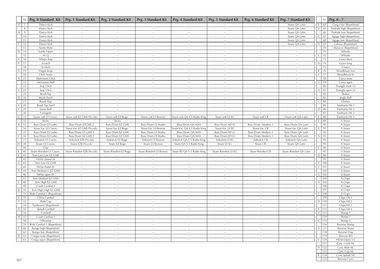|                    | $Nr.$ Prg. 0 Standard Kit                         | Prg. 1 Standard Kit       | Prg. 2 Standard Kit           | Prg. 3 Standard Kit     | Prg. 4 Standard Kit          | Prg. 5 Standard Kit             | Prg. 6 Standard Kit | <b>Prg. 7 Standard Kit</b> |              | Nr.              | $Prg. 0 - 7$               |
|--------------------|---------------------------------------------------|---------------------------|-------------------------------|-------------------------|------------------------------|---------------------------------|---------------------|----------------------------|--------------|------------------|----------------------------|
| $\mathsf{G}$<br>7  | Dance Kick                                        |                           |                               |                         |                              |                                 |                     | Snare QA Latin             |              | $E$ 64           | Conga low [Repetition]     |
| 8                  | Dance Kick                                        | $\sim$                    | $\sim$                        | $\sim$                  | $\sim$                       | $\sim$                          | $\sim$              | Snare QA Latin             |              | F 65             | Timbale high [Repetition]  |
| $\mathsf{A}$<br>9  | Dance Kick                                        | $\sim$                    | $\sim$                        | $\sim$                  | $\sim$                       | $\sim$                          | $\sim$              | Snare QA Latin             |              | 66               | Timbale low [Repetition]   |
| 10                 | Dance Kick                                        | $\sim$                    | $\sim$                        | $\sim$                  | $\sim$                       | $\sim$                          | $\sim$              | Snare QA Latin             |              | $G$ 67           | Agogo high [Repetition]    |
| 11                 | Dance Kick                                        | $\sim$                    | $\sim$                        |                         |                              |                                 |                     | Snare QA Latin             |              | 68               | Agogo low [Repetition]     |
| $\mathsf{C}$<br>12 | Dance Kick                                        | $\sim$                    | $\sim$                        | $\sim$                  | $\sim$                       | $\sim$                          | $\sim$              | Snare QA Latin             |              | $A \mid 69$      | Cabasa [Repetition]        |
| 13<br>$D$ 14       | Surdo Mute                                        | $\sim$<br>$\sim$          | $\sim$<br>$\sim$              | $\sim$<br>$\sim$        | $\sim$<br>$\sim$             | $\sim$<br>$\tilde{\phantom{a}}$ | $\sim$<br>$\sim$    | $\sim$                     |              | 70<br>71         | Maracas [Repetition]       |
| 15                 | Surdo Open<br>Hi Q                                | $\sim$                    | $\sim$                        | $\sim$                  | $\sim$                       | $\sim$                          | $\sim$              | $\sim$                     |              | $C$ 72           | Whistle<br>Whistle         |
| E<br>16            | Whipe Slap                                        | $\sim$                    | $\sim$                        |                         | $\sim$                       | $\tilde{\phantom{a}}$           | $\sim$              | $\sim$                     |              | 73               | Guiro short                |
| -F.<br>17          | Scratch                                           | $\sim$                    | $\sim$                        | $\sim$                  | $\sim$                       | $\sim$                          | $\sim$              | $\sim$                     |              | $D$ 74           | Guiro long                 |
| 18                 | Scratch                                           | $\sim$                    | $\sim$                        |                         | $\sim$                       | $\sim$                          | $\sim$              |                            |              | 75               | Claves                     |
| $G$ 19             | Finger Snap                                       |                           |                               |                         |                              |                                 |                     |                            |              | $E$ 76           | Woodblock low              |
| 20                 | Click Noise                                       | $\sim$                    | $\sim$                        | $\sim$                  | $\sim$                       | $\sim$                          | $\sim$              | $\sim$                     |              | $F$ 77           | Woodblock hi               |
| 21<br>$\mathsf{A}$ | Metronom Click                                    | $\sim$                    | $\sim$                        | $\sim$                  | $\sim$                       | $\sim$                          | $\sim$              | $\sim$                     |              | 78               | Cuica mute                 |
| 22                 | Metronom Bell                                     | $\sim$                    | $\sim$                        | $\sim$                  | $\sim$                       | $\sim$                          | $\sim$              | $\sim$                     |              | $G$ 79           | Cuica open                 |
| 23                 | Seq. Click                                        | $\sim$                    | $\sim$                        | $\sim$                  | $\sim$                       | $\sim$                          | $\sim$              | $\sim$                     |              | 80               | Triangle mute (5)          |
| $\mathsf{C}$<br>24 | Seq. Click                                        | $\sim$                    | $\sim$                        | $\sim$                  | $\sim$                       | $\sim$                          | $\sim$              | $\sim$                     | A            | 81               | Triangle open (5)          |
| 25                 | Brush Tap                                         | $\sim$                    |                               | $\sim$                  | $\sim$                       | $\sim$                          | $\sim$              |                            |              | 82               | Shaker                     |
| $D$ 26             | Brush Swirl                                       | $\sim$                    | $\sim$                        | $\sim$                  | $\sim$                       | $\sim$                          | $\sim$              | $\sim$                     |              | 83               | Jingle Bell                |
| 27                 | Brush Slap                                        | $\sim$                    | $\sim$                        | $\sim$                  | $\sim$                       | $\sim$                          | $\sim$              | $\sim$                     | $\mathsf{C}$ | 84               | Chimes                     |
| E<br>28            | Brush Tap Swirl                                   |                           |                               |                         |                              |                                 | $\sim$              |                            |              | 85               | Tamburin Hit 1             |
| F<br>29            | Snare Roll                                        | $\sim$                    | $\sim$                        | $\sim$                  | $\sim$                       | $\sim$                          | $\sim$              | $\sim$                     |              | $D$ 86           | Tamburin Hit 2             |
| 30                 | Castagnet                                         | $\sim$                    |                               |                         | $\sim$                       | $\sim$                          | $\sim$              |                            |              | 87               | Tamburin Hit 3             |
| $G$ 31<br>32       | Snare soft LS Cravio.<br>Sticks                   | Snare soft EZ GMS Piccolo | Snare soft EZ Roge.<br>Sticks | Snare soft LS Bronze    | Snare soft QA 5.5 Radio King | Snare soft LS SG                | Snare soft CR       | Snare soft QA Latin        |              | $E$ 88<br>$F$ 89 | Tamburin Hit 4<br>E-Snare  |
| 33<br>$\mathsf{A}$ | Bass Drum LS Ludw.                                | Bass Drum EZGMS 2         | Bass Drum EZ GMS              | Bass Drum LS Studio     | Bass Drum QA MAS             | Bass Drum AD LL                 | Bass Drum Modern 1  | Bass Drum QA Latin         |              | 90               | E-Snare                    |
| 34                 | Snare Var. LS Cravio.                             | Snare Var. EZ GMS Piccolo | Snare Var. EZ Roge.           | Snare Var. LS Bronze    | Snare Var. QA 5.5 Radio King | Snare Var. LS SG                | Snare Var. CR       | Snare Var. QA Latin        | $\mathsf{G}$ | 91               | E-Snare                    |
| 35                 | Bass Drum LS Ludw.                                | Bass Drum EZ GMS 2        | Bass Drum EZ GMS              | Bass Drum LS Studio     | Bass Drum QA MAS             | Bass Drum AD LL                 | Bass Drum Modern 2  | Bass Drum QA Latin         |              | 92               | E-Snare                    |
| $\mathsf{C}$<br>36 | Bass Drum LS Ludw.                                | Bass Drum EZ GMS 2        | Bass Drum EZ GMS              | Bass Drum LS Studio     | Bass Drum QA MAS             | Bass Drum AD LL                 | Bass Drum Modern 3  | Bass Drum QA Latin         | A            | 93               | E-Snare                    |
| 37                 | Sidestick LS Cravio.                              | Sidestick EZB Piccolo     | Sidestick EZ Roge.            | Sidestick LS Bronze     | Sidestick QA 5.5 Radio King  | Sidestick LS SG                 | Sidestick CR        | Sidestick QA Latin         |              | 94               | E-Snare                    |
| $D$ 38             | Snare LS Cravio.                                  | Snare EZB Piccolo         | Snare EZ Roge                 | Snare LS Bronze         | Snare QA 5.5 Radio King      | Snare LS SG                     | Snare CR            | Snare QA Latin             |              | 95               | E-Snare                    |
| 39                 | Clap                                              |                           |                               | $\sim$                  |                              | $\sim$                          | $\sim$              |                            | C            | 96               | E-Snare                    |
| $\mathsf E$<br>40  | Snare Rimshot LS Cravio.                          | Snare Rimshot EZB Piccolo | Snare Rimshot EZ Roge.        | Snare Rimshot LS Bronze | Snare RS QA 5.5 Radio King   | Snare Rimshot LS SG             | Snare Rimshot CR    | Snare Rimshot QA Latin     |              | 97               | E-Snare                    |
| F<br>41            | Tom Low Low EZ GMS                                |                           |                               |                         |                              |                                 |                     |                            |              | $D$   98         | E-Snare                    |
| 42                 | HiHat closed (0)                                  | $\sim$                    | $\sim$                        | $\sim$                  | $\sim$                       | $\sim$                          | $\sim$              | $\sim$                     |              | 99               | E-Snare                    |
| G <br>43           | Tom Low EZ GMS                                    |                           |                               | $\sim$                  | $\sim$                       |                                 | $\sim$              |                            |              | E 100            | E-Snare                    |
| 44                 | HiHat Pedal (0)                                   | $\sim$                    | $\sim$                        | $\sim$                  | $\sim$                       | $\sim$                          | $\sim$              | $\sim$                     |              | $F$ 101          | E-Snare                    |
| A<br>45            | Tom Medium L. EZ GMS                              | $\sim$                    | $\sim$                        | $\sim$                  | $\sim$                       | $\sim$                          | $\sim$              | $\sim$                     |              | 102              | E-Snare                    |
| 46<br>47           | HiHat open (0)<br>Tom Medium EZ GMS               | $\sim$<br>$\sim$          | $\sim$<br>$\sim$              | $\sim$<br>$\sim$        | $\sim$<br>$\sim$             | $\sim$<br>$\sim$                | $\sim$<br>$\sim$    | $\sim$<br>$\sim$           |              | $G$   103<br>104 | E-Snare<br>E-Claps         |
| $\mathsf{C}$<br>48 | Tom High EZ GMS                                   | $\sim$                    | $\sim$                        | $\sim$                  | $\sim$                       | $\sim$                          | $\sim$              | $\sim$                     |              | $A$   105        | E-Claps                    |
| 49                 | Crash Cymbal 1                                    | $\sim$                    | $\sim$                        | $\sim$                  | $\sim$                       | $\sim$                          | $\sim$              |                            |              | 106              | E-Claps                    |
| D<br>50            | Tom High High EZ GMS                              | $\sim$                    |                               |                         |                              | $\sim$                          | $\sim$              |                            |              | 107              | E-Claps                    |
| 51                 | Ride Cymbal 1 [Repetition]                        | $\sim$                    | $\sim$                        | $\sim$                  | $\sim$                       | $\sim$                          | $\sim$              | $\sim$                     |              | $C$   108        | E-Claps                    |
| E<br>52            | China Cymbal                                      | $\sim$                    | $\sim$                        |                         | $\sim$                       | $\sim$                          | $\sim$              | $\sim$                     |              | 109              | Claps Hit 1                |
| $\vdash$<br>53     | Ride Cup                                          | $\sim$                    | $\sim$                        | $\sim$                  | $\sim$                       | $\sim$                          | $\sim$              | $\sim$                     |              | $D$ 110          | Claps Hit 2                |
| 54                 | Tambourin [Repetition]                            | $\sim$                    | $\sim$                        | $\sim$                  | $\sim$                       | $\sim$                          | $\sim$              | $\sim$                     |              | 111              | Claps Hit 3                |
| $\mathsf{G}$<br>55 | Splash Cymbal                                     | $\sim$                    | $\sim$                        | $\sim$                  | $\sim$                       | $\sim$                          | $\sim$              |                            |              | E 112            | Claps Hit 4                |
| 56                 | Cowbell                                           | $\sim$                    |                               | $\sim$                  |                              |                                 |                     |                            |              | $F$  113         | Stomp 1                    |
| 57<br>A            | Crash Cymbal 2                                    | $\sim$                    | $\sim$                        | $\sim$                  | $\sim$                       | $\sim$                          | $\sim$              | $\sim$                     |              | 114              | Stomp 2                    |
| 58                 | Vibraslap                                         | $\sim$                    | $\sim$                        | $\sim$                  | $\sim$                       | $\sim$                          | $\sim$              | $\sim$                     |              | $G$ 115          | Stomp 3                    |
| 59                 | Ride Cymbal 2 [Repetition]                        | $\sim$                    | $\sim$                        | $\sim$                  | $\sim$                       | $\sim$                          | $\sim$              | $\sim$                     |              | 116              | Reverse Stomp              |
| $\mathsf{C}$<br>60 | Bongo high [Repetition]                           | $\sim$                    | $\sim$                        | $\sim$                  | $\sim$                       | $\sim$                          | $\sim$              | $\sim$                     |              | $A$   117        | Reverse Snare              |
| 61<br>$D \mid 62$  | Bongo low [Repetition]<br>Conga mute [Repetition] | $\sim$                    | $\sim$<br>$\sim$              | $\sim$<br>$\sim$        | $\sim$<br>$\sim$             | $\sim$<br>$\sim$                | $\sim$              | $\sim$<br>$\sim$           |              | 118<br>119       | Reverse Clap<br>Reverse BD |
| 63                 | Conga open [Repetition]                           | $\sim$<br>$\sim$          | $\sim$                        | $\sim$                  | $\sim$                       | $\sim$                          | $\sim$<br>$\sim$    | $\sim$                     |              | $C$   120        | HiHat Open 1/2             |
|                    |                                                   |                           |                               |                         |                              |                                 |                     |                            |              | 121              | Cym. Crash NL              |
|                    |                                                   |                           |                               |                         |                              |                                 |                     |                            |              | $D$ 122          | Cym. Ride NL               |
|                    |                                                   |                           |                               |                         |                              |                                 |                     |                            |              | 123              | Cym. Cup NL                |
|                    |                                                   |                           |                               |                         |                              |                                 |                     |                            |              | $E$   124        | Cym. Splash NL             |
| 167                |                                                   |                           |                               |                         |                              |                                 |                     |                            |              | 125              | Reverse Cym.               |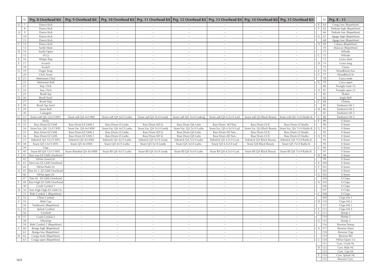|              | Nr.         |                              |                         |                          |                          |                           |                           |                            | Prg. 8 Overhead Kit   Prg. 9 Overhead Kit   Prg. 10 Overhead Kit   Prg. 11 Overhead Kit   Prg. 12 Overhead Kit   Prg. 13 Overhead Kit   Prg. 14 Overhead Kit   Prg. 15 Overhead Kit | Nr.                 | Prg. 8 - 15               |
|--------------|-------------|------------------------------|-------------------------|--------------------------|--------------------------|---------------------------|---------------------------|----------------------------|-------------------------------------------------------------------------------------------------------------------------------------------------------------------------------------|---------------------|---------------------------|
| G            | 7           | Dance Kick                   |                         |                          |                          |                           |                           |                            |                                                                                                                                                                                     | $E$ 64              | Conga low [Repetition]    |
|              | 8           | Dance Kick                   | $\sim$                  | $\sim$                   | $\sim$                   | $\sim$                    | $\sim$                    | $\sim$                     | $\sim$                                                                                                                                                                              | 65                  | Timbale high [Repetition] |
| A            | 9           | Dance Kick                   |                         |                          |                          |                           |                           |                            |                                                                                                                                                                                     | 66                  | Timbale low [Repetition]  |
|              | 10          | Dance Kick                   | $\sim$                  | $\sim$                   | $\sim$                   | $\sim$                    | $\sim$                    | $\sim$                     | $\sim$                                                                                                                                                                              | G<br>67             | Agogo high [Repetition]   |
|              | 11          | Dance Kick                   | $\sim$                  | $\sim$                   | $\sim$                   | $\sim$                    | $\sim$                    | $\sim$                     | $\sim$                                                                                                                                                                              | 68                  | Agogo low [Repetition]    |
| $\mathsf{C}$ | 12          | Dance Kick                   | $\sim$                  | $\sim$                   | $\sim$                   | $\sim$                    | $\sim$                    | $\sim$                     |                                                                                                                                                                                     | 69<br>$\mathcal{A}$ | Cabasa [Repetition]       |
|              | 13          | Surdo Mute                   | $\sim$                  | $\sim$                   | $\sim$                   | $\sim$                    | $\sim$                    | $\sim$                     | $\sim$                                                                                                                                                                              | 70                  | Maracas [Repetition]      |
|              | $D$ 14      | Surdo Open                   | $\sim$                  | $\sim$                   | $\sim$                   | $\sim$                    | $\sim$                    | $\sim$                     |                                                                                                                                                                                     | 71                  | Whistle                   |
|              | 15          | Hi Q                         | $\sim$                  | $\sim$                   | $\sim$                   | $\sim$                    | $\sim$                    | $\sim$                     | $\sim$                                                                                                                                                                              | 72<br>C             | Whistle                   |
| E            | 16          | Whipe Slap                   | $\sim$                  | $\sim$                   |                          | $\sim$                    | $\sim$                    | $\sim$                     | $\sim$                                                                                                                                                                              | 73                  | Guiro short               |
| -F.          | 17          | Scratch                      | $\sim$                  | $\sim$                   | $\sim$                   | $\sim$                    | $\sim$                    | $\sim$                     | $\sim$                                                                                                                                                                              | 74<br>D             | Guiro long                |
|              | 18          | Scratch                      | $\sim$                  | $\sim$                   | $\sim$                   | $\sim$                    |                           | $\sim$                     |                                                                                                                                                                                     | 75                  | Claves                    |
|              | $G$   19    | Finger Snap                  | $\sim$                  | $\sim$                   | $\sim$                   | $\sim$                    | $\tilde{\phantom{a}}$     | $\sim$                     | $\sim$                                                                                                                                                                              | 76<br>E             | Woodblock low             |
|              | 20          | Click Noise                  | $\sim$                  | $\sim$                   | $\sim$                   | $\sim$                    | $\sim$                    | $\sim$                     | $\sim$                                                                                                                                                                              | 77<br>F             | Woodblock hi              |
| A            | 21          | Metronom Click               | $\sim$                  |                          |                          | $\sim$                    |                           | $\sim$                     | $\sim$                                                                                                                                                                              | 78                  | Cuica mute                |
|              | 22          | Metronom Bell                | $\sim$                  | $\sim$                   | $\sim$                   | $\sim$                    | $\sim$                    | $\sim$                     | $\sim$                                                                                                                                                                              | 79<br>G             | Cuica open                |
|              | 23          | Seq. Click                   | $\sim$                  | $\sim$                   |                          | $\sim$                    | $\sim$                    | $\sim$                     | $\sim$                                                                                                                                                                              | 80                  | Triangle mute (5)         |
| $\mathsf{C}$ | 24          | Seq. Click                   | $\sim$                  |                          | $\sim$                   | $\sim$                    | $\sim$                    | $\sim$                     | $\sim$                                                                                                                                                                              | 81                  | Triangle open (5)         |
|              | 25          | Brush Tap                    | $\sim$                  | $\sim$                   | $\sim$                   | $\sim$                    | $\sim$                    | $\sim$                     | $\sim$                                                                                                                                                                              | 82                  | Shaker                    |
|              | $D$ 26      | Brush Swirl                  | $\sim$                  | $\sim$                   | $\sim$                   | $\sim$                    | $\sim$                    | $\sim$                     | $\sim$                                                                                                                                                                              | 83                  | Jingle Bell               |
|              | 27          | Brush Slap                   | $\sim$                  | $\sim$                   | $\sim$                   | $\sim$                    | $\sim$                    | $\sim$                     | $\sim$                                                                                                                                                                              | 84<br>C             | Chimes                    |
| E            | 28          | Brush Tap Swirl              | $\sim$                  | $\sim$                   |                          | $\sim$                    | $\sim$                    | $\sim$                     | $\sim$                                                                                                                                                                              | 85                  | Tamburin Hit 1            |
| F            | 29          | Snare Roll                   | $\sim$                  | $\sim$                   | $\sim$                   | $\sim$                    | $\sim$                    | $\sim$                     | $\sim$                                                                                                                                                                              | 86<br>D             | Tamburin Hit 2            |
|              | 30          | Castagnet                    |                         |                          |                          |                           |                           |                            |                                                                                                                                                                                     | 87                  | Tamburin Hit 3            |
|              | $G \mid 31$ | Snare soft QA 12x15 WFL      | Snare soft QA 4x14SW    | Snare soft QA 4x15 Ludw. | Snare soft QA 5x14 Leedy | Snare soft QA 5x14 Ludwig | Snare soft QA 6.5x14 Lud. | Snare soft QA Black Beauty | Snare soft QA 7x14 Radio K.                                                                                                                                                         | $E$ 88              | Tamburin Hit 4            |
|              | 32          | Sticks                       |                         |                          |                          |                           |                           |                            |                                                                                                                                                                                     | 89                  | E-Snare                   |
| А            | 33          | Bass Drum EZ GMS             | Bass Drum EZ GMS 2      | Bass Drum LS Ludw.       | Bass Drum AD LL          | Bass Drum QA Latin        | Bass Drum AD Tam.         | Bass Drum LS IC            | Bass Drum LS Studio                                                                                                                                                                 | 90                  | E-Snare                   |
|              | 34          | Snare Var. QA 12x15 WFL      | Snare Var. QA 4x14SW    | Snare Var. QA 4x15 Ludw. | Snare Var. QA 5x14 Leedy | Snare Var. QA 5x14 Ludw.  | Snare Var. QA 6.5x14 Lud  | Snare Var. QA Black Beauty | Snare Var. QA 7x14 Radio K.                                                                                                                                                         | 91<br>G             | E-Snare                   |
|              | 35          | Bass Drum EZ GMS             | Bass Drum EZ GMS 2      | Bass Drum LS Ludw.       | Bass Drum AD LL          | Bass Drum QA Latin        | Bass Drum AD Tam.         | Bass Drum LS IC            | Bass Drum LS Studio                                                                                                                                                                 | 92                  | E-Snare                   |
| C            | 36          | Bass Drum EZ GMS             | Bass Drum EZ GMS 2      | Bass Drum LS Ludw.       | Bass Drum AD LL          | Bass Drum QA Latin        | Bass Drum AD Tam.         | Bass Drum LS IC            | Bass Drum LS Studio                                                                                                                                                                 | 93                  | E-Snare                   |
|              | 37          | Sidestick QA 12x15 WFL       | Sidestick QA 4x14SW     | Sidestick QA 4x15 Ludw.  | Sidestick QA 5x14 Leedy  | Sidestick QA 5x14 Ludw.   | Sidestick QA 6.5x14 Lud.  | Sidestick QA Black Beauty  | Sidestick QA 7x14 Radio K.                                                                                                                                                          | 94                  | E-Snare                   |
|              | $D \mid 38$ | Snare QA 12x15 WFL           | Snare QA 4x14SW         | Snare QA 4x15 Ludw.      | Snare QA 5x14 Leedy      | Snare QA 5x14 Ludw.       | Snare QA 6.5x14 Lud.      | Snare QA Black Beauty      | Snare QA 7x14 Radio K.                                                                                                                                                              | 95                  | E-Snare                   |
|              | 39          | Clap                         |                         |                          |                          |                           |                           |                            |                                                                                                                                                                                     | 96                  | E-Snare                   |
| E            | 40          | Snare RS QA 12x15 WFL        | Snare Rimshot QA 4x14SW | Snare RS QA 4x15 Ludw.   | Snare RS QA 5x14 Leedy   | Snare RS QA 5x14 Ludw.    | Snare RS QA 6.5x14 Lud.   | Snare RS QA Black Beauty   | Snare RS QA 7x14 Radio K.                                                                                                                                                           | 97                  | E-Snare                   |
| F.           | 41          | Tom Low EZ GMS Overhead      |                         |                          |                          |                           |                           |                            |                                                                                                                                                                                     | 98<br>D             | E-Snare                   |
|              | 42          | HiHat closed (0)             | $\sim$                  | $\sim$                   | $\sim$                   | $\sim$                    | $\sim$                    | $\sim$                     | $\sim$                                                                                                                                                                              | 99                  | E-Snare                   |
|              | $G \mid 43$ | Tom Low EZ GMS Overhead      | $\sim$                  |                          | $\sim$                   | $\sim$                    |                           | $\sim$                     |                                                                                                                                                                                     | 100                 | E-Snare                   |
|              | 44          | HiHat Pedal (0)              | $\sim$                  | $\sim$                   | $\sim$                   | $\sim$                    | $\sim$                    | $\sim$                     | $\sim$                                                                                                                                                                              | 101                 | E-Snare                   |
| A            |             | 45 Tom M. L. EZ GMS Overhead | $\sim$                  |                          | $\sim$                   | $\sim$                    |                           | $\sim$                     | $\sim$                                                                                                                                                                              | 102                 | E-Snare                   |
|              | 46          | HiHat open (0)               | $\sim$                  | $\sim$                   | $\sim$                   | $\sim$                    | $\tilde{\phantom{a}}$     | $\sim$                     | $\sim$                                                                                                                                                                              | 103<br>G            | E-Snare                   |
|              | 47          | Tom M. EZ GMS Overhead       | $\sim$                  | $\sim$                   | $\sim$                   | $\sim$                    | $\sim$                    | $\sim$                     | $\sim$                                                                                                                                                                              | 104                 | E-Claps                   |
| C            | 48          | Tom High EZ GMS Overhead     | $\sim$                  | $\sim$                   | $\sim$                   | $\sim$                    | $\sim$                    | $\sim$                     | $\sim$                                                                                                                                                                              | 105                 | E-Claps                   |
|              | 49          | Crash Cymbal 1               | $\sim$                  | $\sim$                   |                          |                           |                           |                            |                                                                                                                                                                                     | 106                 | E-Claps                   |
|              | $D$ 50      | Tom High High EZ GMS Ov.     | $\sim$                  | $\sim$                   | $\sim$                   | $\sim$                    | $\sim$                    | $\sim$                     | $\sim$                                                                                                                                                                              | 107                 | E-Claps                   |
|              | 51          | Ride Cymbal 1 [Repetition]   | $\sim$                  | $\sim$                   |                          | $\sim$                    | $\sim$                    | $\sim$                     | $\sim$                                                                                                                                                                              | 108                 | E-Claps                   |
| E            | 52          | China Cymbal                 | $\sim$                  | $\sim$                   |                          |                           |                           |                            | $\sim$                                                                                                                                                                              | 109                 | Claps Hit 1               |
| F            | 53          | Ride Cup                     | $\sim$                  | $\sim$                   | $\sim$                   | $\sim$                    | $\sim$                    | $\sim$                     | $\sim$                                                                                                                                                                              | $D$ 110             | Claps Hit 2               |
|              | 54          | Tambourin [Repetition]       | $\sim$                  |                          |                          | $\sim$                    |                           | $\sim$                     |                                                                                                                                                                                     | 111                 | Claps Hit 3               |
|              | $G$ 55      | Splash Cymbal                |                         |                          |                          |                           |                           |                            |                                                                                                                                                                                     | 112<br>E.           | Claps Hit 4               |
|              | 56          | Cowbell                      | $\sim$                  | $\sim$                   | $\sim$                   |                           | $\sim$                    | $\sim$                     |                                                                                                                                                                                     | 113                 | Stomp 1                   |
|              | A 57        | Crash Cymbal 2               | $\sim$                  | $\sim$                   | $\sim$                   |                           | $\sim$                    | $\sim$                     | $\sim$                                                                                                                                                                              | 114                 | Stomp 2                   |
|              | 58          | Vibraslap                    | $\sim$                  | $\sim$                   | $\sim$                   | $\sim$                    | $\sim$                    | $\sim$                     | $\sim$                                                                                                                                                                              | G   115             | Stomp 3                   |
|              | 59          | Ride Cymbal 2 [Repetition]   | $\sim$                  | $\sim$                   | $\sim$                   | $\sim$                    | $\sim$                    | $\sim$                     | $\sim$                                                                                                                                                                              | 116                 | Reverse Stomp             |
|              | $C$ 60      | Bongo high [Repetition]      | $\sim$                  | $\sim$                   | $\sim$                   | $\sim$                    | $\sim$                    | $\sim$                     | $\sim$                                                                                                                                                                              | A   117             | Reverse Snare             |
|              | -61         | Bongo low [Repetition]       | $\sim$                  | $\sim$                   | $\sim$                   | $\sim$                    | $\sim$                    | $\sim$                     | $\sim$                                                                                                                                                                              | 118                 | Reverse Clap              |
|              | $D \mid 62$ | Conga mute [Repetition]      | $\sim$                  | $\sim$                   | $\sim$                   | $\sim$                    | $\sim$                    | $\sim$                     | $\sim$                                                                                                                                                                              | 119                 | Reverse BD                |
|              | 63          | Conga open [Repetition]      | $\sim$                  | $\sim$                   | $\sim$                   | $\sim$                    | $\sim$                    | $\sim$                     | $\sim$                                                                                                                                                                              | 120<br>C            | HiHat Open 1/2            |
|              |             |                              |                         |                          |                          |                           |                           |                            |                                                                                                                                                                                     | 121                 | Cym. Crash NL             |
|              |             |                              |                         |                          |                          |                           |                           |                            |                                                                                                                                                                                     | $D$   122           | Cym. Ride NL              |
|              |             |                              |                         |                          |                          |                           |                           |                            |                                                                                                                                                                                     | 123                 | Cym. Cup NL               |
|              |             |                              |                         |                          |                          |                           |                           |                            |                                                                                                                                                                                     | 124                 | Cym. Splash NL            |
|              |             |                              |                         |                          |                          |                           |                           |                            |                                                                                                                                                                                     | 125                 | Reverse Cym.              |
| -169         |             |                              |                         |                          |                          |                           |                           |                            |                                                                                                                                                                                     |                     |                           |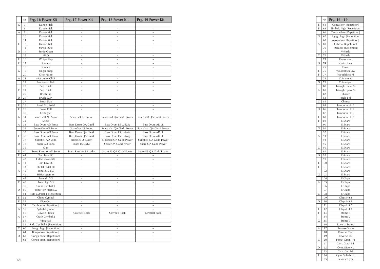|              | Nr.            | Prg. 16 Power Kit          | Prg. 17 Power Kit      | Prg. 18 Power Kit        | Prg. 19 Power Kit        |
|--------------|----------------|----------------------------|------------------------|--------------------------|--------------------------|
| G            | $\overline{7}$ | Dance Kick                 |                        |                          |                          |
|              | 8              | Dance Kick                 | $\sim$                 |                          | $\sim$                   |
| А            | 9              | Dance Kick                 | ÷.                     |                          |                          |
|              | 10             | Dance Kick                 | $\ddot{ }$             | i.                       | $\ddot{ }$               |
|              | 11             | Dance Kick                 | $\sim$                 |                          | $\sim$                   |
| $\mathsf{C}$ | 12             | Dance Kick                 | $\sim$                 | $\overline{a}$           | $\overline{a}$           |
|              | 13             | Surdo Mute                 | $\sim$                 | $\sim$                   | $\sim$                   |
| D            | 14             | Surdo Open                 | $\sim$                 | $\sim$                   | $\sim$                   |
|              | 15             | Hi Q                       | $\sim$                 | $\sim$                   | $\sim$                   |
| Ε            | 16             | Whipe Slap                 | $\sim$                 | $\sim$                   | $\sim$                   |
| F            | 17             | Scratch                    | $\ddot{\phantom{0}}$   |                          | $\sim$                   |
|              | 18             | Scratch                    |                        |                          |                          |
| G            | 19             | Finger Snap                | $\sim$                 | $\sim$                   | $\sim$                   |
|              | 20             | Click Noise                |                        |                          |                          |
| Α            | 21             | Metronom Click             | $\sim$                 | $\sim$                   | $\sim$                   |
|              | 22             | Metronom Bell              | $\sim$                 | $\sim$                   | $\sim$                   |
|              | 23             | Seq. Click                 | $\sim$                 | $\sim$                   | i.                       |
| C            | 24             | Seq. Click                 | $\sim$                 | $\sim$                   | $\sim$                   |
|              | 25             | Brush Tap                  | $\sim$                 | $\sim$                   | $\sim$                   |
| D            | 26             | Brush Swirl                | $\sim$                 | $\sim$                   | $\sim$                   |
|              | 27             | Brush Slap                 | i.                     |                          |                          |
| Ε            | 28             | Brush Tap Swirl            | $\sim$                 | $\sim$                   | $\sim$                   |
| F            | 29             | Snare Roll                 |                        |                          |                          |
|              | 30             | Castagnet                  | $\ddot{ }$             |                          |                          |
| G            | 31             | Snare soft AD Sono         | Snare soft LS Ludw.    | Snare soft QA Gadd Power | Snare soft QA Gadd Power |
|              | 32             | Sticks                     |                        |                          |                          |
| A            | 33             | Bass Drum AD Tama          | Bass Drum QA Gadd      | Bass Drum LS Ludwig      | Bass Drum AD LL          |
|              | 34             | Snare Var. AD Sonor        | Snare Var. LS Ludw.    | Snare Var. QA Gadd Power | Snare Var. QA Gadd Power |
|              | 35             | Bass Drum AD Tama          | Bass Drum QA Gadd      | Bass Drum LS Ludwig      | Bass Drum AD LL          |
| $\mathsf{C}$ | 36             | Bass Drum AD Tama          | Bass Drum QA Gadd      | Bass Drum LS Ludwig      | Bass Drum AD LL          |
|              | 37             | Sidestick AD Sono          | Sidestick LS Ludw.     | Sidestick QA Gadd Power  | Sidestick QA Gadd Power  |
| D            | 38             | Snare AD Sono              | Snare LS Ludw.         | Snare QA Gadd Power      | Snare QA Gadd Power      |
|              | 39             | Clap                       |                        |                          |                          |
| E            | 40             | Snare Rimshot AD Sono      | Snare Rimshot LS Ludw. | Snare RS QA Gadd Power   | Snare RS QA Gadd Power   |
| F            | 41             | Tom Low SG                 |                        |                          |                          |
|              | 42             | HiHat closed (0)           | $\sim$                 | $\sim$                   | $\sim$                   |
| G            | 43             | Tom Low SG                 | $\sim$                 | $\sim$                   | i.                       |
|              | 44             | HiHat Pedal (0)            | $\sim$                 | $\sim$                   | $\sim$                   |
| Α            | 45             | Tom M. L. SG               | $\sim$                 | $\sim$                   | $\sim$                   |
|              | 46             | HiHat open (0)             | $\sim$                 | $\sim$                   | $\sim$                   |
|              | 47             | Tom M. SG                  | $\sim$                 | i.                       | $\sim$                   |
| C            | 48             | Tom High SG                | $\sim$                 | $\sim$                   | $\sim$                   |
|              | 49             | Crash Cymbal 1             | $\sim$                 |                          |                          |
| D            | 50             | Tom High High SG           | $\ddot{ }$             | $\ddot{ }$               | $\sim$                   |
|              | 51             | Ride Cymbal 1 [Repetition] | $\sim$                 |                          |                          |
| Е            | 52             | China Cymbal               | $\sim$                 | $\sim$                   | $\sim$                   |
| F            | 53             | Ride Cup                   | $\sim$                 | $\tilde{\phantom{a}}$    | $\sim$                   |
|              | 54             | Tambourin [Repetition]     | $\overline{a}$         | i.                       | $\sim$                   |
| G            | 55             | Splash Cymbal              | $\sim$                 | $\sim$                   | $\sim$                   |
|              | 56             | Cowbell Rock               | Cowbell Rock           | Cowbell Rock             | Cowbell Rock             |
| Α            | 57             | Crash Cymbal 2             | $\tilde{ }$            | $\ddot{\phantom{1}}$     | $\sim$                   |
|              | 58             | Vibraslap                  |                        | i.                       |                          |
|              | 59             | Ride Cymbal 2 [Repetition] | $\ddot{ }$             | $\sim$                   | $\sim$                   |
| $\mathsf{C}$ | 60             |                            | $\ddot{ }$             |                          |                          |
|              | 61             | Bongo high [Repetition]    | $\sim$                 |                          | $\sim$                   |
| D            | 62             | Bongo low [Repetition]     | $\sim$                 |                          | $\overline{a}$           |
|              |                | Conga mute [Repetition]    | $\sim$                 |                          | $\sim$                   |
|              | 63             | Conga open [Repetition]    |                        |                          |                          |

|              | Nr.            | Prg. 16 Power Kit          | Prg. 17 Power Kit      | Prg. 18 Power Kit        | Prg. 19 Power Kit        |
|--------------|----------------|----------------------------|------------------------|--------------------------|--------------------------|
| $\mathsf{G}$ | $\overline{7}$ | Dance Kick                 |                        |                          |                          |
|              | 8              | Dance Kick                 | $\sim$                 | $\sim$                   | $\sim$                   |
| $\wedge$     | 9              | Dance Kick                 | $\sim$                 | $\sim$                   | $\sim$                   |
|              | 10             | Dance Kick                 | $\sim$                 | $\sim$                   | $\sim$                   |
|              | 11             | Dance Kick                 | $\sim$                 | $\sim$                   | $\sim$                   |
| $\mathsf{C}$ | 12             | Dance Kick                 | $\sim$                 | $\sim$                   | $\sim$                   |
|              | 13             | Surdo Mute                 | $\sim$                 | $\sim$                   | $\sim$                   |
|              | $D$ 14         | Surdo Open                 | $\sim$                 | $\sim$                   | $\sim$                   |
|              | 15             | Hi Q                       | $\sim$                 | $\sim$                   | $\sim$                   |
|              | $E$ 16         | Whipe Slap                 | $\sim$                 | $\sim$                   | $\sim$                   |
|              | $F$   17       | Scratch                    | $\sim$                 | $\sim$                   | $\sim$                   |
|              | 18             |                            | $\sim$                 | $\sim$                   | $\sim$                   |
|              |                | Scratch                    |                        |                          |                          |
| $\mathsf{G}$ | 19             | Finger Snap                | $\sim$                 | $\sim$                   | $\sim$                   |
|              | 20             | Click Noise                | $\sim$                 | $\sim$                   | $\sim$                   |
|              | $A \mid 21$    | Metronom Click             | $\sim$                 | $\sim$                   | $\sim$                   |
|              | 22             | Metronom Bell              | $\sim$                 | $\sim$                   | $\sim$                   |
|              | 23             | Seq. Click                 | $\sim$                 | $\sim$                   | $\sim$                   |
| C I          | 24             | Seq. Click                 | $\sim$                 | $\sim$                   | $\sim$                   |
|              | 25             | <b>Brush Tap</b>           | $\sim$                 | $\sim$                   | $\sim$                   |
|              | $D$ 26         | Brush Swirl                | $\sim$                 | $\sim$                   | $\sim$                   |
|              | 27             | Brush Slap                 | $\sim$                 | $\sim$                   | $\sim$                   |
|              | $E$ 28         | Brush Tap Swirl            | $\sim$                 | $\sim$                   | $\sim$                   |
| F            | 29             | Snare Roll                 | $\sim$                 | $\sim$                   | $\sim$                   |
|              | 30             | Castagnet                  | $\sim$                 | $\sim$                   | $\sim$                   |
|              | $G$ 31         | Snare soft AD Sono         | Snare soft LS Ludw.    | Snare soft OA Gadd Power | Snare soft QA Gadd Power |
|              | 32             | Sticks                     |                        |                          |                          |
| A            | 33             | Bass Drum AD Tama          | Bass Drum QA Gadd      | Bass Drum LS Ludwig      | Bass Drum AD LL          |
|              | 34             | Snare Var. AD Sonor        | Snare Var. LS Ludw.    | Snare Var. QA Gadd Power | Snare Var. QA Gadd Power |
|              | 35             | Bass Drum AD Tama          | Bass Drum QA Gadd      | Bass Drum LS Ludwig      | Bass Drum AD LL          |
| СI           |                |                            |                        |                          |                          |
|              | 36             | Bass Drum AD Tama          | Bass Drum QA Gadd      | Bass Drum LS Ludwig      | Bass Drum AD LL          |
|              | 37             | Sidestick AD Sono          | Sidestick LS Ludw.     | Sidestick QA Gadd Power  | Sidestick OA Gadd Power  |
|              | $D \mid 38$    | Snare AD Sono              | Snare LS Ludw.         | Snare QA Gadd Power      | Snare QA Gadd Power      |
|              | 39             | Clap                       |                        |                          | $\sim$                   |
| E            | 40             | Snare Rimshot AD Sono      | Snare Rimshot LS Ludw. | Snare RS QA Gadd Power   | Snare RS QA Gadd Power   |
|              | $F$ 41         | Tom Low SG                 | $\sim$                 | $\sim$                   | $\sim$                   |
|              | 42             | HiHat closed (0)           | $\sim$                 | $\sim$                   | $\sim$                   |
| G            | 43             | Tom Low SG                 | $\sim$                 | $\sim$                   | $\sim$                   |
|              | 44             | HiHat Pedal (0)            | $\sim$                 | $\sim$                   | $\sim$                   |
| A            | 45             | Tom M. L. SG               | $\sim$                 | $\sim$                   | $\sim$                   |
|              | 46             | HiHat open (0)             | $\sim$                 | $\sim$                   | $\sim$                   |
|              | 47             | Tom M. SG                  | $\sim$                 | $\sim$                   | $\sim$                   |
| СΙ           | 48             | Tom High SG                | $\sim$                 | $\sim$                   | $\sim$                   |
|              | 49             | Crash Cymbal 1             | $\sim$                 | $\sim$                   | $\sim$                   |
|              | $D \mid 50$    | Tom High High SG           | $\sim$                 | $\sim$                   | $\sim$                   |
|              | 51             | Ride Cymbal 1 [Repetition] | $\sim$                 | $\sim$                   | $\sim$                   |
|              | $E$ 52         | China Cymbal               | $\sim$                 | $\sim$                   | $\sim$                   |
| F            | 53             | Ride Cup                   | $\sim$                 | $\sim$                   |                          |
|              |                |                            |                        |                          | $\sim$                   |
|              | 54             | Tambourin [Repetition]     | $\sim$                 | $\sim$                   | $\sim$                   |
|              | $G$ 55         | Splash Cymbal              | $\sim$                 | $\sim$                   | $\sim$                   |
|              | 56             | Cowbell Rock               | Cowbell Rock           | Cowbell Rock             | Cowbell Rock             |
|              | $A \mid 57$    | Crash Cymbal 2             | $\sim$                 | $\sim$                   | $\sim$                   |
|              | 58             | Vibraslap                  | $\sim$                 | $\sim$                   | $\sim$                   |
|              | 59             | Ride Cymbal 2 [Repetition] | $\sim$                 | $\sim$                   | $\sim$                   |
| СΙ           | 60             | Bongo high [Repetition]    | $\sim$                 | $\sim$                   | $\sim$                   |
|              | 61             | Bongo low [Repetition]     | $\sim$                 | $\sim$                   | $\sim$                   |
|              | $D \mid 62$    | Conga mute [Repetition]    | $\sim$                 | $\sim$                   | $\sim$                   |
|              | 63             | Conga open [Repetition]    | $\sim$                 | $\sim$                   | $\sim$                   |
|              |                |                            |                        |                          |                          |
|              |                |                            |                        |                          |                          |
|              |                |                            |                        |                          |                          |
|              |                |                            |                        |                          |                          |
|              |                |                            |                        |                          |                          |
| 171          |                |                            |                        |                          |                          |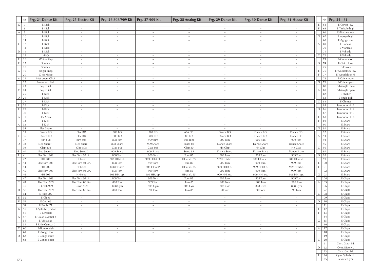|                | Nr. | Prg. 24 Dance Kit | Prg. 25 Electro Kit | Prg. 26 808/909 Kit | Prg. 27 909 Kit | Prg. 28 Analog Kit | Prg. 29 Dance Kit     | Prg. 30 Dance Kit | Prg. 31 House Kit |                |           | Nr.   Prg. 24 - 31 |
|----------------|-----|-------------------|---------------------|---------------------|-----------------|--------------------|-----------------------|-------------------|-------------------|----------------|-----------|--------------------|
| G              | 7   | E-Kick            |                     |                     |                 |                    |                       |                   |                   | E              | 64        | E-Conga low        |
|                | 8   | E-Kick            | $\sim$              | $\sim$              | $\sim$          | $\sim$             | $\sim$                | $\sim$            |                   | F              | 65        | E-Timbale high     |
| A              | 9   | E-Kick            | $\sim$              | $\sim$              | $\sim$          | $\sim$             | $\sim$                | $\sim$            | $\sim$            |                | 66        | E-Timbale low      |
|                | 10  | E-Kick            | $\sim$              | $\sim$              | $\sim$          | $\sim$             | $\sim$                | $\sim$            | $\sim$            | ${\mathsf G}$  | 67        | E.Agogo high       |
|                | 11  | E-Kick            | $\sim$              |                     | $\sim$          | $\sim$             | $\sim$                | $\sim$            | $\sim$            |                | 68        | E-Agogo low        |
| $\mathsf{C}$   | 12  | E-Kick            | $\sim$              | $\sim$              | $\sim$          | $\sim$             | $\sim$                | $\sim$            | $\sim$            | $\overline{A}$ | 69        | E-Cabasa           |
|                | 13  | E-Kick            | $\sim$              | $\sim$              | $\sim$          | $\sim$             | $\sim$                | $\sim$            | $\sim$            |                | 70        | E-Maracas          |
| $D$ 14         |     | E-Kick            | $\sim$              |                     | $\sim$          | $\sim$             | $\sim$                | $\sim$            |                   |                | 71        | E-Whistle          |
|                | 15  | Hi Q              | $\sim$              | $\sim$              | $\sim$          | $\sim$             | $\sim$                | $\sim$            | $\sim$            | $\mathsf{C}$   | 72        | E-Whistle          |
| E              | 16  | Whipe Slap        | $\sim$              | $\sim$              | $\sim$          | $\sim$             | $\tilde{\phantom{a}}$ | $\sim$            | $\sim$            |                | 73        | E-Guiro short      |
| l F.           | 17  | Scratch           | $\sim$              | $\sim$              | $\sim$          | $\sim$             | $\sim$                | $\sim$            | $\sim$            | D              | 74        | E-Guiro long       |
|                | 18  | Scratch           | $\sim$              | $\sim$              | $\sim$          | $\sim$             | $\sim$                | $\sim$            | $\sim$            |                | 75        | E-Claves           |
| G              | 19  | Finger Snap       | $\sim$              | $\sim$              | $\sim$          | $\sim$             | $\sim$                | $\sim$            | $\sim$            | E.             | 76        | E-Woodblock low    |
|                | 20  | Click Noise       | $\sim$              | $\sim$              | $\sim$          | $\sim$             | $\sim$                | $\sim$            | $\sim$            | F              | 77        | E-Woodblock hi     |
| A              | 21  | Metronom Click    | $\sim$              | $\sim$              | $\sim$          | $\sim$             | $\sim$                | $\sim$            | $\sim$            |                | 78        | E-Cuica mute       |
|                | 22  | Metronom Bell     | $\sim$              | $\sim$              | $\sim$          | $\sim$             | $\sim$                | $\sim$            | $\sim$            | G              | 79        | E-Cuica open       |
|                | 23  | Seq. Click        | $\sim$              | $\sim$              | $\sim$          | $\sim$             | $\sim$                | $\sim$            | $\sim$            |                | 80        | E-Triangle mute    |
| $\mathsf{C}$   | 24  | Seq. Click        | $\sim$              | $\sim$              | $\sim$          | $\sim$             | $\sim$                | $\sim$            | $\sim$            | $\overline{A}$ | 81        | E-Triangle open    |
|                | 25  | E-Kick            | $\sim$              | $\sim$              | $\sim$          | $\sim$             | $\sim$                | $\sim$            | $\sim$            |                | 82        | E-Shaker           |
| $D$ 26         |     | E-Kick            | $\sim$              | $\sim$              | $\sim$          | $\sim$             | $\sim$                | $\sim$            |                   |                | 83        | E-Jingle Bell      |
|                | 27  | E-Kick            | $\sim$              | $\sim$              | $\sim$          | $\sim$             | $\sim$                | $\sim$            | $\sim$            | C              | 84        | E-Chimes           |
| E              | 28  | E-Kick            | $\sim$              | $\sim$              | $\sim$          | $\sim$             | $\sim$                | $\sim$            | $\sim$            |                | 85        | Tamburin Hit 1     |
| F              | 29  | E-Kick            | $\sim$              | $\sim$              | $\sim$          | $\sim$             | $\sim$                | $\sim$            | $\sim$            | $\mathsf D$    | 86        | Tamburin Hit 2     |
|                | 30  | E-Kick            | $\sim$              | $\sim$              | $\sim$          | $\sim$             | $\sim$                | $\sim$            | $\sim$            |                | 87        | Tamburin Hit 3     |
| $G$ 31         |     | Elec Snare        | $\sim$              | $\sim$              | $\sim$          | $\sim$             | $\sim$                | $\sim$            | $\sim$            | -F             | 88        | Tamburin Hit 4     |
|                | 32  | E-Kick            | $\sim$              | $\sim$              | $\sim$          | $\sim$             | $\sim$                | $\sim$            | $\sim$            | -F             | 89        | E-Snare            |
| A              | 33  | E-Kick            | $\sim$              | $\sim$              | $\sim$          | $\sim$             | $\sim$                | $\sim$            | $\sim$            |                | 90        | E-Snare            |
|                | 34  | Elec Snare        | $\sim$              | $\sim$              | $\sim$          | $\sim$             | $\sim$                | $\sim$            | $\sim$            | $\mathsf{G}$   | 91        | E-Snare            |
|                | 35  | Dance BD          | Elec BD             | 909 BD              | 909 BD          | 606 BD             | Dance BD              | Dance BD          | Dance BD          |                | 92        | E-Snare            |
| $\mathsf{C}$   | 36  | Dance BD          | Elec BD             | 808 BD              | 909 BD          | 80 BD              | Dance BD              | Dance BD          | Dance BD          | $\overline{A}$ | 93        | E-Snare            |
|                | 37  | <b>Rim 808</b>    | <b>Rim 808</b>      | 808 Rim             | 909 Rim         | 606 Rim            | 909 Rim               | 909 Rim           | 909 Rim           |                | 94        | E-Snare            |
| $D$ 38         |     | Elec Snare 1      | Elec Snare          | 808 Snare           | 909 Snare       | Snare 80           | Dance Snare           | Dance Snare       | Dance Snare       |                | 95        | E-Snare            |
|                | 39  | Clap 808          | Clap 808            | Clap 808            | Clap 808        | Clap 80            | Hit Clap              | Hit Clap          | Hit Clap          | $\mathsf{C}$   | 96        | E-Snare            |
| E              | 40  | Elec Snare 2      | Elec Snare 2        | 909 Snare           | 909 Snare       | Snare 85           | Dance Snare           | Dance Snare       | Dance Snare       |                | 97        | E-Snare            |
| F              | 41  | Elec Tom 909      | Elec Tom 80 Lin     | 808 Tom             | 909 Tom         | Tom 85             | 909 Tom               | 909 Tom           | 909 Tom           | $\mathsf{D}$   | 98        | E-Snare            |
|                | 42  | HH 909            | HH elec             | 808 HHat cl         | 909 HHat cl     | HHat cl. 85        | 909 HHat cl           | 909 HHat cl       | 909 HHat cl       |                | 99        | E-Snare            |
| G              | 43  | Elec Tom 909      | Elec Tom 80 Lin.    | 808 Tom             | 909 Tom         | Tom 85             | 909 Tom               | 909 Tom           | 909 Tom           | E              | 100       | E-Snare            |
|                | 44  | HH 909            | HH elec             | 808 HHat P.         | 909 HHat P.     | HHat cl. 85        | 909 HHat e.           | 909 HHat e.       | 909 HHat e.       | F              | 101       | E-Snare            |
| A              | 45  | Elec Tom 909      | Elec Tom 80 Lin.    | 808 Tom             | 909 Tom         | Tom 85             | 909 Tom               | 909 Tom           | 909 Tom           |                | 102       | E-Snare            |
|                | 46  | HH 909            | HH elec             | 808 HH. op          | 909 HH. op.     | HHat cl. 85        | 909 HH. op.           | 909 HH. op.       | 909 HH. op.       |                | $G$   103 | E-Snare            |
|                | 47  | Elec Tom 909      | Elec Tom 80 Lin.    | 808 Tom             | 909 Tom         | Tom 85             | 909 Tom               | 909 Tom           | 909 Tom           |                | 104       | E-Claps            |
| $\mathsf C$    | 48  | Elec Tom 909      | Elec Tom 80 Lin.    | 808 Tom             | 909 Tom         | Tom 85             | 909 Tom               | 909 Tom           | 909 Tom           | A              | 105       | E-Claps            |
|                | 49  | E-Crash 909       | Crash 909           | 808 Cym             | 909 Cym         | 808 Cym            | 808 Cym               | 808 Cym           | 808 Cym           |                | 106       | E-Claps            |
| D              | 50  | Elec Tom 909      | Elec Tom 80 Lin.    | 808 Tom             | 90 Tom          | Tom 85             | 90 Tom                | 90 Tom            | 90 Tom            |                | 107       | E-Claps            |
|                | 51  | E-Ride 909        | $\sim$              | $\sim$              | $\sim$          | $\sim$             | $\sim$                | $\sim$            | $\sim$            | $\mathsf{C}$   | 108       | E-Claps            |
| E              | 52  | E-China           | $\sim$              | $\sim$              | $\sim$          | $\sim$             | $\sim$                | $\sim$            | $\sim$            |                | 109       | E-Claps            |
| $\mathbb F$    | 53  | E-Cup 66          | $\sim$              | $\sim$              | $\sim$          | $\sim$             | $\sim$                | $\sim$            | $\sim$            |                | $D$ 110   | E-Claps            |
|                | 54  | E-Tamb. 77        | $\sim$              | $\sim$              | $\sim$          | $\sim$             | $\sim$                | $\sim$            | $\sim$            |                | 111       | E-Claps            |
| $\mathsf{G}$   | 55  | E-Splash Cymbal   | $\sim$              | $\sim$              | $\sim$          | $\sim$             | $\tilde{\phantom{a}}$ | $\sim$            | $\sim$            | E              | 112       | E-Claps            |
|                | 56  | E-Cowbell         | $\sim$              | $\sim$              | $\sim$          | $\sim$             |                       | $\sim$            | $\sim$            |                | $F$   113 | E-Claps            |
| A              | 57  | E-Crash Cymbal 2  | $\sim$              | $\sim$              | $\sim$          | $\sim$             | $\sim$                | $\sim$            | $\sim$            |                | 114       | E-Claps            |
|                | 58  | E-Vibraslap       | $\sim$              | $\sim$              | $\sim$          | $\sim$             | $\sim$                | $\sim$            | $\sim$            |                | $G$ 115   | E-Claps            |
|                | 59  | E-Ride Cymbal 2   | $\sim$              | $\sim$              | $\sim$          | $\sim$             | $\sim$                | $\sim$            | $\sim$            |                | 116       | E-Claps            |
| $\overline{C}$ | 60  | E-Bongo high      | $\sim$              | $\sim$              | $\sim$          | $\sim$             | $\sim$                | $\sim$            | $\sim$            |                | $A$   117 | E-Claps            |
|                | 61  | E-Bongo low       | $\sim$              | $\sim$              | $\sim$          | $\sim$             | $\sim$                | $\sim$            | $\sim$            |                | 118       | E-Claps            |
| $D \ 62$       |     | E-Conga mute      | $\sim$              | $\sim$              | $\sim$          | $\sim$             | $\sim$                | $\sim$            | $\sim$            |                | 119       | E-Claps            |
|                | 63  | E-Conga open      | $\sim$              | $\sim$              | $\sim$          | $\sim$             | $\sim$                | $\sim$            | $\sim$            |                | $C$   120 | E-Claps            |
|                |     |                   |                     |                     |                 |                    |                       |                   |                   |                | 121       | Cym. Crash NL      |
|                |     |                   |                     |                     |                 |                    |                       |                   |                   |                | $D$ 122   | Cym. Ride NL       |
|                |     |                   |                     |                     |                 |                    |                       |                   |                   |                | 123       | Cym. Cup NL        |
|                |     |                   |                     |                     |                 |                    |                       |                   |                   | E              | 124       | Cym. Splash NL     |
| 173            |     |                   |                     |                     |                 |                    |                       |                   |                   |                | 125       | Reverse Cym.       |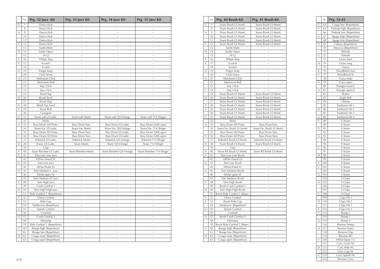|              | Nr.            | Prg. 32 Jazz Kit                                 | Prg. 33 Jazz Kit     | Prg. 34 Jazz Kit         | Prg. 35 Jazz Kit          |
|--------------|----------------|--------------------------------------------------|----------------------|--------------------------|---------------------------|
| G            | $\overline{7}$ | Dance Kick                                       |                      |                          |                           |
|              | 8              | Dance Kick                                       | $\sim$               | $\sim$                   | $\overline{a}$            |
| А            | 9              | Dance Kick                                       | $\sim$               | $\sim$                   | i.                        |
|              | 10             | Dance Kick                                       | $\ddot{\phantom{0}}$ | i.                       | $\ddot{ }$                |
|              | 11             | Dance Kick                                       | $\sim$               |                          | $\overline{a}$            |
| $\mathsf{C}$ | 12             | Dance Kick                                       | $\ddot{\phantom{0}}$ | $\ddot{\phantom{0}}$     | $\sim$                    |
|              | 13             | Surdo Mute                                       | $\sim$               | $\sim$                   | $\ddot{ }$                |
| D            | 14             | Surdo Open                                       | $\sim$               | i.                       | $\sim$                    |
|              | 15             | Hi Q                                             | $\sim$               | $\sim$                   | $\sim$                    |
| Ε            | 16             | Whipe Slap                                       | $\sim$               | $\sim$                   | j.                        |
| F            | 17             | Scratch                                          | $\ddot{\phantom{0}}$ | $\ddot{\phantom{0}}$     | $\ddot{ }$                |
|              | 18             | Scratch                                          |                      |                          |                           |
| G            | 19             | Finger Snap                                      | $\sim$               | $\sim$                   | $\sim$                    |
|              | 20             | Click Noise                                      |                      |                          |                           |
| Α            | 21             | Metronom Click                                   | $\sim$               | $\sim$                   | $\sim$                    |
|              | 22             | Metronom Bell                                    | $\ddot{\phantom{0}}$ | $\ddot{ }$               | $\ddot{ }$                |
|              | 23             | Seq. Click                                       | $\sim$               | $\sim$                   | $\sim$                    |
| C            | 24             | Seq. Click                                       | $\sim$               | $\sim$                   | $\sim$                    |
|              | 25             | <b>Brush Tap</b>                                 | $\sim$               | $\sim$                   | $\overline{a}$            |
| D            | 26             | Brush Swirl                                      | $\sim$               | $\tilde{ }$              | $\sim$                    |
|              | 27             | Brush Slap                                       | i.                   |                          | L                         |
| Ε            | 28             | Brush Tap Swirl                                  | $\sim$               | $\sim$                   | $\sim$                    |
| F            | 29             | Snare Roll                                       |                      |                          |                           |
|              | 30             | Castagnet                                        |                      |                          |                           |
| G            | 31             | Snare soft LS Ludw.                              | Snare soft Monti.    | Snare soft QA Vintage    | Snare soft 714 Slinger    |
|              | 32             | Sticks                                           |                      |                          |                           |
| A            | 33             | Bass Drum AD Prem.                               | Bass Drum Yam.       | Bass Drum LS Ludw.       | Bass Drum GMS open        |
|              | 34             | Snare Var. LS Ludw.                              | Snare Var. Monti     | Snare Var. QA Vintage    | Snare Var. 714 Slinger    |
|              | 35             | Bass Drum AD Prem.                               | Bass Drum Yam.       | Bass Drum LS Ludw.       | Bass Drum GMS open        |
| $\mathsf{C}$ | 36             | Bass Drum AD Prem.                               | Bass Drum Yam.       | Bass Drum LS Ludw.       | Bass Drum GMS open        |
|              | 37             | Sidestick LS Ludw.                               | Sidestick Monti.     | Sidestick QA Vintage     | Sidestick 714 Slinger     |
| D            | 38             | Snare LS Ludw.                                   | Snare Monti.         | Snare QA Vintage         | Snare 714 Slinger         |
|              | 39             | Clap                                             |                      |                          |                           |
| Е            | 40             | Snare Rimshot LS Ludw.                           | Snare Rimshot Monti. | Snare Rimshot QA Vintage | Snare Rimshot 714 Slinger |
| F            | 41             | Tom Low Low Jazz                                 |                      |                          |                           |
|              | 42             | HiHat closed (0)                                 | $\sim$               | $\sim$                   | $\sim$                    |
| G            | 43             | Tom Low Jazz                                     | $\sim$               | $\sim$                   | $\sim$                    |
|              | 44             | HiHat Pedal (0)                                  | $\sim$               | $\sim$                   | $\ddot{ }$                |
| A            | 45<br>46       | Tom Medium L. Jazz                               | $\sim$               | $\sim$                   | j.                        |
|              | 47             | HiHat open (0)                                   | $\sim$<br>i.         | $\sim$                   | $\sim$<br>j.              |
|              |                | Tom Medium EZ Jazz                               | $\sim$               | $\sim$                   | $\ddot{ }$                |
| C            | 48<br>49       | Tom High Jazz<br>Crash Cymbal 1                  | i.                   | i.                       | i.                        |
|              | 50             |                                                  | $\sim$               | $\sim$                   | $\sim$                    |
| D            | 51             | Tom High High Jazz<br>Ride Cymbal 1 [Repetition] |                      |                          |                           |
| E            | 52             | China Cymbal                                     | $\sim$               | $\sim$                   | $\sim$                    |
| F            | 53             | Ride Cup                                         | $\ddot{\phantom{0}}$ | $\ddot{ }$               | $\ddot{ }$                |
|              | 54             | Tambourin [Repetition]                           | $\sim$               | $\sim$                   | $\sim$                    |
| G            | 55             | Splash Cymbal                                    | $\sim$               | $\sim$                   | $\sim$                    |
|              | 56             | Cowbell                                          | $\ddot{ }$           | $\sim$                   | $\sim$                    |
| Α            | 57             | Crash Cymbal 2                                   | $\sim$               | $\sim$                   | $\sim$                    |
|              | 58             | Vibraslap                                        | $\sim$               | i.                       | $\sim$                    |
|              | 59             | Ride Cymbal 2 [Repetition]                       | $\sim$               | $\sim$                   | $\sim$                    |
| С            | 60             | Bongo high [Repetition]                          |                      |                          | i.                        |
|              | 61             | Bongo low [Repetition]                           | $\sim$               |                          | $\sim$                    |
| D            | 62             | Conga mute [Repetition]                          | $\ddot{ }$           |                          | $\sim$                    |
|              | 63             | Conga open [Repetition]                          | $\ddot{ }$           |                          | $\ddot{ }$                |
|              |                |                                                  |                      |                          |                           |

|                                                 | Nr.             | Prg. 40 Brush Kit                                 | Prg. 41 Brush Kit          |
|-------------------------------------------------|-----------------|---------------------------------------------------|----------------------------|
| G                                               | $\overline{z}$  | Snare Brush LS Monti.                             | Snare Brush LS Monti.      |
|                                                 | 8               | Snare Brush LS Monti.                             | Snare Brush LS Monti.      |
| A                                               | 9               | Snare Brush LS Monti.                             | Snare Brush LS Monti.      |
|                                                 | 10              | Snare Brush LS Monti.                             | Snare Brush LS Monti.      |
|                                                 | 11              | Snare Brush LS Monti.                             | Snare Brush LS Monti.      |
| $\mathsf{C}$                                    | 12              | Snare Brush LS Monti.                             | Snare Brush LS Monti.      |
|                                                 | 13              | Surdo Mute                                        |                            |
| D                                               | 14              | Surdo Open                                        | i.                         |
|                                                 | 15              | Hi Q                                              |                            |
| E                                               | 16              | Whipe Slap                                        | i.                         |
| F                                               | 17              | Scratch                                           | $\ddot{ }$                 |
|                                                 | 18              | Scratch                                           |                            |
| G                                               | 19              | Finger Snap                                       | $\overline{\phantom{a}}$   |
|                                                 | 20              | Click Noise                                       | i.                         |
| Α                                               | $\overline{21}$ | Metronom Click                                    | i.                         |
|                                                 | 22              | Metronom Bell                                     | i.                         |
|                                                 | 23              | Seq. Click                                        | $\ddot{\phantom{0}}$       |
| $\mathsf{C}$                                    | 24              | Seq. Click                                        |                            |
|                                                 | 25              | Snare Brush LS Monti.                             | Snare Brush LS Monti.      |
| D                                               | 26              | Snare Brush LS Monti.                             | Snare Brush LS Monti.      |
|                                                 | 27              | Snare Brush LS Monti.                             | Snare Brush LS Monti.      |
| Е                                               | 28              | Snare Brush LS Monti.                             | Snare Brush LS Monti.      |
| F                                               | 29              | Snare Brush LS Monti.                             | Snare Brush LS Monti.      |
|                                                 | 30              | Snare Brush LS Monti.                             | Snare Brush LS Monti.      |
| G                                               | 31              | Snare Brush LS Monti.                             | Snare Brush LS Monti.      |
|                                                 | 32              | <b>Sticks</b>                                     |                            |
| Α                                               | 33              | Bass Drum AD Prem.                                | Bass Drum Yam.             |
|                                                 | 34              | Snare Var. Brush LS Monti.                        | Snare Var. Brush LS Monti. |
|                                                 | 35              | Bass Drum AD Prem.                                | Bass Drum Yam.             |
| C                                               | 36              | Bass Drum AD Prem.                                | Bass Drum Yam.             |
|                                                 | 37              | Sidestick Brush LS Monti.                         | Sidestick Brush LS Monti.  |
| D                                               | 38              | Snare Brush LS Monti.                             | Snare Brush LS Monti.      |
|                                                 | 39              | Clap                                              |                            |
| E                                               | 40              | Snare RS Brush LS Monti.                          | Snare RS Brush LS Monti.   |
| F                                               | 41              | Tom Low Low Brush                                 |                            |
|                                                 | 42              | HiHat closed (0)                                  | i.                         |
| G                                               | 43              | Tom Low Brush                                     |                            |
|                                                 | 44              | HiHat Pedal (0)                                   | i.                         |
| Α                                               | 45              | Tom Medium Brush                                  |                            |
|                                                 | 46              | HiHat open (0)                                    | i.                         |
|                                                 | 47              | Tom Medium Brush                                  | i.                         |
| $\mathsf{C}$                                    | 48              | Tom High Brush                                    | $\ddot{ }$                 |
|                                                 | 49              | Brush Crash Cymbal 1                              |                            |
| D                                               | 50              | Tom High High Brush                               | $\ddot{ }$                 |
|                                                 | 51              | Brush Ride Cymbal 1 [Repe.]                       |                            |
| E                                               | 52              | China Cymbal                                      | $\ddot{ }$                 |
| F                                               | 53              | Brush Ride Cup                                    |                            |
|                                                 | 54              |                                                   | i.                         |
| G                                               | 55              | Tambourin [Repetition]<br>Splash Cymbal           | $\sim$                     |
|                                                 | 56              | Cowbell                                           |                            |
|                                                 |                 |                                                   |                            |
| A                                               | 57              | Brush Crash Cymbal 2                              | $\sim$                     |
|                                                 | 58              | Vibraslap                                         | i.                         |
| 59<br>Brush Ride Cymbal 2 [Repe.]<br>$\ddot{ }$ |                 |                                                   |                            |
|                                                 |                 | Bongo high [Repetition]                           | i.                         |
| $\mathsf{C}$                                    | 60              |                                                   |                            |
| D                                               | 61<br>62        | Bongo low [Repetition]<br>Conga mute [Repetition] | i.<br>i.                   |

| $\mathsf{G}$<br>$\overline{7}$<br>8<br>$\mathsf{A}$<br>9<br>10<br>11<br>12<br>$\mathsf{C}$<br>13<br>$D$   14<br>$15\,$<br>E<br>16<br>17<br>18<br>$G$ 19<br>20<br>21<br>22<br>23<br>$\subset$<br>24<br>25<br>26<br>D<br>$27\,$<br>28<br>29<br>$30\,$<br>$G$ 31<br>32<br>33<br>A<br>34<br>35<br>$\mathsf{C}$<br>36<br>37<br>$D \mid 38$<br>39<br>40<br>41<br>42<br>$\overline{G}$<br>43<br>44<br>45<br>$\mathsf{A}$<br>46<br>47<br>48<br>C<br>49<br>$D \mid 50$<br>51<br>52<br>53 | Dance Kick<br>Dance Kick<br>Dance Kick<br>Dance Kick<br>Dance Kick<br>Dance Kick<br>Surdo Mute<br>Surdo Open<br>Hi Q<br>Whipe Slap<br>Scratch<br>Scratch<br>Finger Snap<br>Click Noise<br>Metronom Click<br>Metronom Bell<br>Seq. Click<br>Seq. Click<br>Brush Tap | $\sim$<br>$\sim$<br>$\sim$<br>$\sim$<br>$\sim$<br>$\sim$<br>$\sim$<br>$\sim$<br>$\sim$<br>$\sim$<br>$\sim$<br>$\sim$<br>$\sim$<br>$\sim$<br>$\sim$<br>$\sim$ | $\sim$<br>$\sim$<br>$\sim$<br>$\sim$<br>$\sim$<br>$\sim$<br>$\sim$<br>$\sim$<br>$\sim$<br>$\sim$<br>$\sim$<br>$\sim$<br>$\sim$ | $\sim$<br>$\sim$<br>$\sim$<br>$\sim$<br>$\sim$<br>$\sim$<br>$\sim$<br>$\sim$<br>$\sim$<br>$\sim$<br>$\sim$<br>$\sim$ |
|---------------------------------------------------------------------------------------------------------------------------------------------------------------------------------------------------------------------------------------------------------------------------------------------------------------------------------------------------------------------------------------------------------------------------------------------------------------------------------|--------------------------------------------------------------------------------------------------------------------------------------------------------------------------------------------------------------------------------------------------------------------|--------------------------------------------------------------------------------------------------------------------------------------------------------------|--------------------------------------------------------------------------------------------------------------------------------|----------------------------------------------------------------------------------------------------------------------|
|                                                                                                                                                                                                                                                                                                                                                                                                                                                                                 |                                                                                                                                                                                                                                                                    |                                                                                                                                                              |                                                                                                                                |                                                                                                                      |
|                                                                                                                                                                                                                                                                                                                                                                                                                                                                                 |                                                                                                                                                                                                                                                                    |                                                                                                                                                              |                                                                                                                                |                                                                                                                      |
|                                                                                                                                                                                                                                                                                                                                                                                                                                                                                 |                                                                                                                                                                                                                                                                    |                                                                                                                                                              |                                                                                                                                |                                                                                                                      |
|                                                                                                                                                                                                                                                                                                                                                                                                                                                                                 |                                                                                                                                                                                                                                                                    |                                                                                                                                                              |                                                                                                                                |                                                                                                                      |
|                                                                                                                                                                                                                                                                                                                                                                                                                                                                                 |                                                                                                                                                                                                                                                                    |                                                                                                                                                              |                                                                                                                                |                                                                                                                      |
|                                                                                                                                                                                                                                                                                                                                                                                                                                                                                 |                                                                                                                                                                                                                                                                    |                                                                                                                                                              |                                                                                                                                |                                                                                                                      |
|                                                                                                                                                                                                                                                                                                                                                                                                                                                                                 |                                                                                                                                                                                                                                                                    |                                                                                                                                                              |                                                                                                                                |                                                                                                                      |
|                                                                                                                                                                                                                                                                                                                                                                                                                                                                                 |                                                                                                                                                                                                                                                                    |                                                                                                                                                              |                                                                                                                                |                                                                                                                      |
|                                                                                                                                                                                                                                                                                                                                                                                                                                                                                 |                                                                                                                                                                                                                                                                    |                                                                                                                                                              |                                                                                                                                |                                                                                                                      |
|                                                                                                                                                                                                                                                                                                                                                                                                                                                                                 |                                                                                                                                                                                                                                                                    |                                                                                                                                                              |                                                                                                                                |                                                                                                                      |
|                                                                                                                                                                                                                                                                                                                                                                                                                                                                                 |                                                                                                                                                                                                                                                                    |                                                                                                                                                              |                                                                                                                                |                                                                                                                      |
|                                                                                                                                                                                                                                                                                                                                                                                                                                                                                 |                                                                                                                                                                                                                                                                    |                                                                                                                                                              |                                                                                                                                |                                                                                                                      |
|                                                                                                                                                                                                                                                                                                                                                                                                                                                                                 |                                                                                                                                                                                                                                                                    |                                                                                                                                                              |                                                                                                                                |                                                                                                                      |
|                                                                                                                                                                                                                                                                                                                                                                                                                                                                                 |                                                                                                                                                                                                                                                                    |                                                                                                                                                              |                                                                                                                                |                                                                                                                      |
|                                                                                                                                                                                                                                                                                                                                                                                                                                                                                 |                                                                                                                                                                                                                                                                    |                                                                                                                                                              |                                                                                                                                | $\sim$                                                                                                               |
|                                                                                                                                                                                                                                                                                                                                                                                                                                                                                 |                                                                                                                                                                                                                                                                    |                                                                                                                                                              | $\sim$                                                                                                                         | $\widetilde{\phantom{m}}$                                                                                            |
|                                                                                                                                                                                                                                                                                                                                                                                                                                                                                 |                                                                                                                                                                                                                                                                    |                                                                                                                                                              | $\sim$                                                                                                                         | $\sim$                                                                                                               |
|                                                                                                                                                                                                                                                                                                                                                                                                                                                                                 |                                                                                                                                                                                                                                                                    |                                                                                                                                                              | $\sim$                                                                                                                         | $\sim$                                                                                                               |
|                                                                                                                                                                                                                                                                                                                                                                                                                                                                                 |                                                                                                                                                                                                                                                                    | $\sim$                                                                                                                                                       | $\sim$                                                                                                                         | $\sim$                                                                                                               |
|                                                                                                                                                                                                                                                                                                                                                                                                                                                                                 |                                                                                                                                                                                                                                                                    | $\sim$                                                                                                                                                       | $\sim$                                                                                                                         | $\sim$                                                                                                               |
|                                                                                                                                                                                                                                                                                                                                                                                                                                                                                 | Brush Swirl                                                                                                                                                                                                                                                        | $\sim$                                                                                                                                                       | $\sim$                                                                                                                         | $\sim$                                                                                                               |
|                                                                                                                                                                                                                                                                                                                                                                                                                                                                                 | Brush Slap                                                                                                                                                                                                                                                         | $\sim$                                                                                                                                                       | $\sim$                                                                                                                         | $\sim$                                                                                                               |
|                                                                                                                                                                                                                                                                                                                                                                                                                                                                                 | Brush Tap Swirl                                                                                                                                                                                                                                                    | $\sim$                                                                                                                                                       | $\sim$                                                                                                                         | $\sim$                                                                                                               |
|                                                                                                                                                                                                                                                                                                                                                                                                                                                                                 |                                                                                                                                                                                                                                                                    | $\sim$                                                                                                                                                       | $\sim$                                                                                                                         | $\sim$                                                                                                               |
|                                                                                                                                                                                                                                                                                                                                                                                                                                                                                 | Snare Roll                                                                                                                                                                                                                                                         |                                                                                                                                                              |                                                                                                                                |                                                                                                                      |
|                                                                                                                                                                                                                                                                                                                                                                                                                                                                                 | Castagnet                                                                                                                                                                                                                                                          | $\sim$                                                                                                                                                       |                                                                                                                                |                                                                                                                      |
|                                                                                                                                                                                                                                                                                                                                                                                                                                                                                 | Snare soft LS Ludw.                                                                                                                                                                                                                                                | Snare soft Monti.                                                                                                                                            | Snare soft QA Vintage                                                                                                          | Snare soft 714 Slinger                                                                                               |
|                                                                                                                                                                                                                                                                                                                                                                                                                                                                                 | Sticks                                                                                                                                                                                                                                                             |                                                                                                                                                              |                                                                                                                                |                                                                                                                      |
|                                                                                                                                                                                                                                                                                                                                                                                                                                                                                 | Bass Drum AD Prem.                                                                                                                                                                                                                                                 | Bass Drum Yam.                                                                                                                                               | Bass Drum LS Ludw.                                                                                                             | Bass Drum GMS open                                                                                                   |
|                                                                                                                                                                                                                                                                                                                                                                                                                                                                                 | Snare Var. LS Ludw.                                                                                                                                                                                                                                                | Snare Var. Monti.                                                                                                                                            | Snare Var. QA Vintage                                                                                                          | Snare Var. 714 Slinger                                                                                               |
|                                                                                                                                                                                                                                                                                                                                                                                                                                                                                 | Bass Drum AD Prem.                                                                                                                                                                                                                                                 | Bass Drum Yam.                                                                                                                                               | Bass Drum LS Ludw.                                                                                                             | Bass Drum GMS open                                                                                                   |
|                                                                                                                                                                                                                                                                                                                                                                                                                                                                                 | Bass Drum AD Prem                                                                                                                                                                                                                                                  | Bass Drum Yam.                                                                                                                                               | Bass Drum LS Ludw.                                                                                                             | Bass Drum GMS open                                                                                                   |
|                                                                                                                                                                                                                                                                                                                                                                                                                                                                                 | Sidestick LS Ludw.                                                                                                                                                                                                                                                 | Sidestick Monti.                                                                                                                                             | Sidestick QA Vintage                                                                                                           | Sidestick 714 Slinger                                                                                                |
|                                                                                                                                                                                                                                                                                                                                                                                                                                                                                 | Snare LS Ludw.                                                                                                                                                                                                                                                     | Snare Monti.                                                                                                                                                 | Snare QA Vintage                                                                                                               | Snare 714 Slinger                                                                                                    |
|                                                                                                                                                                                                                                                                                                                                                                                                                                                                                 | Clap                                                                                                                                                                                                                                                               |                                                                                                                                                              |                                                                                                                                |                                                                                                                      |
|                                                                                                                                                                                                                                                                                                                                                                                                                                                                                 | Snare Rimshot LS Ludw.                                                                                                                                                                                                                                             | Snare Rimshot Monti                                                                                                                                          | Snare Rimshot QA Vintage                                                                                                       | Snare Rimshot 714 Slinger                                                                                            |
|                                                                                                                                                                                                                                                                                                                                                                                                                                                                                 | Tom Low Low Jazz                                                                                                                                                                                                                                                   |                                                                                                                                                              |                                                                                                                                |                                                                                                                      |
|                                                                                                                                                                                                                                                                                                                                                                                                                                                                                 | HiHat closed (0)                                                                                                                                                                                                                                                   | $\sim$                                                                                                                                                       | $\sim$                                                                                                                         | $\sim$                                                                                                               |
|                                                                                                                                                                                                                                                                                                                                                                                                                                                                                 | Tom Low Jazz                                                                                                                                                                                                                                                       | $\sim$                                                                                                                                                       |                                                                                                                                | $\sim$                                                                                                               |
|                                                                                                                                                                                                                                                                                                                                                                                                                                                                                 | HiHat Pedal (0)                                                                                                                                                                                                                                                    | $\sim$                                                                                                                                                       | $\sim$                                                                                                                         | $\sim$                                                                                                               |
|                                                                                                                                                                                                                                                                                                                                                                                                                                                                                 |                                                                                                                                                                                                                                                                    |                                                                                                                                                              |                                                                                                                                |                                                                                                                      |
|                                                                                                                                                                                                                                                                                                                                                                                                                                                                                 | Tom Medium L. Jazz                                                                                                                                                                                                                                                 | $\sim$                                                                                                                                                       | $\sim$                                                                                                                         | $\sim$                                                                                                               |
|                                                                                                                                                                                                                                                                                                                                                                                                                                                                                 | HiHat open (0)                                                                                                                                                                                                                                                     | $\sim$                                                                                                                                                       | $\sim$                                                                                                                         | $\sim$                                                                                                               |
|                                                                                                                                                                                                                                                                                                                                                                                                                                                                                 | Tom Medium EZ Jazz                                                                                                                                                                                                                                                 | $\sim$                                                                                                                                                       | $\sim$                                                                                                                         | $\sim$                                                                                                               |
|                                                                                                                                                                                                                                                                                                                                                                                                                                                                                 | Tom High Jazz                                                                                                                                                                                                                                                      | $\sim$                                                                                                                                                       | $\sim$                                                                                                                         | $\sim$                                                                                                               |
|                                                                                                                                                                                                                                                                                                                                                                                                                                                                                 | Crash Cymbal 1                                                                                                                                                                                                                                                     | $\sim$                                                                                                                                                       | $\sim$                                                                                                                         | $\sim$                                                                                                               |
|                                                                                                                                                                                                                                                                                                                                                                                                                                                                                 | Tom High High Jazz                                                                                                                                                                                                                                                 | $\sim$                                                                                                                                                       | $\sim$                                                                                                                         | $\sim$                                                                                                               |
|                                                                                                                                                                                                                                                                                                                                                                                                                                                                                 | Ride Cymbal 1 [Repetition]                                                                                                                                                                                                                                         | $\sim$                                                                                                                                                       | $\sim$                                                                                                                         | $\sim$                                                                                                               |
|                                                                                                                                                                                                                                                                                                                                                                                                                                                                                 |                                                                                                                                                                                                                                                                    | $\sim$                                                                                                                                                       | $\sim$                                                                                                                         | $\sim$                                                                                                               |
|                                                                                                                                                                                                                                                                                                                                                                                                                                                                                 | China Cymbal                                                                                                                                                                                                                                                       | $\sim$                                                                                                                                                       | $\sim$                                                                                                                         | $\sim$                                                                                                               |
| 54                                                                                                                                                                                                                                                                                                                                                                                                                                                                              | Ride Cup                                                                                                                                                                                                                                                           |                                                                                                                                                              | $\sim$                                                                                                                         | $\sim$                                                                                                               |
| 55<br>G                                                                                                                                                                                                                                                                                                                                                                                                                                                                         |                                                                                                                                                                                                                                                                    | $\sim$                                                                                                                                                       |                                                                                                                                | $\sim$                                                                                                               |
| 56                                                                                                                                                                                                                                                                                                                                                                                                                                                                              | Tambourin [Repetition]                                                                                                                                                                                                                                             | $\sim$                                                                                                                                                       | $\sim$                                                                                                                         |                                                                                                                      |
| A 57                                                                                                                                                                                                                                                                                                                                                                                                                                                                            | Splash Cymbal                                                                                                                                                                                                                                                      | $\sim$                                                                                                                                                       | $\sim$                                                                                                                         | $\sim$                                                                                                               |
|                                                                                                                                                                                                                                                                                                                                                                                                                                                                                 | Cowbell                                                                                                                                                                                                                                                            |                                                                                                                                                              |                                                                                                                                |                                                                                                                      |
| 58                                                                                                                                                                                                                                                                                                                                                                                                                                                                              | Crash Cymbal 2                                                                                                                                                                                                                                                     | $\sim$                                                                                                                                                       | $\sim$                                                                                                                         | $\sim$                                                                                                               |
| 59<br>$\mathsf{C}$                                                                                                                                                                                                                                                                                                                                                                                                                                                              | Vibraslap                                                                                                                                                                                                                                                          | $\sim$                                                                                                                                                       | $\sim$                                                                                                                         | $\sim$                                                                                                               |
| 60                                                                                                                                                                                                                                                                                                                                                                                                                                                                              | Ride Cymbal 2 [Repetition]                                                                                                                                                                                                                                         | $\sim$                                                                                                                                                       | $\sim$                                                                                                                         | $\sim$                                                                                                               |
| 61                                                                                                                                                                                                                                                                                                                                                                                                                                                                              | Bongo high [Repetition]                                                                                                                                                                                                                                            | $\sim$                                                                                                                                                       | $\sim$                                                                                                                         | $\sim$                                                                                                               |
| $D \mid 62$                                                                                                                                                                                                                                                                                                                                                                                                                                                                     | Bongo low [Repetition]                                                                                                                                                                                                                                             | $\sim$                                                                                                                                                       | $\sim$                                                                                                                         | $\sim$                                                                                                               |
| 63                                                                                                                                                                                                                                                                                                                                                                                                                                                                              | Conga mute [Repetition]                                                                                                                                                                                                                                            | $\sim$                                                                                                                                                       | $\sim$                                                                                                                         | $\sim$                                                                                                               |
|                                                                                                                                                                                                                                                                                                                                                                                                                                                                                 | Conga open [Repetition]                                                                                                                                                                                                                                            | $\sim$                                                                                                                                                       | $\sim$                                                                                                                         | $\sim$                                                                                                               |
|                                                                                                                                                                                                                                                                                                                                                                                                                                                                                 |                                                                                                                                                                                                                                                                    |                                                                                                                                                              |                                                                                                                                |                                                                                                                      |
|                                                                                                                                                                                                                                                                                                                                                                                                                                                                                 |                                                                                                                                                                                                                                                                    |                                                                                                                                                              |                                                                                                                                |                                                                                                                      |
|                                                                                                                                                                                                                                                                                                                                                                                                                                                                                 |                                                                                                                                                                                                                                                                    |                                                                                                                                                              |                                                                                                                                |                                                                                                                      |
| 175                                                                                                                                                                                                                                                                                                                                                                                                                                                                             |                                                                                                                                                                                                                                                                    |                                                                                                                                                              |                                                                                                                                |                                                                                                                      |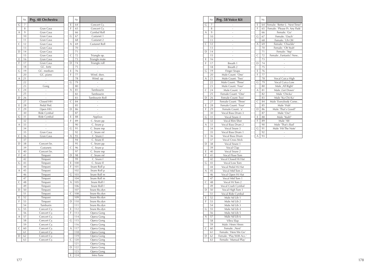|                | Nr.             | Prg. 48 Orchestra |
|----------------|-----------------|-------------------|
| Ġ              | 7               |                   |
|                | 8               | Gran Casa         |
| A              | 9               | Gran Casa         |
|                | 10              | Gran Casa         |
|                | $\overline{11}$ | Gran Casa         |
| $\overline{C}$ | 12              | Gran Casa         |
|                | 13              | Gran Casa         |
| D              | 14              | Gran Casa         |
|                | 15              | Gran Casa         |
| E              | 16              | Gran Casa         |
| F              | 17              | Gran Casa         |
|                | 18              | GC. forte         |
| G              | 19              | GC. medium        |
|                | 20              | GC. piano         |
| A              | $\overline{21}$ |                   |
|                | $^{22}$         |                   |
|                | 23              | Gong              |
| $\overline{C}$ | 24              |                   |
|                | 25              |                   |
| D              | 26              |                   |
|                | 27              | Closed HH         |
| E              | 28              | Pedal Ped.        |
| F              | 29              | Open HH.          |
|                | 30              | Ride Cymbal       |
| G              | $\overline{31}$ | Ride Cymbal       |
|                | 32              |                   |
| A              | 33              |                   |
|                | 34              |                   |
|                | 35              | Gran Casa         |
| $\mathsf{C}$   | 36              | Gran Casa         |
|                | 37              |                   |
| D              | 38              | Concert Sn.       |
|                | 39              | Castanets         |
| E              | 40              | Concert Sn.       |
| F              | 41              | Timpani           |
|                | 42              | Timpani           |
| G              | 43              | Timpani           |
|                | 44              | Timpani           |
| A              | 45              | Timpani           |
|                | 46              | Timpani           |
|                | 47              | Timpani           |
| $\mathsf{C}$   | 48              | Timpani           |
|                | 49              | Timpani           |
| D              | 50              | Timpani           |
|                | 51              | Timpani           |
| Ė              | 52              | Timpani           |
| F              | 53              | Timpani           |
|                | 54              | Tamburin          |
| G              | 55              | Concert Cy.       |
|                | 56              | Concert Cy.       |
| A              | 57              | Concert Cy.       |
|                | 58              | Concert Cy.       |
|                | 59              | Concert Cy.       |
| C              | 60              | Concert Cy.       |
|                | 61              | Concert Cy.       |
| D              | 62              | Concert Cy.       |
|                | 63              | Concert Cy.       |
|                |                 |                   |

|                | Nr.             |                |
|----------------|-----------------|----------------|
| E              | 64              | Concert Cy.    |
| F              | 65              | Concert Cy.    |
|                | 66              | Cymbal Roll    |
| G              | 67              | Castanet 1     |
|                | 68              | Castanet 2     |
| A              | 69              | Castanet Roll  |
|                | 70              |                |
|                | 71              | ÷              |
| $\overline{C}$ | 72              | Triangle op.   |
|                | 73              | Triangle mute  |
| D              | 74              | Triangle roll  |
|                | 75              |                |
| E              | 76              |                |
| F              | 77              | Wind. dwn.     |
|                | 78              | Wind. up       |
| Ġ              | 79              |                |
|                | 80              |                |
| A              | 81              | Tambourin      |
|                | 82              | Tambourin      |
|                | 83              |                |
| $\overline{C}$ |                 | Tambourin Roll |
|                | 84              |                |
|                | 85              |                |
| D              | 86              |                |
|                | 87              |                |
| E              | 88              | Applaus        |
| F              | 89              | C. Snare pp    |
|                | 90              | C. Snare p     |
| G              | 91              | C. Snare mp    |
|                | 92              | C. Snare mf    |
| Α              | 93              | C. Snare f     |
|                | 94              | C. Snare ff    |
|                | 95              | C. Snare pp    |
| C              | 96              | C. Snare p     |
|                | 97              | C. Snare mp    |
| D              | 98              | C. Snare mf    |
|                | 99              | C. Snare f     |
| E              | 100             | C. Snare ff    |
| F              | 101             | Snare Roll p   |
|                | 102             |                |
| G              | 103             | Snare Roll p   |
|                |                 | Snare Roll m   |
|                | 104             | Snare Roll m   |
| A              | 105             | Snare Roll f   |
|                | 106             | Snare Roll f   |
|                | 107             | Snare Ro.dyn   |
| C              | 108             | Snare Ro.dyn   |
|                | $\frac{1}{1}09$ | Snare Ro.dyn   |
| D              | 110             | Snare Ro.dyn   |
|                | 111             | Snare Ro.dyn   |
| E              | 112             | Snare Ro.dyn   |
| F              | 113             | Opera Gong     |
|                | 114             | Opera Gong     |
| G              | 115             | Opera Gong     |
|                | 116             | Opera Gong     |
| A              | 117             | Opera Gong     |
|                | 118             | Opera Gong     |
|                | 119             | Opera Gong     |
| C              | 120             | Opera Gong     |
|                | 121             | Opera Gong     |
| D              | 122             |                |
|                |                 | Opera Gong     |
|                | 123             | Opera Gong     |
| E              | 124             | Intro Tune     |

|              | Nr.            | Prg. 58 Voice Kit        |   | Nr. |                                |
|--------------|----------------|--------------------------|---|-----|--------------------------------|
| G            | $\overline{7}$ |                          | E | 64  | Female: 'Better L- Next Time!' |
|              | 8              | ÷                        | F | 65  | Female: 'Please Pr. Any Pads'  |
| Α            | 9              | $\overline{a}$           |   | 66  | Female: 'Go'                   |
|              | 10             | $\overline{a}$           | G | 67  | Female: 'Ouch'                 |
|              | 11             |                          |   | 68  | Female: 'Uh Oh'                |
| $\mathsf{C}$ | 12             | $\overline{a}$           | Α | 69  | Female: 'Chuckle'              |
|              | 13             |                          |   | 70  | Female: 'Oh Yeah'              |
| D            | 14             | $\overline{a}$           |   | 71  | Female: 'Yep'                  |
|              | 15             | L,                       | C | 72  | Female: ,Fantastic! New        |
| Ε            | 16             | $\overline{a}$           |   | 73  |                                |
| F            | 17             | Breath 1                 | D | 74  |                                |
|              | 18             | Breath 2                 |   | 75  | $\overline{a}$                 |
| G            | 19             | <b>Finger Snaps</b>      | E | 76  |                                |
|              | 20             | Male Count: 'One'        | F | 77  |                                |
| Α            | 21             | Male Count: 'Two'        |   | 78  | Vocal Cuica High               |
|              | 22             | Male Count: 'Three'      | G | 79  | Vocal Cuica Low                |
|              | 23             | Male Count: 'Four'       |   | 80  | Male ,All Right'               |
| C            | 24             | Male Count: 'a'          | Α | 81  | Male, Get Down'                |
|              | 25             | Female Count: 'One'      |   | 82  | Male 'Chicka'                  |
| D            | 26             | Female Count: Two'       |   | 83  | Male 'Ku-Chi-Ka'               |
|              | 27             | Female Count: 'Three'    | C | 84  | Male 'Everybody Come           |
| E            | 28             | Female Count: 'Four'     |   | 85  | Male 'Huh'                     |
| F            | 29             | Female Count: 'a'        | D | 86  | Male 'That's Good!'            |
|              | 30             | Vocal Bass Drum 3        |   | 87  | Male 'Ow!'                     |
| G            | 31             | Vocal Snare 4            | E | 88  | Male 'Yeah!'                   |
|              | 32             | Vocal Rim Shot           | F | 89  | Male 'Ah'                      |
| Α            | 33             | Vocal Bass Drum 2        |   | 90  | Male 'That's Bad'              |
|              | 34             | Vocal Snare 3            | G | 91  | Male 'Hit The Note'            |
|              | 35             | Vocal Bass Drum 1        |   | 92  |                                |
| С            | 36             | Vocal Bass Drum          | A | 93  |                                |
|              | 37             | Vocal Cross Stick        |   |     |                                |
| D            | 38             | Vocal Snare 1            |   |     |                                |
|              | 39             | Vocal Clap               |   |     |                                |
| Ε            | 40             | Vocal Snare 2            |   |     |                                |
| F            | 41             | Vocal Floor Tom          |   |     |                                |
|              | 42             | Vocal Closed Hi Hat      |   |     |                                |
| G            | 43             | Vocal Low Tom            |   |     |                                |
|              | 44             | Vocal Pedal Hi Hat       |   |     |                                |
| Α            | 45             | Vocal Mid Tom 2          |   |     |                                |
|              | 46             | Vocal Open Hi Hat        |   |     |                                |
|              | 47             | Vocal Mid Tom 1          |   |     |                                |
| C            | 48             | Vocal Hi Tom 2           |   |     |                                |
|              | 49             | Vocal Crash Cymbal       |   |     |                                |
| D            | 50             | Vocal High Tom 1         |   |     |                                |
|              | 51             | Vocal Ride Cymbal        |   |     |                                |
| Ε            | 52             | Male Ad Lib 1            |   |     |                                |
| F            | 53             | Male Ad Lib 2            |   |     |                                |
|              | 54             | Male Ad Lib 3            |   |     |                                |
| G            | 55             | Male Ad Lib 4            |   |     |                                |
|              | 56             | Male Ad Lib 5            |   |     |                                |
| Α            | 57             | Male Ad Lib 6            |   |     |                                |
|              | 58             | Vibra Slap               |   |     |                                |
|              | 59             | Male: Hmm Hmm            |   |     |                                |
| C            | 60             | Female: ,Next'           |   |     |                                |
|              | 61             | Female: 'Here We Go'     |   |     |                                |
| D            | 62             | Female: 'Play With Acc.' |   |     |                                |
|              | 63             | Female: 'Manual Play'    |   |     |                                |